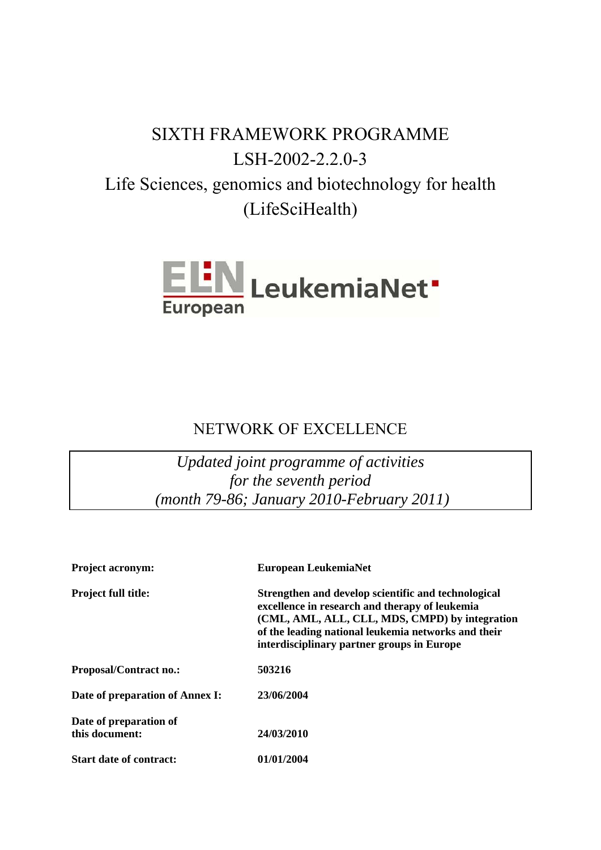# SIXTH FRAMEWORK PROGRAMME LSH-2002-2.2.0-3 Life Sciences, genomics and biotechnology for health (LifeSciHealth)



# NETWORK OF EXCELLENCE

*Updated joint programme of activities for the seventh period (month 79-86; January 2010-February 2011)* 

| <b>Project acronym:</b>                  | European LeukemiaNet                                                                                                                                                                                                                                         |
|------------------------------------------|--------------------------------------------------------------------------------------------------------------------------------------------------------------------------------------------------------------------------------------------------------------|
| <b>Project full title:</b>               | Strengthen and develop scientific and technological<br>excellence in research and therapy of leukemia<br>(CML, AML, ALL, CLL, MDS, CMPD) by integration<br>of the leading national leukemia networks and their<br>interdisciplinary partner groups in Europe |
| <b>Proposal/Contract no.:</b>            | 503216                                                                                                                                                                                                                                                       |
| Date of preparation of Annex I:          | 23/06/2004                                                                                                                                                                                                                                                   |
| Date of preparation of<br>this document: | 24/03/2010                                                                                                                                                                                                                                                   |
| <b>Start date of contract:</b>           | 01/01/2004                                                                                                                                                                                                                                                   |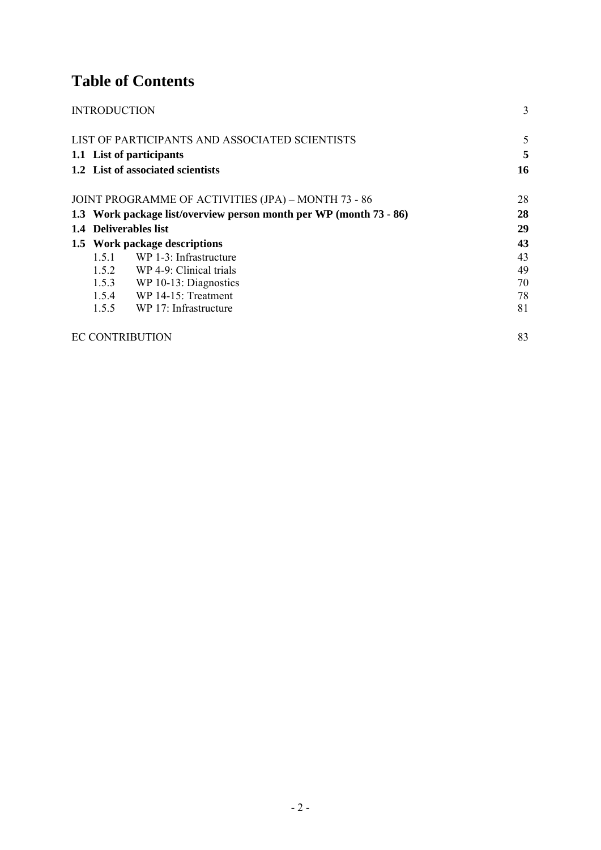# **Table of Contents**

| <b>INTRODUCTION</b> |                                                                    | $\overline{3}$ |
|---------------------|--------------------------------------------------------------------|----------------|
|                     | LIST OF PARTICIPANTS AND ASSOCIATED SCIENTISTS                     | 5              |
|                     | 1.1 List of participants                                           | 5              |
|                     | 1.2 List of associated scientists                                  | 16             |
|                     | JOINT PROGRAMME OF ACTIVITIES (JPA) - MONTH 73 - 86                | 28             |
|                     | 1.3 Work package list/overview person month per WP (month 73 - 86) | 28             |
|                     | 1.4 Deliverables list                                              | 29             |
|                     | 1.5 Work package descriptions                                      | 43             |
| 1.5.1               | WP 1-3: Infrastructure                                             | 43             |
|                     | 1.5.2 WP 4-9: Clinical trials                                      | 49             |
|                     | $1.5.3$ WP 10-13: Diagnostics                                      | 70             |
|                     | 1.5.4 WP 14-15: Treatment                                          | 78             |
|                     | 1.5.5 WP 17: Infrastructure                                        | 81             |
|                     | EC CONTRIBUTION                                                    | 83             |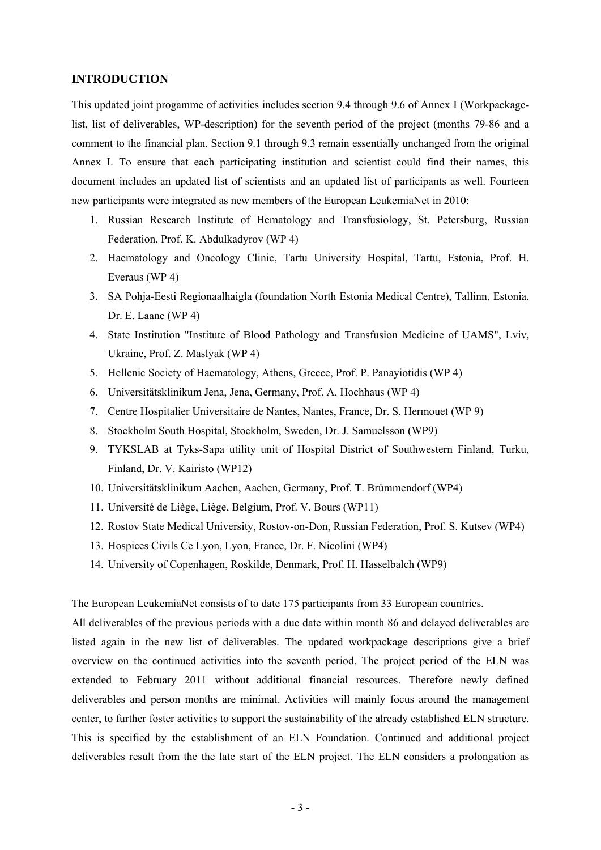#### **INTRODUCTION**

This updated joint progamme of activities includes section 9.4 through 9.6 of Annex I (Workpackagelist, list of deliverables, WP-description) for the seventh period of the project (months 79-86 and a comment to the financial plan. Section 9.1 through 9.3 remain essentially unchanged from the original Annex I. To ensure that each participating institution and scientist could find their names, this document includes an updated list of scientists and an updated list of participants as well. Fourteen new participants were integrated as new members of the European LeukemiaNet in 2010:

- 1. Russian Research Institute of Hematology and Transfusiology, St. Petersburg, Russian Federation, Prof. K. Abdulkadyrov (WP 4)
- 2. Haematology and Oncology Clinic, Tartu University Hospital, Tartu, Estonia, Prof. H. Everaus (WP 4)
- 3. SA Pohja-Eesti Regionaalhaigla (foundation North Estonia Medical Centre), Tallinn, Estonia, Dr. E. Laane (WP 4)
- 4. State Institution "Institute of Blood Pathology and Transfusion Medicine of UAMS", Lviv, Ukraine, Prof. Z. Maslyak (WP 4)
- 5. Hellenic Society of Haematology, Athens, Greece, Prof. P. Panayiotidis (WP 4)
- 6. Universitätsklinikum Jena, Jena, Germany, Prof. A. Hochhaus (WP 4)
- 7. Centre Hospitalier Universitaire de Nantes, Nantes, France, Dr. S. Hermouet (WP 9)
- 8. Stockholm South Hospital, Stockholm, Sweden, Dr. J. Samuelsson (WP9)
- 9. TYKSLAB at Tyks-Sapa utility unit of Hospital District of Southwestern Finland, Turku, Finland, Dr. V. Kairisto (WP12)
- 10. Universitätsklinikum Aachen, Aachen, Germany, Prof. T. Brümmendorf (WP4)
- 11. Université de Liège, Liège, Belgium, Prof. V. Bours (WP11)
- 12. Rostov State Medical University, Rostov-on-Don, Russian Federation, Prof. S. Kutsev (WP4)
- 13. Hospices Civils Ce Lyon, Lyon, France, Dr. F. Nicolini (WP4)
- 14. University of Copenhagen, Roskilde, Denmark, Prof. H. Hasselbalch (WP9)

The European LeukemiaNet consists of to date 175 participants from 33 European countries.

All deliverables of the previous periods with a due date within month 86 and delayed deliverables are listed again in the new list of deliverables. The updated workpackage descriptions give a brief overview on the continued activities into the seventh period. The project period of the ELN was extended to February 2011 without additional financial resources. Therefore newly defined deliverables and person months are minimal. Activities will mainly focus around the management center, to further foster activities to support the sustainability of the already established ELN structure. This is specified by the establishment of an ELN Foundation. Continued and additional project deliverables result from the the late start of the ELN project. The ELN considers a prolongation as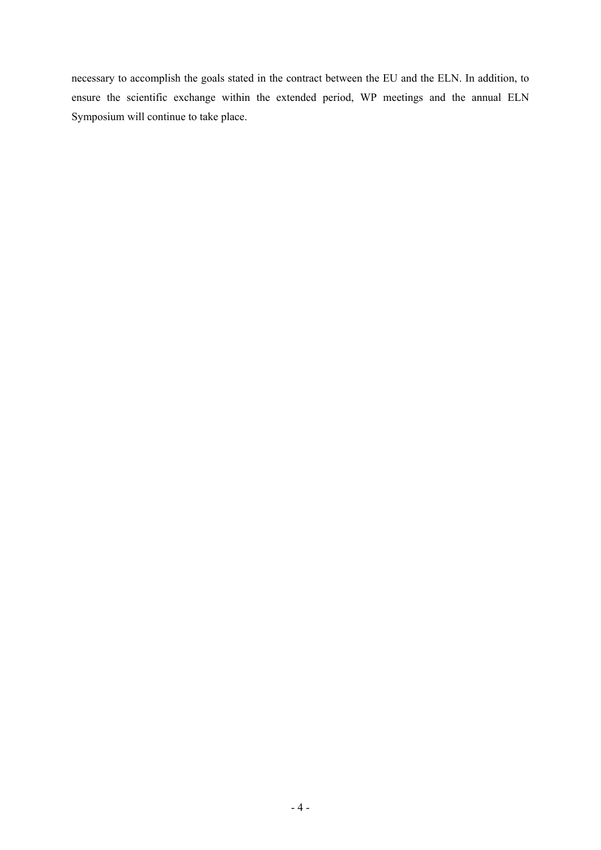necessary to accomplish the goals stated in the contract between the EU and the ELN. In addition, to ensure the scientific exchange within the extended period, WP meetings and the annual ELN Symposium will continue to take place.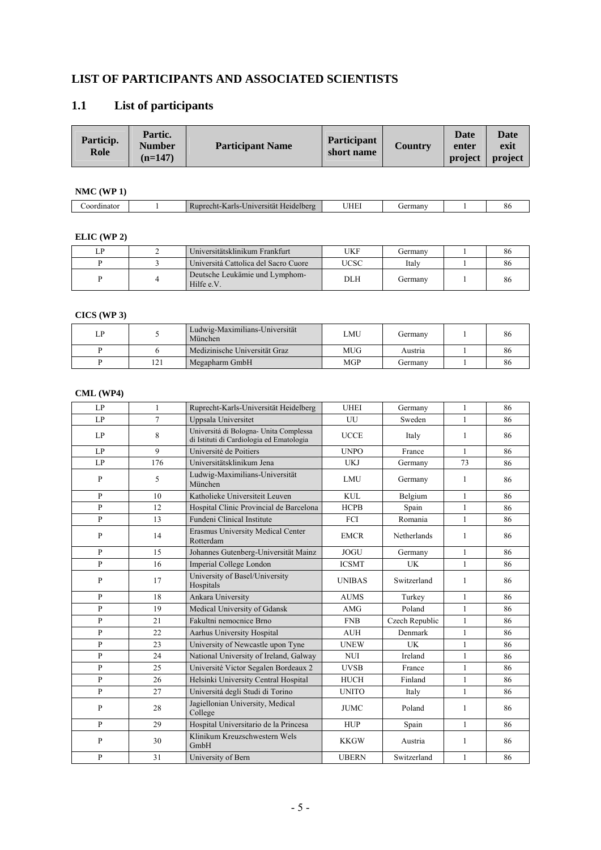### **LIST OF PARTICIPANTS AND ASSOCIATED SCIENTISTS**

# **1.1 List of participants**

| Particip.<br>Role | Partic.<br><b>Number</b><br>$(n=147)$ | <b>Participant Name</b> | Participant<br>short name | <b>Country</b> | <b>Date</b><br>enter<br>project | <b>Date</b><br>exit<br>project |
|-------------------|---------------------------------------|-------------------------|---------------------------|----------------|---------------------------------|--------------------------------|
|-------------------|---------------------------------------|-------------------------|---------------------------|----------------|---------------------------------|--------------------------------|

### **NMC (WP 1)**

| unator . |  | Heidelberg<br>.echt-Karls-'<br>versität<br>Jnive | JHE | $-arman$<br>TC.<br>шан |  | . . |
|----------|--|--------------------------------------------------|-----|------------------------|--|-----|
|----------|--|--------------------------------------------------|-----|------------------------|--|-----|

#### **ELIC (WP 2)**

|  | Universitätsklinikum Frankfurt               | UKF         | Germanv | 80 |
|--|----------------------------------------------|-------------|---------|----|
|  | Universitá Cattolica del Sacro Cuore         | <b>JCSC</b> | Italv   | 86 |
|  | Deutsche Leukämie und Lymphom-<br>Hilfe e.V. | DLH         | Germany | 86 |

#### **CICS (WP 3)**

| LP |     | Ludwig-Maximilians-Universität<br>München | ∟MU | Germany | 86 |
|----|-----|-------------------------------------------|-----|---------|----|
|    |     | Medizinische Universität Graz             | MUG | Austria | 86 |
|    | 121 | Megapharm GmbH                            | MGP | Germany | 86 |

#### **CML (WP4)**

| LP           | 1   | Ruprecht-Karls-Universität Heidelberg                                              | <b>UHEI</b>   | Germany            | $\mathbf{1}$ | 86 |
|--------------|-----|------------------------------------------------------------------------------------|---------------|--------------------|--------------|----|
| LP           | 7   | Uppsala Universitet                                                                | UU            | Sweden             | $\mathbf{1}$ | 86 |
| LP           | 8   | Universitá di Bologna- Unita Complessa<br>di Istituti di Cardiologia ed Ematologia | <b>UCCE</b>   | Italy              | $\mathbf{1}$ | 86 |
| LP           | 9   | Université de Poitiers                                                             | <b>UNPO</b>   | France             | $\mathbf{1}$ | 86 |
| LP           | 176 | Universitätsklinikum Jena                                                          | <b>UKJ</b>    | Germany            | 73           | 86 |
| $\mathbf{P}$ | 5   | Ludwig-Maximilians-Universität<br>München                                          | <b>LMU</b>    | Germany            | 1            | 86 |
| $\mathbf{p}$ | 10  | Katholieke Universiteit Leuven                                                     | <b>KUL</b>    | Belgium            | $\mathbf{1}$ | 86 |
| $\mathbf{P}$ | 12  | Hospital Clinic Provincial de Barcelona                                            | <b>HCPB</b>   | Spain              | $\mathbf{1}$ | 86 |
| $\mathbf{P}$ | 13  | <b>Fundeni Clinical Institute</b>                                                  | FCI           | Romania            | $\mathbf{1}$ | 86 |
| $\mathbf{P}$ | 14  | Erasmus University Medical Center<br>Rotterdam                                     | <b>EMCR</b>   | <b>Netherlands</b> | $\mathbf{1}$ | 86 |
| $\mathbf{P}$ | 15  | Johannes Gutenberg-Universität Mainz                                               | <b>JOGU</b>   | Germany            | $\mathbf{1}$ | 86 |
| $\mathbf{p}$ | 16  | Imperial College London                                                            | <b>ICSMT</b>  | UK                 | $\mathbf{1}$ | 86 |
| $\mathbf{P}$ | 17  | University of Basel/University<br>Hospitals                                        | <b>UNIBAS</b> | Switzerland        | $\mathbf{1}$ | 86 |
| $\mathbf{P}$ | 18  | Ankara University                                                                  | <b>AUMS</b>   | Turkey             | $\mathbf{1}$ | 86 |
| $\mathbf{P}$ | 19  | Medical University of Gdansk                                                       | AMG           | Poland             | $\mathbf{1}$ | 86 |
| $\mathbf{P}$ | 21  | Fakultni nemocnice Brno                                                            | <b>FNB</b>    | Czech Republic     | $\mathbf{1}$ | 86 |
| P            | 22  | Aarhus University Hospital                                                         | <b>AUH</b>    | Denmark            | $\mathbf{1}$ | 86 |
| $\mathbf{P}$ | 23  | University of Newcastle upon Tyne                                                  | <b>UNEW</b>   | <b>UK</b>          | $\mathbf{1}$ | 86 |
| $\mathbf{p}$ | 24  | National University of Ireland, Galway                                             | <b>NUI</b>    | Ireland            | $\mathbf{1}$ | 86 |
| $\mathbf{P}$ | 25  | Université Victor Segalen Bordeaux 2                                               | <b>UVSB</b>   | France             | $\mathbf{1}$ | 86 |
| $\mathbf{P}$ | 26  | Helsinki University Central Hospital                                               | <b>HUCH</b>   | Finland            | $\mathbf{1}$ | 86 |
| P            | 27  | Universitá degli Studi di Torino                                                   | <b>UNITO</b>  | Italy              | $\mathbf{1}$ | 86 |
| $\mathbf{P}$ | 28  | Jagiellonian University, Medical<br>College                                        | <b>JUMC</b>   | Poland             | $\mathbf{1}$ | 86 |
| $\mathbf{p}$ | 29  | Hospital Universitario de la Princesa                                              | <b>HUP</b>    | Spain              | $\mathbf{1}$ | 86 |
| $\mathbf{P}$ | 30  | Klinikum Kreuzschwestern Wels<br>GmbH                                              | <b>KKGW</b>   | Austria            | $\mathbf{1}$ | 86 |
| $\mathbf{P}$ | 31  | University of Bern                                                                 | <b>UBERN</b>  | Switzerland        | $\mathbf{1}$ | 86 |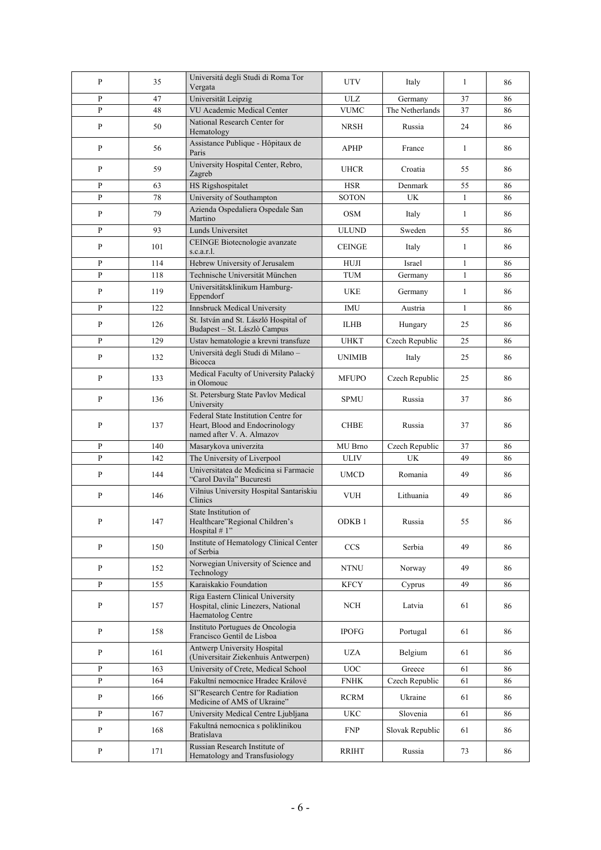| $\mathbf{P}$ | 35  | Universitá degli Studi di Roma Tor<br>Vergata                                                       | <b>UTV</b>                 | Italy           | $\mathbf{1}$ | 86 |
|--------------|-----|-----------------------------------------------------------------------------------------------------|----------------------------|-----------------|--------------|----|
| $\mathbf{P}$ | 47  | Universität Leipzig                                                                                 | <b>ULZ</b>                 | Germany         | 37           | 86 |
| $\mathbf{P}$ | 48  | VU Academic Medical Center                                                                          | <b>VUMC</b>                | The Netherlands | 37           | 86 |
| $\mathbf{P}$ | 50  | National Research Center for<br>Hematology                                                          | NRSH                       | Russia          | 24           | 86 |
| $\mathbf{P}$ | 56  | Assistance Publique - Hôpitaux de<br>Paris                                                          | <b>APHP</b>                | France          | $\mathbf{1}$ | 86 |
| P            | 59  | University Hospital Center, Rebro,<br>Zagreb                                                        | <b>UHCR</b>                | Croatia         | 55           | 86 |
| P            | 63  | HS Rigshospitalet                                                                                   | <b>HSR</b>                 | Denmark         | 55           | 86 |
| $\mathbf{P}$ | 78  | University of Southampton                                                                           | <b>SOTON</b>               | <b>UK</b>       | $\mathbf{1}$ | 86 |
| P            | 79  | Azienda Ospedaliera Ospedale San<br>Martino                                                         | <b>OSM</b>                 | Italy           | 1            | 86 |
| $\mathbf{P}$ | 93  | Lunds Universitet                                                                                   | <b>ULUND</b>               | Sweden          | 55           | 86 |
| $\mathbf{P}$ | 101 | CEINGE Biotecnologie avanzate<br>s.c.a.r.l.                                                         | <b>CEINGE</b>              | Italy           | $\mathbf{1}$ | 86 |
| $\mathbf{P}$ | 114 | Hebrew University of Jerusalem                                                                      | <b>HUJI</b>                | Israel          | $\mathbf{1}$ | 86 |
| P            | 118 | Technische Universität München                                                                      | <b>TUM</b>                 | Germany         | $\mathbf{1}$ | 86 |
| P            | 119 | Universitätsklinikum Hamburg-<br>Eppendorf                                                          | <b>UKE</b>                 | Germany         | $\mathbf{1}$ | 86 |
| $\mathbf{P}$ | 122 | Innsbruck Medical University                                                                        | <b>IMU</b>                 | Austria         | $\mathbf{1}$ | 86 |
| $\mathbf{P}$ | 126 | St. István and St. László Hospital of<br>Budapest - St. Lászlò Campus                               | <b>ILHB</b>                | Hungary         | 25           | 86 |
| P            | 129 | Ustav hematologie a krevni transfuze                                                                | <b>UHKT</b>                | Czech Republic  | 25           | 86 |
| $\mathbf{P}$ | 132 | Università degli Studi di Milano -<br>Bicocca                                                       | <b>UNIMIB</b>              | Italy           | 25           | 86 |
| $\mathbf{P}$ | 133 | Medical Faculty of University Palacký<br>in Olomouc                                                 | <b>MFUPO</b>               | Czech Republic  | 25           | 86 |
| $\mathbf{P}$ | 136 | St. Petersburg State Pavlov Medical<br>University                                                   | <b>SPMU</b>                | Russia          | 37           | 86 |
| P            | 137 | Federal State Institution Centre for<br>Heart, Blood and Endocrinology<br>named after V. A. Almazov | <b>CHBE</b>                | Russia          | 37           | 86 |
| $\mathbf{P}$ | 140 | Masarykova univerzita                                                                               | MU Brno                    | Czech Republic  | 37           | 86 |
| P            | 142 | The University of Liverpool                                                                         | <b>ULIV</b>                | <b>UK</b>       | 49           | 86 |
| P            | 144 | Universitatea de Medicina și Farmacie<br>"Carol Davila" Bucuresti                                   | <b>UMCD</b>                | Romania         | 49           | 86 |
| P            | 146 | Vilnius University Hospital Santariskiu<br>Clinics                                                  | <b>VUH</b>                 | Lithuania       | 49           | 86 |
| $\, {\bf p}$ | 147 | State Institution of<br>Healthcare"Regional Children's<br>Hospital #1"                              | ODKB <sub>1</sub>          | Russia          | 55           | 86 |
| P            | 150 | Institute of Hematology Clinical Center<br>of Serbia                                                | <b>CCS</b>                 | Serbia          | 49           | 86 |
| P            | 152 | Norwegian University of Science and<br>Technology                                                   | $\ensuremath{\text{NTNU}}$ | Norway          | 49           | 86 |
| $\mathbf{P}$ | 155 | Karaiskakio Foundation                                                                              | <b>KFCY</b>                | Cyprus          | 49           | 86 |
| $\, {\bf P}$ | 157 | Riga Eastern Clinical University<br>Hospital, clinic Linezers, National<br>Haematolog Centre        | NCH                        | Latvia          | 61           | 86 |
| P            | 158 | Instituto Portugues de Oncologia<br>Francisco Gentil de Lisboa                                      | <b>IPOFG</b>               | Portugal        | 61           | 86 |
| P            | 161 | Antwerp University Hospital<br>(Universitair Ziekenhuis Antwerpen)                                  | UZA                        | Belgium         | 61           | 86 |
| $\mathbf{P}$ | 163 | University of Crete, Medical School                                                                 | $_{\mathrm{UOC}}$          | Greece          | 61           | 86 |
| $\, {\bf P}$ | 164 | Fakultní nemocnice Hradec Králové                                                                   | <b>FNHK</b>                | Czech Republic  | 61           | 86 |
| P            | 166 | SI"Research Centre for Radiation<br>Medicine of AMS of Ukraine"                                     | <b>RCRM</b>                | Ukraine         | 61           | 86 |
| $\mathbf{P}$ | 167 | University Medical Centre Ljubljana                                                                 | <b>UKC</b>                 | Slovenia        | 61           | 86 |
| $\mathbf{P}$ | 168 | Fakultná nemocnica s poliklinikou<br><b>Bratislava</b>                                              | <b>FNP</b>                 | Slovak Republic | 61           | 86 |
| P            | 171 | Russian Research Institute of<br>Hematology and Transfusiology                                      | <b>RRIHT</b>               | Russia          | 73           | 86 |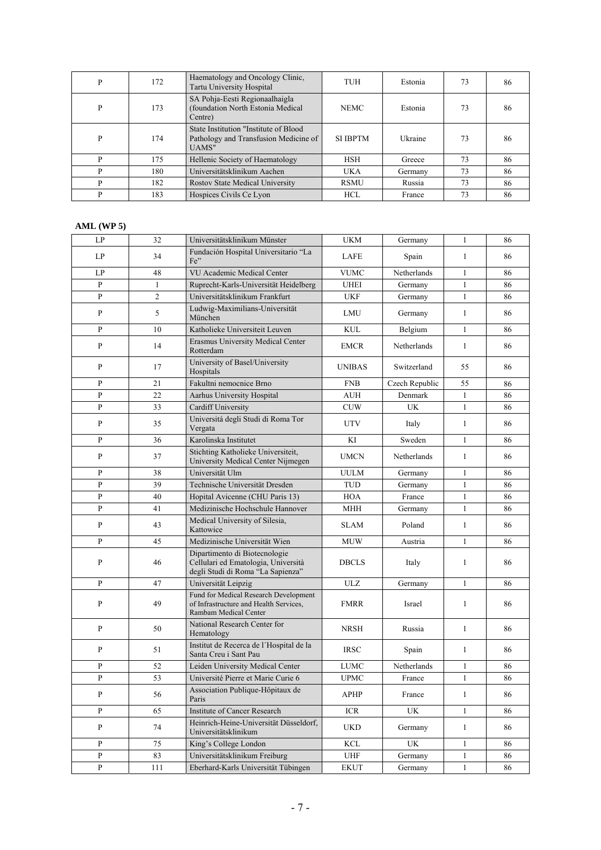| P | 172 | Haematology and Oncology Clinic,<br>Tartu University Hospital                            | <b>TUH</b>      | Estonia | 73 | 86 |
|---|-----|------------------------------------------------------------------------------------------|-----------------|---------|----|----|
| P | 173 | SA Pohja-Eesti Regionaalhaigla<br>(foundation North Estonia Medical)<br>Centre)          | <b>NEMC</b>     | Estonia | 73 | 86 |
| P | 174 | State Institution "Institute of Blood"<br>Pathology and Transfusion Medicine of<br>UAMS" | <b>SI IBPTM</b> | Ukraine | 73 | 86 |
| D | 175 | Hellenic Society of Haematology                                                          | <b>HSH</b>      | Greece  | 73 | 86 |
| P | 180 | Universitätsklinikum Aachen                                                              | <b>UKA</b>      | Germany | 73 | 86 |
| D | 182 | Rostov State Medical University                                                          | <b>RSMU</b>     | Russia  | 73 | 86 |
| P | 183 | Hospices Civils Ce Lyon                                                                  | <b>HCL</b>      | France  | 73 | 86 |

#### **AML (WP 5)**

| LP             | 32             | Universitätsklinikum Münster                                                                              | <b>UKM</b>    | Germany        | 1            | 86 |
|----------------|----------------|-----------------------------------------------------------------------------------------------------------|---------------|----------------|--------------|----|
| LP             | 34             | Fundación Hospital Universitario "La<br>Fe"                                                               | LAFE          | Spain          | 1            | 86 |
| LP             | 48             | VU Academic Medical Center                                                                                | <b>VUMC</b>   | Netherlands    | $\mathbf{1}$ | 86 |
| $\mathbf{P}$   | $\mathbf{1}$   | Ruprecht-Karls-Universität Heidelberg                                                                     | <b>UHEI</b>   | Germany        | $\mathbf{1}$ | 86 |
| P              | $\overline{2}$ | Universitätsklinikum Frankfurt                                                                            | <b>UKF</b>    | Germany        | $\mathbf{1}$ | 86 |
| P              | 5              | Ludwig-Maximilians-Universität<br>München                                                                 | <b>LMU</b>    | Germany        | $\mathbf{1}$ | 86 |
| P              | 10             | Katholieke Universiteit Leuven                                                                            | <b>KUL</b>    | Belgium        | $\mathbf{1}$ | 86 |
| $\mathbf{P}$   | 14             | Erasmus University Medical Center<br>Rotterdam                                                            | <b>EMCR</b>   | Netherlands    | $\mathbf{1}$ | 86 |
| P              | 17             | University of Basel/University<br>Hospitals                                                               | <b>UNIBAS</b> | Switzerland    | 55           | 86 |
| P              | 21             | Fakultni nemocnice Brno                                                                                   | <b>FNB</b>    | Czech Republic | 55           | 86 |
| $\mathbf{P}$   | 22             | Aarhus University Hospital                                                                                | AUH           | Denmark        | $\mathbf{1}$ | 86 |
| $\overline{P}$ | 33             | Cardiff University                                                                                        | <b>CUW</b>    | UK             | $\mathbf{1}$ | 86 |
| P              | 35             | Universitá degli Studi di Roma Tor<br>Vergata                                                             | <b>UTV</b>    | Italy          | $\mathbf{1}$ | 86 |
| P              | 36             | Karolinska Institutet                                                                                     | KI            | Sweden         | $\mathbf{1}$ | 86 |
| P              | 37             | Stichting Katholieke Universiteit,<br>University Medical Center Nijmegen                                  | <b>UMCN</b>   | Netherlands    | 1            | 86 |
| P              | 38             | Universität Ulm                                                                                           | <b>UULM</b>   | Germany        | 1            | 86 |
| P              | 39             | Technische Universität Dresden                                                                            | <b>TUD</b>    | Germany        | $\mathbf{1}$ | 86 |
| P              | 40             | Hopital Avicenne (CHU Paris 13)                                                                           | <b>HOA</b>    | France         | $\mathbf{1}$ | 86 |
| P              | 41             | Medizinische Hochschule Hannover                                                                          | MHH           | Germany        | $\mathbf{1}$ | 86 |
| P              | 43             | Medical University of Silesia,<br>Kattowice                                                               | <b>SLAM</b>   | Poland         | $\mathbf{1}$ | 86 |
| P              | 45             | Medizinische Universität Wien                                                                             | <b>MUW</b>    | Austria        | $\mathbf{1}$ | 86 |
| P              | 46             | Dipartimento di Biotecnologie<br>Cellulari ed Ematologia, Università<br>degli Studi di Roma "La Sapienza" | <b>DBCLS</b>  | Italy          | 1            | 86 |
| P              | 47             | Universität Leipzig                                                                                       | <b>ULZ</b>    | Germany        | $\mathbf{1}$ | 86 |
| $\mathbf{P}$   | 49             | Fund for Medical Research Development<br>of Infrastructure and Health Services,<br>Rambam Medical Center  | <b>FMRR</b>   | Israel         | $\mathbf{1}$ | 86 |
| P              | 50             | National Research Center for<br>Hematology                                                                | <b>NRSH</b>   | Russia         | 1            | 86 |
| P              | 51             | Institut de Recerca de l'Hospital de la<br>Santa Creu i Sant Pau                                          | <b>IRSC</b>   | Spain          | 1            | 86 |
| P              | 52             | Leiden University Medical Center                                                                          | LUMC          | Netherlands    | 1            | 86 |
| P              | 53             | Université Pierre et Marie Curie 6                                                                        | <b>UPMC</b>   | France         | $\mathbf{1}$ | 86 |
| $\mathbf{P}$   | 56             | Association Publique-Hôpitaux de<br>Paris                                                                 | <b>APHP</b>   | France         | $\mathbf{1}$ | 86 |
| P              | 65             | Institute of Cancer Research                                                                              | <b>ICR</b>    | UK             | 1            | 86 |
| $\, {\bf p}$   | 74             | Heinrich-Heine-Universität Düsseldorf,<br>Universitätsklinikum                                            | <b>UKD</b>    | Germany        | $\mathbf{1}$ | 86 |
| ${\bf P}$      | 75             | King's College London                                                                                     | <b>KCL</b>    | UK             | $\mathbf{1}$ | 86 |
| ${\bf P}$      | 83             | Universitätsklinikum Freiburg                                                                             | <b>UHF</b>    | Germany        | $\mathbf{1}$ | 86 |
| ${\bf P}$      | 111            | Eberhard-Karls Universität Tübingen                                                                       | <b>EKUT</b>   | Germany        | $\mathbf{1}$ | 86 |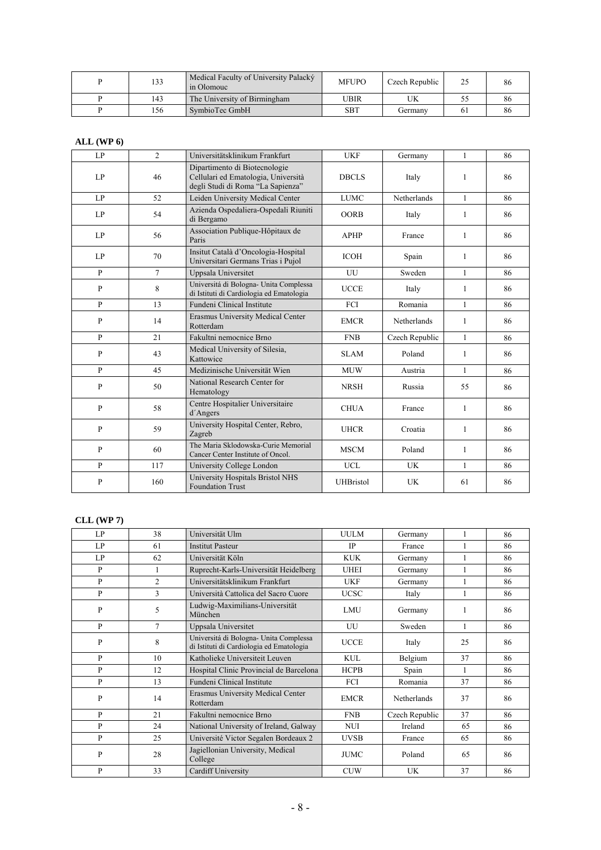| 133 | Medical Faculty of University Palacký<br>in Olomouc | <b>MFUPO</b> | Czech Republic | 25 | 86 |
|-----|-----------------------------------------------------|--------------|----------------|----|----|
| 143 | The University of Birmingham                        | UBIR         | UK             |    | 86 |
| 156 | SymbioTec GmbH                                      | SBT          | Germany        | 61 | 86 |

#### **ALL (WP 6)**

| LP           | $\mathfrak{D}$ | Universitätsklinikum Frankfurt                                                                            | <b>UKF</b>       | Germany        | $\mathbf{1}$ | 86 |
|--------------|----------------|-----------------------------------------------------------------------------------------------------------|------------------|----------------|--------------|----|
| LP           | 46             | Dipartimento di Biotecnologie<br>Cellulari ed Ematologia, Università<br>degli Studi di Roma "La Sapienza" | <b>DBCLS</b>     | Italy          | 1            | 86 |
| LP           | 52             | Leiden University Medical Center                                                                          | <b>LUMC</b>      | Netherlands    | $\mathbf{1}$ | 86 |
| LP           | 54             | Azienda Ospedaliera-Ospedali Riuniti<br>di Bergamo                                                        | <b>OORB</b>      | Italy          | 1            | 86 |
| LP           | 56             | Association Publique-Hôpitaux de<br>Paris                                                                 | <b>APHP</b>      | France         | 1            | 86 |
| LP           | 70             | Insitut Català d'Oncologia-Hospital<br>Universitari Germans Trias i Pujol                                 | <b>ICOH</b>      | Spain          | $\mathbf{1}$ | 86 |
| $\mathbf{P}$ | $\tau$         | Uppsala Universitet                                                                                       | UU               | Sweden         | $\mathbf{1}$ | 86 |
| P            | 8              | Universitá di Bologna- Unita Complessa<br>di Istituti di Cardiologia ed Ematologia                        | <b>UCCE</b>      | Italy          | $\mathbf{1}$ | 86 |
| $\mathbf{P}$ | 13             | Fundeni Clinical Institute                                                                                | FCI              | Romania        | $\mathbf{1}$ | 86 |
| $\mathbf{P}$ | 14             | Erasmus University Medical Center<br>Rotterdam                                                            | <b>EMCR</b>      | Netherlands    | $\mathbf{1}$ | 86 |
| $\mathbf{P}$ | 21             | Fakultni nemocnice Brno                                                                                   | <b>FNB</b>       | Czech Republic | $\mathbf{1}$ | 86 |
| $\mathbf{P}$ | 43             | Medical University of Silesia,<br>Kattowice                                                               | <b>SLAM</b>      | Poland         | 1            | 86 |
| $\mathbf{P}$ | 45             | Medizinische Universität Wien                                                                             | <b>MUW</b>       | Austria        | $\mathbf{1}$ | 86 |
| $\mathbf{P}$ | 50             | National Research Center for<br>Hematology                                                                | <b>NRSH</b>      | Russia         | 55           | 86 |
| P            | 58             | Centre Hospitalier Universitaire<br>d'Angers                                                              | <b>CHUA</b>      | France         | 1            | 86 |
| $\mathbf{P}$ | 59             | University Hospital Center, Rebro,<br>Zagreb                                                              | <b>UHCR</b>      | Croatia        | $\mathbf{1}$ | 86 |
| P            | 60             | The Maria Sklodowska-Curie Memorial<br>Cancer Center Institute of Oncol.                                  | <b>MSCM</b>      | Poland         | 1            | 86 |
| $\mathbf{p}$ | 117            | University College London                                                                                 | <b>UCL</b>       | UK             | 1            | 86 |
| P            | 160            | University Hospitals Bristol NHS<br><b>Foundation Trust</b>                                               | <b>UHBristol</b> | UK             | 61           | 86 |

#### **CLL (WP 7)**

| LP           | 38             | Universität Ulm                                                                    | <b>UULM</b> | Germany            |              | 86 |
|--------------|----------------|------------------------------------------------------------------------------------|-------------|--------------------|--------------|----|
| LP           | 61             | <b>Institut Pasteur</b>                                                            | <b>IP</b>   | France             |              | 86 |
| LP           | 62             | Universität Köln                                                                   | <b>KUK</b>  | Germany            |              | 86 |
| P            | $\mathbf{1}$   | Ruprecht-Karls-Universität Heidelberg                                              | <b>UHEI</b> | Germany            | $\mathbf{1}$ | 86 |
| P            | $\overline{c}$ | Universitätsklinikum Frankfurt                                                     | <b>UKF</b>  | Germany            |              | 86 |
| $\mathbf{P}$ | 3              | Università Cattolica del Sacro Cuore                                               | <b>UCSC</b> | Italy              | 1            | 86 |
| $\mathbf{P}$ | 5              | Ludwig-Maximilians-Universität<br>München                                          | LMU         | Germany            |              | 86 |
| P            | $\overline{7}$ | Uppsala Universitet                                                                | UU          | Sweden             | 1            | 86 |
| P            | 8              | Universitá di Bologna- Unita Complessa<br>di Istituti di Cardiologia ed Ematologia | <b>UCCE</b> | Italy              | 25           | 86 |
| P            | 10             | Katholieke Universiteit Leuven                                                     | <b>KUL</b>  | Belgium            | 37           | 86 |
| P            | 12             | Hospital Clinic Provincial de Barcelona                                            | <b>HCPB</b> | Spain              | 1            | 86 |
| P            | 13             | Fundeni Clinical Institute                                                         | FCI         | Romania            | 37           | 86 |
| $\mathbf{P}$ | 14             | Erasmus University Medical Center<br>Rotterdam                                     | <b>EMCR</b> | <b>Netherlands</b> | 37           | 86 |
| P            | 21             | Fakultni nemocnice Brno                                                            | <b>FNB</b>  | Czech Republic     | 37           | 86 |
| P            | 24             | National University of Ireland, Galway                                             | <b>NUI</b>  | Ireland            | 65           | 86 |
| P            | 25             | Université Victor Segalen Bordeaux 2                                               | <b>UVSB</b> | France             | 65           | 86 |
| $\mathbf{P}$ | 28             | Jagiellonian University, Medical<br>College                                        | <b>JUMC</b> | Poland             | 65           | 86 |
| $\mathbf{P}$ | 33             | Cardiff University                                                                 | <b>CUW</b>  | <b>UK</b>          | 37           | 86 |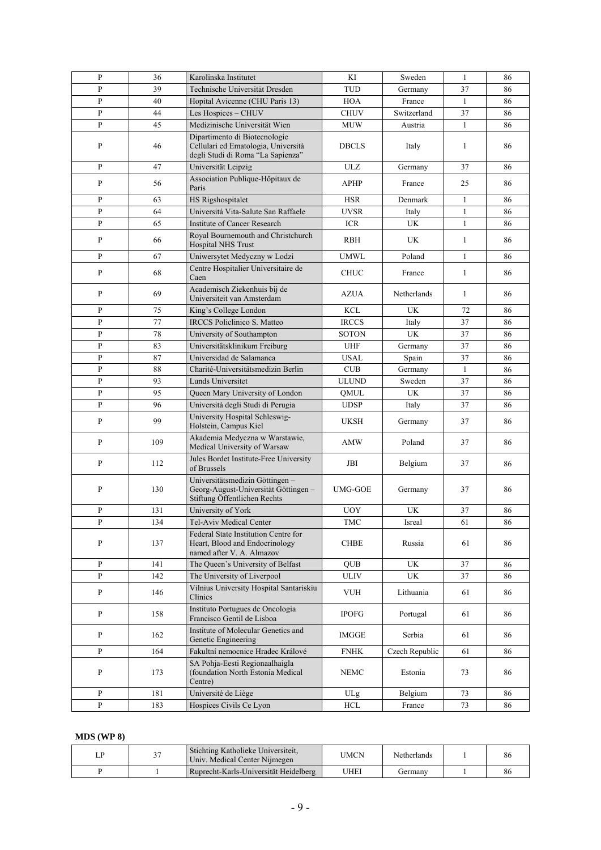| P            | 36  | Karolinska Institutet                                                                                     | KI                   | Sweden         | 1            | 86 |
|--------------|-----|-----------------------------------------------------------------------------------------------------------|----------------------|----------------|--------------|----|
| P            | 39  | Technische Universität Dresden                                                                            | <b>TUD</b>           | Germany        | 37           | 86 |
| P            | 40  | Hopital Avicenne (CHU Paris 13)                                                                           | <b>HOA</b>           | France         | 1            | 86 |
| P            | 44  | Les Hospices - CHUV                                                                                       | <b>CHUV</b>          | Switzerland    | 37           | 86 |
| $\mathbf{P}$ | 45  |                                                                                                           |                      |                | $\mathbf{1}$ |    |
|              |     | Medizinische Universität Wien                                                                             | <b>MUW</b>           | Austria        |              | 86 |
| P            | 46  | Dipartimento di Biotecnologie<br>Cellulari ed Ematologia, Università<br>degli Studi di Roma "La Sapienza" | <b>DBCLS</b>         | Italy          | 1            | 86 |
| P            | 47  | Universität Leipzig                                                                                       | <b>ULZ</b>           | Germany        | 37           | 86 |
| P            | 56  | Association Publique-Hôpitaux de<br>Paris                                                                 | <b>APHP</b>          | France         | 25           | 86 |
| P            | 63  | HS Rigshospitalet                                                                                         | <b>HSR</b>           | Denmark        | 1            | 86 |
| P            | 64  | Universitá Vita-Salute San Raffaele                                                                       | <b>UVSR</b>          | Italy          | $\mathbf{1}$ | 86 |
| P            | 65  | Institute of Cancer Research                                                                              | <b>ICR</b>           | <b>UK</b>      | $\mathbf{1}$ | 86 |
| P            | 66  | Royal Bournemouth and Christchurch<br>Hospital NHS Trust                                                  | <b>RBH</b>           | UK             | 1            | 86 |
| P            | 67  | Uniwersytet Medyczny w Lodzi                                                                              | <b>UMWL</b>          | Poland         | $\mathbf{1}$ | 86 |
| P            | 68  | Centre Hospitalier Universitaire de<br>Caen                                                               | <b>CHUC</b>          | France         | 1            | 86 |
| P            | 69  | Academisch Ziekenhuis bij de<br>Universiteit van Amsterdam                                                | AZUA                 | Netherlands    | 1            | 86 |
| P            | 75  | King's College London                                                                                     | <b>KCL</b>           | UK             | 72           | 86 |
| P            | 77  | <b>IRCCS</b> Policlinico S. Matteo                                                                        | <b>IRCCS</b>         | Italy          | 37           | 86 |
| P            | 78  | University of Southampton                                                                                 | <b>SOTON</b>         | <b>UK</b>      | 37           | 86 |
| P            | 83  | Universitätsklinikum Freiburg                                                                             | <b>UHF</b>           | Germany        | 37           | 86 |
| P            | 87  | Universidad de Salamanca                                                                                  | <b>USAL</b>          | Spain          | 37           | 86 |
| P            | 88  | Charité-Universitätsmedizin Berlin                                                                        | <b>CUB</b>           | Germany        | 1            | 86 |
| P            | 93  | Lunds Universitet                                                                                         | <b>ULUND</b>         | Sweden         | 37           | 86 |
| P            | 95  | Queen Mary University of London                                                                           | <b>QMUL</b>          | UK             | 37           | 86 |
| P            | 96  | Università degli Studi di Perugia                                                                         | <b>UDSP</b>          | Italy          | 37           | 86 |
| P            | 99  | University Hospital Schleswig-<br>Holstein, Campus Kiel                                                   | <b>UKSH</b>          | Germany        | 37           | 86 |
| P            | 109 | Akademia Medyczna w Warstawie,<br>Medical University of Warsaw                                            | <b>AMW</b>           | Poland         | 37           | 86 |
| P            | 112 | Jules Bordet Institute-Free University<br>of Brussels                                                     | JBI                  | Belgium        | 37           | 86 |
| P            | 130 | Universitätsmedizin Göttingen-<br>Georg-August-Universität Göttingen -<br>Stiftung Öffentlichen Rechts    | UMG-GOE              | Germany        | 37           | 86 |
| P            | 131 | University of York                                                                                        | <b>UOY</b>           | UK             | 37           | 86 |
| ${\bf P}$    | 134 | Tel-Aviv Medical Center                                                                                   | $\operatorname{TMC}$ | Isreal         | 61           | 86 |
| P            | 137 | Federal State Institution Centre for<br>Heart, Blood and Endocrinology<br>named after V. A. Almazov       | <b>CHBE</b>          | Russia         | 61           | 86 |
| $\, {\bf p}$ | 141 | The Queen's University of Belfast                                                                         | <b>QUB</b>           | UK             | 37           | 86 |
| P            | 142 | The University of Liverpool                                                                               | <b>ULIV</b>          | <b>UK</b>      | 37           | 86 |
| P            | 146 | Vilnius University Hospital Santariskiu<br>Clinics                                                        | VUH                  | Lithuania      | 61           | 86 |
| P            | 158 | Instituto Portugues de Oncologia<br>Francisco Gentil de Lisboa                                            | <b>IPOFG</b>         | Portugal       | 61           | 86 |
| P            | 162 | Institute of Molecular Genetics and<br>Genetic Engineering                                                | <b>IMGGE</b>         | Serbia         | 61           | 86 |
| P            | 164 | Fakultní nemocnice Hradec Králové                                                                         | <b>FNHK</b>          | Czech Republic | 61           | 86 |
| P            | 173 | SA Pohja-Eesti Regionaalhaigla<br>(foundation North Estonia Medical<br>Centre)                            | <b>NEMC</b>          | Estonia        | 73           | 86 |
| P            | 181 | Université de Liège                                                                                       | ULg                  | Belgium        | 73           | 86 |
| $\mathbf{P}$ | 183 | Hospices Civils Ce Lyon                                                                                   | <b>HCL</b>           | France         | 73           | 86 |

#### **MDS (WP 8)**

| $\sim$ $\sim$ | Stichting Katholieke Universiteit.<br>Univ. Medical Center Nijmegen | UMCN | Netherlands | 86 |
|---------------|---------------------------------------------------------------------|------|-------------|----|
|               | Ruprecht-Karls-Universität Heidelberg                               | JHEI | Germany     | 86 |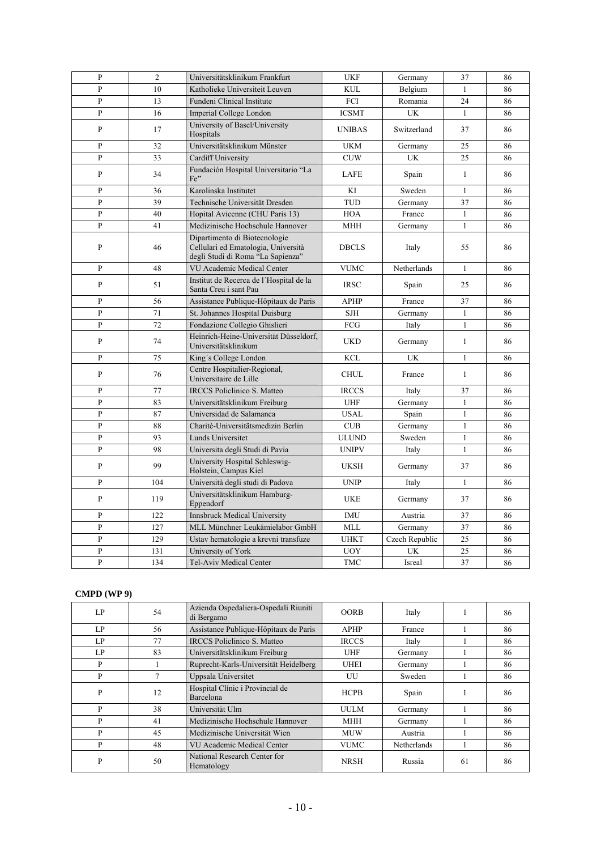| $\mathbf{P}$   | $\overline{2}$ | Universitätsklinikum Frankfurt                                                                            | <b>UKF</b>    | Germany        | 37           | 86 |
|----------------|----------------|-----------------------------------------------------------------------------------------------------------|---------------|----------------|--------------|----|
| $\overline{P}$ | 10             | Katholieke Universiteit Leuven                                                                            | KUL.          | Belgium        | $\mathbf{1}$ | 86 |
| $\mathbf{P}$   | 13             | Fundeni Clinical Institute                                                                                | <b>FCI</b>    | Romania        | 24           | 86 |
| $\mathbf{P}$   | 16             | Imperial College London                                                                                   | <b>ICSMT</b>  | UK             | $\mathbf{1}$ | 86 |
| $\mathbf{P}$   | 17             | University of Basel/University<br>Hospitals                                                               | <b>UNIBAS</b> | Switzerland    | 37           | 86 |
| $\mathbf{P}$   | 32             | Universitätsklinikum Münster                                                                              | <b>UKM</b>    | Germany        | 25           | 86 |
| $\mathbf{p}$   | 33             | Cardiff University                                                                                        | <b>CUW</b>    | UK             | 25           | 86 |
| P              | 34             | Fundación Hospital Universitario "La<br>Fe"                                                               | LAFE          | Spain          | $\mathbf{1}$ | 86 |
| $\mathbf{P}$   | 36             | Karolinska Institutet                                                                                     | KI            | Sweden         | $\mathbf{1}$ | 86 |
| $\mathbf{P}$   | 39             | Technische Universität Dresden                                                                            | <b>TUD</b>    | Germany        | 37           | 86 |
| $\mathbf{P}$   | 40             | Hopital Avicenne (CHU Paris 13)                                                                           | <b>HOA</b>    | France         | $\mathbf{1}$ | 86 |
| $\mathbf{P}$   | 41             | Medizinische Hochschule Hannover                                                                          | MHH           | Germany        | $\mathbf{1}$ | 86 |
| $\overline{P}$ | 46             | Dipartimento di Biotecnologie<br>Cellulari ed Ematologia, Università<br>degli Studi di Roma "La Sapienza" | <b>DBCLS</b>  | Italy          | 55           | 86 |
| $\mathbf{P}$   | 48             | VU Academic Medical Center                                                                                | <b>VUMC</b>   | Netherlands    | $\mathbf{1}$ | 86 |
| $\mathbf{P}$   | 51             | Institut de Recerca de l'Hospital de la<br>Santa Creu i sant Pau                                          | <b>IRSC</b>   | Spain          | 25           | 86 |
| $\mathbf{P}$   | 56             | Assistance Publique-Hôpitaux de Paris                                                                     | <b>APHP</b>   | France         | 37           | 86 |
| P              | 71             | St. Johannes Hospital Duisburg                                                                            | <b>SJH</b>    | Germany        | $\mathbf{1}$ | 86 |
| $\mathbf{P}$   | 72             | Fondazione Collegio Ghislieri                                                                             | FCG           | Italy          | $\mathbf{1}$ | 86 |
| $\mathbf{P}$   | 74             | Heinrich-Heine-Universität Düsseldorf,<br>Universitätsklinikum                                            | <b>UKD</b>    | Germany        | $\mathbf{1}$ | 86 |
| $\overline{P}$ | 75             | King's College London                                                                                     | <b>KCL</b>    | UK             | $\mathbf{1}$ | 86 |
| P              | 76             | Centre Hospitalier-Regional,<br>Universitaire de Lille                                                    | <b>CHUL</b>   | France         | $\mathbf{1}$ | 86 |
| $\mathbf{P}$   | 77             | <b>IRCCS Policlinico S. Matteo</b>                                                                        | <b>IRCCS</b>  | Italy          | 37           | 86 |
| $\mathbf{P}$   | 83             | Universitätsklinikum Freiburg                                                                             | <b>UHF</b>    | Germany        | $\mathbf{1}$ | 86 |
| $\mathbf{P}$   | 87             | Universidad de Salamanca                                                                                  | <b>USAL</b>   | Spain          | $\mathbf{1}$ | 86 |
| $\mathbf{P}$   | 88             | Charité-Universitätsmedizin Berlin                                                                        | CUB           | Germany        | $\mathbf{1}$ | 86 |
| $\overline{P}$ | 93             | Lunds Universitet                                                                                         | <b>ULUND</b>  | Sweden         | $\mathbf{1}$ | 86 |
| P              | 98             | Universita degli Studi di Pavia                                                                           | <b>UNIPV</b>  | Italy          | $\mathbf{1}$ | 86 |
| $\mathbf{P}$   | 99             | University Hospital Schleswig-<br>Holstein, Campus Kiel                                                   | <b>UKSH</b>   | Germany        | 37           | 86 |
| $\mathbf{P}$   | 104            | Università degli studi di Padova                                                                          | <b>UNIP</b>   | Italy          | $\mathbf{1}$ | 86 |
| $\mathbf{P}$   | 119            | Universitätsklinikum Hamburg-<br>Eppendorf                                                                | <b>UKE</b>    | Germany        | 37           | 86 |
| $\mathbf{P}$   | 122            | <b>Innsbruck Medical University</b>                                                                       | <b>IMU</b>    | Austria        | 37           | 86 |
| $\mathbf{P}$   | 127            | MLL Münchner Leukämielabor GmbH                                                                           | <b>MLL</b>    | Germany        | 37           | 86 |
| $\overline{P}$ | 129            | Ustav hematologie a krevni transfuze                                                                      | <b>UHKT</b>   | Czech Republic | 25           | 86 |
| $\mathbf{P}$   | 131            | University of York                                                                                        | <b>UOY</b>    | UK             | 25           | 86 |
| $\overline{P}$ | 134            | Tel-Aviv Medical Center                                                                                   | <b>TMC</b>    | Isreal         | 37           | 86 |
|                |                |                                                                                                           |               |                |              |    |

#### **CMPD (WP 9)**

| LP | 54 | Azienda Ospedaliera-Ospedali Riuniti<br>di Bergamo | <b>OORB</b>  | Italy       |    | 86 |
|----|----|----------------------------------------------------|--------------|-------------|----|----|
| LP | 56 | Assistance Publique-Hôpitaux de Paris              | <b>APHP</b>  | France      |    | 86 |
| LP | 77 | <b>IRCCS</b> Policlinico S. Matteo                 | <b>IRCCS</b> | Italy       |    | 86 |
| LP | 83 | Universitätsklinikum Freiburg                      | UHF          | Germany     |    | 86 |
| P  |    | Ruprecht-Karls-Universität Heidelberg              | <b>UHEI</b>  | Germany     |    | 86 |
| P  |    | Uppsala Universitet                                | UU           | Sweden      |    | 86 |
| P  | 12 | Hospital Clínic i Provincial de<br>Barcelona       | <b>HCPB</b>  | Spain       |    | 86 |
| P  | 38 | Universität Ulm                                    | <b>UULM</b>  | Germany     |    | 86 |
| P  | 41 | Medizinische Hochschule Hannover                   | MHH          | Germany     |    | 86 |
| P  | 45 | Medizinische Universität Wien                      | <b>MUW</b>   | Austria     |    | 86 |
| P  | 48 | VU Academic Medical Center                         | VUMC         | Netherlands |    | 86 |
| P  | 50 | National Research Center for<br>Hematology         | <b>NRSH</b>  | Russia      | 61 | 86 |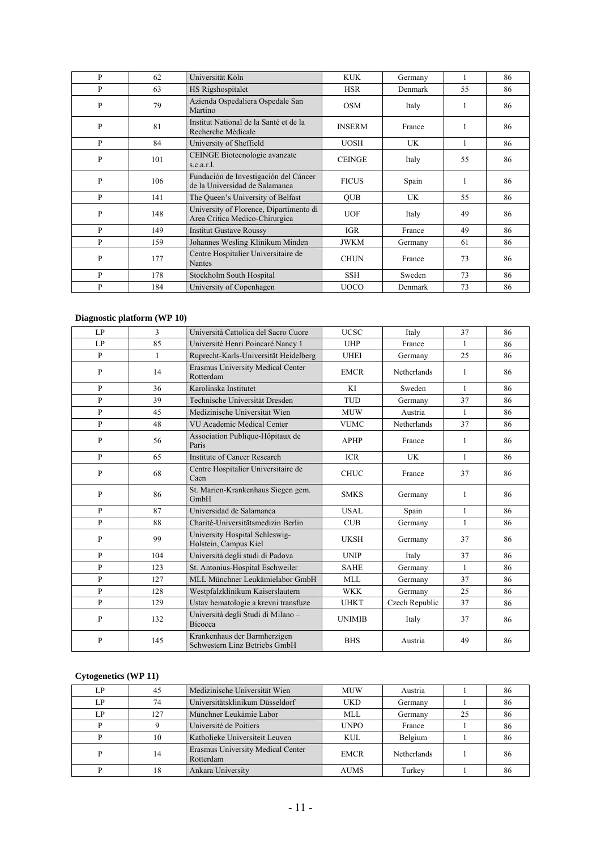| P            | 62  | Universität Köln                                                          | <b>KUK</b>    | Germany   | 1  | 86 |
|--------------|-----|---------------------------------------------------------------------------|---------------|-----------|----|----|
| P            | 63  | HS Rigshospitalet                                                         | <b>HSR</b>    | Denmark   | 55 | 86 |
| P            | 79  | Azienda Ospedaliera Ospedale San<br>Martino                               | <b>OSM</b>    | Italy     | 1  | 86 |
| $\mathbf{P}$ | 81  | Institut National de la Santé et de la<br>Recherche Médicale              | <b>INSERM</b> | France    | 1  | 86 |
| P            | 84  | University of Sheffield                                                   | <b>UOSH</b>   | UK        | 1  | 86 |
| P            | 101 | CEINGE Biotecnologie avanzate<br>s.c.a.r.l.                               | <b>CEINGE</b> | Italy     | 55 | 86 |
| P            | 106 | Fundación de Investigación del Cáncer<br>de la Universidad de Salamanca   | <b>FICUS</b>  | Spain     | 1  | 86 |
| P            | 141 | The Queen's University of Belfast                                         | <b>OUB</b>    | <b>UK</b> | 55 | 86 |
| P            | 148 | University of Florence, Dipartimento di<br>Area Critica Medico-Chirurgica | <b>UOF</b>    | Italy     | 49 | 86 |
| P            | 149 | <b>Institut Gustave Roussy</b>                                            | <b>IGR</b>    | France    | 49 | 86 |
| P            | 159 | Johannes Wesling Klinikum Minden                                          | <b>JWKM</b>   | Germany   | 61 | 86 |
| P            | 177 | Centre Hospitalier Universitaire de<br>Nantes                             | <b>CHUN</b>   | France    | 73 | 86 |
| P            | 178 | Stockholm South Hospital                                                  | <b>SSH</b>    | Sweden    | 73 | 86 |
| P            | 184 | University of Copenhagen                                                  | <b>UOCO</b>   | Denmark   | 73 | 86 |

### **Diagnostic platform (WP 10)**

| LP           | 3   | Università Cattolica del Sacro Cuore                          | <b>UCSC</b>   | Italy          | 37           | 86 |
|--------------|-----|---------------------------------------------------------------|---------------|----------------|--------------|----|
| LP           | 85  | Université Henri Poincaré Nancy 1                             | <b>UHP</b>    | France         | 1            | 86 |
| $\mathbf{p}$ | 1   | Ruprecht-Karls-Universität Heidelberg                         | <b>UHEI</b>   | Germany        | 25           | 86 |
| $\mathbf{P}$ | 14  | Erasmus University Medical Center<br>Rotterdam                | <b>EMCR</b>   | Netherlands    | 1            | 86 |
| P            | 36  | Karolinska Institutet                                         | KI            | Sweden         | $\mathbf{1}$ | 86 |
| $\mathbf{P}$ | 39  | Technische Universität Dresden                                | <b>TUD</b>    | Germany        | 37           | 86 |
| P            | 45  | Medizinische Universität Wien                                 | <b>MUW</b>    | Austria        | $\mathbf{1}$ | 86 |
| $\mathbf{P}$ | 48  | VU Academic Medical Center                                    | <b>VUMC</b>   | Netherlands    | 37           | 86 |
| P            | 56  | Association Publique-Hôpitaux de<br>Paris                     | <b>APHP</b>   | France         | 1            | 86 |
| P            | 65  | Institute of Cancer Research                                  | <b>ICR</b>    | <b>UK</b>      | 1            | 86 |
| P            | 68  | Centre Hospitalier Universitaire de<br>Caen                   | <b>CHUC</b>   | France         | 37           | 86 |
| $\mathbf{P}$ | 86  | St. Marien-Krankenhaus Siegen gem.<br>GmbH                    | <b>SMKS</b>   | Germany        | $\mathbf{1}$ | 86 |
| P            | 87  | Universidad de Salamanca                                      | USAL          | Spain          | 1            | 86 |
| P            | 88  | Charité-Universitätsmedizin Berlin                            | CUB           | Germany        | $\mathbf{1}$ | 86 |
| P            | 99  | University Hospital Schleswig-<br>Holstein, Campus Kiel       | <b>UKSH</b>   | Germany        | 37           | 86 |
| P            | 104 | Università degli studi di Padova                              | <b>UNIP</b>   | Italy          | 37           | 86 |
| P            | 123 | St. Antonius-Hospital Eschweiler                              | <b>SAHE</b>   | Germany        | $\mathbf{1}$ | 86 |
| P            | 127 | MLL Münchner Leukämielabor GmbH                               | <b>MLL</b>    | Germany        | 37           | 86 |
| P            | 128 | Westpfalzklinikum Kaiserslautern                              | <b>WKK</b>    | Germany        | 25           | 86 |
| $\mathbf{p}$ | 129 | Ustav hematologie a krevni transfuze                          | <b>UHKT</b>   | Czech Republic | 37           | 86 |
| P            | 132 | Università degli Studi di Milano -<br><b>Bicocca</b>          | <b>UNIMIB</b> | Italy          | 37           | 86 |
| P            | 145 | Krankenhaus der Barmherzigen<br>Schwestern Linz Betriebs GmbH | <b>BHS</b>    | Austria        | 49           | 86 |

# **Cytogenetics (WP 11)**

| ſ.P | 45  | Medizinische Universität Wien                  | <b>MUW</b>  | Austria     |    | 86 |
|-----|-----|------------------------------------------------|-------------|-------------|----|----|
| LP  | 74  | Universitätsklinikum Düsseldorf                | <b>UKD</b>  | Germany     |    | 86 |
| LP  | 127 | Münchner Leukämie Labor                        | <b>MLL</b>  | Germany     | 25 | 86 |
|     |     | Université de Poitiers                         | <b>UNPO</b> | France      |    | 86 |
|     | 10  | Katholieke Universiteit Leuven                 | <b>KUL</b>  | Belgium     |    | 86 |
| D   | 14  | Erasmus University Medical Center<br>Rotterdam | <b>EMCR</b> | Netherlands |    | 86 |
|     | 18  | Ankara University                              | <b>AUMS</b> | Turkey      |    | 86 |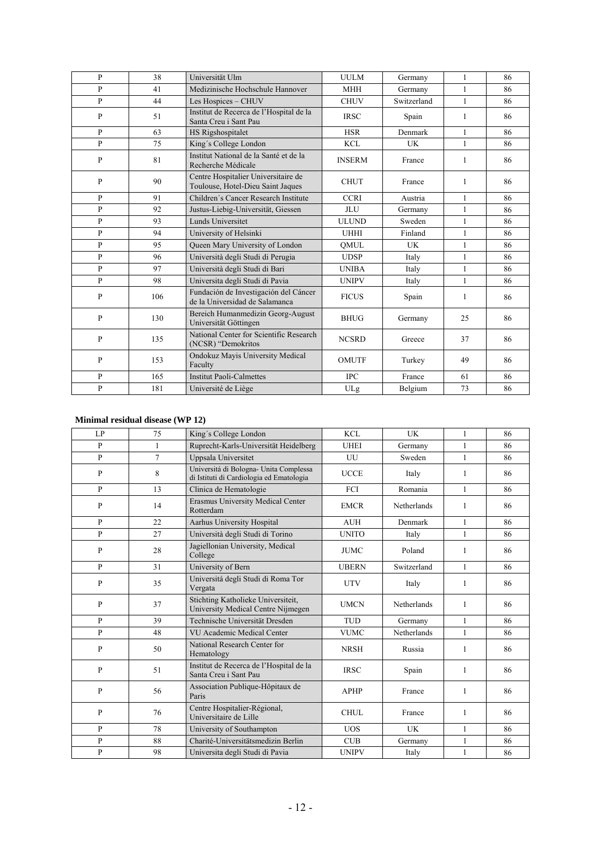| $\mathbf{P}$ | 38  | Universität Ulm                                                          | <b>UULM</b>   | Germany     | $\mathbf{1}$ | 86 |
|--------------|-----|--------------------------------------------------------------------------|---------------|-------------|--------------|----|
| $\mathbf{P}$ | 41  | Medizinische Hochschule Hannover                                         | <b>MHH</b>    | Germany     | 1            | 86 |
| $\mathbf{P}$ | 44  | Les Hospices - CHUV                                                      | <b>CHUV</b>   | Switzerland | $\mathbf{1}$ | 86 |
| P            | 51  | Institut de Recerca de l'Hospital de la<br>Santa Creu i Sant Pau         | <b>IRSC</b>   | Spain       | 1            | 86 |
| P            | 63  | <b>HS Rigshospitalet</b>                                                 | <b>HSR</b>    | Denmark     | $\mathbf{1}$ | 86 |
| $\mathbf{P}$ | 75  | King's College London                                                    | <b>KCL</b>    | UK          | $\mathbf{1}$ | 86 |
| P            | 81  | Institut National de la Santé et de la<br>Recherche Médicale             | <b>INSERM</b> | France      | 1            | 86 |
| $\mathbf{P}$ | 90  | Centre Hospitalier Universitaire de<br>Toulouse, Hotel-Dieu Saint Jaques | <b>CHUT</b>   | France      | 1            | 86 |
| $\mathbf{P}$ | 91  | Children's Cancer Research Institute                                     | <b>CCRI</b>   | Austria     | 1            | 86 |
| $\mathbf{P}$ | 92  | Justus-Liebig-Universität, Giessen                                       | <b>JLU</b>    | Germany     | $\mathbf{1}$ | 86 |
| $\mathbf{P}$ | 93  | Lunds Universitet                                                        | <b>ULUND</b>  | Sweden      | 1            | 86 |
| P            | 94  | University of Helsinki                                                   | <b>UHHI</b>   | Finland     | $\mathbf{1}$ | 86 |
| P            | 95  | Queen Mary University of London                                          | OMUL          | UK          | 1            | 86 |
| $\mathbf{P}$ | 96  | Università degli Studi di Perugia                                        | <b>UDSP</b>   | Italy       | 1            | 86 |
| $\mathbf{P}$ | 97  | Università degli Studi di Bari                                           | <b>UNIBA</b>  | Italy       | $\mathbf{1}$ | 86 |
| $\mathbf{P}$ | 98  | Universita degli Studi di Pavia                                          | <b>UNIPV</b>  | Italy       | 1            | 86 |
| $\mathbf{P}$ | 106 | Fundación de Investigación del Cáncer<br>de la Universidad de Salamanca  | <b>FICUS</b>  | Spain       | $\mathbf{1}$ | 86 |
| P            | 130 | Bereich Humanmedizin Georg-August<br>Universität Göttingen               | <b>BHUG</b>   | Germany     | 25           | 86 |
| $\mathbf{P}$ | 135 | National Center for Scientific Research<br>(NCSR) "Demokritos            | <b>NCSRD</b>  | Greece      | 37           | 86 |
| P            | 153 | Ondokuz Mayis University Medical<br>Faculty                              | <b>OMUTF</b>  | Turkey      | 49           | 86 |
| $\mathbf{P}$ | 165 | <b>Institut Paoli-Calmettes</b>                                          | <b>IPC</b>    | France      | 61           | 86 |
| $\mathbf{P}$ | 181 | Université de Liège                                                      | ULg           | Belgium     | 73           | 86 |

#### **Minimal residual disease (WP 12)**

| LP           | 75             | King's College London                                                              | KCL          | UK                 | 1            | 86 |
|--------------|----------------|------------------------------------------------------------------------------------|--------------|--------------------|--------------|----|
| $\mathbf{P}$ | $\mathbf{1}$   | Ruprecht-Karls-Universität Heidelberg                                              | <b>UHEI</b>  | Germany            | $\mathbf{1}$ | 86 |
| $\mathbf{P}$ | $\overline{7}$ | Uppsala Universitet                                                                | UU           | Sweden             | $\mathbf{1}$ | 86 |
| P            | 8              | Universitá di Bologna- Unita Complessa<br>di Istituti di Cardiologia ed Ematologia | <b>UCCE</b>  | Italy              | 1            | 86 |
| $\mathbf{P}$ | 13             | Clinica de Hematologie                                                             | <b>FCI</b>   | Romania            | $\mathbf{1}$ | 86 |
| P            | 14             | Erasmus University Medical Center<br>Rotterdam                                     | <b>EMCR</b>  | Netherlands        | $\mathbf{1}$ | 86 |
| $\mathbf{P}$ | 22             | Aarhus University Hospital                                                         | <b>AUH</b>   | Denmark            | $\mathbf{1}$ | 86 |
| $\mathbf{P}$ | 27             | Università degli Studi di Torino                                                   | <b>UNITO</b> | Italy              | $\mathbf{1}$ | 86 |
| $\mathbf{P}$ | 28             | Jagiellonian University, Medical<br>College                                        | <b>JUMC</b>  | Poland             | $\mathbf{1}$ | 86 |
| $\mathbf{p}$ | 31             | University of Bern                                                                 | <b>UBERN</b> | Switzerland        | $\mathbf{1}$ | 86 |
| $\mathbf{P}$ | 35             | Universitá degli Studi di Roma Tor<br>Vergata                                      | <b>UTV</b>   | Italy              | 1            | 86 |
| $\mathbf{P}$ | 37             | Stichting Katholieke Universiteit,<br>University Medical Centre Nijmegen           | <b>UMCN</b>  | Netherlands        | 1            | 86 |
| $\mathbf{P}$ | 39             | Technische Universität Dresden                                                     | <b>TUD</b>   | Germany            | $\mathbf{1}$ | 86 |
| $\mathbf{P}$ | 48             | VU Academic Medical Center                                                         | <b>VUMC</b>  | <b>Netherlands</b> | $\mathbf{1}$ | 86 |
| $\mathbf{P}$ | 50             | National Research Center for<br>Hematology                                         | <b>NRSH</b>  | Russia             | $\mathbf{1}$ | 86 |
| P            | 51             | Institut de Recerca de l'Hospital de la<br>Santa Creu i Sant Pau                   | <b>IRSC</b>  | Spain              | 1            | 86 |
| P            | 56             | Association Publique-Hôpitaux de<br>Paris                                          | <b>APHP</b>  | France             | 1            | 86 |
| P            | 76             | Centre Hospitalier-Régional,<br>Universitaire de Lille                             | <b>CHUL</b>  | France             | 1            | 86 |
| $\mathbf{p}$ | 78             | University of Southampton                                                          | <b>UOS</b>   | UK                 | $\mathbf{1}$ | 86 |
| $\mathbf{P}$ | 88             | Charité-Universitätsmedizin Berlin                                                 | CUB          | Germany            | $\mathbf{1}$ | 86 |
| $\mathbf{P}$ | 98             | Universita degli Studi di Pavia                                                    | <b>UNIPV</b> | Italy              | $\mathbf{1}$ | 86 |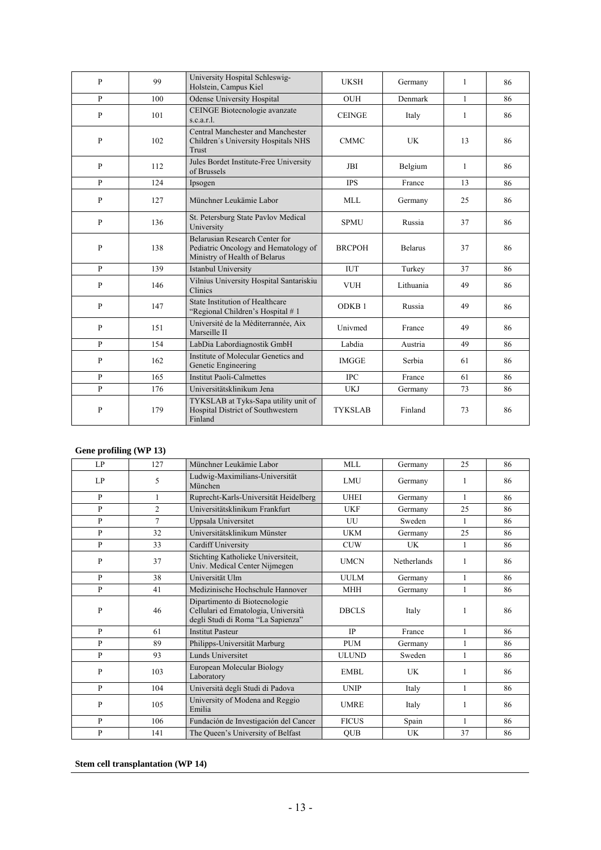| $\mathbf{P}$ | 99  | University Hospital Schleswig-<br>Holstein, Campus Kiel                                                 | <b>UKSH</b>       | Germany        | 1            | 86 |
|--------------|-----|---------------------------------------------------------------------------------------------------------|-------------------|----------------|--------------|----|
| $\mathbf{P}$ | 100 | <b>Odense University Hospital</b>                                                                       | <b>OUH</b>        | Denmark        | 1            | 86 |
| $\mathbf{P}$ | 101 | CEINGE Biotecnologie avanzate<br>s.c.a.r.l.                                                             | <b>CEINGE</b>     | Italy          | 1            | 86 |
| $\mathbf{P}$ | 102 | Central Manchester and Manchester<br>Children's University Hospitals NHS<br>Trust                       | <b>CMMC</b>       | <b>UK</b>      | 13           | 86 |
| P            | 112 | Jules Bordet Institute-Free University<br>of Brussels                                                   | <b>JBI</b>        | Belgium        | $\mathbf{1}$ | 86 |
| $\mathbf{P}$ | 124 | Ipsogen                                                                                                 | <b>IPS</b>        | France         | 13           | 86 |
| $\mathbf{P}$ | 127 | Münchner Leukämie Labor                                                                                 | <b>MLL</b>        | Germany        | 25           | 86 |
| $\mathbf{P}$ | 136 | St. Petersburg State Pavlov Medical<br>University                                                       | <b>SPMU</b>       | Russia         | 37           | 86 |
| $\mathbf{P}$ | 138 | Belarusian Research Center for<br>Pediatric Oncology and Hematology of<br>Ministry of Health of Belarus | <b>BRCPOH</b>     | <b>Belarus</b> | 37           | 86 |
| $\mathbf{p}$ | 139 | Istanbul University                                                                                     | <b>IUT</b>        | Turkey         | 37           | 86 |
| $\mathbf{P}$ | 146 | Vilnius University Hospital Santariskiu<br><b>Clinics</b>                                               | <b>VUH</b>        | Lithuania      | 49           | 86 |
| $\mathbf{P}$ | 147 | State Institution of Healthcare<br>"Regional Children's Hospital #1                                     | ODKB <sub>1</sub> | Russia         | 49           | 86 |
| $\mathbf{P}$ | 151 | Université de la Mèditerrannée, Aix<br>Marseille II                                                     | Univmed           | France         | 49           | 86 |
| P            | 154 | LabDia Labordiagnostik GmbH                                                                             | Labdia            | Austria        | 49           | 86 |
| P            | 162 | Institute of Molecular Genetics and<br>Genetic Engineering                                              | <b>IMGGE</b>      | Serbia         | 61           | 86 |
| P            | 165 | <b>Institut Paoli-Calmettes</b>                                                                         | <b>IPC</b>        | France         | 61           | 86 |
| P            | 176 | Universitätsklinikum Jena                                                                               | <b>UKJ</b>        | Germany        | 73           | 86 |
| $\mathbf{P}$ | 179 | TYKSLAB at Tyks-Sapa utility unit of<br>Hospital District of Southwestern<br>Finland                    | <b>TYKSLAB</b>    | Finland        | 73           | 86 |

#### **Gene profiling (WP 13)**

| LP           | 127            | Münchner Leukämie Labor                                                                                   | MLL          | Germany     | 25           | 86 |
|--------------|----------------|-----------------------------------------------------------------------------------------------------------|--------------|-------------|--------------|----|
| LP           | 5              | Ludwig-Maximilians-Universität<br>München                                                                 | <b>LMU</b>   | Germany     | 1            | 86 |
| P            | 1              | Ruprecht-Karls-Universität Heidelberg                                                                     | <b>UHEI</b>  | Germany     | 1            | 86 |
| P            | $\overline{2}$ | Universitätsklinikum Frankfurt                                                                            | <b>UKF</b>   | Germany     | 25           | 86 |
| P            | $\overline{7}$ | Uppsala Universitet                                                                                       | UU           | Sweden      | $\mathbf{1}$ | 86 |
| $\mathbf{P}$ | 32             | Universitätsklinikum Münster                                                                              | <b>UKM</b>   | Germany     | 25           | 86 |
| P            | 33             | Cardiff University                                                                                        | <b>CUW</b>   | <b>UK</b>   | 1            | 86 |
| P            | 37             | Stichting Katholieke Universiteit,<br>Univ. Medical Center Nijmegen                                       | <b>UMCN</b>  | Netherlands | $\mathbf{1}$ | 86 |
| P            | 38             | Universität Ulm                                                                                           | <b>UULM</b>  | Germany     | 1            | 86 |
| P            | 41             | Medizinische Hochschule Hannover                                                                          | <b>MHH</b>   | Germany     | 1            | 86 |
| P            | 46             | Dipartimento di Biotecnologie<br>Cellulari ed Ematologia, Università<br>degli Studi di Roma "La Sapienza" | <b>DBCLS</b> | Italy       |              | 86 |
| $\mathbf{p}$ | 61             | <b>Institut Pasteur</b>                                                                                   | <b>IP</b>    | France      | 1            | 86 |
| P            | 89             | Philipps-Universität Marburg                                                                              | <b>PUM</b>   | Germany     | 1            | 86 |
| P            | 93             | Lunds Universitet                                                                                         | <b>ULUND</b> | Sweden      | 1            | 86 |
| P            | 103            | European Molecular Biology<br>Laboratory                                                                  | <b>EMBL</b>  | UK          | 1            | 86 |
| P            | 104            | Università degli Studi di Padova                                                                          | <b>UNIP</b>  | Italy       | 1            | 86 |
| $\mathbf{P}$ | 105            | University of Modena and Reggio<br>Emilia                                                                 | <b>UMRE</b>  | Italy       | $\mathbf{1}$ | 86 |
| P            | 106            | Fundación de Investigación del Cancer                                                                     | <b>FICUS</b> | Spain       | 1            | 86 |
| P            | 141            | The Queen's University of Belfast                                                                         | <b>OUB</b>   | <b>UK</b>   | 37           | 86 |

#### **Stem cell transplantation (WP 14)**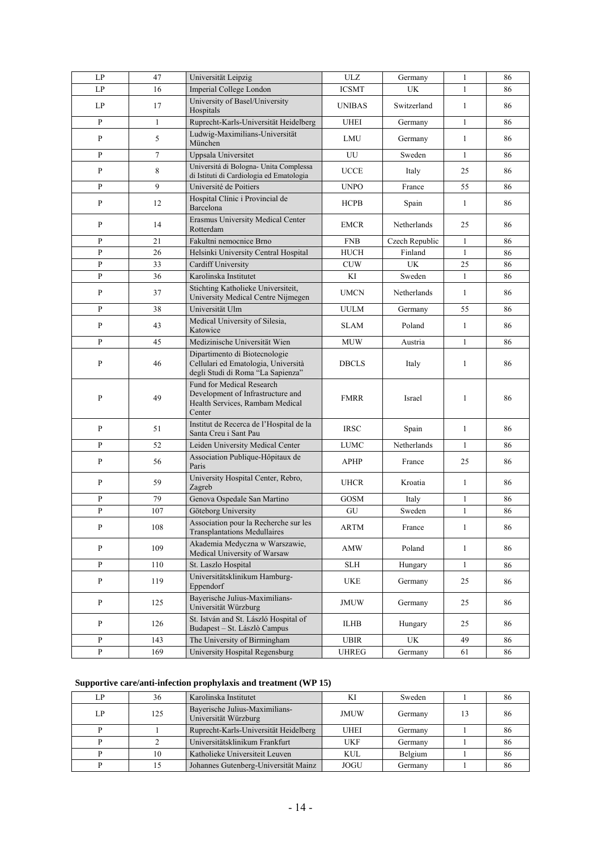| LP             | 47           | Universität Leipzig                                                                                         | ULZ                  | Germany        | $\mathbf{1}$ | 86 |
|----------------|--------------|-------------------------------------------------------------------------------------------------------------|----------------------|----------------|--------------|----|
| LP             | 16           | Imperial College London                                                                                     | <b>ICSMT</b>         | UK             | $\mathbf{1}$ | 86 |
| LP             | 17           | University of Basel/University<br>Hospitals                                                                 | <b>UNIBAS</b>        | Switzerland    | $\mathbf{1}$ | 86 |
| $\mathbf{P}$   | $\mathbf{1}$ | Ruprecht-Karls-Universität Heidelberg                                                                       | <b>UHEI</b>          | Germany        | $\mathbf{1}$ | 86 |
| P              | 5            | Ludwig-Maximilians-Universität<br>München                                                                   | LMU                  | Germany        | $\mathbf{1}$ | 86 |
| P              | 7            | Uppsala Universitet                                                                                         | UU                   | Sweden         | 1            | 86 |
| P              | 8            | Universitá di Bologna- Unita Complessa<br>di Istituti di Cardiologia ed Ematologia                          | <b>UCCE</b>          | Italy          | 25           | 86 |
| P              | 9            | Université de Poitiers                                                                                      | <b>UNPO</b>          | France         | 55           | 86 |
| P              | 12           | Hospital Clínic i Provincial de<br>Barcelona                                                                | <b>HCPB</b>          | Spain          | $\mathbf{1}$ | 86 |
| P              | 14           | Erasmus University Medical Center<br>Rotterdam                                                              | <b>EMCR</b>          | Netherlands    | 25           | 86 |
| P              | 21           | Fakultni nemocnice Brno                                                                                     | <b>FNB</b>           | Czech Republic | 1            | 86 |
| P              | 26           | Helsinki University Central Hospital                                                                        | HUCH                 | Finland        | $\mathbf{1}$ | 86 |
| P              | 33           | Cardiff University                                                                                          | <b>CUW</b>           | UK             | 25           | 86 |
| P              | 36           | Karolinska Institutet                                                                                       | KI                   | Sweden         | $\mathbf{1}$ | 86 |
| P              | 37           | Stichting Katholieke Universiteit,<br>University Medical Centre Nijmegen                                    | <b>UMCN</b>          | Netherlands    | 1            | 86 |
| P              | 38           | Universität Ulm                                                                                             | <b>UULM</b>          | Germany        | 55           | 86 |
| P              | 43           | Medical University of Silesia,<br>Katowice                                                                  | <b>SLAM</b>          | Poland         | 1            | 86 |
| P              | 45           | Medizinische Universität Wien                                                                               | <b>MUW</b>           | Austria        | $\mathbf{1}$ | 86 |
| P              | 46           | Dipartimento di Biotecnologie<br>Cellulari ed Ematologia, Università<br>degli Studi di Roma "La Sapienza"   | <b>DBCLS</b>         | Italy          | 1            | 86 |
| P              | 49           | Fund for Medical Research<br>Development of Infrastructure and<br>Health Services, Rambam Medical<br>Center | <b>FMRR</b>          | Israel         | 1            | 86 |
| P              | 51           | Institut de Recerca de l'Hospital de la<br>Santa Creu i Sant Pau                                            | <b>IRSC</b>          | Spain          | 1            | 86 |
| P              | 52           | Leiden University Medical Center                                                                            | <b>LUMC</b>          | Netherlands    | 1            | 86 |
| P              | 56           | Association Publique-Hôpitaux de<br>Paris                                                                   | <b>APHP</b>          | France         | 25           | 86 |
| P              | 59           | University Hospital Center, Rebro,<br>Zagreb                                                                | <b>UHCR</b>          | Kroatia        | 1            | 86 |
| P              | 79           | Genova Ospedale San Martino                                                                                 | <b>GOSM</b>          | Italy          | $\mathbf{1}$ | 86 |
| P              | 107          | Göteborg University                                                                                         | GU                   | Sweden         | $\mathbf{1}$ | 86 |
| ${\bf P}$      | $108\,$      | Association pour la Recherche sur les<br><b>Transplantations Medullaires</b>                                | <b>ARTM</b>          | France         | $\mathbf{1}$ | 86 |
| P              | 109          | Akademia Medyczna w Warszawie,<br>Medical University of Warsaw                                              | <b>AMW</b>           | Poland         | $\mathbf{1}$ | 86 |
| $\overline{P}$ | 110          | St. Laszlo Hospital                                                                                         | $\operatorname{SLH}$ | Hungary        | $\mathbf{1}$ | 86 |
| P              | 119          | Universitätsklinikum Hamburg-<br>Eppendorf                                                                  | <b>UKE</b>           | Germany        | 25           | 86 |
| P              | 125          | Bayerische Julius-Maximilians-<br>Universität Würzburg                                                      | <b>JMUW</b>          | Germany        | 25           | 86 |
| P              | 126          | St. István and St. László Hospital of<br>Budapest - St. Lászlò Campus                                       | <b>ILHB</b>          | Hungary        | 25           | 86 |
| ${\bf P}$      | 143          | The University of Birmingham                                                                                | <b>UBIR</b>          | UK             | 49           | 86 |
| P              | 169          | University Hospital Regensburg                                                                              | <b>UHREG</b>         | Germany        | 61           | 86 |

#### **Supportive care/anti-infection prophylaxis and treatment (WP 15)**

| L P | 36  | Karolinska Institutet                                  |             | Sweden  | 80 |
|-----|-----|--------------------------------------------------------|-------------|---------|----|
| LP  | 125 | Bayerische Julius-Maximilians-<br>Universität Würzburg | <b>JMUW</b> | Germany | 86 |
|     |     | Ruprecht-Karls-Universität Heidelberg                  | <b>UHEI</b> | Germany | oυ |
|     |     | Universitätsklinikum Frankfurt                         | UKF         | Germany | 86 |
|     | 10  | Katholieke Universiteit Leuven                         | KUL         | Belgium | 86 |
|     |     | Johannes Gutenberg-Universität Mainz                   | JOGU        | Germany | ōΩ |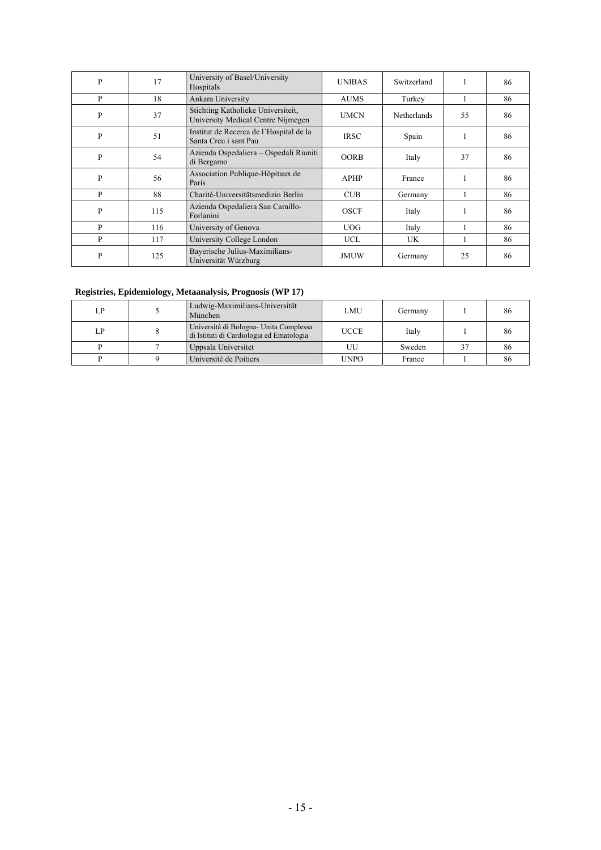| P            | 17  | University of Basel/University<br>Hospitals                              | <b>UNIBAS</b> | Switzerland        | 1  | 86 |
|--------------|-----|--------------------------------------------------------------------------|---------------|--------------------|----|----|
| P            | 18  | Ankara University                                                        | <b>AUMS</b>   | Turkey             | 1  | 86 |
| $\mathbf{P}$ | 37  | Stichting Katholieke Universiteit,<br>University Medical Centre Nijmegen | <b>UMCN</b>   | <b>Netherlands</b> | 55 | 86 |
| $\mathbf{P}$ | 51  | Institut de Recerca de l'Hospital de la<br>Santa Creu i sant Pau         | <b>IRSC</b>   | Spain              | 1  | 86 |
| P            | 54  | Azienda Ospedaliera – Ospedali Riuniti<br>di Bergamo                     | <b>OORB</b>   | Italy              | 37 | 86 |
| P            | 56  | Association Publique-Hôpitaux de<br>Paris                                | <b>APHP</b>   | France             |    | 86 |
| P            | 88  | Charité-Universitätsmedizin Berlin                                       | <b>CUB</b>    | Germany            |    | 86 |
| P            | 115 | Azienda Ospedaliera San Camillo-<br>Forlanini                            | <b>OSCF</b>   | Italy              | 1  | 86 |
| P            | 116 | University of Genova                                                     | UOG.          | Italy              | ш  | 86 |
| P            | 117 | University College London                                                | <b>UCL</b>    | <b>UK</b>          | 1  | 86 |
| P            | 125 | Bayerische Julius-Maximilians-<br>Universität Würzburg                   | <b>JMUW</b>   | Germany            | 25 | 86 |

#### **Registries, Epidemiology, Metaanalysis, Prognosis (WP 17)**

| LP | Ludwig-Maximilians-Universität<br>München                                         | LMU         | Germany |    | 86 |
|----|-----------------------------------------------------------------------------------|-------------|---------|----|----|
| LP | Universitá di Bologna-Unita Complessa<br>di Istituti di Cardiologia ed Ematologia | <b>UCCE</b> | Italy   |    | 86 |
|    | Uppsala Universitet                                                               | UU          | Sweden  | 37 | 86 |
|    | Université de Poitiers                                                            | UNPO        | France  |    | 80 |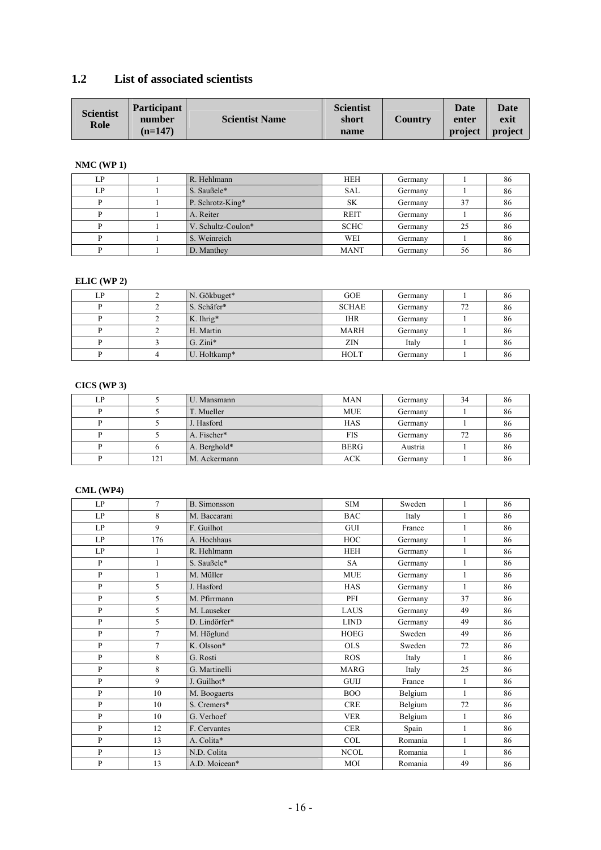### **1.2 List of associated scientists**

| <b>Scientist</b><br>Role | <b>Participant</b><br>number | <b>Scientist Name</b> | <b>Scientist</b><br>short | <b>Country</b> | <b>Date</b><br>enter | <b>Date</b><br>exit |
|--------------------------|------------------------------|-----------------------|---------------------------|----------------|----------------------|---------------------|
|                          | $(n=147)$                    |                       | name                      |                | project              | project             |

#### **NMC (WP 1)**

| LP | R. Hehlmann        | <b>HEH</b>  | Germany |    | 86 |
|----|--------------------|-------------|---------|----|----|
| LP | S. Saußele*        | <b>SAL</b>  | Germany |    | 86 |
|    | P. Schrotz-King*   | <b>SK</b>   | Germany | 37 | 86 |
|    | A. Reiter          | <b>REIT</b> | Germany |    | 86 |
|    | V. Schultz-Coulon* | <b>SCHC</b> | Germany | 25 | 86 |
|    | S. Weinreich       | WEI         | Germany |    | 86 |
|    | D. Manthey         | <b>MANT</b> | Germany | 56 | 86 |

#### **ELIC (WP 2)**

| LP | N. Gökbuget* | <b>GOE</b>   | Germany |    | 86 |
|----|--------------|--------------|---------|----|----|
|    | S. Schäfer*  | <b>SCHAE</b> | Germany | 72 | 86 |
|    | $K.$ Ihrig*  | <b>IHR</b>   | Germany |    | 80 |
|    | H. Martin    | <b>MARH</b>  | Germany |    | 86 |
|    | $G. Zini*$   | ZIN          | Italy   |    | 86 |
|    | U. Holtkamp* | <b>HOLT</b>  | Germany |    | 86 |

#### **CICS (WP 3)**

| LP |     | U. Mansmann  | <b>MAN</b>  | Germany | 34 | 86 |
|----|-----|--------------|-------------|---------|----|----|
|    |     | T. Mueller   | <b>MUE</b>  | Germany |    | 86 |
|    |     | J. Hasford   | <b>HAS</b>  | Germany |    | 86 |
|    |     | A. Fischer*  | <b>FIS</b>  | Germany | 72 | 86 |
|    |     | A. Berghold* | <b>BERG</b> | Austria |    | 86 |
| D  | 121 | M. Ackermann | ACK         | Germany |    | 86 |

#### **CML (WP4)**

| LP           | $\tau$         | <b>B.</b> Simonsson | <b>SIM</b>  | Sweden  | 1            | 86 |
|--------------|----------------|---------------------|-------------|---------|--------------|----|
| LP           | 8              | M. Baccarani        | <b>BAC</b>  | Italy   | $\mathbf{1}$ | 86 |
| LP           | 9              | F. Guilhot          | GUI         | France  | $\mathbf{1}$ | 86 |
| LP           | 176            | A. Hochhaus         | <b>HOC</b>  | Germany | 1            | 86 |
| LP           | $\mathbf{1}$   | R. Hehlmann         | <b>HEH</b>  | Germany | $\mathbf{1}$ | 86 |
| $\mathbf{P}$ | 1              | S. Saußele*         | SA          | Germany | $\mathbf{1}$ | 86 |
| P            | $\mathbf{1}$   | M. Müller           | <b>MUE</b>  | Germany | $\mathbf{1}$ | 86 |
| P            | 5              | J. Hasford          | <b>HAS</b>  | Germany | $\mathbf{1}$ | 86 |
| $\mathbf{P}$ | 5              | M. Pfirrmann        | PFI         | Germany | 37           | 86 |
| $\mathbf{P}$ | 5              | M. Lauseker         | LAUS        | Germany | 49           | 86 |
| P            | 5              | D. Lindörfer*       | <b>LIND</b> | Germany | 49           | 86 |
| P            | $\overline{7}$ | M. Höglund          | <b>HOEG</b> | Sweden  | 49           | 86 |
| P            | $\tau$         | K. Olsson*          | <b>OLS</b>  | Sweden  | 72           | 86 |
| $\mathbf{P}$ | 8              | G. Rosti            | <b>ROS</b>  | Italy   | $\mathbf{1}$ | 86 |
| $\mathbf{P}$ | 8              | G. Martinelli       | <b>MARG</b> | Italy   | 25           | 86 |
| P            | 9              | J. Guilhot*         | <b>GUIJ</b> | France  | $\mathbf{1}$ | 86 |
| $\mathbf{P}$ | 10             | M. Boogaerts        | <b>BOO</b>  | Belgium | $\mathbf{1}$ | 86 |
| $\mathbf{P}$ | 10             | S. Cremers*         | <b>CRE</b>  | Belgium | 72           | 86 |
| $\mathbf{P}$ | 10             | G. Verhoef          | <b>VER</b>  | Belgium | $\mathbf{1}$ | 86 |
| $\mathbf{P}$ | 12             | F. Cervantes        | <b>CER</b>  | Spain   | $\mathbf{1}$ | 86 |
| P            | 13             | A. Colita*          | <b>COL</b>  | Romania | 1            | 86 |
| $\mathbf{P}$ | 13             | N.D. Colita         | <b>NCOL</b> | Romania | $\mathbf{1}$ | 86 |
| $\mathbf{P}$ | 13             | A.D. Moicean*       | MOI         | Romania | 49           | 86 |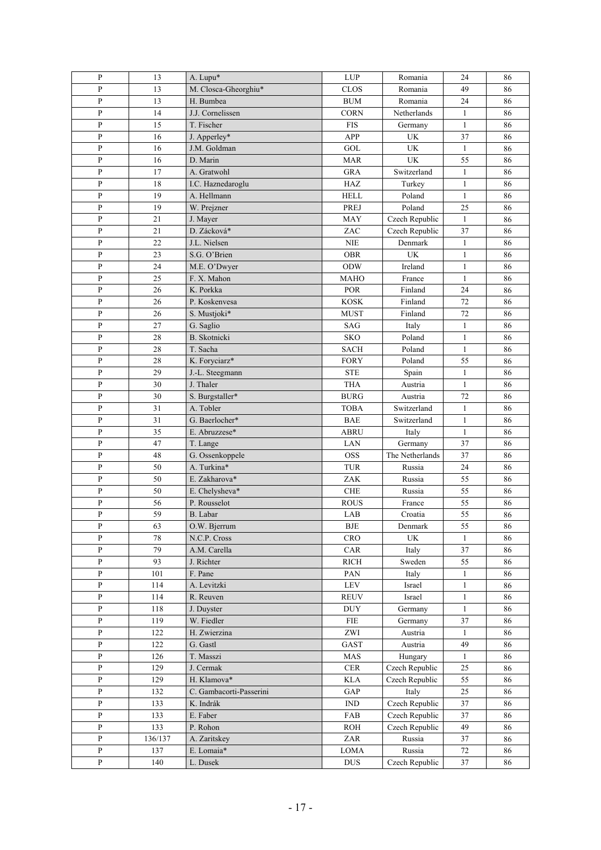| P              | 13      | A. Lupu*                | <b>LUP</b>                  | Romania         | 24           | 86 |
|----------------|---------|-------------------------|-----------------------------|-----------------|--------------|----|
| $\overline{P}$ | 13      | M. Closca-Gheorghiu*    | CLOS                        | Romania         | 49           | 86 |
| $\overline{P}$ | 13      | H. Bumbea               | <b>BUM</b>                  | Romania         | 24           | 86 |
| ${\bf P}$      | 14      | J.J. Cornelissen        | <b>CORN</b>                 | Netherlands     | $\mathbf{1}$ | 86 |
| $\mathbf{P}$   | 15      | T. Fischer              | <b>FIS</b>                  | Germany         | $\mathbf{1}$ | 86 |
| $\, {\bf P}$   | 16      | J. Apperley*            | <b>APP</b>                  | UK              | 37           | 86 |
| ${\bf P}$      | 16      | J.M. Goldman            | GOL                         | <b>UK</b>       | $\mathbf{1}$ | 86 |
| $\mathbf{P}$   | 16      | D. Marin                | <b>MAR</b>                  | <b>UK</b>       | 55           | 86 |
| $\, {\bf P}$   | 17      | A. Gratwohl             | <b>GRA</b>                  | Switzerland     | $\mathbf{1}$ | 86 |
| $\, {\bf P}$   | 18      | I.C. Haznedaroglu       | HAZ                         | Turkey          | $\mathbf{1}$ | 86 |
| $\mathbf{P}$   | 19      | A. Hellmann             | <b>HELL</b>                 | Poland          | $\mathbf{1}$ | 86 |
| $\mathbf{P}$   | 19      | W. Prejzner             | PREJ                        | Poland          | 25           | 86 |
| $\, {\bf P}$   | 21      | J. Mayer                | <b>MAY</b>                  | Czech Republic  | $\mathbf{1}$ | 86 |
| $\mathbf{P}$   | 21      | D. Zácková*             | ZAC                         | Czech Republic  | 37           | 86 |
| ${\bf P}$      | 22      | J.L. Nielsen            | <b>NIE</b>                  | Denmark         | $\mathbf{1}$ | 86 |
| $\, {\bf P}$   | 23      | S.G. O'Brien            | <b>OBR</b>                  | <b>UK</b>       | $\mathbf{1}$ | 86 |
| $\, {\bf P}$   | 24      | M.E. O'Dwyer            | ODW                         | Ireland         | $\mathbf{1}$ | 86 |
| $\, {\bf P}$   | 25      | F. X. Mahon             | <b>MAHO</b>                 | France          | $\mathbf{1}$ | 86 |
| ${\bf P}$      | 26      | K. Porkka               | POR                         | Finland         | 24           | 86 |
| ${\bf P}$      | 26      | P. Koskenvesa           | <b>KOSK</b>                 | Finland         | 72           | 86 |
| ${\bf P}$      | 26      | S. Mustjoki*            | <b>MUST</b>                 | Finland         | 72           | 86 |
| ${\bf P}$      | 27      | G. Saglio               | <b>SAG</b>                  | Italy           | $\mathbf{1}$ | 86 |
| ${\bf P}$      | 28      | <b>B.</b> Skotnicki     | <b>SKO</b>                  | Poland          | $\mathbf{1}$ | 86 |
| $\overline{P}$ | 28      | T. Sacha                | <b>SACH</b>                 | Poland          | $\mathbf{1}$ | 86 |
| $\mathbf{P}$   | 28      | K. Foryciarz*           | <b>FORY</b>                 | Poland          | 55           | 86 |
| P              | 29      | J.-L. Steegmann         | <b>STE</b>                  | Spain           | $\mathbf{1}$ | 86 |
| $\mathbf{P}$   | 30      | J. Thaler               | <b>THA</b>                  | Austria         | $\mathbf{1}$ | 86 |
| P              | 30      | S. Burgstaller*         | <b>BURG</b>                 | Austria         | 72           | 86 |
| $\, {\bf P}$   | 31      | A. Tobler               | <b>TOBA</b>                 | Switzerland     | $\mathbf{1}$ | 86 |
| $\mathbf{P}$   | 31      | G. Baerlocher*          | <b>BAE</b>                  | Switzerland     | $\mathbf{1}$ | 86 |
| P              | 35      | E. Abruzzese*           | <b>ABRU</b>                 | Italy           | $\mathbf{1}$ | 86 |
| $\, {\bf P}$   | 47      | T. Lange                | LAN                         | Germany         | 37           | 86 |
| P              | 48      | G. Ossenkoppele         | <b>OSS</b>                  | The Netherlands | 37           | 86 |
| $\, {\bf P}$   | 50      | A. Turkina*             | TUR                         | Russia          | 24           | 86 |
| $\mathbf{P}$   | 50      | E. Zakharova*           | ZAK                         | Russia          | 55           | 86 |
| P              | 50      | E. Chelysheva*          | ${\rm CHE}$                 | Russia          | 55           | 86 |
| $\, {\bf P}$   | 56      | P. Rousselot            | <b>ROUS</b>                 | France          | 55           | 86 |
| ${\bf P}$      | 59      | B. Labar                | LAB                         | Croatia         | 55           | 86 |
| P              | 63      | O.W. Bjerrum            | BJE                         | Denmark         | 55           | 86 |
| ${\bf P}$      | 78      | N.C.P. Cross            | <b>CRO</b>                  | UK              | 1            | 86 |
| ${\bf P}$      | 79      | A.M. Carella            | CAR                         | Italy           | 37           | 86 |
| ${\bf P}$      | 93      | J. Richter              | <b>RICH</b>                 | Sweden          | 55           | 86 |
| $\overline{P}$ | 101     | F. Pane                 | PAN                         | Italy           | $\mathbf{1}$ | 86 |
| $\mathbf{P}$   | 114     | A. Levitzki             | ${\rm LEV}$                 | Israel          | $\mathbf{1}$ | 86 |
| $\mathbf{P}$   | 114     | R. Reuven               | <b>REUV</b>                 | Israel          | $\mathbf{1}$ | 86 |
| $\mathbf{P}$   | 118     | J. Duyster              | <b>DUY</b>                  | Germany         | $\mathbf{1}$ | 86 |
| $\mathbf{P}$   | 119     | W. Fiedler              | <b>FIE</b>                  | Germany         | 37           | 86 |
| $\, {\bf P}$   | 122     | H. Zwierzina            | ZWI                         | Austria         | $\mathbf{1}$ | 86 |
| $\, {\bf P}$   | 122     | G. Gastl                | GAST                        | Austria         | 49           | 86 |
| $\, {\bf P}$   | 126     | T. Masszi               | MAS                         | Hungary         | $\mathbf{1}$ | 86 |
| P              | 129     | J. Cermak               | $\rm CER$                   | Czech Republic  | 25           | 86 |
| $\, {\bf P}$   | 129     | H. Klamova*             | <b>KLA</b>                  | Czech Republic  | 55           | 86 |
| P              | 132     | C. Gambacorti-Passerini | GAP                         | Italy           | 25           | 86 |
| ${\bf P}$      | 133     | K. Indrák               | $\mathop{\rm IND}\nolimits$ | Czech Republic  | 37           | 86 |
| ${\bf P}$      | 133     | E. Faber                | FAB                         | Czech Republic  | 37           | 86 |
| P              | 133     | P. Rohon                | <b>ROH</b>                  | Czech Republic  | 49           | 86 |
| $\, {\bf p}$   | 136/137 | A. Zaritskey            | ZAR                         | Russia          | 37           | 86 |
| ${\bf P}$      | 137     | E. Lomaia*              | <b>LOMA</b>                 | Russia          | 72           | 86 |
| ${\bf P}$      | 140     | L. Dusek                | <b>DUS</b>                  | Czech Republic  | 37           | 86 |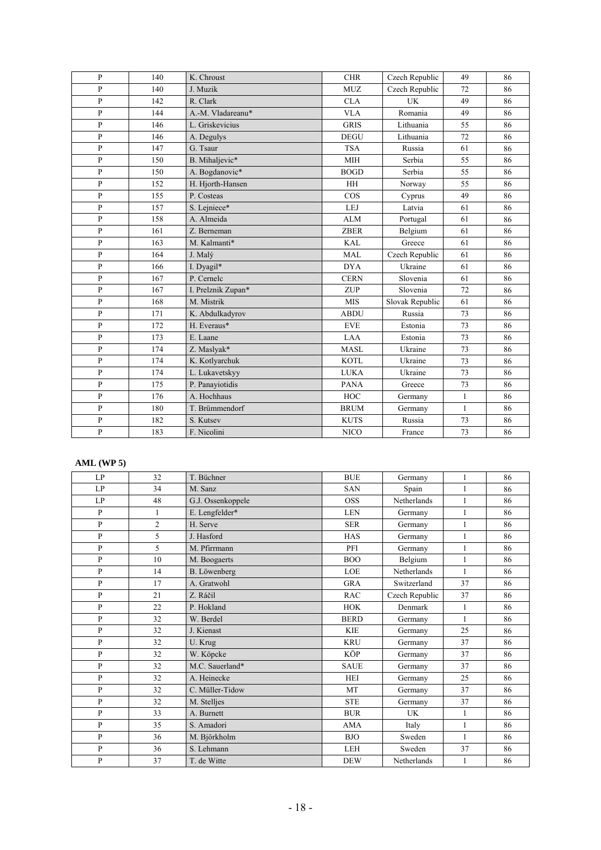| P              | 140 | K. Chroust         | <b>CHR</b>  | Czech Republic  | 49           | 86 |
|----------------|-----|--------------------|-------------|-----------------|--------------|----|
| $\mathbf{p}$   | 140 | J. Muzik           | <b>MUZ</b>  | Czech Republic  | 72           | 86 |
| P              | 142 | R. Clark           | <b>CLA</b>  | UK              | 49           | 86 |
| $\mathbf{P}$   | 144 | A.-M. Vladareanu*  | <b>VLA</b>  | Romania         | 49           | 86 |
| $\mathbf{P}$   | 146 | L. Griskevicius    | <b>GRIS</b> | Lithuania       | 55           | 86 |
| $\mathbf{P}$   | 146 | A. Degulys         | <b>DEGU</b> | Lithuania       | 72           | 86 |
| $\mathbf{P}$   | 147 | G. Tsaur           | <b>TSA</b>  | Russia          | 61           | 86 |
| $\mathbf{P}$   | 150 | B. Mihaljevic*     | <b>MIH</b>  | Serbia          | 55           | 86 |
| $\mathbf{P}$   | 150 | A. Bogdanovic*     | <b>BOGD</b> | Serbia          | 55           | 86 |
| $\mathbf{P}$   | 152 | H. Hjorth-Hansen   | HH          | Norway          | 55           | 86 |
| $\mathbf{P}$   | 155 | P. Costeas         | $\cos$      | Cyprus          | 49           | 86 |
| P              | 157 | S. Lejniece*       | LEJ         | Latvia          | 61           | 86 |
| $\mathbf{P}$   | 158 | A. Almeida         | <b>ALM</b>  | Portugal        | 61           | 86 |
| $\mathbf{P}$   | 161 | Z. Berneman        | <b>ZBER</b> | Belgium         | 61           | 86 |
| P              | 163 | M. Kalmanti*       | <b>KAL</b>  | Greece          | 61           | 86 |
| $\mathbf{P}$   | 164 | J. Malý            | <b>MAL</b>  | Czech Republic  | 61           | 86 |
| P              | 166 | I. Dyagil*         | <b>DYA</b>  | Ukraine         | 61           | 86 |
| $\mathbf{P}$   | 167 | P. Cernelc         | <b>CERN</b> | Slovenia        | 61           | 86 |
| $\overline{P}$ | 167 | I. Prelznik Zupan* | ZUP         | Slovenia        | 72           | 86 |
| P              | 168 | M. Mistrik         | <b>MIS</b>  | Slovak Republic | 61           | 86 |
| $\mathbf{P}$   | 171 | K. Abdulkadyrov    | <b>ABDU</b> | Russia          | 73           | 86 |
| $\mathbf{P}$   | 172 | H. Everaus*        | <b>EVE</b>  | Estonia         | 73           | 86 |
| P              | 173 | E. Laane           | LAA         | Estonia         | 73           | 86 |
| $\mathbf{P}$   | 174 | Z. Maslyak*        | <b>MASL</b> | Ukraine         | 73           | 86 |
| $\overline{P}$ | 174 | K. Kotlyarchuk     | <b>KOTL</b> | Ukraine         | 73           | 86 |
| P              | 174 | L. Lukavetskyy     | <b>LUKA</b> | Ukraine         | 73           | 86 |
| P              | 175 | P. Panayiotidis    | <b>PANA</b> | Greece          | 73           | 86 |
| P              | 176 | A. Hochhaus        | <b>HOC</b>  | Germany         | $\mathbf{1}$ | 86 |
| $\mathbf{P}$   | 180 | T. Brümmendorf     | <b>BRUM</b> | Germany         | $\mathbf{1}$ | 86 |
| $\mathbf{P}$   | 182 | S. Kutsev          | <b>KUTS</b> | Russia          | 73           | 86 |
| P              | 183 | F. Nicolini        | <b>NICO</b> | France          | 73           | 86 |

#### **AML (WP 5)**

| LP           | 32             | T. Büchner        | <b>BUE</b>  | Germany        | $\mathbf{1}$ | 86 |
|--------------|----------------|-------------------|-------------|----------------|--------------|----|
| LP           | 34             | M. Sanz           | <b>SAN</b>  | Spain          | $\mathbf{1}$ | 86 |
| LP           | 48             | G.J. Ossenkoppele | <b>OSS</b>  | Netherlands    | $\mathbf{1}$ | 86 |
| $\mathbf{P}$ | 1              | E. Lengfelder*    | <b>LEN</b>  | Germany        | $\mathbf{1}$ | 86 |
| $\mathbf{P}$ | $\overline{2}$ | H. Serve          | <b>SER</b>  | Germany        | $\mathbf{1}$ | 86 |
| $\mathbf{P}$ | 5              | J. Hasford        | <b>HAS</b>  | Germany        | $\mathbf{1}$ | 86 |
| $\mathbf{P}$ | 5              | M. Pfirrmann      | PFI         | Germany        | $\mathbf{1}$ | 86 |
| $\mathbf{P}$ | 10             | M. Boogaerts      | <b>BOO</b>  | Belgium        | $\mathbf{1}$ | 86 |
| $\mathbf{P}$ | 14             | B. Löwenberg      | LOE         | Netherlands    | $\mathbf{1}$ | 86 |
| $\mathbf{P}$ | 17             | A. Gratwohl       | <b>GRA</b>  | Switzerland    | 37           | 86 |
| $\mathbf{P}$ | 21             | Z. Ráčil          | <b>RAC</b>  | Czech Republic | 37           | 86 |
| $\mathbf{P}$ | 22             | P. Hokland        | <b>HOK</b>  | Denmark        | $\mathbf{1}$ | 86 |
| P            | 32             | W. Berdel         | <b>BERD</b> | Germany        | 1            | 86 |
| $\mathbf{P}$ | 32             | J. Kienast        | <b>KIE</b>  | Germany        | 25           | 86 |
| $\mathbf{P}$ | 32             | U. Krug           | <b>KRU</b>  | Germany        | 37           | 86 |
| $\mathbf{P}$ | 32             | W. Köpcke         | KÖP         | Germany        | 37           | 86 |
| $\mathbf{P}$ | 32             | M.C. Sauerland*   | <b>SAUE</b> | Germany        | 37           | 86 |
| $\mathbf{P}$ | 32             | A. Heinecke       | <b>HEI</b>  | Germany        | 25           | 86 |
| P            | 32             | C. Müller-Tidow   | MT          | Germany        | 37           | 86 |
| $\mathbf{P}$ | 32             | M. Stelljes       | <b>STE</b>  | Germany        | 37           | 86 |
| P            | 33             | A. Burnett        | <b>BUR</b>  | <b>UK</b>      | $\mathbf{1}$ | 86 |
| $\mathbf{P}$ | 35             | S. Amadori        | <b>AMA</b>  | Italy          | $\mathbf{1}$ | 86 |
| $\mathbf{P}$ | 36             | M. Björkholm      | <b>BJO</b>  | Sweden         | $\mathbf{1}$ | 86 |
| $\mathbf{P}$ | 36             | S. Lehmann        | LEH         | Sweden         | 37           | 86 |
| $\mathbf{P}$ | 37             | T. de Witte       | <b>DEW</b>  | Netherlands    | $\mathbf{1}$ | 86 |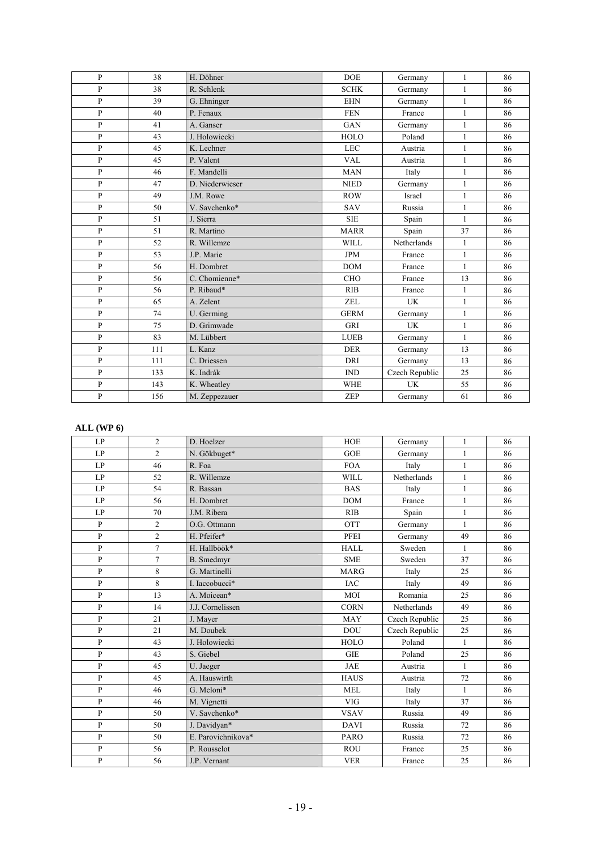| $\mathbf{P}$ | 38  | H. Döhner       | <b>DOE</b>  | Germany        | 1            | 86 |
|--------------|-----|-----------------|-------------|----------------|--------------|----|
| $\mathbf{P}$ | 38  | R. Schlenk      | <b>SCHK</b> | Germany        | $\mathbf{1}$ | 86 |
| $\mathbf{P}$ | 39  | G. Ehninger     | <b>EHN</b>  | Germany        | $\mathbf{1}$ | 86 |
| $\mathbf{P}$ | 40  | P. Fenaux       | <b>FEN</b>  | France         | $\mathbf{1}$ | 86 |
| $\mathbf{P}$ | 41  | A. Ganser       | <b>GAN</b>  | Germany        | $\mathbf{1}$ | 86 |
| $\mathbf{P}$ | 43  | J. Holowiecki   | <b>HOLO</b> | Poland         | $\mathbf{1}$ | 86 |
| $\mathbf{P}$ | 45  | K. Lechner      | <b>LEC</b>  | Austria        | $\mathbf{1}$ | 86 |
| $\mathbf{P}$ | 45  | P. Valent       | <b>VAL</b>  | Austria        | $\mathbf{1}$ | 86 |
| $\mathbf{P}$ | 46  | F. Mandelli     | <b>MAN</b>  | Italy          | $\mathbf{1}$ | 86 |
| $\mathbf{P}$ | 47  | D. Niederwieser | <b>NIED</b> | Germany        | $\mathbf{1}$ | 86 |
| $\mathbf{P}$ | 49  | J.M. Rowe       | <b>ROW</b>  | Israel         | $\mathbf{1}$ | 86 |
| $\mathbf{P}$ | 50  | V. Savchenko*   | <b>SAV</b>  | Russia         | $\mathbf{1}$ | 86 |
| $\mathbf{P}$ | 51  | J. Sierra       | <b>SIE</b>  | Spain          | $\mathbf{1}$ | 86 |
| $\mathbf{P}$ | 51  | R. Martino      | <b>MARR</b> | Spain          | 37           | 86 |
| $\mathbf{P}$ | 52  | R. Willemze     | <b>WILL</b> | Netherlands    | $\mathbf{1}$ | 86 |
| $\mathbf{P}$ | 53  | J.P. Marie      | <b>JPM</b>  | France         | $\mathbf{1}$ | 86 |
| P            | 56  | H. Dombret      | <b>DOM</b>  | France         | $\mathbf{1}$ | 86 |
| $\mathbf{P}$ | 56  | C. Chomienne*   | <b>CHO</b>  | France         | 13           | 86 |
| $\mathbf{P}$ | 56  | P. Ribaud*      | <b>RIB</b>  | France         | $\mathbf{1}$ | 86 |
| $\mathbf{P}$ | 65  | A. Zelent       | <b>ZEL</b>  | UK             | $\mathbf{1}$ | 86 |
| $\mathbf{P}$ | 74  | U. Germing      | <b>GERM</b> | Germany        | $\mathbf{1}$ | 86 |
| $\mathbf{P}$ | 75  | D. Grimwade     | <b>GRI</b>  | UK             | $\mathbf{1}$ | 86 |
| P            | 83  | M. Lübbert      | <b>LUEB</b> | Germany        | $\mathbf{1}$ | 86 |
| $\mathbf{P}$ | 111 | L. Kanz         | <b>DER</b>  | Germany        | 13           | 86 |
| $\mathbf{P}$ | 111 | C. Driessen     | <b>DRI</b>  | Germany        | 13           | 86 |
| $\mathbf{P}$ | 133 | K. Indrák       | IND         | Czech Republic | 25           | 86 |
| $\mathbf{P}$ | 143 | K. Wheatley     | <b>WHE</b>  | <b>UK</b>      | 55           | 86 |
| $\mathbf{P}$ | 156 | M. Zeppezauer   | ZEP         | Germany        | 61           | 86 |

#### **ALL (WP 6)**

| LP           | $\overline{2}$ | D. Hoelzer         | <b>HOE</b>  | Germany        | $\mathbf{1}$ | 86 |
|--------------|----------------|--------------------|-------------|----------------|--------------|----|
| LP           | $\overline{2}$ | N. Gökbuget*       | <b>GOE</b>  | Germany        | $\mathbf{1}$ | 86 |
| LP           | 46             | R. Foa             | <b>FOA</b>  | Italy          | $\mathbf{1}$ | 86 |
| LP           | 52             | R. Willemze        | <b>WILL</b> | Netherlands    | $\mathbf{1}$ | 86 |
| LP           | 54             | R. Bassan          | <b>BAS</b>  | Italy          | $\mathbf{1}$ | 86 |
| LP           | 56             | H. Dombret         | <b>DOM</b>  | France         | $\mathbf{1}$ | 86 |
| LP           | 70             | J.M. Ribera        | RIB         | Spain          | $\mathbf{1}$ | 86 |
| $\mathbf{P}$ | $\overline{c}$ | O.G. Ottmann       | <b>OTT</b>  | Germany        | $\mathbf{1}$ | 86 |
| $\mathbf{P}$ | $\overline{2}$ | H. Pfeifer*        | PFEI        | Germany        | 49           | 86 |
| $\mathbf{P}$ | $\overline{7}$ | H. Hallböök*       | <b>HALL</b> | Sweden         | $\mathbf{1}$ | 86 |
| P            | $\overline{7}$ | <b>B.</b> Smedmyr  | <b>SME</b>  | Sweden         | 37           | 86 |
| $\mathbf{P}$ | 8              | G. Martinelli      | <b>MARG</b> | Italy          | 25           | 86 |
| $\mathbf{P}$ | $\,8\,$        | L Iaccobucci*      | <b>IAC</b>  | Italy          | 49           | 86 |
| $\mathbf{P}$ | 13             | A. Moicean*        | MOI         | Romania        | 25           | 86 |
| $\mathbf{P}$ | 14             | J.J. Cornelissen   | <b>CORN</b> | Netherlands    | 49           | 86 |
| $\mathbf{P}$ | 21             | J. Mayer           | <b>MAY</b>  | Czech Republic | 25           | 86 |
| $\mathbf{P}$ | 21             | M. Doubek          | <b>DOU</b>  | Czech Republic | 25           | 86 |
| $\mathbf{P}$ | 43             | J. Holowiecki      | <b>HOLO</b> | Poland         | $\mathbf{1}$ | 86 |
| $\mathbf{P}$ | 43             | S. Giebel          | <b>GIE</b>  | Poland         | 25           | 86 |
| $\mathbf{P}$ | 45             | U. Jaeger          | <b>JAE</b>  | Austria        | $\mathbf{1}$ | 86 |
| $\mathbf{P}$ | 45             | A. Hauswirth       | <b>HAUS</b> | Austria        | 72           | 86 |
| $\mathbf{P}$ | 46             | G. Meloni*         | <b>MEL</b>  | Italy          | $\mathbf{1}$ | 86 |
| $\mathbf{P}$ | 46             | M. Vignetti        | <b>VIG</b>  | Italy          | 37           | 86 |
| $\mathbf{P}$ | 50             | V. Savchenko*      | <b>VSAV</b> | Russia         | 49           | 86 |
| $\mathbf{P}$ | 50             | J. Davidyan*       | <b>DAVI</b> | Russia         | 72           | 86 |
| $\mathbf{P}$ | 50             | E. Parovichnikova* | <b>PARO</b> | Russia         | 72           | 86 |
| $\mathbf{P}$ | 56             | P. Rousselot       | <b>ROU</b>  | France         | 25           | 86 |
| $\mathbf{P}$ | 56             | J.P. Vernant       | <b>VER</b>  | France         | 25           | 86 |
|              |                |                    |             |                |              |    |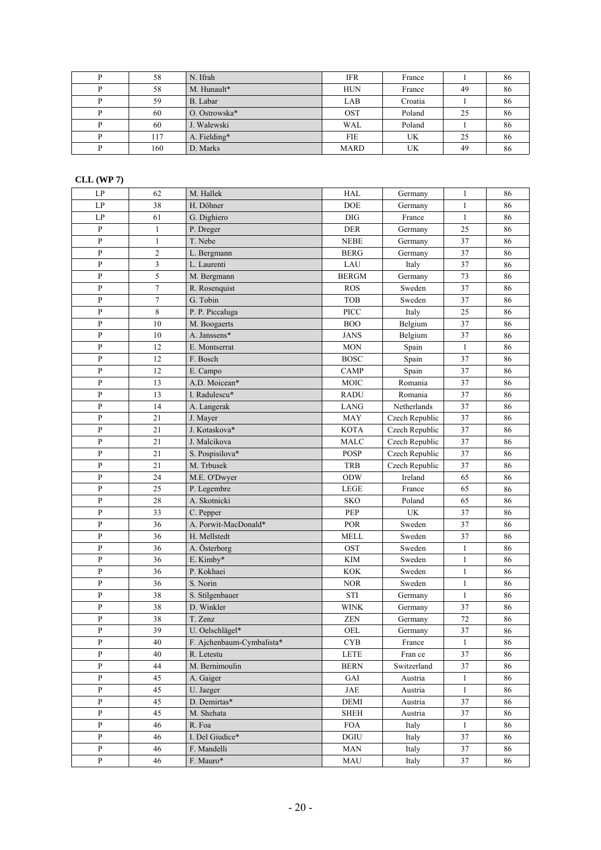| 58  | N. Ifrah      | <b>IFR</b>  | France  |    | 86 |
|-----|---------------|-------------|---------|----|----|
| 58  | M. Hunault*   | <b>HUN</b>  | France  | 49 | 86 |
| 59  | B. Labar      | LAB         | Croatia |    | 86 |
| 60  | O. Ostrowska* | OST         | Poland  | 25 | 86 |
| 60  | J. Walewski   | <b>WAL</b>  | Poland  |    | 86 |
| 117 | A. Fielding*  | <b>FIE</b>  | UK      | 25 | 86 |
| 160 | D. Marks      | <b>MARD</b> | UK      | 49 | 86 |

#### **CLL (WP 7)**

| LP                     | 62               | M. Hallek                 | <b>HAL</b>   | Germany        | $\mathbf{1}$ | 86 |
|------------------------|------------------|---------------------------|--------------|----------------|--------------|----|
| $\mathbf{L}\mathbf{P}$ | 38               | H. Döhner                 | DOE          | Germany        | $\mathbf{1}$ | 86 |
| LP                     | 61               | G. Dighiero               | $\rm DIG$    | France         | $\mathbf{1}$ | 86 |
| $\, {\bf p}$           | $\mathbf{1}$     | P. Dreger                 | DER          | Germany        | 25           | 86 |
| $\, {\bf p}$           | $\mathbf{1}$     | T. Nebe                   | $\rm{NEBE}$  | Germany        | 37           | 86 |
| ${\bf P}$              | $\overline{c}$   | L. Bergmann               | <b>BERG</b>  | Germany        | 37           | 86 |
| $\mathbf{P}$           | 3                | L. Laurenti               | LAU          | Italy          | 37           | 86 |
| $\, {\bf p}$           | 5                | M. Bergmann               | <b>BERGM</b> | Germany        | 73           | 86 |
| $\, {\bf P}$           | $\overline{7}$   | R. Rosenquist             | <b>ROS</b>   | Sweden         | 37           | 86 |
| $\, {\bf P}$           | $\boldsymbol{7}$ | G. Tobin                  | <b>TOB</b>   | Sweden         | 37           | 86 |
| $\, {\bf p}$           | 8                | P. P. Piccaluga           | PICC         | Italy          | 25           | 86 |
| $\, {\bf P}$           | 10               | M. Boogaerts              | <b>BOO</b>   | Belgium        | 37           | 86 |
| $\, {\bf P}$           | $10\,$           | A. Janssens*              | <b>JANS</b>  | Belgium        | 37           | 86 |
| $\, {\bf P}$           | 12               | E. Montserrat             | <b>MON</b>   | Spain          | $\mathbf{1}$ | 86 |
| ${\bf P}$              | 12               | F. Bosch                  | <b>BOSC</b>  | Spain          | 37           | 86 |
| $\, {\bf P}$           | 12               | E. Campo                  | CAMP         | Spain          | 37           | 86 |
| $\, {\bf P}$           | 13               | A.D. Moicean*             | MOIC         | Romania        | 37           | 86 |
| $\, {\bf p}$           | 13               | I. Radulescu*             | <b>RADU</b>  | Romania        | 37           | 86 |
| P                      | 14               | A. Langerak               | LANG         | Netherlands    | 37           | 86 |
| $\, {\bf P}$           | 21               | J. Mayer                  | MAY          | Czech Republic | 37           | 86 |
| $\, {\bf p}$           | 21               | J. Kotaskova*             | <b>KOTA</b>  | Czech Republic | 37           | 86 |
| $\, {\bf P}$           | 21               | J. Malcikova              | <b>MALC</b>  | Czech Republic | 37           | 86 |
| $\, {\bf p}$           | 21               | S. Pospisilova*           | POSP         | Czech Republic | 37           | 86 |
| $\, {\bf P}$           | 21               | M. Trbusek                | <b>TRB</b>   | Czech Republic | 37           | 86 |
| ${\bf P}$              | 24               | M.E. O'Dwyer              | ODW          | Ireland        | 65           | 86 |
| $\mathbf{P}$           | 25               | P. Legembre               | <b>LEGE</b>  | France         | 65           | 86 |
| $\mathbf{P}$           | 28               | A. Skotnicki              | SKO          | Poland         | 65           | 86 |
| $\mathbf{P}$           | 33               | C. Pepper                 | PEP          | <b>UK</b>      | 37           | 86 |
| $\, {\bf P}$           | 36               | A. Porwit-MacDonald*      | <b>POR</b>   | Sweden         | 37           | 86 |
| $\, {\bf P}$           | 36               | H. Mellstedt              | <b>MELL</b>  | Sweden         | 37           | 86 |
| $\, {\bf p}$           | 36               | A. Österborg              | OST          | Sweden         | $\mathbf{1}$ | 86 |
| $\, {\bf p}$           | 36               | E. Kimby*                 | <b>KIM</b>   | Sweden         | $\mathbf{1}$ | 86 |
| $\, {\bf p}$           | 36               | P. Kokhaei                | <b>KOK</b>   | Sweden         | $\mathbf{1}$ | 86 |
| P                      | 36               | S. Norin                  | <b>NOR</b>   | Sweden         | $\mathbf{1}$ | 86 |
| $\, {\bf P}$           | 38               | S. Stilgenbauer           | <b>STI</b>   | Germany        | $\mathbf{1}$ | 86 |
| ${\bf P}$              | 38               | D. Winkler                | <b>WINK</b>  | Germany        | 37           | 86 |
| ${\bf P}$              | 38               | T. Zenz                   | ZEN          | Germany        | $72\,$       | 86 |
| $\mathbf{P}$           | 39               | U. Oelschlägel*           | OEL          | Germany        | 37           | 86 |
| P                      | 40               | F. Ajchenbaum-Cymbalista* | <b>CYB</b>   | France         | $\mathbf{1}$ | 86 |
| $\mathbf{P}$           | 40               | R. Letestu                | <b>LETE</b>  | Fran ce        | 37           | 86 |
| $\, {\bf P}$           | 44               | M. Bernimoulin            | <b>BERN</b>  | Switzerland    | 37           | 86 |
| $\, {\bf P}$           | 45               | A. Gaiger                 | GAI          | Austria        | $\mathbf{1}$ | 86 |
| $\, {\bf P}$           | 45               | U. Jaeger                 | JAE          | Austria        | $\mathbf{1}$ | 86 |
| $\, {\bf p}$           | 45               | D. Demirtas*              | DEMI         | Austria        | 37           | 86 |
| $\mathbf{P}$           | 45               | M. Shehata                | <b>SHEH</b>  | Austria        | 37           | 86 |
| $\mathbf{P}$           | 46               | R. Foa                    | <b>FOA</b>   | Italy          | $\mathbf{1}$ | 86 |
| P                      | 46               | I. Del Giudice*           | DGIU         | Italy          | 37           | 86 |
| P                      | 46               | F. Mandelli               | <b>MAN</b>   | Italy          | 37           | 86 |
| ${\bf P}$              | 46               | F. Mauro*                 | MAU          | Italy          | 37           | 86 |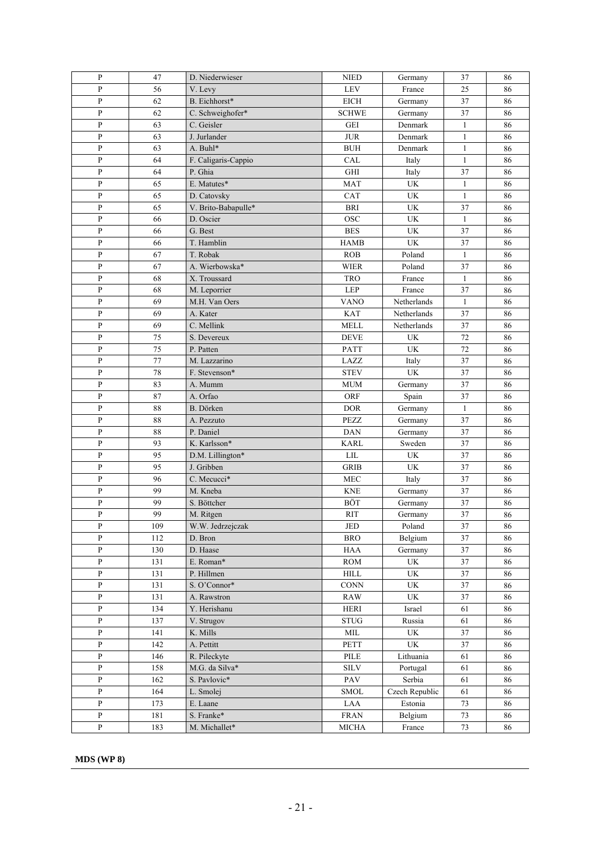| $\, {\bf P}$   | 47  | D. Niederwieser     | <b>NIED</b>                    | Germany                         | 37           | 86 |
|----------------|-----|---------------------|--------------------------------|---------------------------------|--------------|----|
| ${\bf P}$      | 56  | V. Levy             | ${\rm LEV}$                    | France                          | 25           | 86 |
| ${\bf P}$      | 62  | B. Eichhorst*       | <b>EICH</b>                    | Germany                         | 37           | 86 |
| ${\bf P}$      | 62  | C. Schweighofer*    | <b>SCHWE</b>                   | Germany                         | 37           | 86 |
| ${\bf P}$      | 63  | C. Geisler          | <b>GEI</b>                     | Denmark                         | $\mathbf{1}$ | 86 |
| $\overline{P}$ | 63  | J. Jurlander        | $\rm JUR$                      | Denmark                         | $\mathbf{1}$ | 86 |
| ${\bf P}$      | 63  | A. Buhl*            | $\rm BUH$                      | Denmark                         | $\mathbf{1}$ | 86 |
| $\, {\bf P}$   | 64  | F. Caligaris-Cappio | CAL                            | Italy                           | $\mathbf{1}$ | 86 |
| $\overline{P}$ | 64  | P. Ghia             | <b>GHI</b>                     | Italy                           | 37           | 86 |
| ${\bf P}$      | 65  | E. Matutes*         | <b>MAT</b>                     | UK                              | $\mathbf{1}$ | 86 |
| $\, {\bf P}$   | 65  | D. Catovsky         | CAT                            | UK                              | $\mathbf{1}$ | 86 |
| $\, {\bf P}$   | 65  | V. Brito-Babapulle* | <b>BRI</b>                     | UK                              | 37           | 86 |
| $\, {\bf P}$   | 66  | D. Oscier           | <b>OSC</b>                     | UK                              | $\mathbf{1}$ | 86 |
| $\, {\bf P}$   | 66  | G. Best             | <b>BES</b>                     | UK                              | 37           | 86 |
| $\mathbf{P}$   | 66  | T. Hamblin          | <b>HAMB</b>                    | UK                              | 37           | 86 |
| $\, {\bf P}$   | 67  | T. Robak            | ROB                            | Poland                          | $\mathbf{1}$ | 86 |
| $\, {\bf P}$   | 67  | A. Wierbowska*      | <b>WIER</b>                    | Poland                          | 37           | 86 |
| $\mathbf{P}$   | 68  | X. Troussard        | <b>TRO</b>                     | France                          | $\mathbf{1}$ | 86 |
| $\, {\bf P}$   | 68  | M. Leporrier        | LEP                            | France                          | 37           | 86 |
| $\, {\bf P}$   | 69  | M.H. Van Oers       | <b>VANO</b>                    | Netherlands                     | $\mathbf{1}$ | 86 |
| $\mathbf{P}$   | 69  | A. Kater            | KAT                            | Netherlands                     | 37           | 86 |
| ${\bf P}$      | 69  | C. Mellink          | <b>MELL</b>                    | Netherlands                     | 37           | 86 |
| $\, {\bf P}$   | 75  | S. Devereux         | $\operatorname{DEVE}$          | $\ensuremath{\text{UK}}\xspace$ | 72           | 86 |
| $\mathbf{P}$   | 75  | P. Patten           | PATT                           | UK                              | 72           | 86 |
| ${\bf P}$      | 77  | M. Lazzarino        | LAZZ                           | Italy                           | 37           | 86 |
| $\overline{P}$ | 78  | F. Stevenson*       | <b>STEV</b>                    | UK                              | 37           | 86 |
| $\overline{P}$ | 83  | A. Mumm             | <b>MUM</b>                     | Germany                         | 37           | 86 |
| $\mathbf{P}$   | 87  | A. Orfao            | ORF                            | Spain                           | 37           | 86 |
| $\mathbf{P}$   | 88  | B. Dörken           | <b>DOR</b>                     | Germany                         | $\mathbf{1}$ | 86 |
| $\, {\bf P}$   | 88  | A. Pezzuto          | <b>PEZZ</b>                    | Germany                         | 37           | 86 |
| $\, {\bf P}$   | 88  | P. Daniel           | <b>DAN</b>                     | Germany                         | 37           | 86 |
| $\, {\bf P}$   | 93  | K. Karlsson*        | <b>KARL</b>                    | Sweden                          | 37           | 86 |
| $\, {\bf P}$   | 95  | D.M. Lillington*    | ${\rm LIL}$                    | UK                              | 37           | 86 |
| $\, {\bf P}$   | 95  | J. Gribben          | <b>GRIB</b>                    | UK                              | 37           | 86 |
| $\, {\bf P}$   | 96  | C. Mecucci*         | ${\rm MEC}$                    | Italy                           | 37           | 86 |
| P              | 99  | M. Kneba            | <b>KNE</b>                     | Germany                         | 37           | 86 |
| ${\bf P}$      | 99  | S. Böttcher         | BÖT                            | Germany                         | 37           | 86 |
| $\mathbf{P}$   | 99  | M. Ritgen           | <b>RIT</b>                     | Germany                         | 37           | 86 |
| P              | 109 | W.W. Jedrzejczak    | JED                            | Poland                          | 37           | 86 |
| ${\bf P}$      | 112 | D. Bron             | <b>BRO</b>                     | Belgium                         | 37           | 86 |
| ${\bf P}$      | 130 | D. Haase            | <b>HAA</b>                     | Germany                         | 37           | 86 |
| $\, {\bf P}$   | 131 | E. Roman*           | <b>ROM</b>                     | UK                              | 37           | 86 |
| $\, {\bf P}$   | 131 | P. Hillmen          | $\mbox{HILL}$                  | $\ensuremath{\text{UK}}\xspace$ | 37           | 86 |
| ${\bf P}$      | 131 | S. O'Connor*        | <b>CONN</b>                    | UK                              | 37           | 86 |
| $\mathbf{P}$   | 131 | A. Rawstron         | <b>RAW</b>                     | $\ensuremath{\text{UK}}\xspace$ | 37           | 86 |
| $\mathbf{P}$   | 134 | Y. Herishanu        | <b>HERI</b>                    | Israel                          | 61           | 86 |
| $\overline{P}$ | 137 | V. Strugov          | $\operatorname{\mathbf{STUG}}$ | Russia                          | 61           | 86 |
| $\mathbf{P}$   | 141 | K. Mills            | $\text{MIL}$                   | UK                              | 37           | 86 |
| $\mathbf{P}$   | 142 | A. Pettitt          | PETT                           | UK                              | 37           | 86 |
| $\, {\bf P}$   | 146 | R. Pileckyte        | PILE                           | Lithuania                       | 61           | 86 |
| P              | 158 | M.G. da Silva*      | <b>SILV</b>                    | Portugal                        | 61           | 86 |
| ${\bf P}$      | 162 | S. Pavlovic*        | PAV                            | Serbia                          | 61           | 86 |
| $\mathbf{P}$   | 164 | L. Smolej           | SMOL                           | Czech Republic                  | 61           | 86 |
| $\, {\bf P}$   | 173 | E. Laane            | $\rm LAA$                      | Estonia                         | 73           | 86 |
| ${\bf P}$      | 181 | S. Franke*          | <b>FRAN</b>                    | Belgium                         | 73           | 86 |
| ${\bf P}$      | 183 | M. Michallet*       | MICHA                          | France                          | 73           | 86 |

**MDS (WP 8)**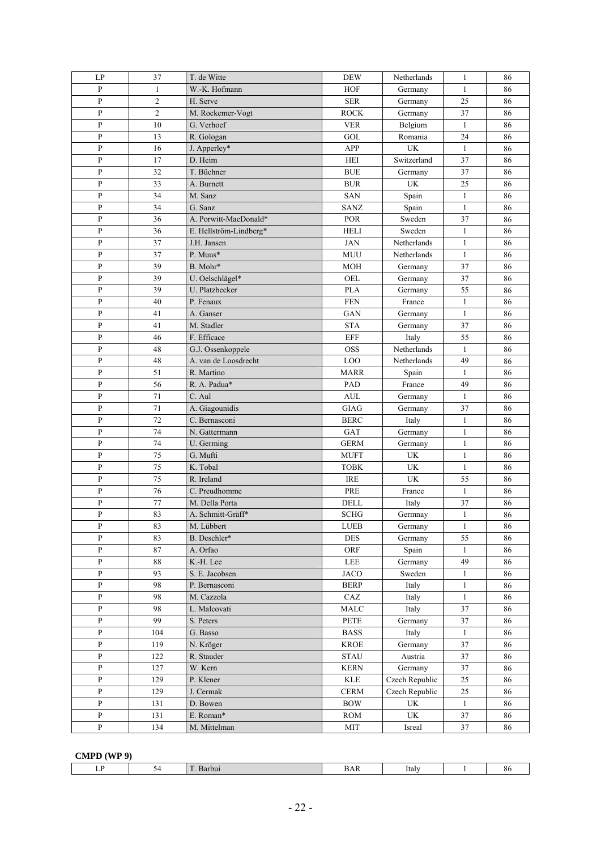| $\mathbf{L}\mathbf{P}$ | 37             | T. de Witte            | <b>DEW</b>                | Netherlands                     | $\mathbf{1}$ | 86 |
|------------------------|----------------|------------------------|---------------------------|---------------------------------|--------------|----|
| P                      | 1              | W.-K. Hofmann          | <b>HOF</b>                | Germany                         | $\mathbf{1}$ | 86 |
| ${\bf P}$              | $\overline{c}$ | H. Serve               | ${\rm SER}$               | Germany                         | 25           | 86 |
| ${\bf P}$              | $\overline{c}$ | M. Rockemer-Vogt       | <b>ROCK</b>               | Germany                         | 37           | 86 |
| $\overline{P}$         | 10             | G. Verhoef             | <b>VER</b>                | Belgium                         | $\mathbf{1}$ | 86 |
| $\mathbf{P}$           | 13             | R. Gologan             | GOL                       | Romania                         | 24           | 86 |
| P                      | 16             | J. Apperley*           | APP                       | <b>UK</b>                       | $\mathbf{1}$ | 86 |
| $\mathbf{P}$           | 17             | D. Heim                | <b>HEI</b>                | Switzerland                     | 37           | 86 |
| ${\bf P}$              | 32             | T. Büchner             | <b>BUE</b>                | Germany                         | 37           | 86 |
| $\mathbf{P}$           | 33             | A. Burnett             | <b>BUR</b>                | UK                              | 25           | 86 |
| ${\bf P}$              | 34             | M. Sanz                | SAN                       | Spain                           | $\mathbf{1}$ | 86 |
| ${\bf P}$              | 34             | G. Sanz                | SANZ                      | Spain                           | $\mathbf{1}$ | 86 |
| ${\bf P}$              | 36             | A. Porwitt-MacDonald*  | <b>POR</b>                | Sweden                          | 37           | 86 |
| ${\bf P}$              | 36             | E. Hellström-Lindberg* | <b>HELI</b>               | Sweden                          | $\mathbf{1}$ | 86 |
| $\mathbf{P}$           | 37             | J.H. Jansen            | <b>JAN</b>                | Netherlands                     | $\mathbf{1}$ | 86 |
| P                      | 37             | P. Muus*               |                           |                                 | $\mathbf{1}$ |    |
|                        |                |                        | MUU                       | Netherlands                     |              | 86 |
| P                      | 39             | B. Mohr*               | <b>MOH</b>                | Germany                         | 37           | 86 |
| ${\bf P}$              | 39             | U. Oelschlägel*        | OEL                       | Germany                         | 37           | 86 |
| ${\bf P}$              | 39             | U. Platzbecker         | <b>PLA</b>                | Germany                         | 55           | 86 |
| ${\bf P}$              | 40             | P. Fenaux              | <b>FEN</b>                | France                          | $\mathbf{1}$ | 86 |
| ${\bf P}$              | 41             | A. Ganser              | <b>GAN</b>                | Germany                         | $\mathbf{1}$ | 86 |
| P                      | 41             | M. Stadler             | <b>STA</b>                | Germany                         | 37           | 86 |
| $\mathbf{P}$           | 46             | F. Efficace            | EFF                       | Italy                           | 55           | 86 |
| ${\bf P}$              | 48             | G.J. Ossenkoppele      | <b>OSS</b>                | Netherlands                     | $\mathbf{1}$ | 86 |
| $\overline{P}$         | 48             | A. van de Loosdrecht   | LOO                       | Netherlands                     | 49           | 86 |
| $\mathbf{P}$           | 51             | R. Martino             | <b>MARR</b>               | Spain                           | $\mathbf{1}$ | 86 |
| P                      | 56             | R. A. Padua*           | PAD                       | France                          | 49           | 86 |
| $\mathbf{P}$           | 71             | C. Aul                 | <b>AUL</b>                | Germany                         | $\mathbf{1}$ | 86 |
| P                      | 71             | A. Giagounidis         | <b>GIAG</b>               | Germany                         | 37           | 86 |
| P                      | 72             | C. Bernasconi          | <b>BERC</b>               | Italy                           | $\mathbf{1}$ | 86 |
| ${\bf P}$              | 74             | N. Gattermann          | GAT                       | Germany                         | $\mathbf{1}$ | 86 |
| ${\bf P}$              | 74             | U. Germing             | <b>GERM</b>               | Germany                         | $\mathbf{1}$ | 86 |
| ${\bf P}$              | 75             | G. Mufti               | <b>MUFT</b>               | UK                              | $\mathbf{1}$ | 86 |
| $\, {\bf P}$           | 75             | K. Tobal               | <b>TOBK</b>               | $\ensuremath{\text{UK}}\xspace$ | $\mathbf{1}$ | 86 |
| ${\bf P}$              | 75             | R. Ireland             | <b>IRE</b>                | $\ensuremath{\text{UK}}\xspace$ | 55           | 86 |
| $\mathbf{P}$           | 76             | C. Preudhomme          | PRE                       | France                          | $\mathbf{1}$ | 86 |
| P                      | 77             | M. Della Porta         | DELL                      | Italy                           | 37           | 86 |
| $\, {\bf p}$           | 83             | A. Schmitt-Gräff*      | <b>SCHG</b>               | Germnay                         | $\mathbf{1}$ | 86 |
| P                      | 83             | M. Lübbert             | LUEB                      | Germany                         | $\mathbf{1}$ | 86 |
| P                      | 83             | B. Deschler*           | <b>DES</b>                | Germany                         | 55           | 86 |
| $\, {\bf p}$           | $\bf 87$       | A. Orfao               | ORF                       | Spain                           | $\mathbf{1}$ | 86 |
| $\, {\bf p}$           | $88\,$         | K.-H. Lee              | LEE                       | Germany                         | 49           | 86 |
| $\, {\bf P}$           | 93             | S. E. Jacobsen         | <b>JACO</b>               | Sweden                          | $\mathbf{1}$ | 86 |
| $\mathbf{P}$           | 98             | P. Bernasconi          | <b>BERP</b>               | Italy                           | $\mathbf{1}$ | 86 |
| $\mathbf{P}$           | 98             | M. Cazzola             | CAZ                       | Italy                           | $\mathbf{1}$ | 86 |
| $\mathbf{P}$           | 98             | L. Malcovati           | <b>MALC</b>               | Italy                           | 37           | 86 |
| P                      | 99             | S. Peters              | PETE                      | Germany                         | 37           | 86 |
| $\mathbf{P}$           | 104            | G. Basso               | <b>BASS</b>               | Italy                           | $\mathbf{1}$ | 86 |
| P                      | 119            | N. Kröger              | <b>KROE</b>               | Germany                         | 37           | 86 |
| $\, {\bf p}$           | 122            | R. Stauder             | <b>STAU</b>               | Austria                         | 37           | 86 |
| $\, {\bf P}$           | 127            | W. Kern                | <b>KERN</b>               | Germany                         | 37           | 86 |
| $\, {\bf p}$           | 129            | P. Klener              | $\ensuremath{\text{KLE}}$ | Czech Republic                  | 25           | 86 |
| P                      | 129            | J. Cermak              | <b>CERM</b>               | Czech Republic                  | 25           | 86 |
| $\, {\bf p}$           | 131            | D. Bowen               | <b>BOW</b>                | <b>UK</b>                       | $\mathbf{1}$ | 86 |
|                        |                |                        |                           | $\ensuremath{\text{UK}}\xspace$ |              |    |
| P                      | 131            | E. Roman*              | <b>ROM</b>                |                                 | 37           | 86 |
| $\, {\bf P}$           | 134            | M. Mittelman           | <b>MIT</b>                | Isreal                          | 37           | 86 |

#### **CMPD (WP 9)**

| <b>Section</b><br>- 33<br>--<br>Italy<br>ΔЬ<br>v<br>$\alpha$<br>-Daluu.<br><i>JAW</i><br>. |
|--------------------------------------------------------------------------------------------|
|--------------------------------------------------------------------------------------------|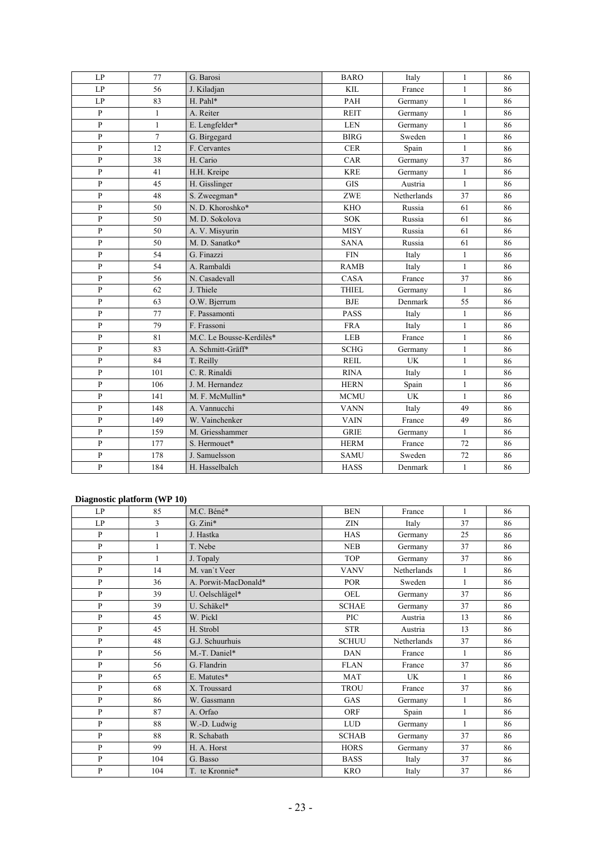| LP           | 77             | G. Barosi                | <b>BARO</b>  | Italy       | $\mathbf{1}$ | 86 |
|--------------|----------------|--------------------------|--------------|-------------|--------------|----|
| LP           | 56             | J. Kiladjan              | <b>KIL</b>   | France      | $\mathbf{1}$ | 86 |
| LP           | 83             | H. Pahl*                 | PAH          | Germany     | $\mathbf{1}$ | 86 |
| $\mathbf{P}$ | $\mathbf{1}$   | A. Reiter                | <b>REIT</b>  | Germany     | $\mathbf{1}$ | 86 |
| $\mathbf{P}$ | $\mathbf{1}$   | E. Lengfelder*           | <b>LEN</b>   | Germany     | $\mathbf{1}$ | 86 |
| $\mathbf{P}$ | $\overline{7}$ | G. Birgegard             | <b>BIRG</b>  | Sweden      | $\mathbf{1}$ | 86 |
| $\mathbf{P}$ | 12             | F. Cervantes             | <b>CER</b>   | Spain       | $\mathbf{1}$ | 86 |
| $\mathbf{P}$ | 38             | H. Cario                 | CAR          | Germany     | 37           | 86 |
| $\mathbf{P}$ | 41             | H.H. Kreipe              | <b>KRE</b>   | Germany     | $\mathbf{1}$ | 86 |
| $\mathbf{P}$ | 45             | H. Gisslinger            | <b>GIS</b>   | Austria     | $\mathbf{1}$ | 86 |
| $\mathbf{P}$ | 48             | S. Zweegman*             | <b>ZWE</b>   | Netherlands | 37           | 86 |
| $\mathbf{P}$ | 50             | N. D. Khoroshko*         | <b>KHO</b>   | Russia      | 61           | 86 |
| P            | 50             | M. D. Sokolova           | <b>SOK</b>   | Russia      | 61           | 86 |
| $\mathbf{P}$ | 50             | A. V. Misyurin           | <b>MISY</b>  | Russia      | 61           | 86 |
| $\mathbf{p}$ | 50             | M. D. Sanatko*           | <b>SANA</b>  | Russia      | 61           | 86 |
| $\mathbf{P}$ | 54             | G. Finazzi               | <b>FIN</b>   | Italy       | $\mathbf{1}$ | 86 |
| $\mathbf{P}$ | 54             | A. Rambaldi              | <b>RAMB</b>  | Italy       | $\mathbf{1}$ | 86 |
| $\, {\bf p}$ | 56             | N. Casadevall            | CASA         | France      | 37           | 86 |
| $\mathbf{P}$ | 62             | J. Thiele                | <b>THIEL</b> | Germany     | $\mathbf{1}$ | 86 |
| $\mathbf{P}$ | 63             | O.W. Bjerrum             | <b>BJE</b>   | Denmark     | 55           | 86 |
| $\mathbf{P}$ | 77             | F. Passamonti            | <b>PASS</b>  | Italy       | $\mathbf{1}$ | 86 |
| $\, {\bf P}$ | 79             | F. Frassoni              | <b>FRA</b>   | Italy       | $\mathbf{1}$ | 86 |
| $\mathbf{P}$ | 81             | M.C. Le Bousse-Kerdilès* | LEB          | France      | $\mathbf{1}$ | 86 |
| P            | 83             | A. Schmitt-Gräff*        | <b>SCHG</b>  | Germany     | $\mathbf{1}$ | 86 |
| $\mathbf{P}$ | 84             | T. Reilly                | <b>REIL</b>  | <b>UK</b>   | $\mathbf{1}$ | 86 |
| $\mathbf{P}$ | 101            | C. R. Rinaldi            | <b>RINA</b>  | Italy       | $\mathbf{1}$ | 86 |
| P            | 106            | J. M. Hernandez          | <b>HERN</b>  | Spain       | $\mathbf{1}$ | 86 |
| $\mathbf{P}$ | 141            | M. F. McMullin*          | <b>MCMU</b>  | <b>UK</b>   | $\mathbf{1}$ | 86 |
| $\mathbf{P}$ | 148            | A. Vannucchi             | <b>VANN</b>  | Italy       | 49           | 86 |
| $\mathbf{P}$ | 149            | W. Vainchenker           | <b>VAIN</b>  | France      | 49           | 86 |
| $\mathbf{P}$ | 159            | M. Griesshammer          | <b>GRIE</b>  | Germany     | $\mathbf{1}$ | 86 |
| $\mathbf{P}$ | 177            | S. Hermouet*             | <b>HERM</b>  | France      | 72           | 86 |
| ${\bf P}$    | 178            | J. Samuelsson            | <b>SAMU</b>  | Sweden      | 72           | 86 |
| $\mathbf{P}$ | 184            | H. Hasselbalch           | <b>HASS</b>  | Denmark     | $\mathbf{1}$ | 86 |

#### **Diagnostic platform (WP 10)**

| -<br>LP      | 85           | M.C. Béné*           | <b>BEN</b>   | France      | $\mathbf{1}$ | 86 |
|--------------|--------------|----------------------|--------------|-------------|--------------|----|
| LP           | 3            | $G. Zini*$           | ZIN          | Italy       | 37           | 86 |
| P            | $\mathbf{1}$ | J. Hastka            | <b>HAS</b>   | Germany     | 25           | 86 |
| $\mathbf{P}$ | 1            | T. Nebe              | <b>NEB</b>   | Germany     | 37           | 86 |
| $\mathbf{P}$ | 1            | J. Topaly            | <b>TOP</b>   | Germany     | 37           | 86 |
| $\mathbf{P}$ | 14           | M. van't Veer        | <b>VANV</b>  | Netherlands | $\mathbf{1}$ | 86 |
| $\mathbf{P}$ | 36           | A. Porwit-MacDonald* | <b>POR</b>   | Sweden      | $\mathbf{1}$ | 86 |
| $\mathbf{P}$ | 39           | U. Oelschlägel*      | OEL          | Germany     | 37           | 86 |
| $\mathbf{P}$ | 39           | U. Schäkel*          | <b>SCHAE</b> | Germany     | 37           | 86 |
| $\mathbf{P}$ | 45           | W. Pickl             | PIC          | Austria     | 13           | 86 |
| $\mathbf{P}$ | 45           | H. Strobl            | <b>STR</b>   | Austria     | 13           | 86 |
| $\mathbf{P}$ | 48           | G.J. Schuurhuis      | <b>SCHUU</b> | Netherlands | 37           | 86 |
| $\mathbf{P}$ | 56           | M.-T. Daniel*        | <b>DAN</b>   | France      | $\mathbf{1}$ | 86 |
| $\mathbf{P}$ | 56           | G. Flandrin          | <b>FLAN</b>  | France      | 37           | 86 |
| $\mathbf{P}$ | 65           | E. Matutes*          | <b>MAT</b>   | <b>UK</b>   | $\mathbf{1}$ | 86 |
| $\mathbf{P}$ | 68           | X. Troussard         | <b>TROU</b>  | France      | 37           | 86 |
| $\mathbf{P}$ | 86           | W. Gassmann          | GAS          | Germany     | $\mathbf{1}$ | 86 |
| $\mathbf{P}$ | 87           | A. Orfao             | <b>ORF</b>   | Spain       | $\mathbf{1}$ | 86 |
| P            | 88           | W.-D. Ludwig         | <b>LUD</b>   | Germany     | $\mathbf{1}$ | 86 |
| $\mathbf{P}$ | 88           | R. Schabath          | <b>SCHAB</b> | Germany     | 37           | 86 |
| P            | 99           | H. A. Horst          | <b>HORS</b>  | Germany     | 37           | 86 |
| P            | 104          | G. Basso             | <b>BASS</b>  | Italy       | 37           | 86 |
| $\mathbf{P}$ | 104          | T. te Kronnie*       | <b>KRO</b>   | Italy       | 37           | 86 |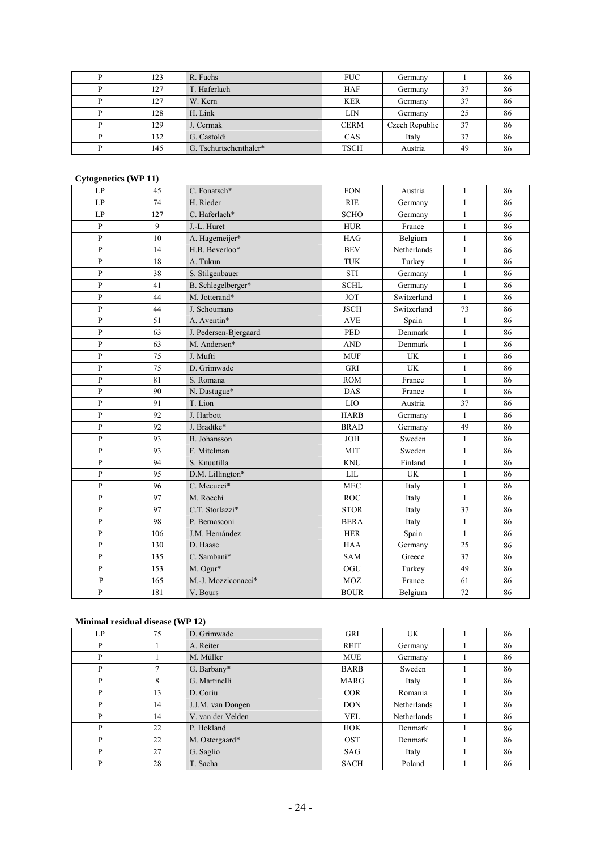| 123 | R. Fuchs               | <b>FUC</b>  | Germany        |    | 86 |
|-----|------------------------|-------------|----------------|----|----|
| 127 | T. Haferlach           | <b>HAF</b>  | Germany        | 37 | 86 |
| 127 | W. Kern                | <b>KER</b>  | Germany        | 37 | 86 |
| 128 | H. Link                | LIN         | Germany        | 25 | 86 |
| 129 | J. Cermak              | <b>CERM</b> | Czech Republic | 37 | 86 |
| 132 | G. Castoldi            | CAS         | Italy          | 37 | 86 |
| 145 | G. Tschurtschenthaler* | <b>TSCH</b> | Austria        | 49 | 86 |

#### **Cytogenetics (WP 11)**

| LP             | 45  | C. Fonatsch*          | <b>FON</b>  | Austria     | $\mathbf{1}$ | 86 |
|----------------|-----|-----------------------|-------------|-------------|--------------|----|
| LP             | 74  | H. Rieder             | <b>RIE</b>  | Germany     | $\mathbf{1}$ | 86 |
| LP             | 127 | C. Haferlach*         | <b>SCHO</b> | Germany     | $\mathbf{1}$ | 86 |
| $\mathbf{P}$   | 9   | J.-L. Huret           | <b>HUR</b>  | France      | $\mathbf{1}$ | 86 |
| $\mathbf{P}$   | 10  | A. Hagemeijer*        | <b>HAG</b>  | Belgium     | $\mathbf{1}$ | 86 |
| $\mathbf{P}$   | 14  | H.B. Beverloo*        | <b>BEV</b>  | Netherlands | $\mathbf{1}$ | 86 |
| $\mathbf{P}$   | 18  | A. Tukun              | <b>TUK</b>  | Turkey      | $\mathbf{1}$ | 86 |
| $\mathbf{P}$   | 38  | S. Stilgenbauer       | <b>STI</b>  | Germany     | $\mathbf{1}$ | 86 |
| $\, {\bf P}$   | 41  | B. Schlegelberger*    | <b>SCHL</b> | Germany     | $\mathbf{1}$ | 86 |
| $\mathbf{P}$   | 44  | M. Jotterand*         | <b>JOT</b>  | Switzerland | $\mathbf{1}$ | 86 |
| ${\bf P}$      | 44  | J. Schoumans          | <b>JSCH</b> | Switzerland | 73           | 86 |
| $\mathbf{P}$   | 51  | A. Aventin*           | <b>AVE</b>  | Spain       | $\mathbf{1}$ | 86 |
| $\mathbf{P}$   | 63  | J. Pedersen-Bjergaard | <b>PED</b>  | Denmark     | $\mathbf{1}$ | 86 |
| $\mathbf{P}$   | 63  | M. Andersen*          | <b>AND</b>  | Denmark     | $\mathbf{1}$ | 86 |
| $\overline{P}$ | 75  | J. Mufti              | <b>MUF</b>  | <b>UK</b>   | $\mathbf{1}$ | 86 |
| ${\bf P}$      | 75  | D. Grimwade           | <b>GRI</b>  | UK          | $\mathbf{1}$ | 86 |
| $\mathbf{P}$   | 81  | S. Romana             | <b>ROM</b>  | France      | $\mathbf{1}$ | 86 |
| $\overline{P}$ | 90  | N. Dastugue*          | <b>DAS</b>  | France      | $\mathbf{1}$ | 86 |
| $\overline{P}$ | 91  | T. Lion               | <b>LIO</b>  | Austria     | 37           | 86 |
| $\mathbf{P}$   | 92  | J. Harbott            | <b>HARB</b> | Germany     | $\mathbf{1}$ | 86 |
| $\mathbf{P}$   | 92  | J. Bradtke*           | <b>BRAD</b> | Germany     | 49           | 86 |
| $\mathbf{P}$   | 93  | B. Johansson          | <b>JOH</b>  | Sweden      | $\mathbf{1}$ | 86 |
| $\overline{P}$ | 93  | F. Mitelman           | <b>MIT</b>  | Sweden      | $\mathbf{1}$ | 86 |
| $\, {\bf P}$   | 94  | S. Knuutilla          | <b>KNU</b>  | Finland     | $\mathbf{1}$ | 86 |
| $\overline{P}$ | 95  | D.M. Lillington*      | <b>LIL</b>  | UK          | $\mathbf{1}$ | 86 |
| $\, {\bf P}$   | 96  | C. Mecucci*           | <b>MEC</b>  | Italy       | $\mathbf{1}$ | 86 |
| $\mathbf{P}$   | 97  | M. Rocchi             | <b>ROC</b>  | Italy       | $\mathbf{1}$ | 86 |
| $\mathbf{P}$   | 97  | C.T. Storlazzi*       | <b>STOR</b> | Italy       | 37           | 86 |
| $\mathbf{P}$   | 98  | P. Bernasconi         | <b>BERA</b> | Italy       | $\mathbf{1}$ | 86 |
| P              | 106 | J.M. Hernández        | <b>HER</b>  | Spain       | $\mathbf{1}$ | 86 |
| $\mathbf{P}$   | 130 | D. Haase              | <b>HAA</b>  | Germany     | 25           | 86 |
| $\mathbf{P}$   | 135 | C. Sambani*           | <b>SAM</b>  | Greece      | 37           | 86 |
| $\mathbf{P}$   | 153 | M. Ogur*              | OGU         | Turkey      | 49           | 86 |
| ${\bf P}$      | 165 | M.-J. Mozziconacci*   | <b>MOZ</b>  | France      | 61           | 86 |
| $\mathbf{P}$   | 181 | V. Bours              | <b>BOUR</b> | Belgium     | 72           | 86 |

#### **Minimal residual disease (WP 12)**

| LP | 75 | D. Grimwade       | <b>GRI</b>  | UK          | 86 |
|----|----|-------------------|-------------|-------------|----|
| P  |    | A. Reiter         | <b>REIT</b> | Germany     | 86 |
| P  |    | M. Müller         | <b>MUE</b>  | Germany     | 86 |
| P  | 7  | G. Barbany*       | <b>BARB</b> | Sweden      | 86 |
| P  | 8  | G. Martinelli     | <b>MARG</b> | Italy       | 86 |
| P  | 13 | D. Coriu          | <b>COR</b>  | Romania     | 86 |
| P  | 14 | J.J.M. van Dongen | <b>DON</b>  | Netherlands | 86 |
| P  | 14 | V. van der Velden | <b>VEL</b>  | Netherlands | 86 |
| P  | 22 | P. Hokland        | <b>HOK</b>  | Denmark     | 86 |
| P  | 22 | M. Ostergaard*    | <b>OST</b>  | Denmark     | 86 |
| P  | 27 | G. Saglio         | <b>SAG</b>  | Italy       | 86 |
| P  | 28 | T. Sacha          | <b>SACH</b> | Poland      | 86 |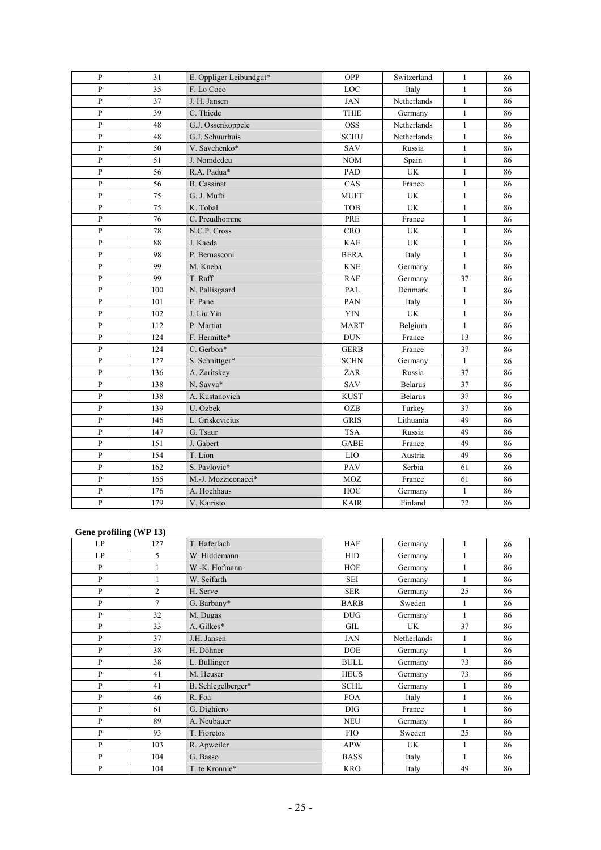| ${\bf P}$    | 31  | E. Oppliger Leibundgut* | OPP         | Switzerland                     | $\mathbf{1}$ | 86 |
|--------------|-----|-------------------------|-------------|---------------------------------|--------------|----|
| ${\bf P}$    | 35  | F. Lo Coco              | LOC         | Italy                           | $\mathbf{1}$ | 86 |
| ${\bf P}$    | 37  | J. H. Jansen            | <b>JAN</b>  | Netherlands                     | $\mathbf{1}$ | 86 |
| ${\bf P}$    | 39  | C. Thiede               | <b>THIE</b> | Germany                         | $\mathbf{1}$ | 86 |
| $\mathbf{P}$ | 48  | G.J. Ossenkoppele       | <b>OSS</b>  | Netherlands                     | $\mathbf{1}$ | 86 |
| $\mathbf{P}$ | 48  | G.J. Schuurhuis         | <b>SCHU</b> | Netherlands                     | $\mathbf{1}$ | 86 |
| $\mathbf{P}$ | 50  | V. Savchenko*           | SAV         | Russia                          | $\mathbf{1}$ | 86 |
| $\mathbf{P}$ | 51  | J. Nomdedeu             | <b>NOM</b>  | Spain                           | $\mathbf{1}$ | 86 |
| $\mathbf{P}$ | 56  | R.A. Padua*             | PAD         | <b>UK</b>                       | $\mathbf{1}$ | 86 |
| $\mathbf{P}$ | 56  | <b>B.</b> Cassinat      | CAS         | France                          | $\mathbf{1}$ | 86 |
| $\mathbf{P}$ | 75  | G. J. Mufti             | <b>MUFT</b> | <b>UK</b>                       | $\mathbf{1}$ | 86 |
| $\mathbf{P}$ | 75  | K. Tobal                | <b>TOB</b>  | $\ensuremath{\text{UK}}\xspace$ | $\mathbf{1}$ | 86 |
| $\mathbf{P}$ | 76  | C. Preudhomme           | PRE         | France                          | $\mathbf{1}$ | 86 |
| P            | 78  | N.C.P. Cross            | <b>CRO</b>  | UK                              | $\mathbf{1}$ | 86 |
| $\mathbf{P}$ | 88  | J. Kaeda                | <b>KAE</b>  | <b>UK</b>                       | $\mathbf{1}$ | 86 |
| $\mathbf{P}$ | 98  | P. Bernasconi           | <b>BERA</b> | Italy                           | $\mathbf{1}$ | 86 |
| P            | 99  | M. Kneba                | <b>KNE</b>  | Germany                         | $\mathbf{1}$ | 86 |
| $\, {\bf P}$ | 99  | T. Raff                 | <b>RAF</b>  | Germany                         | 37           | 86 |
| $\, {\bf P}$ | 100 | N. Pallisgaard          | PAL         | Denmark                         | $\mathbf{1}$ | 86 |
| ${\bf P}$    | 101 | F. Pane                 | PAN         | Italy                           | $\mathbf{1}$ | 86 |
| $\, {\bf P}$ | 102 | J. Liu Yin              | YIN         | <b>UK</b>                       | $\mathbf{1}$ | 86 |
| $\mathbf{P}$ | 112 | P. Martiat              | <b>MART</b> | Belgium                         | $\mathbf{1}$ | 86 |
| $\mathbf{P}$ | 124 | F. Hermitte*            | <b>DUN</b>  | France                          | 13           | 86 |
| $\mathbf{P}$ | 124 | C. Gerbon*              | <b>GERB</b> | France                          | 37           | 86 |
| $\mathbf{P}$ | 127 | S. Schnittger*          | <b>SCHN</b> | Germany                         | $\mathbf{1}$ | 86 |
| $\mathbf{P}$ | 136 | A. Zaritskey            | ZAR         | Russia                          | 37           | 86 |
| $\mathbf{P}$ | 138 | N. Savva*               | SAV         | <b>Belarus</b>                  | 37           | 86 |
| $\mathbf{P}$ | 138 | A. Kustanovich          | <b>KUST</b> | <b>Belarus</b>                  | 37           | 86 |
| $\mathbf{P}$ | 139 | U. Ozbek                | <b>OZB</b>  | Turkey                          | 37           | 86 |
| $\mathbf{P}$ | 146 | L. Griskevicius         | <b>GRIS</b> | Lithuania                       | 49           | 86 |
| $\, {\bf P}$ | 147 | G. Tsaur                | <b>TSA</b>  | Russia                          | 49           | 86 |
| $\, {\bf P}$ | 151 | J. Gabert               | <b>GABE</b> | France                          | 49           | 86 |
| $\mathbf{P}$ | 154 | T. Lion                 | LIO         | Austria                         | 49           | 86 |
| $\mathbf{P}$ | 162 | S. Pavlovic*            | PAV         | Serbia                          | 61           | 86 |
| $\mathbf{P}$ | 165 | M.-J. Mozziconacci*     | MOZ         | France                          | 61           | 86 |
| ${\bf P}$    | 176 | A. Hochhaus             | HOC         | Germany                         | $\mathbf{1}$ | 86 |
| ${\bf P}$    | 179 | V. Kairisto             | <b>KAIR</b> | Finland                         | 72           | 86 |

#### **Gene profiling (WP 13)**

| LP           | 127            | T. Haferlach       | <b>HAF</b>  | Germany     |              | 86 |
|--------------|----------------|--------------------|-------------|-------------|--------------|----|
| LP           | 5              | W. Hiddemann       | <b>HID</b>  | Germany     | 1            | 86 |
| P            |                | W.-K. Hofmann      | <b>HOF</b>  | Germany     | 1            | 86 |
| P            |                | W. Seifarth        | <b>SEI</b>  | Germany     |              | 86 |
| P            | $\overline{2}$ | H. Serve           | <b>SER</b>  | Germany     | 25           | 86 |
| P            | $\overline{7}$ | G. Barbany*        | <b>BARB</b> | Sweden      | 1            | 86 |
| $\mathbf{P}$ | 32             | M. Dugas           | <b>DUG</b>  | Germany     | $\mathbf{1}$ | 86 |
| $\mathbf{P}$ | 33             | A. Gilkes*         | GIL         | UK          | 37           | 86 |
| $\mathbf{P}$ | 37             | J.H. Jansen        | <b>JAN</b>  | Netherlands | 1            | 86 |
| P            | 38             | H. Döhner          | <b>DOE</b>  | Germany     |              | 86 |
| P            | 38             | L. Bullinger       | <b>BULL</b> | Germany     | 73           | 86 |
| P            | 41             | M. Heuser          | <b>HEUS</b> | Germany     | 73           | 86 |
| $\mathbf{P}$ | 41             | B. Schlegelberger* | <b>SCHL</b> | Germany     | 1            | 86 |
| P            | 46             | R. Foa             | <b>FOA</b>  | Italy       | 1            | 86 |
| $\mathbf{P}$ | 61             | G. Dighiero        | <b>DIG</b>  | France      | $\mathbf{1}$ | 86 |
| P            | 89             | A. Neubauer        | <b>NEU</b>  | Germany     | $\mathbf{1}$ | 86 |
| P            | 93             | T. Fioretos        | <b>FIO</b>  | Sweden      | 25           | 86 |
| $\mathbf{P}$ | 103            | R. Apweiler        | <b>APW</b>  | UK          | $\mathbf{1}$ | 86 |
| P            | 104            | G. Basso           | <b>BASS</b> | Italy       | 1            | 86 |
| P            | 104            | T. te Kronnie*     | <b>KRO</b>  | Italy       | 49           | 86 |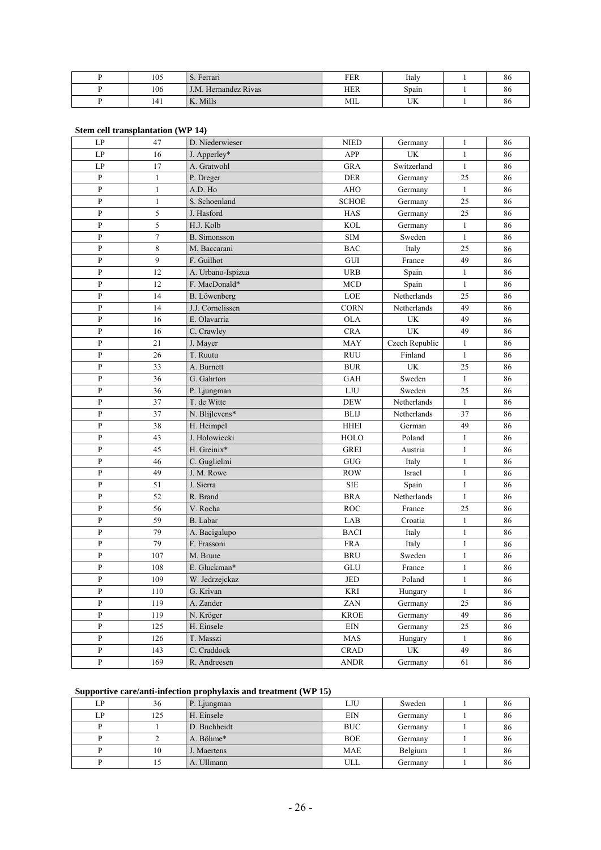| 105 | $\mathbf{r}$<br>S. Ferrari | <b>FER</b> | Italy            | oυ |
|-----|----------------------------|------------|------------------|----|
| 106 | J.M. Hernandez Rivas       | <b>HER</b> | Spain            | oс |
| 141 | K. Mills                   | МIL        | <b>TTZ</b><br>UN | oυ |

| LP                         | 47             | D. Niederwieser     | <b>NIED</b>  | Germany                         | 1            | 86 |
|----------------------------|----------------|---------------------|--------------|---------------------------------|--------------|----|
| LP                         | 16             | J. Apperley*        | APP          | UK                              | $\mathbf{1}$ | 86 |
| $\ensuremath{\mathrm{LP}}$ | $17\,$         | A. Gratwohl         | <b>GRA</b>   | Switzerland                     | $\mathbf{1}$ | 86 |
| P                          | $\mathbf{1}$   | P. Dreger           | <b>DER</b>   | Germany                         | 25           | 86 |
| $\, {\bf P}$               | $\mathbf{1}$   | A.D. Ho             | <b>AHO</b>   | Germany                         | $\mathbf{1}$ | 86 |
| $\, {\bf P}$               | $\mathbf{1}$   | S. Schoenland       | <b>SCHOE</b> | Germany                         | 25           | 86 |
| $\, {\bf p}$               | 5              | J. Hasford          | <b>HAS</b>   | Germany                         | 25           | 86 |
| $\, {\bf p}$               | 5              | H.J. Kolb           | <b>KOL</b>   | Germany                         | $\mathbf{1}$ | 86 |
| P                          | $\overline{7}$ | <b>B.</b> Simonsson | <b>SIM</b>   | Sweden                          | $\mathbf{1}$ | 86 |
| $\, {\bf P}$               | 8              | M. Baccarani        | <b>BAC</b>   | Italy                           | 25           | 86 |
| $\mathbf{P}$               | 9              | F. Guilhot          | ${\rm GUI}$  | France                          | 49           | 86 |
| P                          | 12             | A. Urbano-Ispizua   | <b>URB</b>   | Spain                           | $\mathbf{1}$ | 86 |
| P                          | 12             | F. MacDonald*       | <b>MCD</b>   | Spain                           | $\mathbf{1}$ | 86 |
| $\, {\bf P}$               | 14             | B. Löwenberg        | LOE          | Netherlands                     | 25           | 86 |
| $\mathbf{P}$               | 14             | J.J. Cornelissen    | <b>CORN</b>  | Netherlands                     | 49           | 86 |
| $\, {\bf p}$               | 16             | E. Olavarria        | <b>OLA</b>   | UK                              | 49           | 86 |
| $\, {\bf p}$               | 16             | C. Crawley          | <b>CRA</b>   | <b>UK</b>                       | 49           | 86 |
| $\, {\bf p}$               | 21             | J. Mayer            | MAY          | Czech Republic                  | $\mathbf{1}$ | 86 |
| $\, {\bf p}$               | $26\,$         | T. Ruutu            | <b>RUU</b>   | Finland                         | $\mathbf{1}$ | 86 |
| $\, {\bf P}$               | 33             | A. Burnett          | $\rm BUR$    | UK                              | 25           | 86 |
| P                          | 36             | G. Gahrton          | <b>GAH</b>   | Sweden                          | $\mathbf{1}$ | 86 |
| $\, {\bf P}$               | 36             | P. Ljungman         | $_{\rm LJU}$ | Sweden                          | 25           | 86 |
| P                          | 37             | T. de Witte         | <b>DEW</b>   | Netherlands                     | $\mathbf{1}$ | 86 |
| $\, {\bf p}$               | 37             | N. Blijlevens*      | <b>BLIJ</b>  | Netherlands                     | 37           | 86 |
| $\, {\bf p}$               | 38             | H. Heimpel          | <b>HHEI</b>  | German                          | 49           | 86 |
| $\, {\bf p}$               | 43             | J. Holowiecki       | HOLO         | Poland                          | $\mathbf{1}$ | 86 |
| $\, {\bf p}$               | 45             | H. Greinix*         | <b>GREI</b>  | Austria                         | $\mathbf{1}$ | 86 |
| P                          | 46             | C. Guglielmi        | GUG          | Italy                           | $\mathbf{1}$ | 86 |
| P                          | 49             | J. M. Rowe          | <b>ROW</b>   | Israel                          | $\mathbf{1}$ | 86 |
| P                          | 51             | J. Sierra           | <b>SIE</b>   | Spain                           | $\mathbf{1}$ | 86 |
| $\, {\bf P}$               | 52             | R. Brand            | <b>BRA</b>   | Netherlands                     | $\mathbf{1}$ | 86 |
| P                          | 56             | V. Rocha            | <b>ROC</b>   | France                          | 25           | 86 |
| $\mathbf{P}$               | 59             | B. Labar            | LAB          | Croatia                         | $\mathbf{1}$ | 86 |
| P                          | 79             | A. Bacigalupo       | <b>BACI</b>  | Italy                           | $\mathbf{1}$ | 86 |
| $\mathbf{P}$               | 79             | F. Frassoni         | <b>FRA</b>   | Italy                           | $\mathbf{1}$ | 86 |
| $\mathbf{P}$               | 107            | M. Brune            | <b>BRU</b>   | Sweden                          | $\mathbf{1}$ | 86 |
| $\, {\bf p}$               | 108            | E. Gluckman*        | GLU          | France                          | $\mathbf{1}$ | 86 |
| P                          | 109            | W. Jedrzejckaz      | JED          | Poland                          | $\mathbf{1}$ | 86 |
| ${\bf P}$                  | 110            | G. Krivan           | KRI          | Hungary                         | $\mathbf{1}$ | 86 |
| $\, {\bf p}$               | 119            | A. Zander           | ZAN          | Germany                         | 25           | 86 |
| $\, {\bf P}$               | 119            | N. Kröger           | <b>KROE</b>  | Germany                         | 49           | 86 |
| $\, {\bf p}$               | 125            | H. Einsele          | $\rm{EIN}$   | Germany                         | 25           | 86 |
| $\mathbf{P}$               | 126            | T. Masszi           | MAS          | Hungary                         | $\mathbf{1}$ | 86 |
| $\, {\bf p}$               | 143            | C. Craddock         | CRAD         | $\ensuremath{\text{UK}}\xspace$ | 49           | 86 |
| $\, {\bf p}$               | 169            | R. Andreesen        | ANDR         | Germany                         | 61           | 86 |

#### **Stem cell transplantation (WP 14)**

### **Supportive care/anti-infection prophylaxis and treatment (WP 15)**

| LP | 36  | P. Ljungman  | LJU        | Sweden  | 86 |
|----|-----|--------------|------------|---------|----|
| LP | 125 | H. Einsele   | <b>EIN</b> | Germany | 86 |
|    |     | D. Buchheidt | <b>BUC</b> | Germany | 86 |
|    |     | A. Böhme*    | <b>BOE</b> | Germany | 86 |
|    | 10  | J. Maertens  | <b>MAE</b> | Belgium | 86 |
|    | 15  | A. Ullmann   | ULL        | Germany | 86 |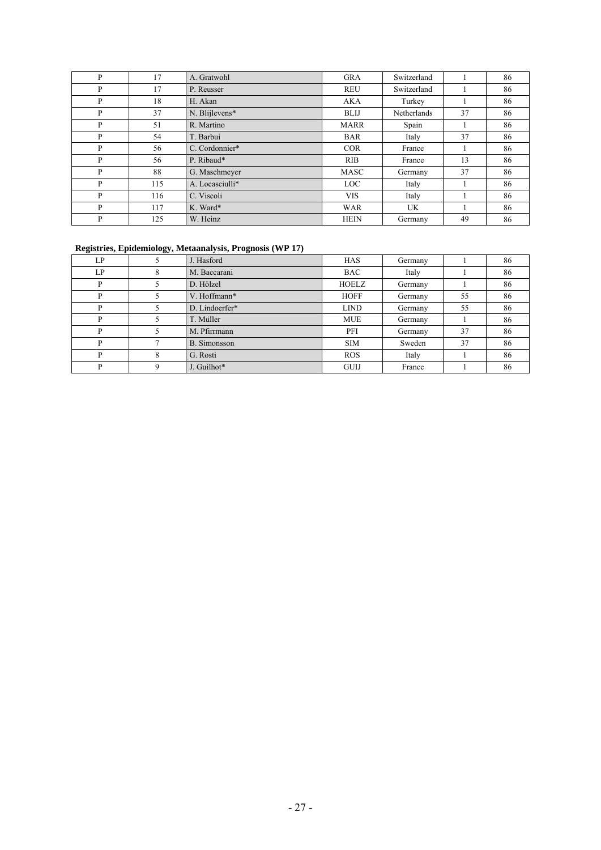| P | 17  | A. Gratwohl     | <b>GRA</b>       | Switzerland |    | 86 |
|---|-----|-----------------|------------------|-------------|----|----|
| P | 17  | P. Reusser      | <b>REU</b>       | Switzerland |    | 86 |
| P | 18  | H. Akan         | <b>AKA</b>       | Turkey      |    | 86 |
| P | 37  | N. Blijlevens*  | <b>BLIJ</b>      | Netherlands | 37 | 86 |
| P | 51  | R. Martino      | <b>MARR</b>      | Spain       |    | 86 |
| P | 54  | T. Barbui       | BAR              | Italy       | 37 | 86 |
| P | 56  | C. Cordonnier*  | <b>COR</b>       | France      |    | 86 |
| P | 56  | P. Ribaud*      | <b>RIB</b>       | France      | 13 | 86 |
| P | 88  | G. Maschmever   | MASC             | Germany     | 37 | 86 |
| P | 115 | A. Locasciulli* | LOC <sup>1</sup> | Italy       |    | 86 |
| P | 116 | C. Viscoli      | <b>VIS</b>       | Italy       |    | 86 |
| P | 117 | K. Ward*        | <b>WAR</b>       | <b>UK</b>   |    | 86 |
| P | 125 | W. Heinz        | <b>HEIN</b>      | Germany     | 49 | 86 |

#### **Registries, Epidemiology, Metaanalysis, Prognosis (WP 17)**

| LP |    | J. Hasford     | <b>HAS</b>   | Germany |    | 86 |
|----|----|----------------|--------------|---------|----|----|
| LP | Δ. | M. Baccarani   | <b>BAC</b>   | Italy   |    | 86 |
| P  |    | D. Hölzel      | <b>HOELZ</b> | Germany |    | 86 |
| P  |    | V. Hoffmann*   | <b>HOFF</b>  | Germany | 55 | 86 |
| P  |    | D. Lindoerfer* | <b>LIND</b>  | Germany | 55 | 86 |
| P  |    | T. Müller      | <b>MUE</b>   | Germany |    | 86 |
| D  |    | M. Pfirrmann   | PFI          | Germany | 37 | 86 |
| P  |    | B. Simonsson   | <b>SIM</b>   | Sweden  | 37 | 86 |
| D  | 8  | G. Rosti       | <b>ROS</b>   | Italy   |    | 86 |
| D  | Q  | J. Guilhot*    | <b>GUIJ</b>  | France  |    | 86 |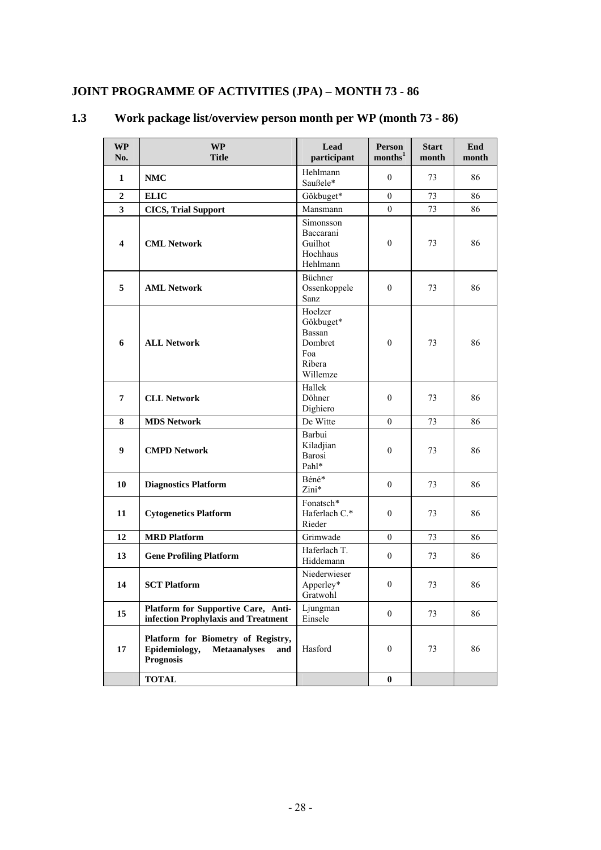# **JOINT PROGRAMME OF ACTIVITIES (JPA) – MONTH 73 - 86**

| <b>WP</b><br>No.        | <b>WP</b><br><b>Title</b>                                                                             | Lead<br>participant                                                    | Person<br>$\text{months}^1$ | <b>Start</b><br>month | End<br>month |
|-------------------------|-------------------------------------------------------------------------------------------------------|------------------------------------------------------------------------|-----------------------------|-----------------------|--------------|
| 1                       | <b>NMC</b>                                                                                            | Hehlmann<br>Saußele*                                                   | $\overline{0}$              | 73                    | 86           |
| $\overline{2}$          | <b>ELIC</b>                                                                                           | Gökbuget*                                                              | $\mathbf{0}$                | 73                    | 86           |
| 3                       | <b>CICS, Trial Support</b>                                                                            | Mansmann                                                               | $\mathbf{0}$                | 73                    | 86           |
| $\overline{\mathbf{4}}$ | <b>CML Network</b>                                                                                    | Simonsson<br>Baccarani<br>Guilhot<br>Hochhaus<br>Hehlmann              | $\boldsymbol{0}$            | 73                    | 86           |
| 5                       | <b>AML Network</b>                                                                                    | Büchner<br>Ossenkoppele<br>Sanz                                        | $\mathbf{0}$                | 73                    | 86           |
| 6                       | <b>ALL Network</b>                                                                                    | Hoelzer<br>Gökbuget*<br>Bassan<br>Dombret<br>Foa<br>Ribera<br>Willemze | $\boldsymbol{0}$            | 73                    | 86           |
| $7\phantom{.0}$         | <b>CLL Network</b>                                                                                    | Hallek<br>Döhner<br>Dighiero                                           | $\mathbf{0}$                | 73                    | 86           |
| 8                       | <b>MDS Network</b>                                                                                    | De Witte                                                               | $\theta$                    | 73                    | 86           |
| 9                       | <b>CMPD Network</b>                                                                                   | Barbui<br>Kiladjian<br>Barosi<br>Pahl*                                 | $\boldsymbol{0}$            | 73                    | 86           |
| 10                      | <b>Diagnostics Platform</b>                                                                           | Béné*<br>Zini*                                                         | $\mathbf{0}$                | 73                    | 86           |
| 11                      | <b>Cytogenetics Platform</b>                                                                          | Fonatsch*<br>Haferlach C.*<br>Rieder                                   | $\mathbf{0}$                | 73                    | 86           |
| 12                      | <b>MRD Platform</b>                                                                                   | Grimwade                                                               | $\overline{0}$              | 73                    | 86           |
| 13                      | <b>Gene Profiling Platform</b>                                                                        | Haferlach T.<br>Hiddemann                                              | $\boldsymbol{0}$            | 73                    | 86           |
| 14                      | <b>SCT Platform</b>                                                                                   | Niederwieser<br>Apperley*<br>Gratwohl                                  | $\boldsymbol{0}$            | 73                    | 86           |
| 15                      | Platform for Supportive Care, Anti-<br>infection Prophylaxis and Treatment                            | Ljungman<br>Einsele                                                    | $\boldsymbol{0}$            | 73                    | 86           |
| 17                      | Platform for Biometry of Registry,<br>Epidemiology,<br><b>Metaanalyses</b><br>and<br><b>Prognosis</b> | Hasford                                                                | $\boldsymbol{0}$            | 73                    | 86           |
|                         | <b>TOTAL</b>                                                                                          |                                                                        | $\bf{0}$                    |                       |              |

# **1.3 Work package list/overview person month per WP (month 73 - 86)**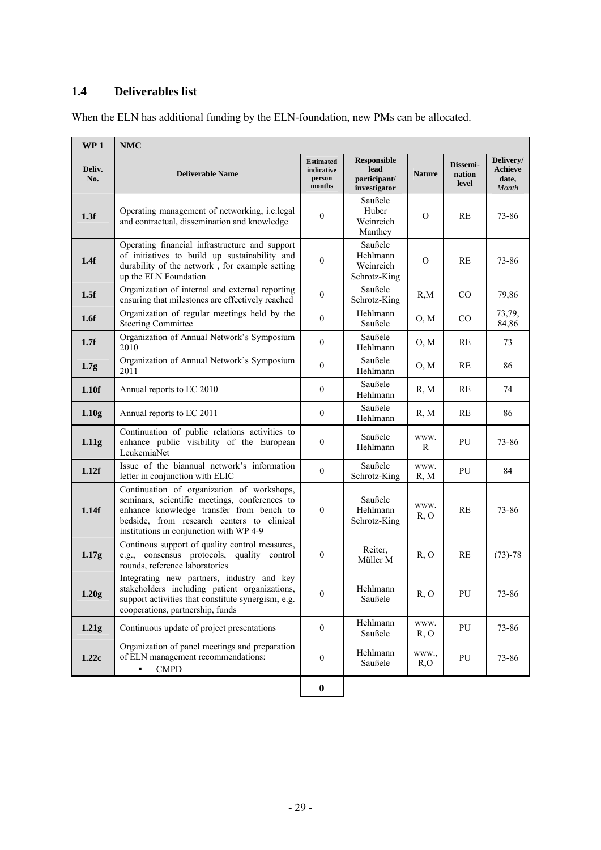### **1.4 Deliverables list**

| WP <sub>1</sub>   | <b>NMC</b>                                                                                                                                                                                                                       |                                                    |                                                            |               |                             |                                               |
|-------------------|----------------------------------------------------------------------------------------------------------------------------------------------------------------------------------------------------------------------------------|----------------------------------------------------|------------------------------------------------------------|---------------|-----------------------------|-----------------------------------------------|
| Deliv.<br>No.     | <b>Deliverable Name</b>                                                                                                                                                                                                          | <b>Estimated</b><br>indicative<br>person<br>months | <b>Responsible</b><br>lead<br>participant/<br>investigator | <b>Nature</b> | Dissemi-<br>nation<br>level | Delivery/<br><b>Achieve</b><br>date,<br>Month |
| 1.3f              | Operating management of networking, i.e.legal<br>and contractual, dissemination and knowledge                                                                                                                                    | $\mathbf{0}$                                       | Saußele<br>Huber<br>Weinreich<br>Manthey                   | $\Omega$      | RE                          | 73-86                                         |
| 1.4f              | Operating financial infrastructure and support<br>of initiatives to build up sustainability and<br>durability of the network, for example setting<br>up the ELN Foundation                                                       | $\boldsymbol{0}$                                   | Saußele<br>Hehlmann<br>Weinreich<br>Schrotz-King           | $\Omega$      | RE                          | 73-86                                         |
| 1.5f              | Organization of internal and external reporting<br>ensuring that milestones are effectively reached                                                                                                                              | $\boldsymbol{0}$                                   | Saußele<br>Schrotz-King                                    | R,M           | $\rm CO$                    | 79,86                                         |
| 1.6f              | Organization of regular meetings held by the<br><b>Steering Committee</b>                                                                                                                                                        | $\mathbf{0}$                                       | Hehlmann<br>Saußele                                        | O, M          | CO                          | 73,79,<br>84,86                               |
| 1.7f              | Organization of Annual Network's Symposium<br>2010                                                                                                                                                                               | $\theta$                                           | Saußele<br>Hehlmann                                        | O, M          | RE                          | 73                                            |
| 1.7 <sub>g</sub>  | Organization of Annual Network's Symposium<br>2011                                                                                                                                                                               | $\mathbf{0}$                                       | Saußele<br>Hehlmann                                        | O, M          | RE                          | 86                                            |
| 1.10f             | Annual reports to EC 2010                                                                                                                                                                                                        | $\mathbf{0}$                                       | Saußele<br>Hehlmann                                        | R, M          | RE                          | 74                                            |
| 1.10 <sub>g</sub> | Annual reports to EC 2011                                                                                                                                                                                                        | $\mathbf{0}$                                       | Saußele<br>Hehlmann                                        | R, M          | RE                          | 86                                            |
| 1.11 <sub>g</sub> | Continuation of public relations activities to<br>enhance public visibility of the European<br>LeukemiaNet                                                                                                                       | $\mathbf{0}$                                       | Saußele<br>Hehlmann                                        | WWW.<br>R     | PU                          | 73-86                                         |
| 1.12f             | Issue of the biannual network's information<br>letter in conjunction with ELIC                                                                                                                                                   | $\mathbf{0}$                                       | Saußele<br>Schrotz-King                                    | WWW.<br>R, M  | PU                          | 84                                            |
| 1.14f             | Continuation of organization of workshops,<br>seminars, scientific meetings, conferences to<br>enhance knowledge transfer from bench to<br>bedside, from research centers to clinical<br>institutions in conjunction with WP 4-9 | $\mathbf{0}$                                       | Saußele<br>Hehlmann<br>Schrotz-King                        | WWW.<br>R, O  | RE                          | 73-86                                         |
| 1.17g             | Continous support of quality control measures,<br>consensus protocols, quality control<br>e.g.,<br>rounds, reference laboratories                                                                                                | $\boldsymbol{0}$                                   | Reiter,<br>Müller M                                        | R, O          | RE                          | $(73) - 78$                                   |
| 1.20g             | Integrating new partners, industry and key<br>stakeholders including patient organizations,<br>support activities that constitute synergism, e.g.<br>cooperations, partnership, funds                                            | $\mathbf{0}$                                       | Hehlmann<br>Saußele                                        | R, O          | PU                          | 73-86                                         |
| 1.21g             | Continuous update of project presentations                                                                                                                                                                                       | $\overline{0}$                                     | Hehlmann<br>Saußele                                        | www.<br>R, O  | PU                          | 73-86                                         |
| 1.22c             | Organization of panel meetings and preparation<br>of ELN management recommendations:<br><b>CMPD</b><br>٠                                                                                                                         | $\boldsymbol{0}$                                   | Hehlmann<br>Saußele                                        | WWW.,<br>R,O  | PU                          | 73-86                                         |
|                   |                                                                                                                                                                                                                                  | $\pmb{0}$                                          |                                                            |               |                             |                                               |

When the ELN has additional funding by the ELN-foundation, new PMs can be allocated.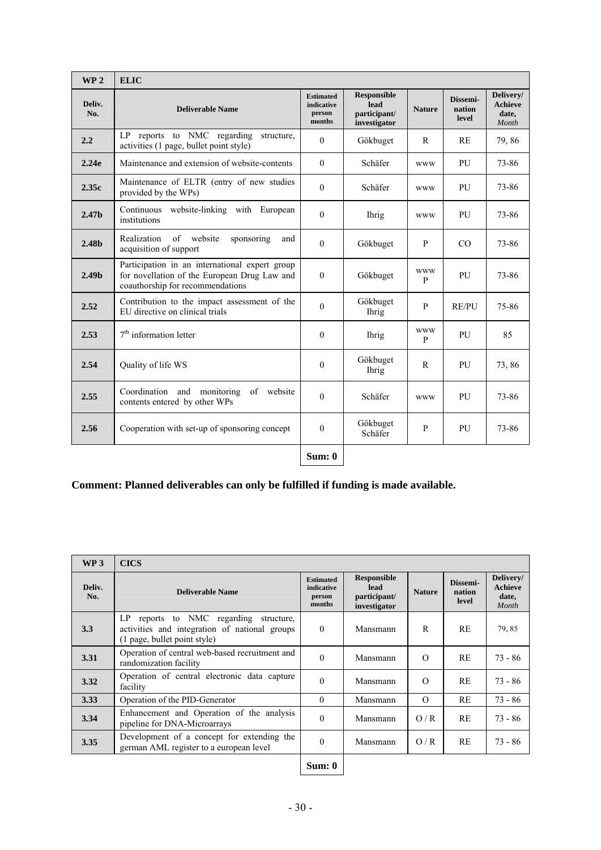| WP <sub>2</sub>   | <b>ELIC</b>                                                                                                                        |                                                    |                                                            |                            |                             |                                               |
|-------------------|------------------------------------------------------------------------------------------------------------------------------------|----------------------------------------------------|------------------------------------------------------------|----------------------------|-----------------------------|-----------------------------------------------|
| Deliv.<br>No.     | <b>Deliverable Name</b>                                                                                                            | <b>Estimated</b><br>indicative<br>person<br>months | <b>Responsible</b><br>lead<br>participant/<br>investigator | <b>Nature</b>              | Dissemi-<br>nation<br>level | Delivery/<br><b>Achieve</b><br>date,<br>Month |
| 2.2               | to NMC regarding<br>LP.<br>reports<br>structure,<br>activities (1 page, bullet point style)                                        | $\Omega$                                           | Gökbuget                                                   | R                          | RE                          | 79,86                                         |
| 2.24e             | Maintenance and extension of website-contents                                                                                      | $\Omega$                                           | Schäfer                                                    | <b>WWW</b>                 | PU                          | 73-86                                         |
| 2.35c             | Maintenance of ELTR (entry of new studies<br>provided by the WPs)                                                                  | $\mathbf{0}$                                       | Schäfer                                                    | <b>WWW</b>                 | PU                          | 73-86                                         |
| 2.47 <sub>b</sub> | Continuous website-linking with European<br>institutions                                                                           | $\theta$                                           | <b>Ihrig</b>                                               | <b>WWW</b>                 | PU                          | 73-86                                         |
| 2.48 <sub>b</sub> | of website<br>Realization<br>sponsoring<br>and<br>acquisition of support                                                           | $\theta$                                           | Gökbuget                                                   | P                          | CO                          | 73-86                                         |
| 2.49 <sub>b</sub> | Participation in an international expert group<br>for novellation of the European Drug Law and<br>coauthorship for recommendations | $\theta$                                           | Gökbuget                                                   | <b>WWW</b><br>P            | PU                          | 73-86                                         |
| 2.52              | Contribution to the impact assessment of the<br>EU directive on clinical trials                                                    | $\theta$                                           | Gökbuget<br><b>Ihrig</b>                                   | $\mathbf{P}$               | <b>RE/PU</b>                | 75-86                                         |
| 2.53              | $7th$ information letter                                                                                                           | $\mathbf{0}$                                       | <b>Ihrig</b>                                               | <b>WWW</b><br>$\mathbf{P}$ | PU                          | 85                                            |
| 2.54              | Quality of life WS                                                                                                                 | $\mathbf{0}$                                       | Gökbuget<br><b>Ihrig</b>                                   | $\mathbf{R}$               | PU                          | 73,86                                         |
| 2.55              | Coordination and monitoring<br>of website<br>contents entered by other WPs                                                         | $\theta$                                           | Schäfer                                                    | <b>WWW</b>                 | PU                          | 73-86                                         |
| 2.56              | Cooperation with set-up of sponsoring concept                                                                                      | $\mathbf{0}$                                       | Gökbuget<br>Schäfer                                        | $\mathbf{P}$               | PU                          | 73-86                                         |
|                   |                                                                                                                                    | Sum: 0                                             |                                                            |                            |                             |                                               |

# **Comment: Planned deliverables can only be fulfilled if funding is made available.**

| WP3           | <b>CICS</b>                                                                                                                 |                                                    |                                                            |               |                             |                                        |
|---------------|-----------------------------------------------------------------------------------------------------------------------------|----------------------------------------------------|------------------------------------------------------------|---------------|-----------------------------|----------------------------------------|
| Deliv.<br>No. | <b>Deliverable Name</b>                                                                                                     | <b>Estimated</b><br>indicative<br>person<br>months | <b>Responsible</b><br>lead<br>participant/<br>investigator | <b>Nature</b> | Dissemi-<br>nation<br>level | Delivery/<br>Achieve<br>date,<br>Month |
| 3.3           | LP.<br>reports to NMC regarding structure,<br>activities and integration of national groups<br>(1 page, bullet point style) | $\Omega$                                           | Mansmann                                                   | R             | <b>RE</b>                   | 79,85                                  |
| 3.31          | Operation of central web-based recruitment and<br>randomization facility                                                    | $\Omega$                                           | Mansmann                                                   | $\Omega$      | RE                          | $73 - 86$                              |
| 3.32          | Operation of central electronic data capture<br>facility                                                                    | $\Omega$                                           | Mansmann                                                   | $\Omega$      | RE                          | $73 - 86$                              |
| 3.33          | Operation of the PID-Generator                                                                                              | $\theta$                                           | Mansmann                                                   | $\Omega$      | RE                          | 73 - 86                                |
| 3.34          | Enhancement and Operation of the analysis<br>pipeline for DNA-Microarrays                                                   | $\Omega$                                           | Mansmann                                                   | O/R           | <b>RE</b>                   | $73 - 86$                              |
| 3.35          | Development of a concept for extending the<br>german AML register to a european level                                       | $\Omega$                                           | Mansmann                                                   | O/R           | RE                          | $73 - 86$                              |
|               |                                                                                                                             | Sum: 0                                             |                                                            |               |                             |                                        |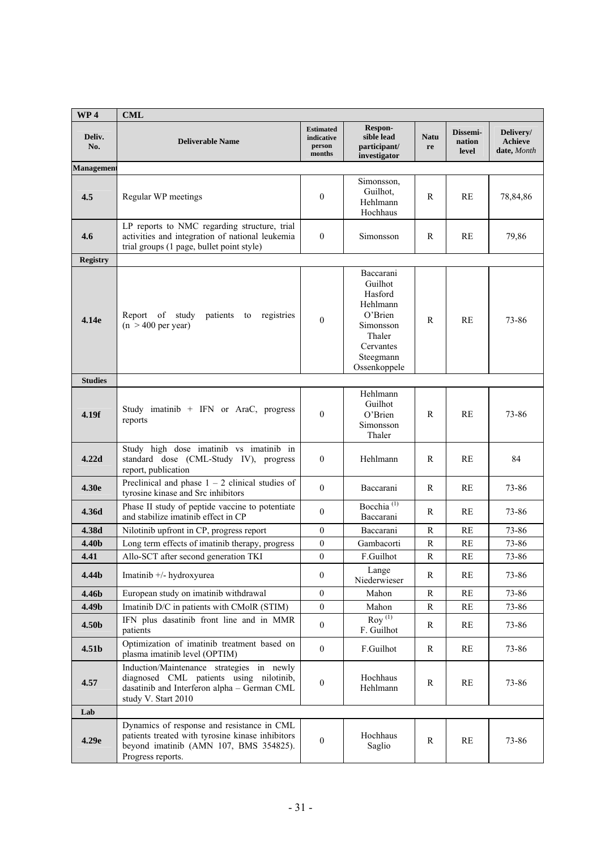| WP <sub>4</sub>   | <b>CML</b>                                                                                                                                                    |                                                    |                                                                                                                         |                   |                             |                                            |
|-------------------|---------------------------------------------------------------------------------------------------------------------------------------------------------------|----------------------------------------------------|-------------------------------------------------------------------------------------------------------------------------|-------------------|-----------------------------|--------------------------------------------|
| Deliv.<br>No.     | <b>Deliverable Name</b>                                                                                                                                       | <b>Estimated</b><br>indicative<br>person<br>months | Respon-<br>sible lead<br>participant/<br>investigator                                                                   | <b>Natu</b><br>re | Dissemi-<br>nation<br>level | Delivery/<br><b>Achieve</b><br>date, Month |
| Management        |                                                                                                                                                               |                                                    |                                                                                                                         |                   |                             |                                            |
| 4.5               | Regular WP meetings                                                                                                                                           | $\mathbf{0}$                                       | Simonsson,<br>Guilhot,<br>Hehlmann<br>Hochhaus                                                                          | $\mathbb{R}$      | RE                          | 78,84,86                                   |
| 4.6               | LP reports to NMC regarding structure, trial<br>activities and integration of national leukemia<br>trial groups (1 page, bullet point style)                  | $\mathbf{0}$                                       | Simonsson                                                                                                               | R                 | RE                          | 79,86                                      |
| <b>Registry</b>   |                                                                                                                                                               |                                                    |                                                                                                                         |                   |                             |                                            |
| 4.14e             | Report<br>of study<br>patients<br>registries<br>to<br>$(n > 400$ per year)                                                                                    | $\mathbf{0}$                                       | Baccarani<br>Guilhot<br>Hasford<br>Hehlmann<br>O'Brien<br>Simonsson<br>Thaler<br>Cervantes<br>Steegmann<br>Ossenkoppele | R                 | RE                          | 73-86                                      |
| <b>Studies</b>    |                                                                                                                                                               |                                                    |                                                                                                                         |                   |                             |                                            |
| 4.19f             | Study imatinib $+$ IFN or AraC, progress<br>reports                                                                                                           | $\mathbf{0}$                                       | Hehlmann<br>Guilhot<br>O'Brien<br>Simonsson<br>Thaler                                                                   | R                 | RE                          | 73-86                                      |
| 4.22d             | Study high dose imatinib vs imatinib in<br>standard dose (CML-Study IV), progress<br>report, publication                                                      | $\boldsymbol{0}$                                   | Hehlmann                                                                                                                | R                 | RE                          | 84                                         |
| 4.30e             | Preclinical and phase $1 - 2$ clinical studies of<br>tyrosine kinase and Src inhibitors                                                                       | $\mathbf{0}$                                       | Baccarani                                                                                                               | R                 | RE                          | 73-86                                      |
| 4.36d             | Phase II study of peptide vaccine to potentiate<br>and stabilize imatinib effect in CP                                                                        | $\theta$                                           | Bocchia <sup>(1)</sup><br>Baccarani                                                                                     | R                 | RE                          | 73-86                                      |
| 4.38d             | Nilotinib upfront in CP, progress report                                                                                                                      | $\mathbf{0}$                                       | Baccarani                                                                                                               | $\mathbb{R}$      | RE                          | 73-86                                      |
| 4.40b             | Long term effects of imatinib therapy, progress                                                                                                               | $\boldsymbol{0}$                                   | Gambacorti                                                                                                              | R                 | RE                          | 73-86                                      |
| 4.41              | Allo-SCT after second generation TKI                                                                                                                          | $\mathbf{0}$                                       | F.Guilhot                                                                                                               | $\mathbb{R}$      | RE                          | 73-86                                      |
| 4.44 <sub>b</sub> | Imatinib +/- hydroxyurea                                                                                                                                      | $\overline{0}$                                     | Lange<br>Niederwieser                                                                                                   | R                 | RE                          | 73-86                                      |
| 4.46b             | European study on imatinib withdrawal                                                                                                                         | $\overline{0}$                                     | Mahon                                                                                                                   | R                 | RE                          | 73-86                                      |
| 4.49b             | Imatinib D/C in patients with CMolR (STIM)                                                                                                                    | $\boldsymbol{0}$                                   | Mahon                                                                                                                   | R                 | RE                          | 73-86                                      |
| 4.50b             | IFN plus dasatinib front line and in MMR<br>patients                                                                                                          | $\boldsymbol{0}$                                   | $\overline{\mathrm{Rov}}^{(1)}$<br>F. Guilhot                                                                           | R                 | RE                          | 73-86                                      |
| 4.51 <sub>b</sub> | Optimization of imatinib treatment based on<br>plasma imatinib level (OPTIM)                                                                                  | $\overline{0}$                                     | F.Guilhot                                                                                                               | R                 | RE                          | 73-86                                      |
| 4.57              | Induction/Maintenance strategies in newly<br>diagnosed CML patients using nilotinib,<br>dasatinib and Interferon alpha - German CML<br>study V. Start 2010    | $\boldsymbol{0}$                                   | Hochhaus<br>Hehlmann                                                                                                    | R                 | RE                          | 73-86                                      |
| Lab               |                                                                                                                                                               |                                                    |                                                                                                                         |                   |                             |                                            |
| 4.29e             | Dynamics of response and resistance in CML<br>patients treated with tyrosine kinase inhibitors<br>beyond imatinib (AMN 107, BMS 354825).<br>Progress reports. | $\overline{0}$                                     | Hochhaus<br>Saglio                                                                                                      | R                 | $\mathbf{RE}$               | 73-86                                      |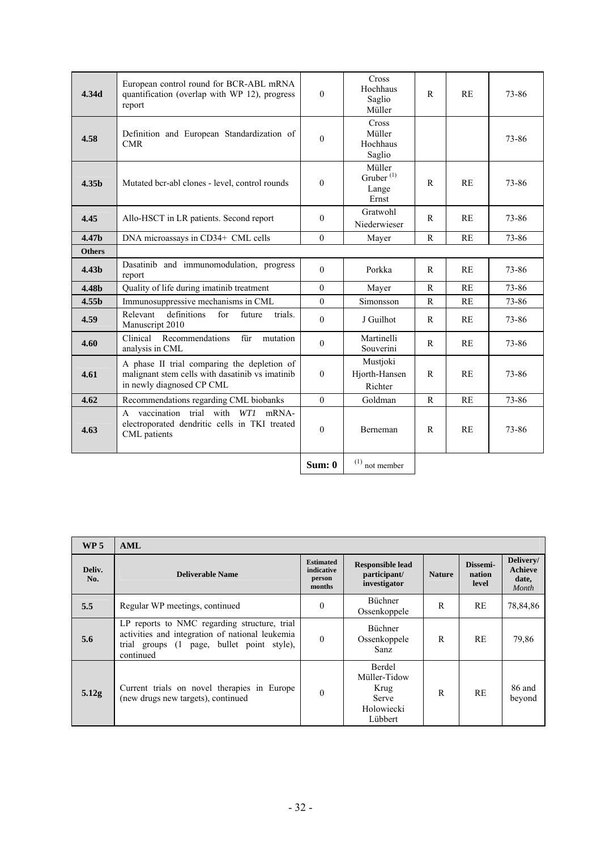| 4.34d             | European control round for BCR-ABL mRNA<br>quantification (overlap with WP 12), progress<br>report                          | $\theta$         | Cross<br>Hochhaus<br>Saglio<br>Müller             | $\mathsf{R}$ | RE | 73-86 |
|-------------------|-----------------------------------------------------------------------------------------------------------------------------|------------------|---------------------------------------------------|--------------|----|-------|
| 4.58              | Definition and European Standardization of<br><b>CMR</b>                                                                    | $\theta$         | Cross<br>Müller<br>Hochhaus<br>Saglio             |              |    | 73-86 |
| 4.35b             | Mutated bcr-abl clones - level, control rounds                                                                              | $\theta$         | Müller<br>Gruber <sup>(1)</sup><br>Lange<br>Ernst | $\mathbb{R}$ | RE | 73-86 |
| 4.45              | Allo-HSCT in LR patients. Second report                                                                                     | $\theta$         | Gratwohl<br>Niederwieser                          | R            | RE | 73-86 |
| 4.47b             | DNA microassays in CD34+ CML cells                                                                                          | $\Omega$         | Mayer                                             | $\mathbb{R}$ | RE | 73-86 |
| <b>Others</b>     |                                                                                                                             |                  |                                                   |              |    |       |
| 4.43 <sub>b</sub> | Dasatinib and immunomodulation, progress<br>report                                                                          | $\Omega$         | Porkka                                            | $\mathbb{R}$ | RE | 73-86 |
| 4.48b             | Quality of life during imatinib treatment                                                                                   | $\mathbf{0}$     | Mayer                                             | $\mathbf R$  | RE | 73-86 |
| 4.55 <sub>b</sub> | Immunosuppressive mechanisms in CML                                                                                         | $\theta$         | Simonsson                                         | $\mathbf R$  | RE | 73-86 |
| 4.59              | definitions<br>for<br>Relevant<br>future<br>trials.<br>Manuscript 2010                                                      | $\theta$         | J Guilhot                                         | R            | RE | 73-86 |
| 4.60              | Recommendations<br>Clinical<br>für<br>mutation<br>analysis in CML                                                           | $\theta$         | Martinelli<br>Souverini                           | R            | RE | 73-86 |
| 4.61              | A phase II trial comparing the depletion of<br>malignant stem cells with dasatinib vs imatinib<br>in newly diagnosed CP CML | $\theta$         | Mustjoki<br>Hjorth-Hansen<br>Richter              | $\mathsf{R}$ | RE | 73-86 |
| 4.62              | Recommendations regarding CML biobanks                                                                                      | $\theta$         | Goldman                                           | $\mathbf R$  | RE | 73-86 |
| 4.63              | vaccination trial with WTI mRNA-<br>$\mathsf{A}$<br>electroporated dendritic cells in TKI treated<br>CML patients           | $\boldsymbol{0}$ | Berneman                                          | R            | RE | 73-86 |
|                   |                                                                                                                             | Sum: 0           | $(1)$ not member                                  |              |    |       |

| WP <sub>5</sub> | AML                                                                                                                                                        |                                                    |                                                                                |               |                             |                                               |
|-----------------|------------------------------------------------------------------------------------------------------------------------------------------------------------|----------------------------------------------------|--------------------------------------------------------------------------------|---------------|-----------------------------|-----------------------------------------------|
| Deliv.<br>No.   | <b>Deliverable Name</b>                                                                                                                                    | <b>Estimated</b><br>indicative<br>person<br>months | <b>Responsible lead</b><br>participant/<br>investigator                        | <b>Nature</b> | Dissemi-<br>nation<br>level | Delivery/<br><b>Achieve</b><br>date,<br>Month |
| 5.5             | Regular WP meetings, continued                                                                                                                             | $\theta$                                           | <b>Büchner</b><br>Ossenkoppele                                                 | R             | <b>RE</b>                   | 78,84,86                                      |
| 5.6             | LP reports to NMC regarding structure, trial<br>activities and integration of national leukemia<br>trial groups (1 page, bullet point style),<br>continued | $\theta$                                           | <b>Büchner</b><br>Ossenkoppele<br>Sanz.                                        | R             | <b>RE</b>                   | 79,86                                         |
| 5.12g           | Current trials on novel therapies in Europe<br>(new drugs new targets), continued                                                                          | $\theta$                                           | Berdel<br>Müller-Tidow<br><b>Krug</b><br><b>Serve</b><br>Holowiecki<br>Lübbert | R             | RE                          | 86 and<br>beyond                              |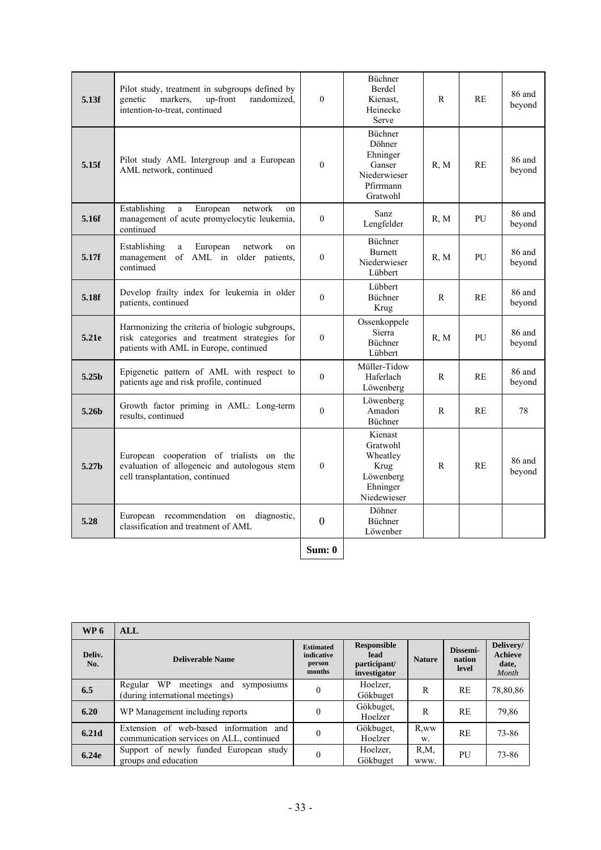| 5.13f             | Pilot study, treatment in subgroups defined by<br>markers.<br>randomized,<br>genetic<br>up-front<br>intention-to-treat, continued         | $\theta$     | <b>Büchner</b><br>Berdel<br>Kienast.<br>Heinecke<br>Serve                        | R    | <b>RE</b> | 86 and<br>beyond |
|-------------------|-------------------------------------------------------------------------------------------------------------------------------------------|--------------|----------------------------------------------------------------------------------|------|-----------|------------------|
| 5.15f             | Pilot study AML Intergroup and a European<br>AML network, continued                                                                       | $\mathbf{0}$ | Büchner<br>Döhner<br>Ehninger<br>Ganser<br>Niederwieser<br>Pfirrmann<br>Gratwohl | R, M | RE        | 86 and<br>beyond |
| 5.16f             | Establishing<br>European<br>network<br>a<br>on<br>management of acute promyelocytic leukemia,<br>continued                                | $\mathbf{0}$ | Sanz<br>Lengfelder                                                               | R, M | PU        | 86 and<br>beyond |
| 5.17f             | Establishing<br>European<br>network<br>a<br>on<br>management<br>of AML in older patients,<br>continued                                    | $\mathbf{0}$ | Büchner<br><b>Burnett</b><br>Niederwieser<br>Lübbert                             | R, M | PU        | 86 and<br>beyond |
| 5.18f             | Develop frailty index for leukemia in older<br>patients, continued                                                                        | $\theta$     | Lübbert<br>Büchner<br>Krug                                                       | R    | <b>RE</b> | 86 and<br>beyond |
| 5.21e             | Harmonizing the criteria of biologic subgroups,<br>risk categories and treatment strategies for<br>patients with AML in Europe, continued | $\mathbf{0}$ | Ossenkoppele<br><b>Sierra</b><br><b>Büchner</b><br>Lübbert                       | R, M | PU        | 86 and<br>beyond |
| 5.25 <sub>b</sub> | Epigenetic pattern of AML with respect to<br>patients age and risk profile, continued                                                     | $\theta$     | Müller-Tidow<br>Haferlach<br>Löwenberg                                           | R    | RE        | 86 and<br>beyond |
| 5.26 <sub>b</sub> | Growth factor priming in AML: Long-term<br>results, continued                                                                             | $\theta$     | Löwenberg<br>Amadori<br><b>Büchner</b>                                           | R    | <b>RE</b> | 78               |
| 5.27 <sub>b</sub> | European cooperation of trialists on the<br>evaluation of allogeneic and autologous stem<br>cell transplantation, continued               | $\theta$     | Kienast<br>Gratwohl<br>Wheatley<br>Krug<br>Löwenberg<br>Ehninger<br>Niedewieser  | R    | <b>RE</b> | 86 and<br>beyond |
| 5.28              | European recommendation on<br>diagnostic,<br>classification and treatment of AML                                                          | $\mathbf{0}$ | Döhner<br>Büchner<br>Löwenber                                                    |      |           |                  |
|                   |                                                                                                                                           | Sum: 0       |                                                                                  |      |           |                  |

| WP <sub>6</sub> | <b>ALL</b>                                                                               |                                                    |                                                            |                  |                             |                                               |
|-----------------|------------------------------------------------------------------------------------------|----------------------------------------------------|------------------------------------------------------------|------------------|-----------------------------|-----------------------------------------------|
| Deliv.<br>No.   | <b>Deliverable Name</b>                                                                  | <b>Estimated</b><br>indicative<br>person<br>months | <b>Responsible</b><br>lead<br>participant/<br>investigator | <b>Nature</b>    | Dissemi-<br>nation<br>level | Delivery/<br><b>Achieve</b><br>date,<br>Month |
| 6.5             | WP<br>Regular<br>meetings<br>and<br>symposiums<br>(during international meetings)        | $\overline{0}$                                     | Hoelzer,<br>Gökbuget                                       | R                | <b>RE</b>                   | 78,80,86                                      |
| 6.20            | WP Management including reports                                                          | $\theta$                                           | Gökbuget,<br>Hoelzer                                       | R                | <b>RE</b>                   | 79,86                                         |
| 6.21d           | web-based information<br>Extension of<br>and<br>communication services on ALL, continued | $\overline{0}$                                     | Gökbuget,<br>Hoelzer                                       | R,ww<br>W.       | <b>RE</b>                   | 73-86                                         |
| 6.24e           | Support of newly funded European study<br>groups and education                           | $\overline{0}$                                     | Hoelzer.<br>Gökbuget                                       | $R_1M_2$<br>WWW. | PU                          | 73-86                                         |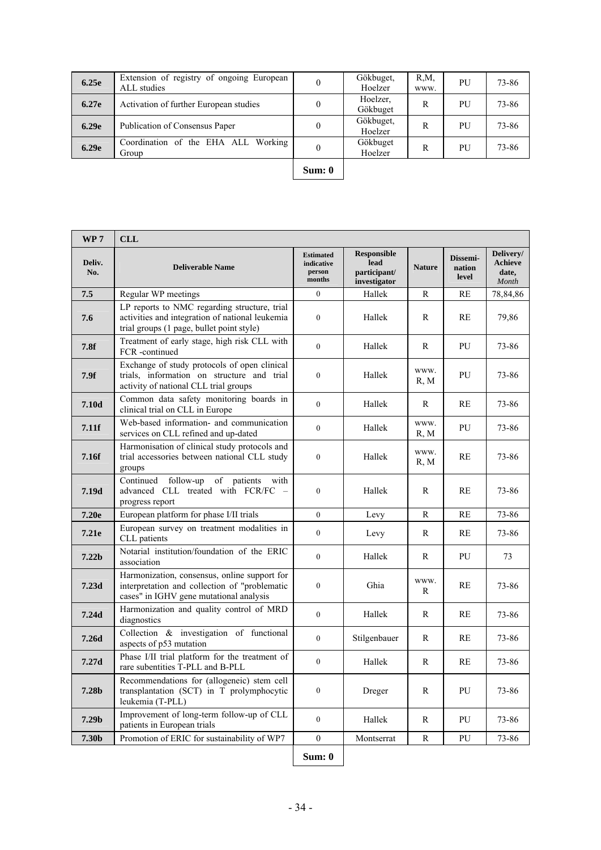| 6.25e | Extension of registry of ongoing European<br>ALL studies | $\theta$ | Gökbuget,<br>Hoelzer | $R_1M_2$<br>WWW. | PU | 73-86 |
|-------|----------------------------------------------------------|----------|----------------------|------------------|----|-------|
| 6.27e | Activation of further European studies                   | $\theta$ | Hoelzer,<br>Gökbuget | R                | PU | 73-86 |
| 6.29e | Publication of Consensus Paper                           |          | Gökbuget,<br>Hoelzer | R                | PU | 73-86 |
| 6.29e | Coordination of the EHA ALL Working<br>Group             | $\theta$ | Gökbuget<br>Hoelzer  | R                | PU | 73-86 |
|       |                                                          |          |                      |                  |    |       |

| <br>н |
|-------|
|-------|

| WP <sub>7</sub>   | <b>CLL</b>                                                                                                                                   |                                                    |                                                            |               |                             |                                        |
|-------------------|----------------------------------------------------------------------------------------------------------------------------------------------|----------------------------------------------------|------------------------------------------------------------|---------------|-----------------------------|----------------------------------------|
| Deliv.<br>No.     | <b>Deliverable Name</b>                                                                                                                      | <b>Estimated</b><br>indicative<br>person<br>months | <b>Responsible</b><br>lead<br>participant/<br>investigator | <b>Nature</b> | Dissemi-<br>nation<br>level | Delivery/<br>Achieve<br>date,<br>Month |
| 7.5               | Regular WP meetings                                                                                                                          | $\mathbf{0}$                                       | Hallek                                                     | R             | RE                          | 78,84,86                               |
| 7.6               | LP reports to NMC regarding structure, trial<br>activities and integration of national leukemia<br>trial groups (1 page, bullet point style) | $\mathbf{0}$                                       | Hallek                                                     | R             | RE                          | 79,86                                  |
| 7.8f              | Treatment of early stage, high risk CLL with<br>FCR -continued                                                                               | $\boldsymbol{0}$                                   | Hallek                                                     | R             | PU                          | 73-86                                  |
| 7.9f              | Exchange of study protocols of open clinical<br>trials, information on structure and trial<br>activity of national CLL trial groups          | $\boldsymbol{0}$                                   | Hallek                                                     | WWW.<br>R, M  | PU                          | 73-86                                  |
| 7.10d             | Common data safety monitoring boards in<br>clinical trial on CLL in Europe                                                                   | $\mathbf{0}$                                       | Hallek                                                     | R             | <b>RE</b>                   | 73-86                                  |
| 7.11f             | Web-based information- and communication<br>services on CLL refined and up-dated                                                             | $\mathbf{0}$                                       | Hallek                                                     | WWW.<br>R, M  | PU                          | 73-86                                  |
| 7.16f             | Harmonisation of clinical study protocols and<br>trial accessories between national CLL study<br>groups                                      | $\boldsymbol{0}$                                   | Hallek                                                     | WWW.<br>R, M  | RE                          | 73-86                                  |
| 7.19d             | follow-up of patients<br>Continued<br>with<br>advanced CLL treated with FCR/FC -<br>progress report                                          | $\mathbf{0}$                                       | Hallek                                                     | R             | RE                          | 73-86                                  |
| 7.20e             | European platform for phase I/II trials                                                                                                      | $\mathbf{0}$                                       | Levy                                                       | R             | <b>RE</b>                   | 73-86                                  |
| 7.21e             | European survey on treatment modalities in<br>CLL patients                                                                                   | $\boldsymbol{0}$                                   | Levy                                                       | R             | RE                          | 73-86                                  |
| 7.22 <sub>b</sub> | Notarial institution/foundation of the ERIC<br>association                                                                                   | $\boldsymbol{0}$                                   | Hallek                                                     | R             | PU                          | 73                                     |
| 7.23d             | Harmonization, consensus, online support for<br>interpretation and collection of "problematic<br>cases" in IGHV gene mutational analysis     | $\boldsymbol{0}$                                   | Ghia                                                       | WWW.<br>R     | RE                          | 73-86                                  |
| 7.24d             | Harmonization and quality control of MRD<br>diagnostics                                                                                      | $\boldsymbol{0}$                                   | Hallek                                                     | R             | RE                          | 73-86                                  |
| 7.26d             | Collection & investigation of functional<br>aspects of p53 mutation                                                                          | $\boldsymbol{0}$                                   | Stilgenbauer                                               | R             | RE                          | 73-86                                  |
| 7.27d             | Phase I/II trial platform for the treatment of<br>rare subentities T-PLL and B-PLL                                                           | $\boldsymbol{0}$                                   | Hallek                                                     | R             | <b>RE</b>                   | 73-86                                  |
| 7.28b             | Recommendations for (allogeneic) stem cell<br>transplantation (SCT) in T prolymphocytic<br>leukemia (T-PLL)                                  | $\boldsymbol{0}$                                   | Dreger                                                     | ${\bf R}$     | ${\rm PU}$                  | 73-86                                  |
| 7.29 <sub>b</sub> | Improvement of long-term follow-up of CLL<br>patients in European trials                                                                     | $\boldsymbol{0}$                                   | Hallek                                                     | R             | PU                          | 73-86                                  |
| 7.30b             | Promotion of ERIC for sustainability of WP7                                                                                                  | $\boldsymbol{0}$                                   | Montserrat                                                 | ${\bf R}$     | PU                          | 73-86                                  |
|                   |                                                                                                                                              | Sum: 0                                             |                                                            |               |                             |                                        |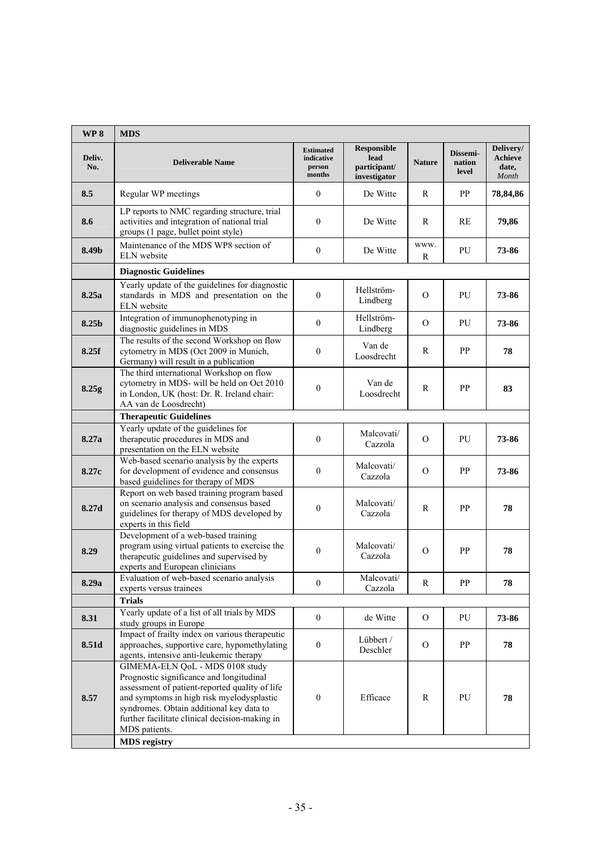| WP <sub>8</sub> | <b>MDS</b>                                                                                                                                                                                                                                                                                                       |                                                    |                                                            |               |                             |                                        |
|-----------------|------------------------------------------------------------------------------------------------------------------------------------------------------------------------------------------------------------------------------------------------------------------------------------------------------------------|----------------------------------------------------|------------------------------------------------------------|---------------|-----------------------------|----------------------------------------|
| Deliv.<br>No.   | <b>Deliverable Name</b>                                                                                                                                                                                                                                                                                          | <b>Estimated</b><br>indicative<br>person<br>months | <b>Responsible</b><br>lead<br>participant/<br>investigator | <b>Nature</b> | Dissemi-<br>nation<br>level | Delivery/<br>Achieve<br>date,<br>Month |
| 8.5             | Regular WP meetings                                                                                                                                                                                                                                                                                              | $\mathbf{0}$                                       | De Witte                                                   | R             | PP                          | 78,84,86                               |
| 8.6             | LP reports to NMC regarding structure, trial<br>activities and integration of national trial<br>groups (1 page, bullet point style)                                                                                                                                                                              | $\mathbf{0}$                                       | De Witte                                                   | R             | <b>RE</b>                   | 79,86                                  |
| 8.49b           | Maintenance of the MDS WP8 section of<br>ELN website                                                                                                                                                                                                                                                             | $\mathbf{0}$                                       | De Witte                                                   | WWW.<br>R     | PU                          | 73-86                                  |
|                 | <b>Diagnostic Guidelines</b>                                                                                                                                                                                                                                                                                     |                                                    |                                                            |               |                             |                                        |
| 8.25a           | Yearly update of the guidelines for diagnostic<br>standards in MDS and presentation on the<br>ELN website                                                                                                                                                                                                        | $\mathbf{0}$                                       | Hellström-<br>Lindberg                                     | $\Omega$      | PU                          | 73-86                                  |
| 8.25b           | Integration of immunophenotyping in<br>diagnostic guidelines in MDS                                                                                                                                                                                                                                              | $\mathbf{0}$                                       | Hellström-<br>Lindberg                                     | $\Omega$      | PU                          | 73-86                                  |
| 8.25f           | The results of the second Workshop on flow<br>cytometry in MDS (Oct 2009 in Munich,<br>Germany) will result in a publication                                                                                                                                                                                     | $\boldsymbol{0}$                                   | Van de<br>Loosdrecht                                       | R             | PP                          | 78                                     |
| 8.25g           | The third international Workshop on flow<br>cytometry in MDS- will be held on Oct 2010<br>in London, UK (host: Dr. R. Ireland chair:<br>AA van de Loosdrecht)                                                                                                                                                    | $\boldsymbol{0}$                                   | Van de<br>Loosdrecht                                       | R             | PP                          | 83                                     |
|                 | <b>Therapeutic Guidelines</b>                                                                                                                                                                                                                                                                                    |                                                    |                                                            |               |                             |                                        |
| 8.27a           | Yearly update of the guidelines for<br>therapeutic procedures in MDS and<br>presentation on the ELN website                                                                                                                                                                                                      | $\mathbf{0}$                                       | Malcovati/<br>Cazzola                                      | $\Omega$      | PU                          | 73-86                                  |
| 8.27c           | Web-based scenario analysis by the experts<br>for development of evidence and consensus<br>based guidelines for therapy of MDS                                                                                                                                                                                   | $\mathbf{0}$                                       | Malcovati/<br>Cazzola                                      | $\Omega$      | PP                          | 73-86                                  |
| 8.27d           | Report on web based training program based<br>on scenario analysis and consensus based<br>guidelines for therapy of MDS developed by<br>experts in this field                                                                                                                                                    | $\boldsymbol{0}$                                   | Malcovati/<br>Cazzola                                      | R             | PP                          | 78                                     |
| 8.29            | Development of a web-based training<br>program using virtual patients to exercise the<br>therapeutic guidelines and supervised by<br>experts and European clinicians                                                                                                                                             | $\boldsymbol{0}$                                   | Malcovati/<br>Cazzola                                      | $\Omega$      | PP                          | 78                                     |
| 8.29a           | Evaluation of web-based scenario analysis<br>experts versus trainees                                                                                                                                                                                                                                             | $\boldsymbol{0}$                                   | Malcovati/<br>Cazzola                                      | R             | PP                          | 78                                     |
|                 | <b>Trials</b>                                                                                                                                                                                                                                                                                                    |                                                    |                                                            |               |                             |                                        |
| 8.31            | Yearly update of a list of all trials by MDS<br>study groups in Europe                                                                                                                                                                                                                                           | $\boldsymbol{0}$                                   | de Witte                                                   | $\mathbf{O}$  | PU                          | 73-86                                  |
| 8.51d           | Impact of frailty index on various therapeutic<br>approaches, supportive care, hypomethylating<br>agents, intensive anti-leukemic therapy                                                                                                                                                                        | $\boldsymbol{0}$                                   | Lübbert /<br>Deschler                                      | $\mathbf{O}$  | PP                          | 78                                     |
| 8.57            | GIMEMA-ELN QoL - MDS 0108 study<br>Prognostic significance and longitudinal<br>assessment of patient-reported quality of life<br>and symptoms in high risk myelodysplastic<br>syndromes. Obtain additional key data to<br>further facilitate clinical decision-making in<br>MDS patients.<br><b>MDS</b> registry | $\boldsymbol{0}$                                   | Efficace                                                   | R             | PU                          | 78                                     |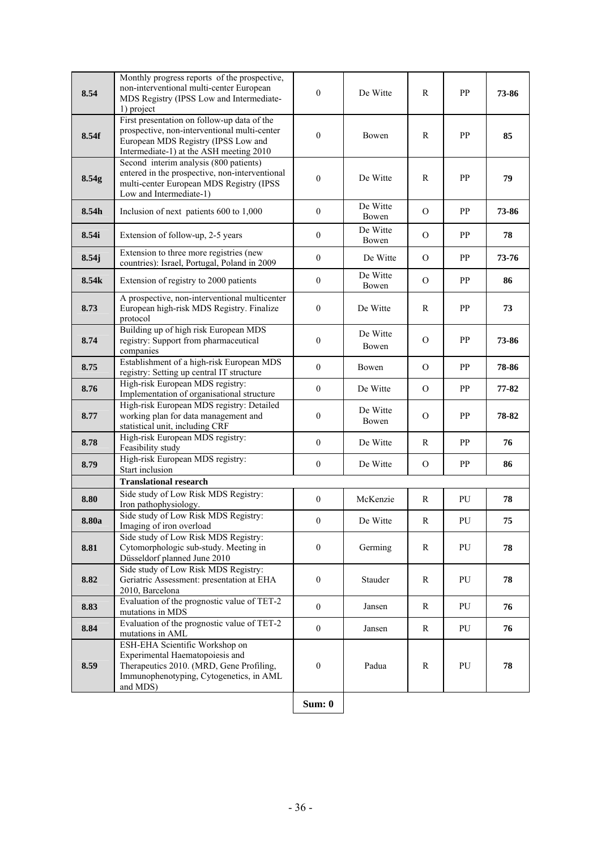| 8.54  | Monthly progress reports of the prospective,<br>non-interventional multi-center European<br>MDS Registry (IPSS Low and Intermediate-<br>1) project                            | $\mathbf{0}$     | De Witte          | R              | PP        | 73-86 |
|-------|-------------------------------------------------------------------------------------------------------------------------------------------------------------------------------|------------------|-------------------|----------------|-----------|-------|
| 8.54f | First presentation on follow-up data of the<br>prospective, non-interventional multi-center<br>European MDS Registry (IPSS Low and<br>Intermediate-1) at the ASH meeting 2010 | $\mathbf{0}$     | Bowen             | $\mathbb{R}$   | PP        | 85    |
| 8.54g | Second interim analysis (800 patients)<br>entered in the prospective, non-interventional<br>multi-center European MDS Registry (IPSS<br>Low and Intermediate-1)               | $\mathbf{0}$     | De Witte          | R              | PP        | 79    |
| 8.54h | Inclusion of next patients 600 to 1,000                                                                                                                                       | $\mathbf{0}$     | De Witte<br>Bowen | $\Omega$       | PP        | 73-86 |
| 8.54i | Extension of follow-up, 2-5 years                                                                                                                                             | $\mathbf{0}$     | De Witte<br>Bowen | $\Omega$       | PP        | 78    |
| 8.54j | Extension to three more registries (new<br>countries): Israel, Portugal, Poland in 2009                                                                                       | $\mathbf{0}$     | De Witte          | $\mathcal{O}$  | PP        | 73-76 |
| 8.54k | Extension of registry to 2000 patients                                                                                                                                        | $\mathbf{0}$     | De Witte<br>Bowen | $\Omega$       | PP        | 86    |
| 8.73  | A prospective, non-interventional multicenter<br>European high-risk MDS Registry. Finalize<br>protocol                                                                        | $\boldsymbol{0}$ | De Witte          | R              | PP        | 73    |
| 8.74  | Building up of high risk European MDS<br>registry: Support from pharmaceutical<br>companies                                                                                   | $\mathbf{0}$     | De Witte<br>Bowen | $\Omega$       | PP        | 73-86 |
| 8.75  | Establishment of a high-risk European MDS<br>registry: Setting up central IT structure                                                                                        | $\mathbf{0}$     | Bowen             | $\overline{O}$ | PP        | 78-86 |
| 8.76  | High-risk European MDS registry:<br>Implementation of organisational structure                                                                                                | $\mathbf{0}$     | De Witte          | $\Omega$       | <b>PP</b> | 77-82 |
| 8.77  | High-risk European MDS registry: Detailed<br>working plan for data management and<br>statistical unit, including CRF                                                          | $\boldsymbol{0}$ | De Witte<br>Bowen | $\Omega$       | PP        | 78-82 |
| 8.78  | High-risk European MDS registry:<br>Feasibility study                                                                                                                         | $\mathbf{0}$     | De Witte          | R              | PP        | 76    |
| 8.79  | High-risk European MDS registry:<br>Start inclusion                                                                                                                           | $\boldsymbol{0}$ | De Witte          | $\Omega$       | PP        | 86    |
|       | <b>Translational research</b>                                                                                                                                                 |                  |                   |                |           |       |
| 8.80  | Side study of Low Risk MDS Registry:<br>Iron pathophysiology.                                                                                                                 | $\mathbf{0}$     | McKenzie          | R              | PU        | 78    |
| 8.80a | Side study of Low Risk MDS Registry:<br>Imaging of iron overload                                                                                                              | $\boldsymbol{0}$ | De Witte          | R              | PU        | 75    |
| 8.81  | Side study of Low Risk MDS Registry:<br>Cytomorphologic sub-study. Meeting in<br>Düsseldorf planned June 2010                                                                 | $\mathbf{0}$     | Germing           | R              | PU        | 78    |
| 8.82  | Side study of Low Risk MDS Registry:<br>Geriatric Assessment: presentation at EHA<br>2010, Barcelona                                                                          | $\mathbf{0}$     | Stauder           | R              | PU        | 78    |
| 8.83  | Evaluation of the prognostic value of TET-2<br>mutations in MDS                                                                                                               | $\boldsymbol{0}$ | Jansen            | R              | PU        | 76    |
| 8.84  | Evaluation of the prognostic value of TET-2<br>mutations in AML                                                                                                               | $\boldsymbol{0}$ | Jansen            | R              | PU        | 76    |
| 8.59  | ESH-EHA Scientific Workshop on<br>Experimental Haematopoiesis and<br>Therapeutics 2010. (MRD, Gene Profiling,<br>Immunophenotyping, Cytogenetics, in AML<br>and MDS)          | $\boldsymbol{0}$ | Padua             | $\mathbb{R}$   | PU        | 78    |
|       |                                                                                                                                                                               | Sum: 0           |                   |                |           |       |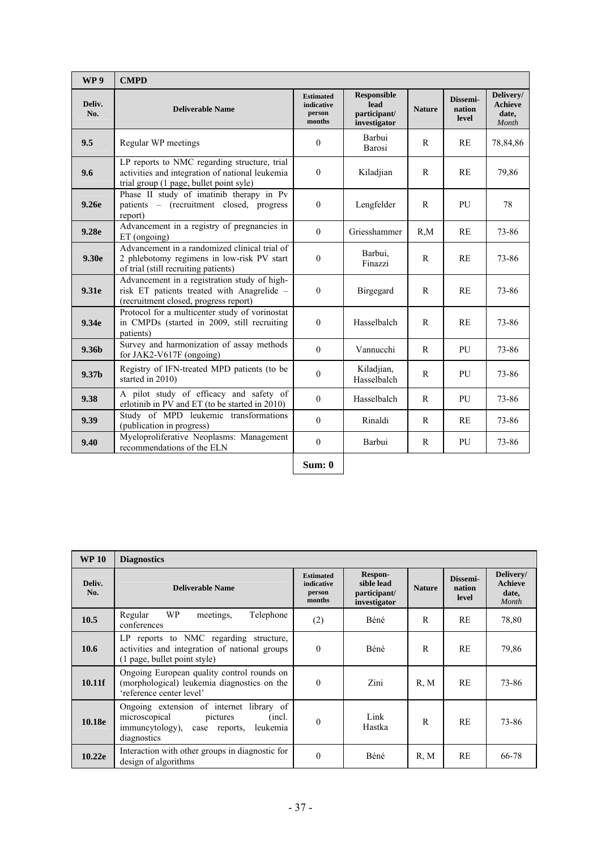| WP <sub>9</sub>   | <b>CMPD</b>                                                                                                                                |                                                    |                                                            |               |                             |                                               |
|-------------------|--------------------------------------------------------------------------------------------------------------------------------------------|----------------------------------------------------|------------------------------------------------------------|---------------|-----------------------------|-----------------------------------------------|
| Deliv.<br>No.     | <b>Deliverable Name</b>                                                                                                                    | <b>Estimated</b><br>indicative<br>person<br>months | <b>Responsible</b><br>lead<br>participant/<br>investigator | <b>Nature</b> | Dissemi-<br>nation<br>level | Delivery/<br><b>Achieve</b><br>date,<br>Month |
| 9.5               | Regular WP meetings                                                                                                                        | $\theta$                                           | Barbui<br>Barosi                                           | $\mathsf{R}$  | RE                          | 78,84,86                                      |
| 9.6               | LP reports to NMC regarding structure, trial<br>activities and integration of national leukemia<br>trial group (1 page, bullet point syle) | $\theta$                                           | Kiladjian                                                  | $\mathbf{R}$  | RE                          | 79,86                                         |
| 9.26e             | Phase II study of imatinib therapy in Pv<br>patients - (recruitment closed, progress<br>report)                                            | $\theta$                                           | Lengfelder                                                 | $\mathsf{R}$  | PU                          | 78                                            |
| 9.28 <sub>e</sub> | Advancement in a registry of pregnancies in<br>ET (ongoing)                                                                                | $\theta$                                           | Griesshammer                                               | $R_{M}$       | RE                          | 73-86                                         |
| 9.30e             | Advancement in a randomized clinical trial of<br>2 phlebotomy regimens in low-risk PV start<br>of trial (still recruiting patients)        | $\mathbf{0}$                                       | Barbui,<br>Finazzi                                         | $\mathsf{R}$  | RE                          | 73-86                                         |
| 9.31e             | Advancement in a registration study of high-<br>risk ET patients treated with Anagrelide -<br>(recruitment closed, progress report)        | $\mathbf{0}$                                       | Birgegard                                                  | $\mathbb{R}$  | RE                          | 73-86                                         |
| 9.34e             | Protocol for a multicenter study of vorinostat<br>in CMPDs (started in 2009, still recruiting<br>patients)                                 | $\theta$                                           | Hasselbalch                                                | R             | RE                          | 73-86                                         |
| 9.36 <sub>b</sub> | Survey and harmonization of assay methods<br>for JAK2-V617F (ongoing)                                                                      | $\theta$                                           | Vannucchi                                                  | R             | PU                          | 73-86                                         |
| 9.37 <sub>b</sub> | Registry of IFN-treated MPD patients (to be<br>started in 2010)                                                                            | $\boldsymbol{0}$                                   | Kiladjian,<br>Hasselbalch                                  | $\mathbb{R}$  | PU                          | 73-86                                         |
| 9.38              | A pilot study of efficacy and safety of<br>erlotinib in PV and ET (to be started in 2010)                                                  | $\theta$                                           | Hasselbalch                                                | $\mathbb{R}$  | PU                          | 73-86                                         |
| 9.39              | Study of MPD leukemic transformations<br>(publication in progress)                                                                         | $\theta$                                           | Rinaldi                                                    | $\mathbb{R}$  | RE                          | 73-86                                         |
| 9.40              | Myeloproliferative Neoplasms: Management<br>recommendations of the ELN                                                                     | $\theta$                                           | Barbui                                                     | $\mathbb{R}$  | PU                          | 73-86                                         |
|                   |                                                                                                                                            | Sum: 0                                             |                                                            |               |                             |                                               |

| <b>WP 10</b>  | <b>Diagnostics</b>                                                                                                                                |                                                    |                                                       |               |                             |                                               |
|---------------|---------------------------------------------------------------------------------------------------------------------------------------------------|----------------------------------------------------|-------------------------------------------------------|---------------|-----------------------------|-----------------------------------------------|
| Deliv.<br>No. | <b>Deliverable Name</b>                                                                                                                           | <b>Estimated</b><br>indicative<br>person<br>months | Respon-<br>sible lead<br>participant/<br>investigator | <b>Nature</b> | Dissemi-<br>nation<br>level | Delivery/<br><b>Achieve</b><br>date,<br>Month |
| 10.5          | <b>WP</b><br>Regular<br>Telephone<br>meetings,<br>conferences                                                                                     | (2)                                                | <b>Béné</b>                                           | R             | RE                          | 78,80                                         |
| 10.6          | LP reports to NMC regarding structure,<br>activities and integration of national groups<br>(1 page, bullet point style)                           | $\Omega$                                           | Béné                                                  | $\mathsf{R}$  | <b>RE</b>                   | 79,86                                         |
| 10.11f        | Ongoing European quality control rounds on<br>(morphological) leukemia diagnostics on the<br>'reference center level'                             | $\theta$                                           | Zini                                                  | R, M          | <b>RE</b>                   | 73-86                                         |
| 10.18e        | Ongoing extension of internet library of<br>microscopical<br>pictures<br>(incl.<br>immuncytology),<br>leukemia<br>reports,<br>case<br>diagnostics | $\theta$                                           | Link<br>Hastka                                        | R             | <b>RE</b>                   | 73-86                                         |
| 10.22e        | Interaction with other groups in diagnostic for<br>design of algorithms                                                                           | $\Omega$                                           | Béné                                                  | R, M          | <b>RE</b>                   | 66-78                                         |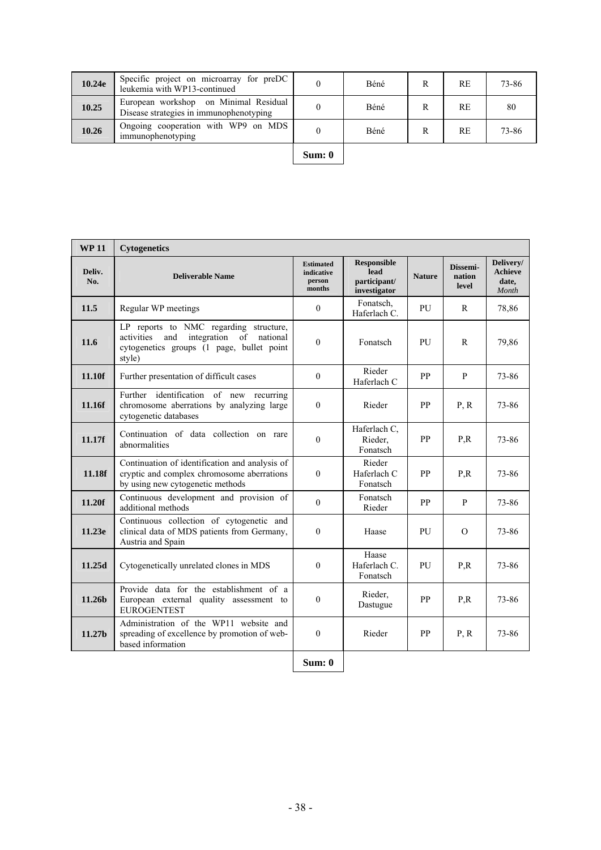| 10.24e | Specific project on microarray for preDC<br>leukemia with WP13-continued         |        | Béné | RE        | 73-86 |
|--------|----------------------------------------------------------------------------------|--------|------|-----------|-------|
| 10.25  | European workshop on Minimal Residual<br>Disease strategies in immunophenotyping |        | Béné | RE        | 80    |
| 10.26  | Ongoing cooperation with WP9 on MDS<br>immunophenotyping                         |        | Béné | <b>RE</b> | 73-86 |
|        |                                                                                  | Sum: 0 |      |           |       |

| sum<br>۰. |  |
|-----------|--|
|           |  |

| <b>Responsible</b><br><b>Estimated</b><br>Dissemi-<br>lead<br>Deliv.<br>indicative<br><b>Deliverable Name</b><br><b>Nature</b><br>nation<br>participant/<br>No.<br>person<br>date,<br>level<br>months<br>investigator<br>Month<br>Fonatsch,<br>11.5<br>Regular WP meetings<br>$\mathbf{0}$<br>PU<br>R<br>78,86<br>Haferlach C.<br>LP reports to NMC regarding structure,<br>and<br>activities<br>integration of national<br>11.6<br>$\mathbf{0}$<br>PU<br>79,86<br>Fonatsch<br>$\mathbb{R}$<br>cytogenetics groups (1 page, bullet point<br>style)<br>Rieder<br>PP<br>11.10f<br>Further presentation of difficult cases<br>$\theta$<br>P<br>73-86<br>Haferlach C<br>Further identification of new recurring<br>chromosome aberrations by analyzing large<br>$\theta$<br>11.16f<br>Rieder<br><b>PP</b><br>P, R<br>73-86<br>cytogenetic databases<br>Haferlach C,<br>Continuation of data collection on rare<br>$\theta$<br>PP<br>73-86<br>Rieder,<br>P.R<br>11.17f<br>abnormalities<br>Fonatsch<br>Rieder<br>Continuation of identification and analysis of<br>cryptic and complex chromosome aberrations<br>Haferlach C<br><b>PP</b><br>11.18f<br>$\theta$<br>P,R<br>73-86<br>by using new cytogenetic methods<br>Fonatsch<br>Continuous development and provision of<br>Fonatsch<br>11.20f<br>$\theta$<br>PP<br>P<br>73-86<br>additional methods<br>Rieder<br>Continuous collection of cytogenetic and<br>clinical data of MDS patients from Germany,<br>73-86<br>11.23e<br>$\Omega$<br>Haase<br>PU<br>$\Omega$<br>Austria and Spain<br>Haase<br>$\theta$<br>Haferlach C.<br>11.25d<br>Cytogenetically unrelated clones in MDS<br>PU<br>P.R<br>73-86<br>Fonatsch<br>Provide data for the establishment of a<br>Rieder,<br>11.26b<br><b>PP</b><br>P.R<br>73-86<br>European external quality assessment to<br>$\mathbf{0}$<br>Dastugue<br><b>EUROGENTEST</b> | <b>WP11</b> | <b>Cytogenetics</b>                    |  |  |                      |
|-------------------------------------------------------------------------------------------------------------------------------------------------------------------------------------------------------------------------------------------------------------------------------------------------------------------------------------------------------------------------------------------------------------------------------------------------------------------------------------------------------------------------------------------------------------------------------------------------------------------------------------------------------------------------------------------------------------------------------------------------------------------------------------------------------------------------------------------------------------------------------------------------------------------------------------------------------------------------------------------------------------------------------------------------------------------------------------------------------------------------------------------------------------------------------------------------------------------------------------------------------------------------------------------------------------------------------------------------------------------------------------------------------------------------------------------------------------------------------------------------------------------------------------------------------------------------------------------------------------------------------------------------------------------------------------------------------------------------------------------------------------------------------------------------------------------------------------------------------------|-------------|----------------------------------------|--|--|----------------------|
|                                                                                                                                                                                                                                                                                                                                                                                                                                                                                                                                                                                                                                                                                                                                                                                                                                                                                                                                                                                                                                                                                                                                                                                                                                                                                                                                                                                                                                                                                                                                                                                                                                                                                                                                                                                                                                                             |             |                                        |  |  | Delivery/<br>Achieve |
|                                                                                                                                                                                                                                                                                                                                                                                                                                                                                                                                                                                                                                                                                                                                                                                                                                                                                                                                                                                                                                                                                                                                                                                                                                                                                                                                                                                                                                                                                                                                                                                                                                                                                                                                                                                                                                                             |             |                                        |  |  |                      |
|                                                                                                                                                                                                                                                                                                                                                                                                                                                                                                                                                                                                                                                                                                                                                                                                                                                                                                                                                                                                                                                                                                                                                                                                                                                                                                                                                                                                                                                                                                                                                                                                                                                                                                                                                                                                                                                             |             |                                        |  |  |                      |
|                                                                                                                                                                                                                                                                                                                                                                                                                                                                                                                                                                                                                                                                                                                                                                                                                                                                                                                                                                                                                                                                                                                                                                                                                                                                                                                                                                                                                                                                                                                                                                                                                                                                                                                                                                                                                                                             |             |                                        |  |  |                      |
|                                                                                                                                                                                                                                                                                                                                                                                                                                                                                                                                                                                                                                                                                                                                                                                                                                                                                                                                                                                                                                                                                                                                                                                                                                                                                                                                                                                                                                                                                                                                                                                                                                                                                                                                                                                                                                                             |             |                                        |  |  |                      |
|                                                                                                                                                                                                                                                                                                                                                                                                                                                                                                                                                                                                                                                                                                                                                                                                                                                                                                                                                                                                                                                                                                                                                                                                                                                                                                                                                                                                                                                                                                                                                                                                                                                                                                                                                                                                                                                             |             |                                        |  |  |                      |
|                                                                                                                                                                                                                                                                                                                                                                                                                                                                                                                                                                                                                                                                                                                                                                                                                                                                                                                                                                                                                                                                                                                                                                                                                                                                                                                                                                                                                                                                                                                                                                                                                                                                                                                                                                                                                                                             |             |                                        |  |  |                      |
|                                                                                                                                                                                                                                                                                                                                                                                                                                                                                                                                                                                                                                                                                                                                                                                                                                                                                                                                                                                                                                                                                                                                                                                                                                                                                                                                                                                                                                                                                                                                                                                                                                                                                                                                                                                                                                                             |             |                                        |  |  |                      |
|                                                                                                                                                                                                                                                                                                                                                                                                                                                                                                                                                                                                                                                                                                                                                                                                                                                                                                                                                                                                                                                                                                                                                                                                                                                                                                                                                                                                                                                                                                                                                                                                                                                                                                                                                                                                                                                             |             |                                        |  |  |                      |
|                                                                                                                                                                                                                                                                                                                                                                                                                                                                                                                                                                                                                                                                                                                                                                                                                                                                                                                                                                                                                                                                                                                                                                                                                                                                                                                                                                                                                                                                                                                                                                                                                                                                                                                                                                                                                                                             |             |                                        |  |  |                      |
|                                                                                                                                                                                                                                                                                                                                                                                                                                                                                                                                                                                                                                                                                                                                                                                                                                                                                                                                                                                                                                                                                                                                                                                                                                                                                                                                                                                                                                                                                                                                                                                                                                                                                                                                                                                                                                                             |             |                                        |  |  |                      |
| spreading of excellence by promotion of web-<br>PP<br>11.27b<br>$\mathbf{0}$<br>Rieder<br>P, R<br>73-86<br>based information                                                                                                                                                                                                                                                                                                                                                                                                                                                                                                                                                                                                                                                                                                                                                                                                                                                                                                                                                                                                                                                                                                                                                                                                                                                                                                                                                                                                                                                                                                                                                                                                                                                                                                                                |             | Administration of the WP11 website and |  |  |                      |
| Sum: 0                                                                                                                                                                                                                                                                                                                                                                                                                                                                                                                                                                                                                                                                                                                                                                                                                                                                                                                                                                                                                                                                                                                                                                                                                                                                                                                                                                                                                                                                                                                                                                                                                                                                                                                                                                                                                                                      |             |                                        |  |  |                      |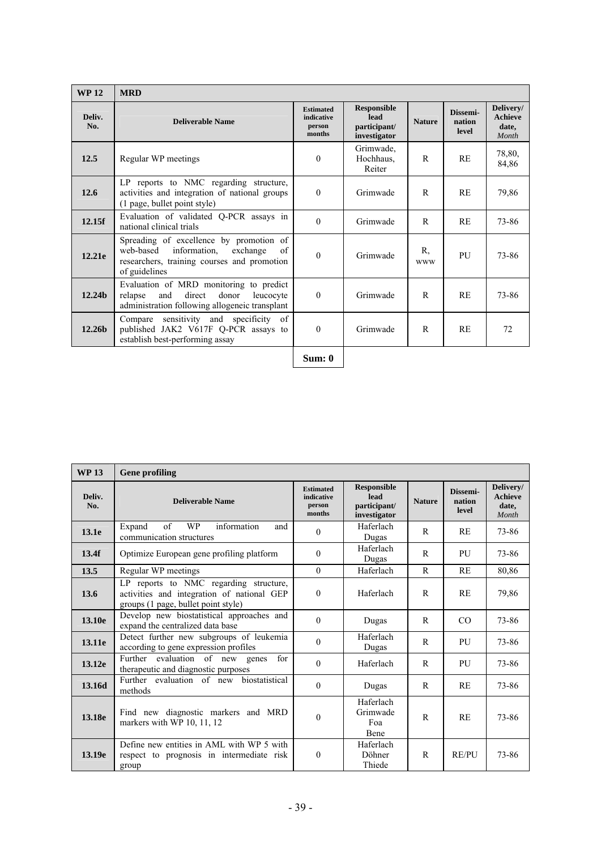| <b>WP12</b>        | <b>MRD</b>                                                                                                                                             |                                                    |                                                            |                  |                             |                                               |
|--------------------|--------------------------------------------------------------------------------------------------------------------------------------------------------|----------------------------------------------------|------------------------------------------------------------|------------------|-----------------------------|-----------------------------------------------|
| Deliv.<br>No.      | <b>Deliverable Name</b>                                                                                                                                | <b>Estimated</b><br>indicative<br>person<br>months | <b>Responsible</b><br>lead<br>participant/<br>investigator | <b>Nature</b>    | Dissemi-<br>nation<br>level | Delivery/<br><b>Achieve</b><br>date,<br>Month |
| 12.5               | Regular WP meetings                                                                                                                                    | $\theta$                                           | Grimwade,<br>Hochhaus.<br>Reiter                           | R                | <b>RE</b>                   | 78,80,<br>84,86                               |
| 12.6               | LP reports to NMC regarding structure,<br>activities and integration of national groups<br>(1 page, bullet point style)                                | $\Omega$                                           | Grimwade                                                   | R                | RE                          | 79,86                                         |
| 12.15f             | Evaluation of validated Q-PCR assays in<br>national clinical trials                                                                                    | $\Omega$                                           | Grimwade                                                   | R                | <b>RE</b>                   | 73-86                                         |
| 12.21e             | Spreading of excellence by promotion of<br>information,<br>web-based<br>exchange<br>of<br>researchers, training courses and promotion<br>of guidelines | $\theta$                                           | Grimwade                                                   | R.<br><b>WWW</b> | PU                          | 73-86                                         |
| 12.24 <sub>b</sub> | Evaluation of MRD monitoring to predict<br>direct<br>relapse<br>and<br>donor<br>leucocyte<br>administration following allogeneic transplant            | $\theta$                                           | Grimwade                                                   | R                | <b>RE</b>                   | 73-86                                         |
| 12.26 <sub>b</sub> | sensitivity and specificity of<br>Compare<br>published JAK2 V617F Q-PCR assays to<br>establish best-performing assay                                   | $\theta$                                           | Grimwade                                                   | R                | <b>RE</b>                   | 72                                            |
|                    |                                                                                                                                                        | Sum: 0                                             |                                                            |                  |                             |                                               |

| <b>WP13</b>   | <b>Gene profiling</b>                                                                                                       |                                                    |                                                            |               |                             |                                               |
|---------------|-----------------------------------------------------------------------------------------------------------------------------|----------------------------------------------------|------------------------------------------------------------|---------------|-----------------------------|-----------------------------------------------|
| Deliv.<br>No. | <b>Deliverable Name</b>                                                                                                     | <b>Estimated</b><br>indicative<br>person<br>months | <b>Responsible</b><br>lead<br>participant/<br>investigator | <b>Nature</b> | Dissemi-<br>nation<br>level | Delivery/<br><b>Achieve</b><br>date,<br>Month |
| 13.1e         | of<br>information<br><b>WP</b><br>Expand<br>and<br>communication structures                                                 | $\theta$                                           | Haferlach<br>Dugas                                         | $\mathsf{R}$  | <b>RE</b>                   | 73-86                                         |
| 13.4f         | Optimize European gene profiling platform                                                                                   | $\theta$                                           | Haferlach<br>Dugas                                         | R             | PU                          | 73-86                                         |
| 13.5          | Regular WP meetings                                                                                                         | $\theta$                                           | Haferlach                                                  | R             | RE                          | 80,86                                         |
| 13.6          | LP reports to NMC regarding structure,<br>activities and integration of national GEP<br>groups (1 page, bullet point style) | $\theta$                                           | Haferlach                                                  | R             | RE                          | 79,86                                         |
| 13.10e        | Develop new biostatistical approaches and<br>expand the centralized data base                                               | $\theta$                                           | Dugas                                                      | R             | CO                          | 73-86                                         |
| 13.11e        | Detect further new subgroups of leukemia<br>according to gene expression profiles                                           | $\theta$                                           | Haferlach<br>Dugas                                         | $\mathsf{R}$  | PU                          | 73-86                                         |
| 13.12e        | Further evaluation of new genes<br>for<br>therapeutic and diagnostic purposes                                               | $\theta$                                           | Haferlach                                                  | $\mathsf{R}$  | PU                          | 73-86                                         |
| 13.16d        | biostatistical<br>Further evaluation of new<br>methods                                                                      | $\theta$                                           | Dugas                                                      | R             | RE                          | 73-86                                         |
| 13.18e        | Find new diagnostic markers and MRD<br>markers with WP 10, 11, 12                                                           | $\theta$                                           | Haferlach<br>Grimwade<br>Foa<br>Bene                       | $\mathsf{R}$  | RE                          | 73-86                                         |
| 13.19e        | Define new entities in AML with WP 5 with<br>respect to prognosis in intermediate risk<br>group                             | $\boldsymbol{0}$                                   | Haferlach<br>Döhner<br>Thiede                              | $\mathsf{R}$  | <b>RE/PU</b>                | 73-86                                         |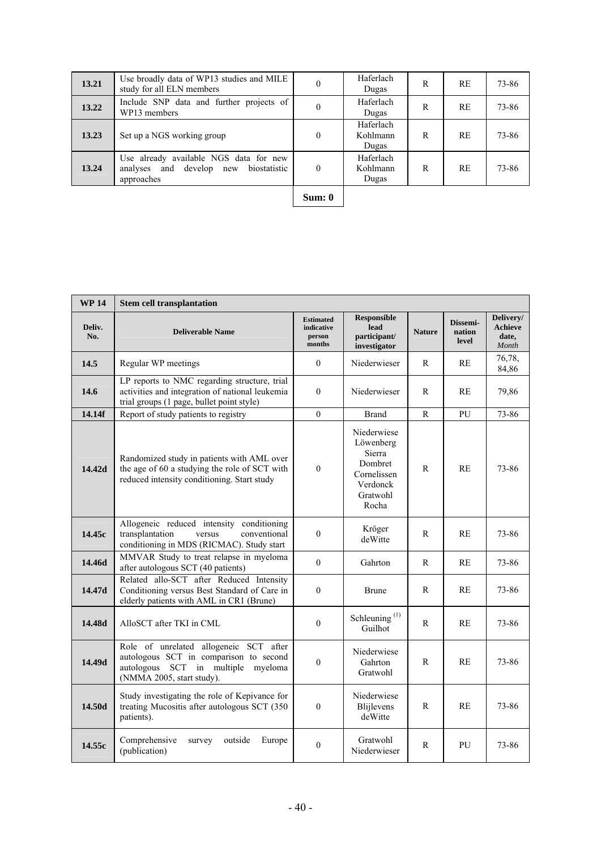| 13.21 | Use broadly data of WP13 studies and MILE<br>study for all ELN members                        | $\theta$ | Haferlach<br>Dugas             | R | RE        | 73-86 |
|-------|-----------------------------------------------------------------------------------------------|----------|--------------------------------|---|-----------|-------|
| 13.22 | Include SNP data and further projects of<br>WP13 members                                      |          | Haferlach<br>Dugas             | R | <b>RE</b> | 73-86 |
| 13.23 | Set up a NGS working group                                                                    | $\theta$ | Haferlach<br>Kohlmann<br>Dugas | R | <b>RE</b> | 73-86 |
| 13.24 | Use already available NGS data for new<br>analyses and develop new biostatistic<br>approaches | $\theta$ | Haferlach<br>Kohlmann<br>Dugas | R | <b>RE</b> | 73-86 |
|       |                                                                                               |          |                                |   |           |       |

| m.<br><br>H |
|-------------|
|-------------|

| <b>WP14</b>   | <b>Stem cell transplantation</b>                                                                                                                    |                                                    |                                                                                               |               |                             |                                               |
|---------------|-----------------------------------------------------------------------------------------------------------------------------------------------------|----------------------------------------------------|-----------------------------------------------------------------------------------------------|---------------|-----------------------------|-----------------------------------------------|
| Deliv.<br>No. | <b>Deliverable Name</b>                                                                                                                             | <b>Estimated</b><br>indicative<br>person<br>months | <b>Responsible</b><br>lead<br>participant/<br>investigator                                    | <b>Nature</b> | Dissemi-<br>nation<br>level | Delivery/<br><b>Achieve</b><br>date,<br>Month |
| 14.5          | Regular WP meetings                                                                                                                                 | $\overline{0}$                                     | Niederwieser                                                                                  | R             | RE                          | 76,78,<br>84,86                               |
| 14.6          | LP reports to NMC regarding structure, trial<br>activities and integration of national leukemia<br>trial groups (1 page, bullet point style)        | $\theta$                                           | Niederwieser                                                                                  | R             | RE                          | 79,86                                         |
| 14.14f        | Report of study patients to registry                                                                                                                | $\overline{0}$                                     | Brand                                                                                         | R             | PU                          | 73-86                                         |
| 14.42d        | Randomized study in patients with AML over<br>the age of 60 a studying the role of SCT with<br>reduced intensity conditioning. Start study          | $\boldsymbol{0}$                                   | Niederwiese<br>Löwenberg<br>Sierra<br>Dombret<br>Cornelissen<br>Verdonck<br>Gratwohl<br>Rocha | R             | <b>RE</b>                   | 73-86                                         |
| 14.45c        | Allogeneic reduced intensity<br>conditioning<br>transplantation<br>conventional<br>versus<br>conditioning in MDS (RICMAC). Study start              | $\Omega$                                           | Kröger<br>deWitte                                                                             | R             | RE                          | 73-86                                         |
| 14.46d        | MMVAR Study to treat relapse in myeloma<br>after autologous SCT (40 patients)                                                                       | $\Omega$                                           | Gahrton                                                                                       | R             | RE                          | 73-86                                         |
| 14.47d        | Related allo-SCT after Reduced Intensity<br>Conditioning versus Best Standard of Care in<br>elderly patients with AML in CR1 (Brune)                | $\mathbf{0}$                                       | <b>Brune</b>                                                                                  | R             | <b>RE</b>                   | 73-86                                         |
| 14.48d        | AlloSCT after TKI in CML                                                                                                                            | $\boldsymbol{0}$                                   | Schleuning $^{(1)}$<br>Guilhot                                                                | R             | <b>RE</b>                   | 73-86                                         |
| 14.49d        | Role of unrelated allogeneic SCT after<br>autologous SCT in comparison to second<br>autologous SCT in multiple myeloma<br>(NMMA 2005, start study). | $\boldsymbol{0}$                                   | Niederwiese<br>Gahrton<br>Gratwohl                                                            | R             | <b>RE</b>                   | 73-86                                         |
| 14.50d        | Study investigating the role of Kepivance for<br>treating Mucositis after autologous SCT (350<br>patients).                                         | $\theta$                                           | Niederwiese<br><b>Blijlevens</b><br>deWitte                                                   | R             | <b>RE</b>                   | 73-86                                         |
| 14.55c        | Comprehensive<br>outside<br>Europe<br>survey<br>(publication)                                                                                       | $\mathbf{0}$                                       | Gratwohl<br>Niederwieser                                                                      | R             | PU                          | 73-86                                         |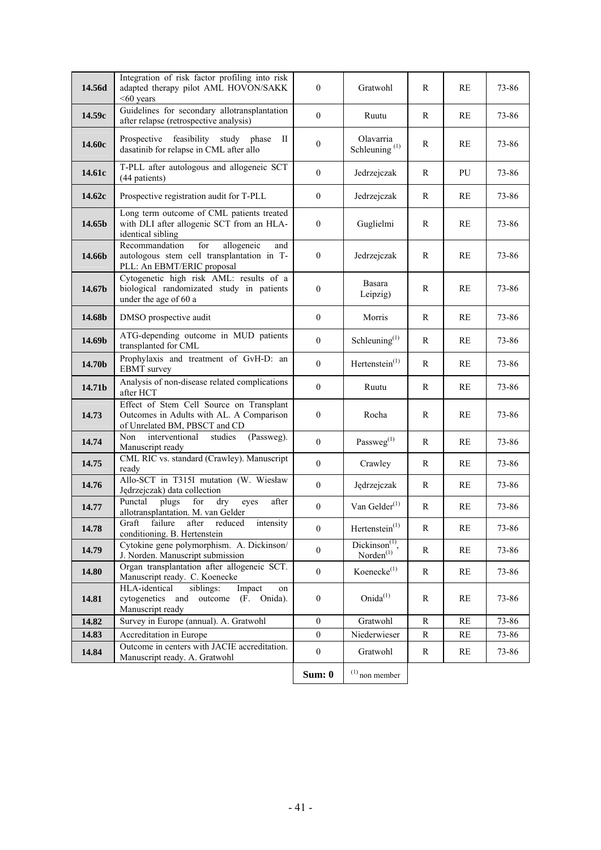| 14.56d | Integration of risk factor profiling into risk<br>adapted therapy pilot AML HOVON/SAKK<br>$<60$ years                  | $\mathbf{0}$     | Gratwohl                               | R         | RE        | 73-86 |
|--------|------------------------------------------------------------------------------------------------------------------------|------------------|----------------------------------------|-----------|-----------|-------|
| 14.59c | Guidelines for secondary allotransplantation<br>after relapse (retrospective analysis)                                 | $\mathbf{0}$     | Ruutu                                  | R         | RE        | 73-86 |
| 14.60c | Prospective feasibility study phase<br>П<br>dasatinib for relapse in CML after allo                                    | $\boldsymbol{0}$ | Olavarria<br>Schleuning <sup>(1)</sup> | R         | RE        | 73-86 |
| 14.61c | T-PLL after autologous and allogeneic SCT<br>(44 patients)                                                             | $\mathbf{0}$     | Jedrzejczak                            | R         | PU        | 73-86 |
| 14.62c | Prospective registration audit for T-PLL                                                                               | $\boldsymbol{0}$ | Jedrzejczak                            | R         | <b>RE</b> | 73-86 |
| 14.65b | Long term outcome of CML patients treated<br>with DLI after allogenic SCT from an HLA-<br>identical sibling            | $\boldsymbol{0}$ | Guglielmi                              | R         | RE        | 73-86 |
| 14.66b | Recommandation<br>for<br>allogeneic<br>and<br>autologous stem cell transplantation in T-<br>PLL: An EBMT/ERIC proposal | $\mathbf{0}$     | Jedrzejczak                            | R         | <b>RE</b> | 73-86 |
| 14.67b | Cytogenetic high risk AML: results of a<br>biological randomizated study in patients<br>under the age of 60 a          | $\boldsymbol{0}$ | Basara<br>Leipzig)                     | R         | RE        | 73-86 |
| 14.68b | DMSO prospective audit                                                                                                 | $\boldsymbol{0}$ | Morris                                 | R         | <b>RE</b> | 73-86 |
| 14.69b | ATG-depending outcome in MUD patients<br>transplanted for CML                                                          | $\mathbf{0}$     | Schleuning $(1)$                       | R         | <b>RE</b> | 73-86 |
| 14.70b | Prophylaxis and treatment of GvH-D: an<br><b>EBMT</b> survey                                                           | $\boldsymbol{0}$ | Hertenstein <sup>(1)</sup>             | R         | RE        | 73-86 |
| 14.71b | Analysis of non-disease related complications<br>after HCT                                                             | $\mathbf{0}$     | Ruutu                                  | R         | RE        | 73-86 |
| 14.73  | Effect of Stem Cell Source on Transplant<br>Outcomes in Adults with AL. A Comparison<br>of Unrelated BM, PBSCT and CD  | $\boldsymbol{0}$ | Rocha                                  | R         | <b>RE</b> | 73-86 |
| 14.74  | Non<br>interventional<br>(Passweg).<br>studies<br>Manuscript ready                                                     | $\boldsymbol{0}$ | $\mathbf{Passweg}^{(1)}$               | R         | RE        | 73-86 |
| 14.75  | CML RIC vs. standard (Crawley). Manuscript<br>ready                                                                    | $\mathbf{0}$     | Crawley                                | R         | RE        | 73-86 |
| 14.76  | Allo-SCT in T315I mutation (W. Wiesław<br>Jędrzejczak) data collection                                                 | $\boldsymbol{0}$ | Jędrzejczak                            | R         | RE        | 73-86 |
| 14.77  | plugs<br>Punctal<br>for<br>dry<br>after<br>eyes<br>allotransplantation. M. van Gelder                                  | $\boldsymbol{0}$ | Van Gelder $(1)$                       | R         | RE        | 73-86 |
| 14.78  | Graft failure after reduced intensity<br>conditioning. B. Hertenstein                                                  | $\boldsymbol{0}$ | Hertenstein <sup>(1)</sup>             | R         | RE        | 73-86 |
| 14.79  | Cytokine gene polymorphism. A. Dickinson/<br>J. Norden. Manuscript submission                                          | $\mathbf{0}$     | $Dickinson(1)$ .<br>$N$ orden $^{(1)}$ | R         | RE        | 73-86 |
| 14.80  | Organ transplantation after allogeneic SCT.<br>Manuscript ready. C. Koenecke                                           | $\boldsymbol{0}$ | Koenecke <sup>(1)</sup>                | R         | RE        | 73-86 |
| 14.81  | HLA-identical<br>siblings:<br>Impact<br>on<br>cytogenetics and<br>outcome<br>(F. Onida).<br>Manuscript ready           | $\boldsymbol{0}$ | Onida $^{(1)}$                         | R         | RE        | 73-86 |
| 14.82  | Survey in Europe (annual). A. Gratwohl                                                                                 | $\boldsymbol{0}$ | Gratwohl                               | ${\bf R}$ | RE        | 73-86 |
| 14.83  | Accreditation in Europe<br>Outcome in centers with JACIE accreditation.                                                | $\overline{0}$   | Niederwieser                           | R         | RE        | 73-86 |
| 14.84  | Manuscript ready. A. Gratwohl                                                                                          | $\boldsymbol{0}$ | Gratwohl                               | R         | RE        | 73-86 |
|        |                                                                                                                        | Sum: 0           | $(1)$ non member                       |           |           |       |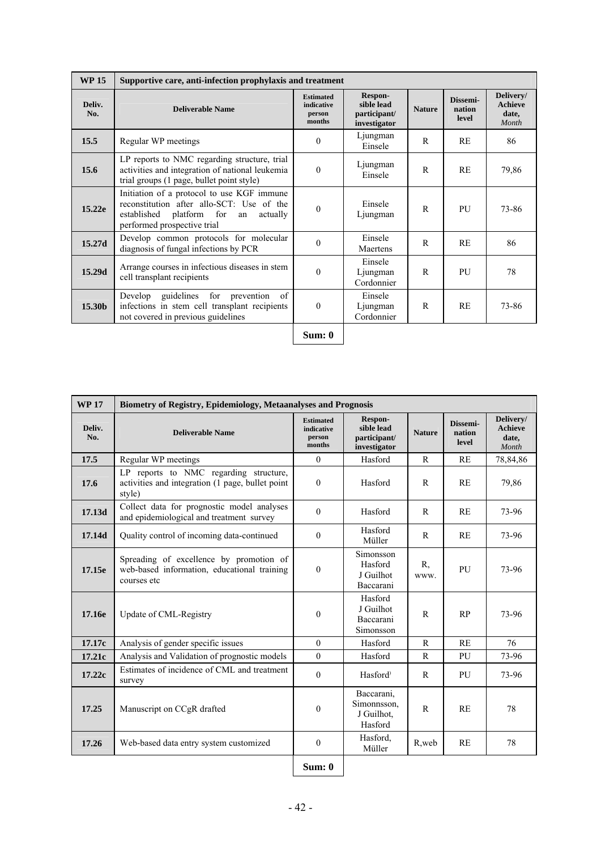| <b>WP15</b>   | Supportive care, anti-infection prophylaxis and treatment                                                                                                               |                                                    |                                                       |               |                             |                                               |
|---------------|-------------------------------------------------------------------------------------------------------------------------------------------------------------------------|----------------------------------------------------|-------------------------------------------------------|---------------|-----------------------------|-----------------------------------------------|
| Deliv.<br>No. | Deliverable Name                                                                                                                                                        | <b>Estimated</b><br>indicative<br>person<br>months | Respon-<br>sible lead<br>participant/<br>investigator | <b>Nature</b> | Dissemi-<br>nation<br>level | Delivery/<br><b>Achieve</b><br>date,<br>Month |
| 15.5          | Regular WP meetings                                                                                                                                                     | $\Omega$                                           | Ljungman<br>Einsele                                   | R             | RE                          | 86                                            |
| 15.6          | LP reports to NMC regarding structure, trial<br>activities and integration of national leukemia<br>trial groups (1 page, bullet point style)                            | $\Omega$                                           | Ljungman<br>Einsele                                   | $\mathsf{R}$  | RE                          | 79,86                                         |
| 15.22e        | Initiation of a protocol to use KGF immune<br>reconstitution after allo-SCT: Use of the<br>platform for<br>established<br>actually<br>an<br>performed prospective trial | $\theta$                                           | Einsele<br>Ljungman                                   | R             | PU                          | 73-86                                         |
| 15.27d        | Develop common protocols for molecular<br>diagnosis of fungal infections by PCR                                                                                         | $\Omega$                                           | Einsele<br>Maertens                                   | R             | <b>RE</b>                   | 86                                            |
| 15.29d        | Arrange courses in infectious diseases in stem<br>cell transplant recipients                                                                                            | $\theta$                                           | Einsele<br>Ljungman<br>Cordonnier                     | R             | PU                          | 78                                            |
| 15.30b        | for prevention<br>of<br>Develop<br>guidelines<br>infections in stem cell transplant recipients<br>not covered in previous guidelines                                    | $\Omega$                                           | Einsele<br>Ljungman<br>Cordonnier                     | R             | <b>RE</b>                   | 73-86                                         |
|               |                                                                                                                                                                         | Sum: 0                                             |                                                       |               |                             |                                               |

| <b>WP17</b>   | <b>Biometry of Registry, Epidemiology, Metaanalyses and Prognosis</b>                                 |                                                    |                                                       |               |                             |                                               |  |  |  |  |  |
|---------------|-------------------------------------------------------------------------------------------------------|----------------------------------------------------|-------------------------------------------------------|---------------|-----------------------------|-----------------------------------------------|--|--|--|--|--|
| Deliv.<br>No. | <b>Deliverable Name</b>                                                                               | <b>Estimated</b><br>indicative<br>person<br>months | Respon-<br>sible lead<br>participant/<br>investigator | <b>Nature</b> | Dissemi-<br>nation<br>level | Delivery/<br><b>Achieve</b><br>date,<br>Month |  |  |  |  |  |
| 17.5          | Regular WP meetings                                                                                   | $\theta$                                           | Hasford                                               | $\mathsf{R}$  | RE                          | 78,84,86                                      |  |  |  |  |  |
| 17.6          | LP reports to NMC regarding structure,<br>activities and integration (1 page, bullet point<br>style)  | $\theta$                                           | Hasford                                               | $\mathsf{R}$  | <b>RE</b>                   | 79,86                                         |  |  |  |  |  |
| 17.13d        | Collect data for prognostic model analyses<br>and epidemiological and treatment survey                | $\theta$                                           | Hasford                                               | R             | RE                          | 73-96                                         |  |  |  |  |  |
| 17.14d        | Quality control of incoming data-continued                                                            | $\theta$                                           | Hasford<br>Müller                                     | R             | <b>RE</b>                   | 73-96                                         |  |  |  |  |  |
| 17.15e        | Spreading of excellence by promotion of<br>web-based information, educational training<br>courses etc | $\mathbf{0}$                                       | Simonsson<br>Hasford<br>J Guilhot<br>Baccarani        | R.<br>www.    | PU                          | 73-96                                         |  |  |  |  |  |
| 17.16e        | Update of CML-Registry                                                                                | $\theta$                                           | Hasford<br>J Guilhot<br>Baccarani<br>Simonsson        | $\mathsf{R}$  | RP                          | 73-96                                         |  |  |  |  |  |
| 17.17c        | Analysis of gender specific issues                                                                    | $\theta$                                           | Hasford                                               | $\mathbb{R}$  | RE                          | 76                                            |  |  |  |  |  |
| 17.21c        | Analysis and Validation of prognostic models                                                          | $\theta$                                           | Hasford                                               | R             | PU                          | 73-96                                         |  |  |  |  |  |
| 17.22c        | Estimates of incidence of CML and treatment<br>survey                                                 | $\mathbf{0}$                                       | Hasford <sup>)</sup>                                  | $\mathsf{R}$  | PU                          | 73-96                                         |  |  |  |  |  |
| 17.25         | Manuscript on CCgR drafted                                                                            | $\mathbf{0}$                                       | Baccarani,<br>Simonnsson,<br>J Guilhot.<br>Hasford    | $\mathbb{R}$  | RE                          | 78                                            |  |  |  |  |  |
| 17.26         | Web-based data entry system customized                                                                | $\mathbf{0}$                                       | Hasford.<br>Müller                                    | R, web        | <b>RE</b>                   | 78                                            |  |  |  |  |  |
|               |                                                                                                       | Sum: 0                                             |                                                       |               |                             |                                               |  |  |  |  |  |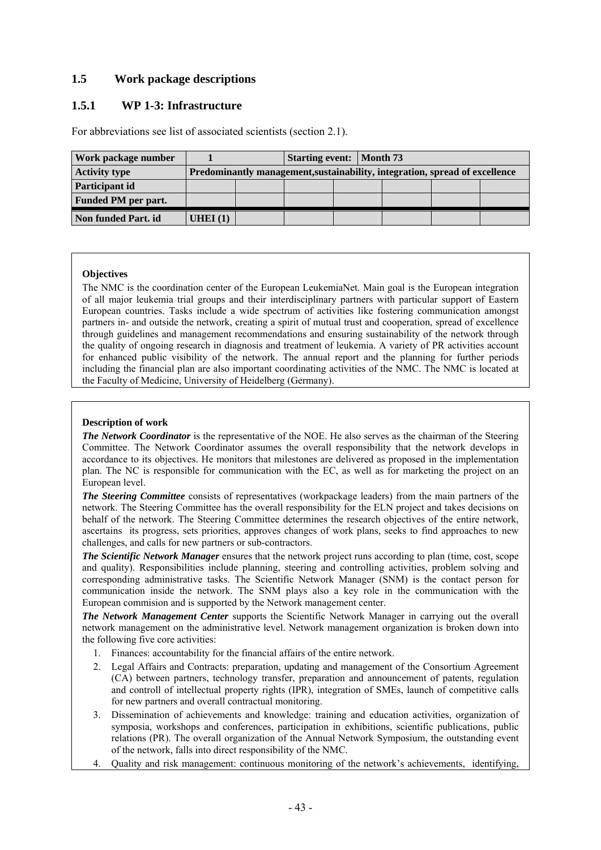# **1.5 Work package descriptions**

# **1.5.1 WP 1-3: Infrastructure**

For abbreviations see list of associated scientists (section 2.1).

| Work package number        | <b>Starting event:</b> Month 73 |                                                                             |  |  |  |  |  |  |  |
|----------------------------|---------------------------------|-----------------------------------------------------------------------------|--|--|--|--|--|--|--|
| <b>Activity type</b>       |                                 | Predominantly management, sustainability, integration, spread of excellence |  |  |  |  |  |  |  |
| Participant id             |                                 |                                                                             |  |  |  |  |  |  |  |
| <b>Funded PM</b> per part. |                                 |                                                                             |  |  |  |  |  |  |  |
| Non funded Part. id        | UHEI (1)                        |                                                                             |  |  |  |  |  |  |  |

## **Objectives**

The NMC is the coordination center of the European LeukemiaNet. Main goal is the European integration of all major leukemia trial groups and their interdisciplinary partners with particular support of Eastern European countries. Tasks include a wide spectrum of activities like fostering communication amongst partners in- and outside the network, creating a spirit of mutual trust and cooperation, spread of excellence through guidelines and management recommendations and ensuring sustainability of the network through the quality of ongoing research in diagnosis and treatment of leukemia. A variety of PR activities account for enhanced public visibility of the network. The annual report and the planning for further periods including the financial plan are also important coordinating activities of the NMC. The NMC is located at the Faculty of Medicine, University of Heidelberg (Germany).

## **Description of work**

*The Network Coordinator* is the representative of the NOE. He also serves as the chairman of the Steering Committee. The Network Coordinator assumes the overall responsibility that the network develops in accordance to its objectives. He monitors that milestones are delivered as proposed in the implementation plan. The NC is responsible for communication with the EC, as well as for marketing the project on an European level.

*The Steering Committee* consists of representatives (workpackage leaders) from the main partners of the network. The Steering Committee has the overall responsibility for the ELN project and takes decisions on behalf of the network. The Steering Committee determines the research objectives of the entire network, ascertains its progress, sets priorities, approves changes of work plans, seeks to find approaches to new challenges, and calls for new partners or sub-contractors.

*The Scientific Network Manager* ensures that the network project runs according to plan (time, cost, scope and quality). Responsibilities include planning, steering and controlling activities, problem solving and corresponding administrative tasks. The Scientific Network Manager (SNM) is the contact person for communication inside the network. The SNM plays also a key role in the communication with the European commision and is supported by the Network management center.

*The Network Management Center* supports the Scientific Network Manager in carrying out the overall network management on the administrative level. Network management organization is broken down into the following five core activities:

- 1. Finances: accountability for the financial affairs of the entire network.
- 2. Legal Affairs and Contracts: preparation, updating and management of the Consortium Agreement (CA) between partners, technology transfer, preparation and announcement of patents, regulation and controll of intellectual property rights (IPR), integration of SMEs, launch of competitive calls for new partners and overall contractual monitoring.
- 3. Dissemination of achievements and knowledge: training and education activities, organization of symposia, workshops and conferences, participation in exhibitions, scientific publications, public relations (PR). The overall organization of the Annual Network Symposium, the outstanding event of the network, falls into direct responsibility of the NMC.
- 4. Quality and risk management: continuous monitoring of the network's achievements, identifying,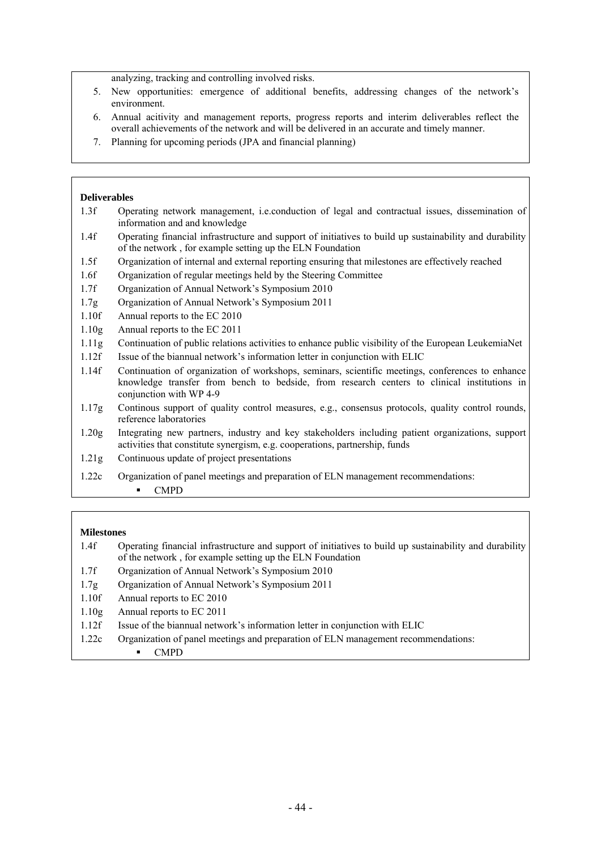analyzing, tracking and controlling involved risks.

- 5. New opportunities: emergence of additional benefits, addressing changes of the network's environment.
- 6. Annual acitivity and management reports, progress reports and interim deliverables reflect the overall achievements of the network and will be delivered in an accurate and timely manner.
- 7. Planning for upcoming periods (JPA and financial planning)

#### **Deliverables**

- 1.3f Operating network management, i.e.conduction of legal and contractual issues, dissemination of information and and knowledge
- 1.4f Operating financial infrastructure and support of initiatives to build up sustainability and durability of the network , for example setting up the ELN Foundation
- 1.5f Organization of internal and external reporting ensuring that milestones are effectively reached
- 1.6f Organization of regular meetings held by the Steering Committee
- 1.7f Organization of Annual Network's Symposium 2010
- 1.7g Organization of Annual Network's Symposium 2011
- 1.10f Annual reports to the EC 2010
- 1.10g Annual reports to the EC 2011
- 1.11g Continuation of public relations activities to enhance public visibility of the European LeukemiaNet
- 1.12f Issue of the biannual network's information letter in conjunction with ELIC
- 1.14f Continuation of organization of workshops, seminars, scientific meetings, conferences to enhance knowledge transfer from bench to bedside, from research centers to clinical institutions in conjunction with WP 4-9
- 1.17g Continous support of quality control measures, e.g., consensus protocols, quality control rounds, reference laboratories
- 1.20g Integrating new partners, industry and key stakeholders including patient organizations, support activities that constitute synergism, e.g. cooperations, partnership, funds
- 1.21g Continuous update of project presentations
- 1.22c Organization of panel meetings and preparation of ELN management recommendations:
	- CMPD

- 1.4f Operating financial infrastructure and support of initiatives to build up sustainability and durability of the network , for example setting up the ELN Foundation
- 1.7f Organization of Annual Network's Symposium 2010
- 1.7g Organization of Annual Network's Symposium 2011
- 1.10f Annual reports to EC 2010
- 1.10g Annual reports to EC 2011
- 1.12f Issue of the biannual network's information letter in conjunction with ELIC
- 1.22c Organization of panel meetings and preparation of ELN management recommendations:
	- CMPD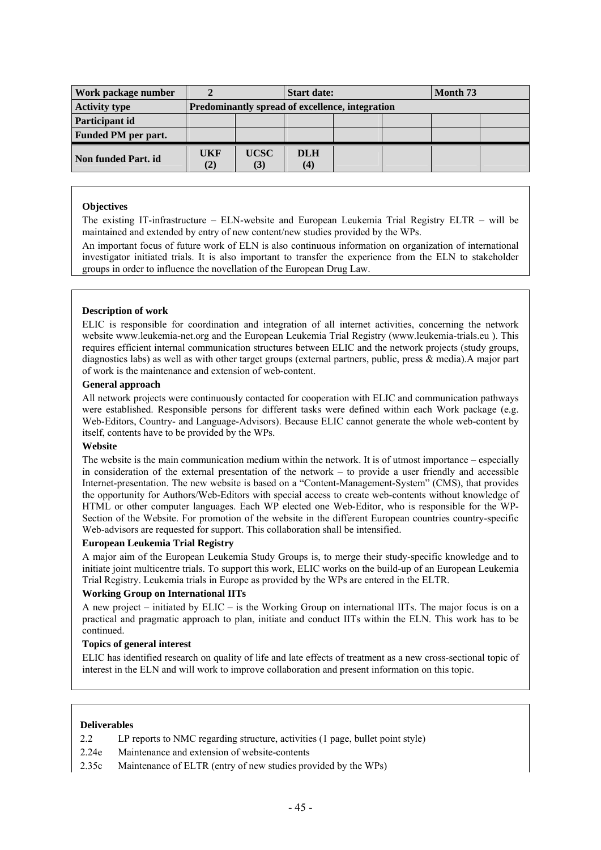| Work package number        |            |                                                 | <b>Start date:</b> |  |  | Month 73 |  |  |
|----------------------------|------------|-------------------------------------------------|--------------------|--|--|----------|--|--|
| <b>Activity type</b>       |            | Predominantly spread of excellence, integration |                    |  |  |          |  |  |
| Participant id             |            |                                                 |                    |  |  |          |  |  |
| <b>Funded PM per part.</b> |            |                                                 |                    |  |  |          |  |  |
| Non funded Part. id        | UKF<br>(2) | <b>UCSC</b><br>(3)                              | <b>DLH</b><br>(4)  |  |  |          |  |  |

The existing IT-infrastructure – ELN-website and European Leukemia Trial Registry ELTR – will be maintained and extended by entry of new content/new studies provided by the WPs.

An important focus of future work of ELN is also continuous information on organization of international investigator initiated trials. It is also important to transfer the experience from the ELN to stakeholder groups in order to influence the novellation of the European Drug Law.

#### **Description of work**

ELIC is responsible for coordination and integration of all internet activities, concerning the network website www.leukemia-net.org and the European Leukemia Trial Registry (www.leukemia-trials.eu ). This requires efficient internal communication structures between ELIC and the network projects (study groups, diagnostics labs) as well as with other target groups (external partners, public, press & media).A major part of work is the maintenance and extension of web-content.

#### **General approach**

All network projects were continuously contacted for cooperation with ELIC and communication pathways were established. Responsible persons for different tasks were defined within each Work package (e.g. Web-Editors, Country- and Language-Advisors). Because ELIC cannot generate the whole web-content by itself, contents have to be provided by the WPs.

#### **Website**

The website is the main communication medium within the network. It is of utmost importance – especially in consideration of the external presentation of the network – to provide a user friendly and accessible Internet-presentation. The new website is based on a "Content-Management-System" (CMS), that provides the opportunity for Authors/Web-Editors with special access to create web-contents without knowledge of HTML or other computer languages. Each WP elected one Web-Editor, who is responsible for the WP-Section of the Website. For promotion of the website in the different European countries country-specific Web-advisors are requested for support. This collaboration shall be intensified.

#### **European Leukemia Trial Registry**

A major aim of the European Leukemia Study Groups is, to merge their study-specific knowledge and to initiate joint multicentre trials. To support this work, ELIC works on the build-up of an European Leukemia Trial Registry. Leukemia trials in Europe as provided by the WPs are entered in the ELTR.

#### **Working Group on International IITs**

A new project – initiated by ELIC – is the Working Group on international IITs. The major focus is on a practical and pragmatic approach to plan, initiate and conduct IITs within the ELN. This work has to be continued.

#### **Topics of general interest**

ELIC has identified research on quality of life and late effects of treatment as a new cross-sectional topic of interest in the ELN and will work to improve collaboration and present information on this topic.

#### **Deliverables**

- 2.2 LP reports to NMC regarding structure, activities (1 page, bullet point style)
- 2.24e Maintenance and extension of website-contents
- 2.35c Maintenance of ELTR (entry of new studies provided by the WPs)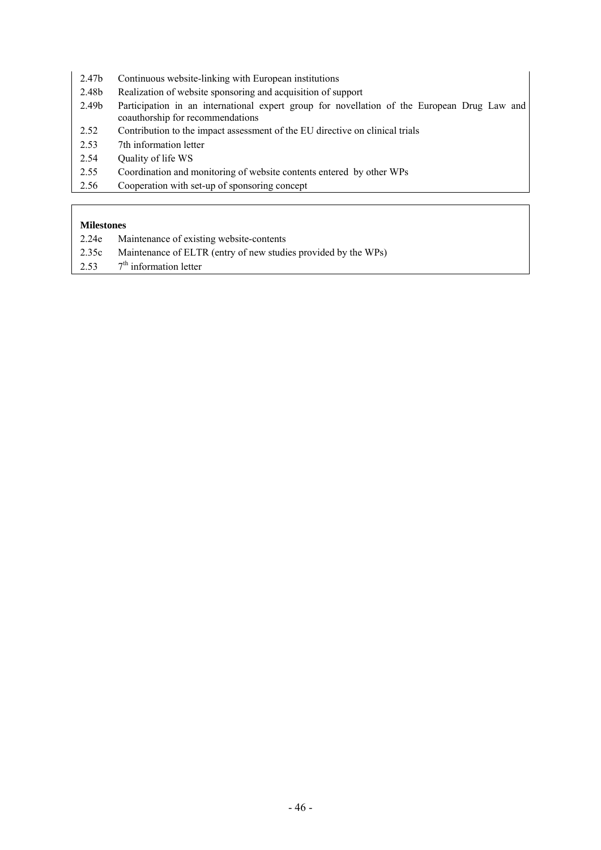- 2.47b Continuous website-linking with European institutions
- 2.48b Realization of website sponsoring and acquisition of support
- 2.49b Participation in an international expert group for novellation of the European Drug Law and coauthorship for recommendations
- 2.52 Contribution to the impact assessment of the EU directive on clinical trials
- 2.53 7th information letter
- 2.54 Quality of life WS
- 2.55 Coordination and monitoring of website contents entered by other WPs
- 2.56 Cooperation with set-up of sponsoring concept

- 2.24e Maintenance of existing website-contents
- 2.35c Maintenance of ELTR (entry of new studies provided by the WPs)
- 2.53  $7<sup>th</sup>$  information letter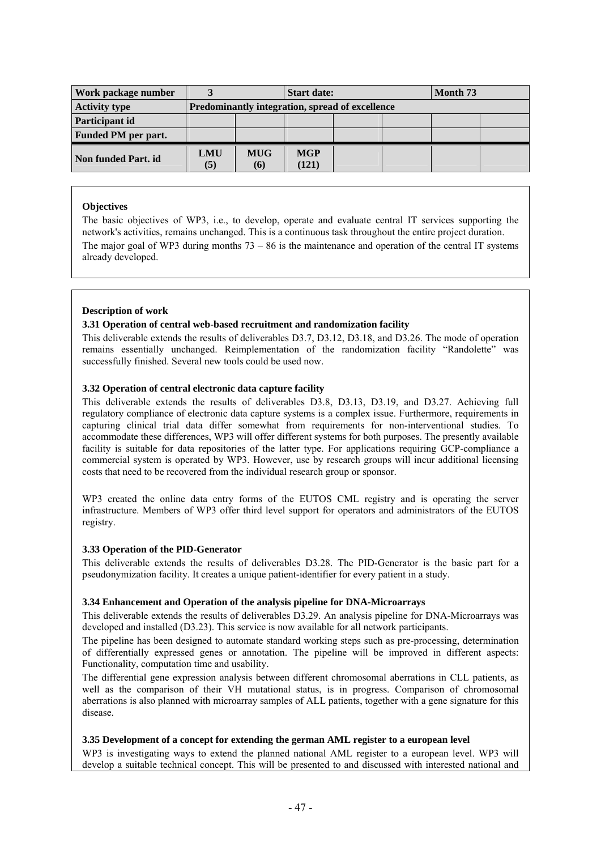| Work package number        |            |                                                 | <b>Start date:</b>  |  |  | Month 73 |  |  |
|----------------------------|------------|-------------------------------------------------|---------------------|--|--|----------|--|--|
| <b>Activity type</b>       |            | Predominantly integration, spread of excellence |                     |  |  |          |  |  |
| Participant id             |            |                                                 |                     |  |  |          |  |  |
| <b>Funded PM per part.</b> |            |                                                 |                     |  |  |          |  |  |
| Non funded Part. id        | LMU<br>(5) | <b>MUG</b><br>(6)                               | <b>MGP</b><br>(121) |  |  |          |  |  |

The basic objectives of WP3, i.e., to develop, operate and evaluate central IT services supporting the network's activities, remains unchanged. This is a continuous task throughout the entire project duration. The major goal of WP3 during months  $73 - 86$  is the maintenance and operation of the central IT systems already developed.

## **Description of work**

## **3.31 Operation of central web-based recruitment and randomization facility**

This deliverable extends the results of deliverables D3.7, D3.12, D3.18, and D3.26. The mode of operation remains essentially unchanged. Reimplementation of the randomization facility "Randolette" was successfully finished. Several new tools could be used now.

#### **3.32 Operation of central electronic data capture facility**

This deliverable extends the results of deliverables D3.8, D3.13, D3.19, and D3.27. Achieving full regulatory compliance of electronic data capture systems is a complex issue. Furthermore, requirements in capturing clinical trial data differ somewhat from requirements for non-interventional studies. To accommodate these differences, WP3 will offer different systems for both purposes. The presently available facility is suitable for data repositories of the latter type. For applications requiring GCP-compliance a commercial system is operated by WP3. However, use by research groups will incur additional licensing costs that need to be recovered from the individual research group or sponsor.

WP3 created the online data entry forms of the EUTOS CML registry and is operating the server infrastructure. Members of WP3 offer third level support for operators and administrators of the EUTOS registry.

#### **3.33 Operation of the PID-Generator**

This deliverable extends the results of deliverables D3.28. The PID-Generator is the basic part for a pseudonymization facility. It creates a unique patient-identifier for every patient in a study.

#### **3.34 Enhancement and Operation of the analysis pipeline for DNA-Microarrays**

This deliverable extends the results of deliverables D3.29. An analysis pipeline for DNA-Microarrays was developed and installed (D3.23). This service is now available for all network participants.

The pipeline has been designed to automate standard working steps such as pre-processing, determination of differentially expressed genes or annotation. The pipeline will be improved in different aspects: Functionality, computation time and usability.

The differential gene expression analysis between different chromosomal aberrations in CLL patients, as well as the comparison of their VH mutational status, is in progress. Comparison of chromosomal aberrations is also planned with microarray samples of ALL patients, together with a gene signature for this disease.

## **3.35 Development of a concept for extending the german AML register to a european level**

WP3 is investigating ways to extend the planned national AML register to a european level. WP3 will develop a suitable technical concept. This will be presented to and discussed with interested national and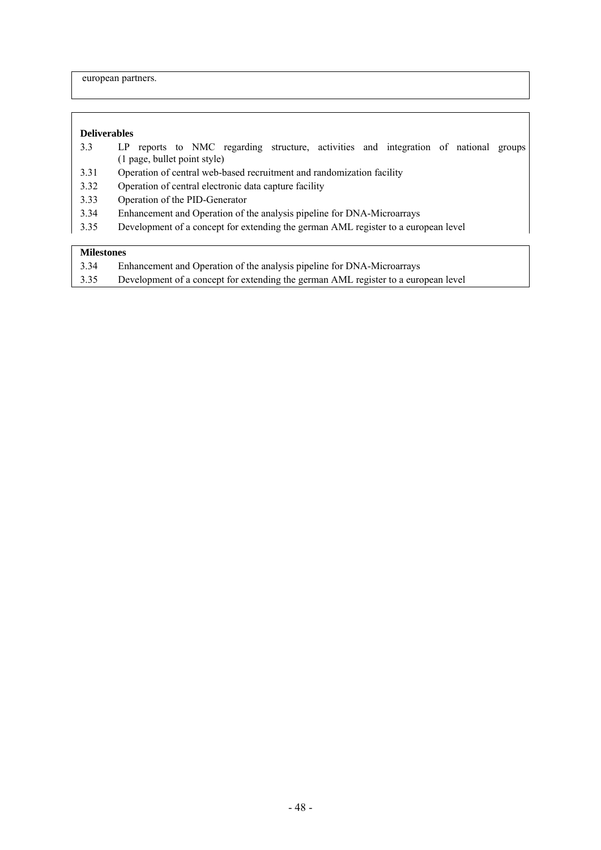european partners.

## **Deliverables**

- 3.3 LP reports to NMC regarding structure, activities and integration of national groups (1 page, bullet point style)
- 3.31 Operation of central web-based recruitment and randomization facility
- 3.32 Operation of central electronic data capture facility
- 3.33 Operation of the PID-Generator
- 3.34 Enhancement and Operation of the analysis pipeline for DNA-Microarrays
- 3.35 Development of a concept for extending the german AML register to a european level

- 3.34 Enhancement and Operation of the analysis pipeline for DNA-Microarrays
- 3.35 Development of a concept for extending the german AML register to a european level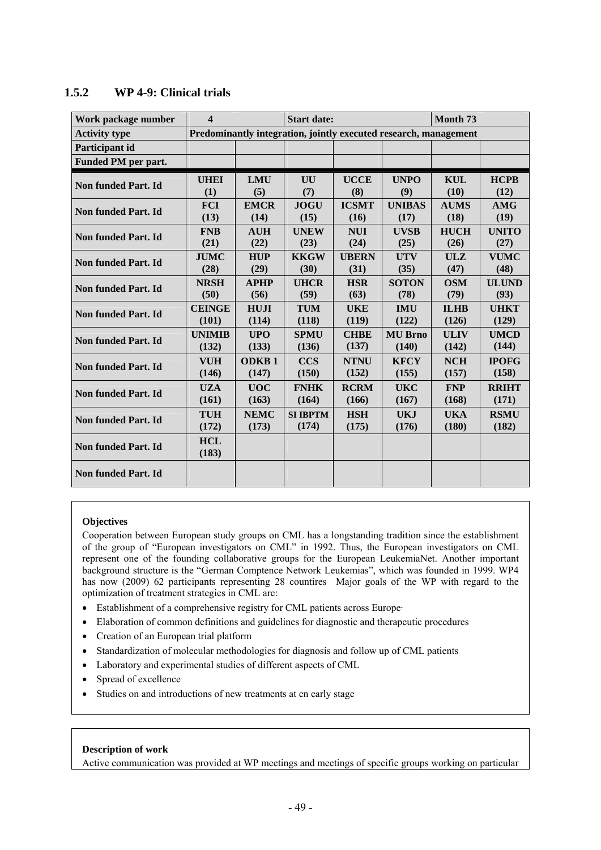| Work package number        | $\overline{\mathbf{4}}$ |              | <b>Start date:</b>                                               |              |                | Month <sub>73</sub> |              |
|----------------------------|-------------------------|--------------|------------------------------------------------------------------|--------------|----------------|---------------------|--------------|
| <b>Activity type</b>       |                         |              | Predominantly integration, jointly executed research, management |              |                |                     |              |
| Participant id             |                         |              |                                                                  |              |                |                     |              |
| <b>Funded PM per part.</b> |                         |              |                                                                  |              |                |                     |              |
| <b>Non funded Part. Id</b> | <b>UHEI</b>             | <b>LMU</b>   | UU                                                               | <b>UCCE</b>  | <b>UNPO</b>    | <b>KUL</b>          | <b>HCPB</b>  |
|                            | (1)                     | (5)          | (7)                                                              | (8)          | (9)            | (10)                | (12)         |
| <b>Non funded Part. Id</b> | <b>FCI</b>              | <b>EMCR</b>  | <b>JOGU</b>                                                      | <b>ICSMT</b> | <b>UNIBAS</b>  | <b>AUMS</b>         | <b>AMG</b>   |
|                            | (13)                    | (14)         | (15)                                                             | (16)         | (17)           | (18)                | (19)         |
| <b>Non funded Part. Id</b> | <b>FNB</b>              | <b>AUH</b>   | <b>UNEW</b>                                                      | <b>NUI</b>   | <b>UVSB</b>    | <b>HUCH</b>         | <b>UNITO</b> |
|                            | (21)                    | (22)         | (23)                                                             | (24)         | (25)           | (26)                | (27)         |
| <b>Non funded Part. Id</b> | <b>JUMC</b>             | <b>HUP</b>   | <b>KKGW</b>                                                      | <b>UBERN</b> | <b>UTV</b>     | ULZ                 | <b>VUMC</b>  |
|                            | (28)                    | (29)         | (30)                                                             | (31)         | (35)           | (47)                | (48)         |
| Non funded Part. Id        | <b>NRSH</b>             | <b>APHP</b>  | <b>UHCR</b>                                                      | <b>HSR</b>   | <b>SOTON</b>   | <b>OSM</b>          | <b>ULUND</b> |
|                            | (50)                    | (56)         | (59)                                                             | (63)         | (78)           | (79)                | (93)         |
| <b>Non funded Part. Id</b> | <b>CEINGE</b>           | <b>HUJI</b>  | <b>TUM</b>                                                       | <b>UKE</b>   | <b>IMU</b>     | <b>ILHB</b>         | <b>UHKT</b>  |
|                            | (101)                   | (114)        | (118)                                                            | (119)        | (122)          | (126)               | (129)        |
| Non funded Part. Id        | <b>UNIMIB</b>           | <b>UPO</b>   | <b>SPMU</b>                                                      | <b>CHBE</b>  | <b>MU Brno</b> | <b>ULIV</b>         | <b>UMCD</b>  |
|                            | (132)                   | (133)        | (136)                                                            | (137)        | (140)          | (142)               | (144)        |
| <b>Non funded Part. Id</b> | <b>VUH</b>              | <b>ODKB1</b> | <b>CCS</b>                                                       | <b>NTNU</b>  | <b>KFCY</b>    | <b>NCH</b>          | <b>IPOFG</b> |
|                            | (146)                   | (147)        | (150)                                                            | (152)        | (155)          | (157)               | (158)        |
| Non funded Part. Id        | <b>UZA</b>              | <b>UOC</b>   | <b>FNHK</b>                                                      | <b>RCRM</b>  | <b>UKC</b>     | <b>FNP</b>          | <b>RRIHT</b> |
|                            | (161)                   | (163)        | (164)                                                            | (166)        | (167)          | (168)               | (171)        |
| <b>Non funded Part. Id</b> | <b>TUH</b>              | <b>NEMC</b>  | <b>SI IBPTM</b>                                                  | <b>HSH</b>   | <b>UKJ</b>     | <b>UKA</b>          | <b>RSMU</b>  |
|                            | (172)                   | (173)        | (174)                                                            | (175)        | (176)          | (180)               | (182)        |
| <b>Non funded Part. Id</b> | <b>HCL</b><br>(183)     |              |                                                                  |              |                |                     |              |
| Non funded Part. Id        |                         |              |                                                                  |              |                |                     |              |

# **1.5.2 WP 4-9: Clinical trials**

#### **Objectives**

Cooperation between European study groups on CML has a longstanding tradition since the establishment of the group of "European investigators on CML" in 1992. Thus, the European investigators on CML represent one of the founding collaborative groups for the European LeukemiaNet. Another important background structure is the "German Comptence Network Leukemias", which was founded in 1999. WP4 has now (2009) 62 participants representing 28 countires Major goals of the WP with regard to the optimization of treatment strategies in CML are:

- Establishment of a comprehensive registry for CML patients across Europe·
- Elaboration of common definitions and guidelines for diagnostic and therapeutic procedures
- Creation of an European trial platform
- Standardization of molecular methodologies for diagnosis and follow up of CML patients
- Laboratory and experimental studies of different aspects of CML
- Spread of excellence
- Studies on and introductions of new treatments at en early stage

## **Description of work**

Active communication was provided at WP meetings and meetings of specific groups working on particular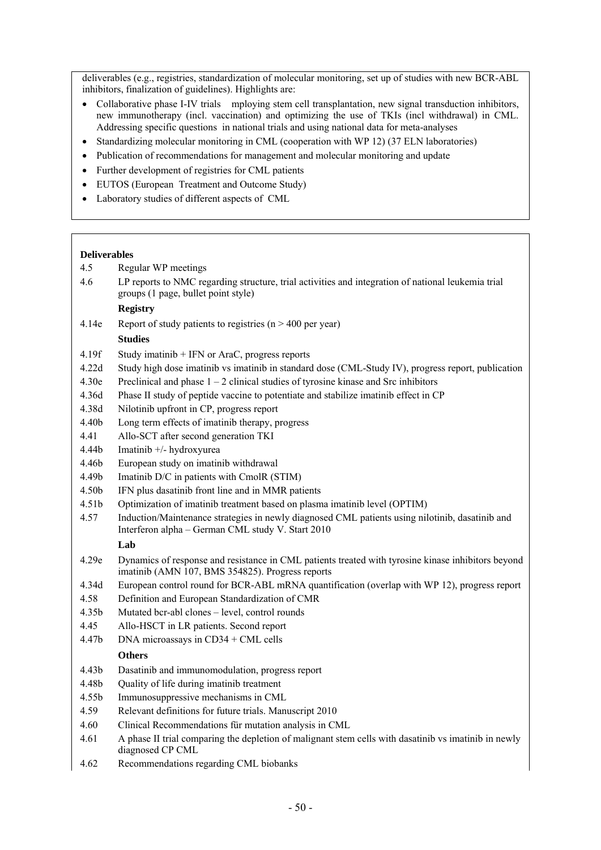deliverables (e.g., registries, standardization of molecular monitoring, set up of studies with new BCR-ABL inhibitors, finalization of guidelines). Highlights are:

- Collaborative phase I-IV trials mploying stem cell transplantation, new signal transduction inhibitors, new immunotherapy (incl. vaccination) and optimizing the use of TKIs (incl withdrawal) in CML. Addressing specific questions in national trials and using national data for meta-analyses
- Standardizing molecular monitoring in CML (cooperation with WP 12) (37 ELN laboratories)
- Publication of recommendations for management and molecular monitoring and update
- Further development of registries for CML patients
- EUTOS (European Treatment and Outcome Study)
- Laboratory studies of different aspects of CML

## **Deliverables**

- 4.5 Regular WP meetings
- 4.6 LP reports to NMC regarding structure, trial activities and integration of national leukemia trial groups (1 page, bullet point style)

## **Registry**

4.14e Report of study patients to registries (n > 400 per year)

#### **Studies**

- 4.19f Study imatinib + IFN or AraC, progress reports
- 4.22d Study high dose imatinib vs imatinib in standard dose (CML-Study IV), progress report, publication
- 4.30e Preclinical and phase  $1 2$  clinical studies of tyrosine kinase and Src inhibitors
- 4.36d Phase II study of peptide vaccine to potentiate and stabilize imatinib effect in CP
- 4.38d Nilotinib upfront in CP, progress report
- 4.40b Long term effects of imatinib therapy, progress
- 4.41 Allo-SCT after second generation TKI
- 4.44b Imatinib +/- hydroxyurea
- 4.46b European study on imatinib withdrawal
- 4.49b Imatinib D/C in patients with CmolR (STIM)
- 4.50b IFN plus dasatinib front line and in MMR patients
- 4.51b Optimization of imatinib treatment based on plasma imatinib level (OPTIM)
- 4.57 Induction/Maintenance strategies in newly diagnosed CML patients using nilotinib, dasatinib and Interferon alpha – German CML study V. Start 2010

## **Lab**

- 4.29e Dynamics of response and resistance in CML patients treated with tyrosine kinase inhibitors beyond imatinib (AMN 107, BMS 354825). Progress reports
- 4.34d European control round for BCR-ABL mRNA quantification (overlap with WP 12), progress report
- 4.58 Definition and European Standardization of CMR
- 4.35b Mutated bcr-abl clones level, control rounds
- 4.45 Allo-HSCT in LR patients. Second report
- 4.47b DNA microassays in CD34 + CML cells

#### **Others**

- 4.43b Dasatinib and immunomodulation, progress report
- 4.48b Quality of life during imatinib treatment
- 4.55b Immunosuppressive mechanisms in CML
- 4.59 Relevant definitions for future trials. Manuscript 2010
- 4.60 Clinical Recommendations für mutation analysis in CML
- 4.61 A phase II trial comparing the depletion of malignant stem cells with dasatinib vs imatinib in newly diagnosed CP CML
- 4.62 Recommendations regarding CML biobanks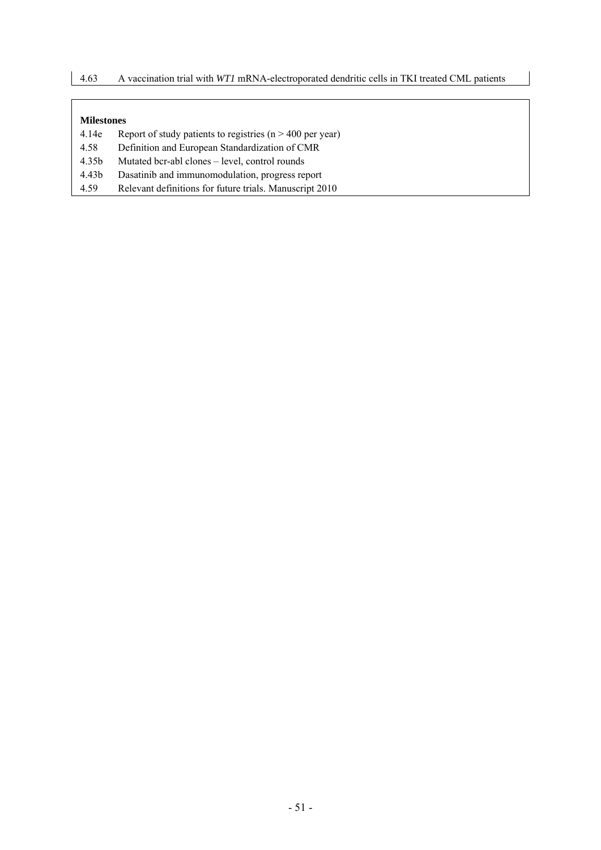- 4.14e Report of study patients to registries (n > 400 per year)
- 4.58 Definition and European Standardization of CMR
- 4.35b Mutated bcr-abl clones level, control rounds
- 4.43b Dasatinib and immunomodulation, progress report
- 4.59 Relevant definitions for future trials. Manuscript 2010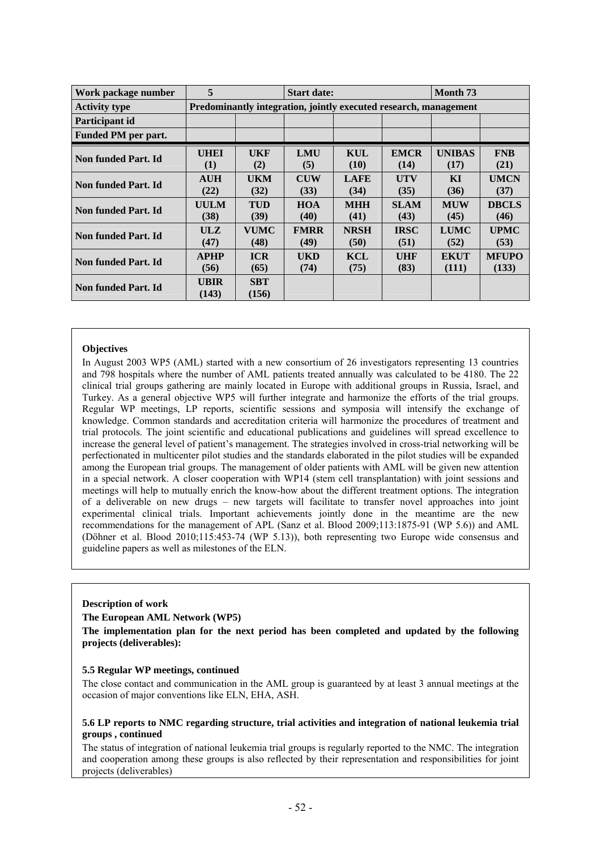| Work package number  | 5           | <b>Start date:</b>                                               |             |             |             |               | Month <sub>73</sub> |  |  |  |
|----------------------|-------------|------------------------------------------------------------------|-------------|-------------|-------------|---------------|---------------------|--|--|--|
| <b>Activity type</b> |             | Predominantly integration, jointly executed research, management |             |             |             |               |                     |  |  |  |
| Participant id       |             |                                                                  |             |             |             |               |                     |  |  |  |
| Funded PM per part.  |             |                                                                  |             |             |             |               |                     |  |  |  |
| Non funded Part. Id  | <b>UHEI</b> | UKF                                                              | <b>LMU</b>  | KUL         | <b>EMCR</b> | <b>UNIBAS</b> | <b>FNB</b>          |  |  |  |
|                      | (1)         | (2)                                                              | (5)         | (10)        | (14)        | (17)          | (21)                |  |  |  |
| Non funded Part. Id  | <b>AUH</b>  | <b>UKM</b>                                                       | <b>CUW</b>  | <b>LAFE</b> | <b>UTV</b>  | KI            | <b>UMCN</b>         |  |  |  |
|                      | (22)        | (32)                                                             | (33)        | (34)        | (35)        | (36)          | (37)                |  |  |  |
| Non funded Part. Id  | <b>UULM</b> | <b>TUD</b>                                                       | <b>HOA</b>  | <b>MHH</b>  | <b>SLAM</b> | <b>MUW</b>    | <b>DBCLS</b>        |  |  |  |
|                      | (38)        | (39)                                                             | (40)        | (41)        | (43)        | (45)          | (46)                |  |  |  |
| Non funded Part. Id  | ULZ         | <b>VUMC</b>                                                      | <b>FMRR</b> | <b>NRSH</b> | <b>IRSC</b> | <b>LUMC</b>   | <b>UPMC</b>         |  |  |  |
|                      | (47)        | (48)                                                             | (49)        | (50)        | (51)        | (52)          | (53)                |  |  |  |
| Non funded Part. Id  | <b>APHP</b> | <b>ICR</b>                                                       | UKD         | <b>KCL</b>  | UHF         | <b>EKUT</b>   | <b>MFUPO</b>        |  |  |  |
|                      | (56)        | (65)                                                             | (74)        | (75)        | (83)        | (111)         | (133)               |  |  |  |
| Non funded Part. Id  | UBIR        | <b>SBT</b>                                                       |             |             |             |               |                     |  |  |  |
|                      | (143)       | (156)                                                            |             |             |             |               |                     |  |  |  |

In August 2003 WP5 (AML) started with a new consortium of 26 investigators representing 13 countries and 798 hospitals where the number of AML patients treated annually was calculated to be 4180. The 22 clinical trial groups gathering are mainly located in Europe with additional groups in Russia, Israel, and Turkey. As a general objective WP5 will further integrate and harmonize the efforts of the trial groups. Regular WP meetings, LP reports, scientific sessions and symposia will intensify the exchange of knowledge. Common standards and accreditation criteria will harmonize the procedures of treatment and trial protocols. The joint scientific and educational publications and guidelines will spread excellence to increase the general level of patient's management. The strategies involved in cross-trial networking will be perfectionated in multicenter pilot studies and the standards elaborated in the pilot studies will be expanded among the European trial groups. The management of older patients with AML will be given new attention in a special network. A closer cooperation with WP14 (stem cell transplantation) with joint sessions and meetings will help to mutually enrich the know-how about the different treatment options. The integration of a deliverable on new drugs – new targets will facilitate to transfer novel approaches into joint experimental clinical trials. Important achievements jointly done in the meantime are the new recommendations for the management of APL (Sanz et al. Blood 2009;113:1875-91 (WP 5.6)) and AML (Döhner et al. Blood 2010;115:453-74 (WP 5.13)), both representing two Europe wide consensus and guideline papers as well as milestones of the ELN.

### **Description of work**

#### **The European AML Network (WP5)**

**The implementation plan for the next period has been completed and updated by the following projects (deliverables):** 

#### **5.5 Regular WP meetings, continued**

The close contact and communication in the AML group is guaranteed by at least 3 annual meetings at the occasion of major conventions like ELN, EHA, ASH.

#### **5.6 LP reports to NMC regarding structure, trial activities and integration of national leukemia trial groups , continued**

The status of integration of national leukemia trial groups is regularly reported to the NMC. The integration and cooperation among these groups is also reflected by their representation and responsibilities for joint projects (deliverables)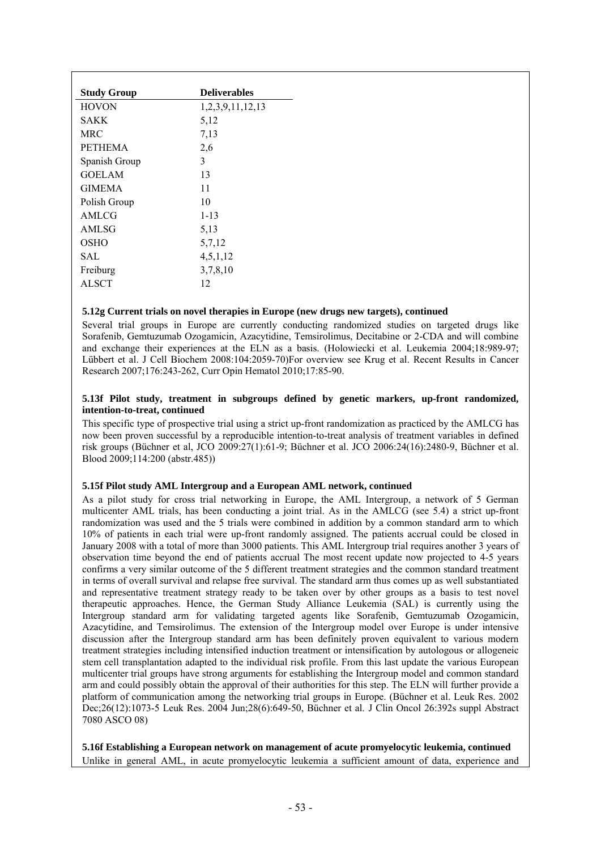| <b>Study Group</b> | <b>Deliverables</b> |
|--------------------|---------------------|
| <b>HOVON</b>       | 1,2,3,9,11,12,13    |
| SAKK               | 5,12                |
| <b>MRC</b>         | 7.13                |
| <b>PETHEMA</b>     | 2,6                 |
| Spanish Group      | 3                   |
| <b>GOELAM</b>      | 13                  |
| <b>GIMEMA</b>      | 11                  |
| Polish Group       | 10                  |
| AMLCG              | $1 - 13$            |
| AMLSG              | 5,13                |
| OSHO               | 5,7,12              |
| SAL.               | 4,5,1,12            |
| Freiburg           | 3,7,8,10            |
| <b>ALSCT</b>       | 12                  |
|                    |                     |

#### **5.12g Current trials on novel therapies in Europe (new drugs new targets), continued**

Several trial groups in Europe are currently conducting randomized studies on targeted drugs like Sorafenib, Gemtuzumab Ozogamicin, Azacytidine, Temsirolimus, Decitabine or 2-CDA and will combine and exchange their experiences at the ELN as a basis. (Holowiecki et al. Leukemia 2004;18:989-97; Lübbert et al. J Cell Biochem 2008:104:2059-70)For overview see Krug et al. Recent Results in Cancer Research 2007;176:243-262, Curr Opin Hematol 2010;17:85-90.

#### **5.13f Pilot study, treatment in subgroups defined by genetic markers, up-front randomized, intention-to-treat, continued**

This specific type of prospective trial using a strict up-front randomization as practiced by the AMLCG has now been proven successful by a reproducible intention-to-treat analysis of treatment variables in defined risk groups (Büchner et al, JCO 2009:27(1):61-9; Büchner et al. JCO 2006:24(16):2480-9, Büchner et al. Blood 2009;114:200 (abstr.485))

#### **5.15f Pilot study AML Intergroup and a European AML network, continued**

As a pilot study for cross trial networking in Europe, the AML Intergroup, a network of 5 German multicenter AML trials, has been conducting a joint trial. As in the AMLCG (see 5.4) a strict up-front randomization was used and the 5 trials were combined in addition by a common standard arm to which 10% of patients in each trial were up-front randomly assigned. The patients accrual could be closed in January 2008 with a total of more than 3000 patients. This AML Intergroup trial requires another 3 years of observation time beyond the end of patients accrual The most recent update now projected to 4-5 years confirms a very similar outcome of the 5 different treatment strategies and the common standard treatment in terms of overall survival and relapse free survival. The standard arm thus comes up as well substantiated and representative treatment strategy ready to be taken over by other groups as a basis to test novel therapeutic approaches. Hence, the German Study Alliance Leukemia (SAL) is currently using the Intergroup standard arm for validating targeted agents like Sorafenib, Gemtuzumab Ozogamicin, Azacytidine, and Temsirolimus. The extension of the Intergroup model over Europe is under intensive discussion after the Intergroup standard arm has been definitely proven equivalent to various modern treatment strategies including intensified induction treatment or intensification by autologous or allogeneic stem cell transplantation adapted to the individual risk profile. From this last update the various European multicenter trial groups have strong arguments for establishing the Intergroup model and common standard arm and could possibly obtain the approval of their authorities for this step. The ELN will further provide a platform of communication among the networking trial groups in Europe. (Büchner et al. Leuk Res. 2002 Dec;26(12):1073-5 Leuk Res. 2004 Jun;28(6):649-50, Büchner et al. J Clin Oncol 26:392s suppl Abstract 7080 ASCO 08)

**5.16f Establishing a European network on management of acute promyelocytic leukemia, continued**  Unlike in general AML, in acute promyelocytic leukemia a sufficient amount of data, experience and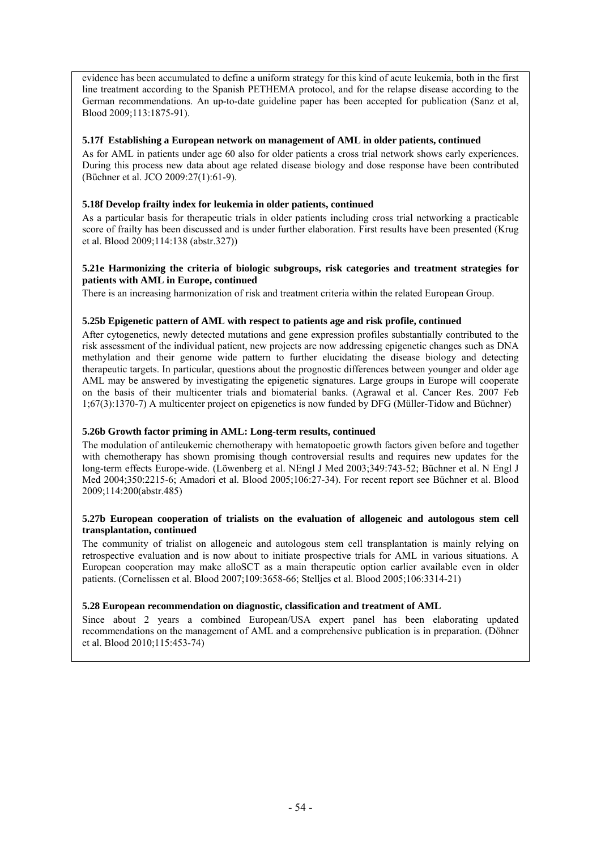evidence has been accumulated to define a uniform strategy for this kind of acute leukemia, both in the first line treatment according to the Spanish PETHEMA protocol, and for the relapse disease according to the German recommendations. An up-to-date guideline paper has been accepted for publication (Sanz et al, Blood 2009;113:1875-91).

## **5.17f Establishing a European network on management of AML in older patients, continued**

As for AML in patients under age 60 also for older patients a cross trial network shows early experiences. During this process new data about age related disease biology and dose response have been contributed (Büchner et al. JCO 2009:27(1):61-9).

## **5.18f Develop frailty index for leukemia in older patients, continued**

As a particular basis for therapeutic trials in older patients including cross trial networking a practicable score of frailty has been discussed and is under further elaboration. First results have been presented (Krug et al. Blood 2009;114:138 (abstr.327))

## **5.21e Harmonizing the criteria of biologic subgroups, risk categories and treatment strategies for patients with AML in Europe, continued**

There is an increasing harmonization of risk and treatment criteria within the related European Group.

## **5.25b Epigenetic pattern of AML with respect to patients age and risk profile, continued**

After cytogenetics, newly detected mutations and gene expression profiles substantially contributed to the risk assessment of the individual patient, new projects are now addressing epigenetic changes such as DNA methylation and their genome wide pattern to further elucidating the disease biology and detecting therapeutic targets. In particular, questions about the prognostic differences between younger and older age AML may be answered by investigating the epigenetic signatures. Large groups in Europe will cooperate on the basis of their multicenter trials and biomaterial banks. (Agrawal et al. Cancer Res. 2007 Feb 1;67(3):1370-7) A multicenter project on epigenetics is now funded by DFG (Müller-Tidow and Büchner)

## **5.26b Growth factor priming in AML: Long-term results, continued**

The modulation of antileukemic chemotherapy with hematopoetic growth factors given before and together with chemotherapy has shown promising though controversial results and requires new updates for the long-term effects Europe-wide. (Löwenberg et al. NEngl J Med 2003;349:743-52; Büchner et al. N Engl J Med 2004;350:2215-6; Amadori et al. Blood 2005;106:27-34). For recent report see Büchner et al. Blood 2009;114:200(abstr.485)

#### **5.27b European cooperation of trialists on the evaluation of allogeneic and autologous stem cell transplantation, continued**

The community of trialist on allogeneic and autologous stem cell transplantation is mainly relying on retrospective evaluation and is now about to initiate prospective trials for AML in various situations. A European cooperation may make alloSCT as a main therapeutic option earlier available even in older patients. (Cornelissen et al. Blood 2007;109:3658-66; Stelljes et al. Blood 2005;106:3314-21)

## **5.28 European recommendation on diagnostic, classification and treatment of AML**

Since about 2 years a combined European/USA expert panel has been elaborating updated recommendations on the management of AML and a comprehensive publication is in preparation. (Döhner et al. Blood 2010;115:453-74)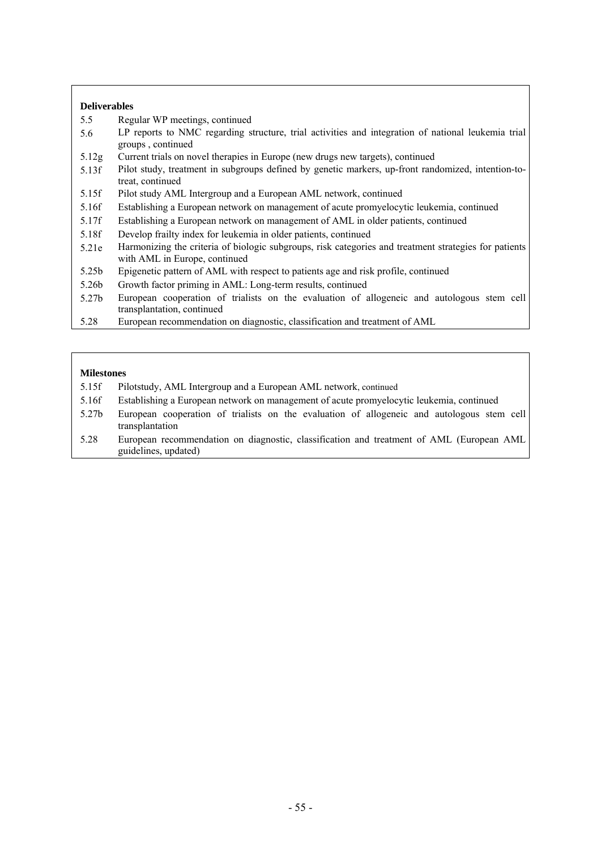## **Deliverables**

- 5.5 Regular WP meetings, continued
- 5.6 LP reports to NMC regarding structure, trial activities and integration of national leukemia trial groups , continued
- 5.12g Current trials on novel therapies in Europe (new drugs new targets), continued
- 5.13f Pilot study, treatment in subgroups defined by genetic markers, up-front randomized, intention-totreat, continued
- 5.15f Pilot study AML Intergroup and a European AML network, continued
- 5.16f Establishing a European network on management of acute promyelocytic leukemia, continued
- 5.17f Establishing a European network on management of AML in older patients, continued
- 5.18f Develop frailty index for leukemia in older patients, continued
- 5.21e Harmonizing the criteria of biologic subgroups, risk categories and treatment strategies for patients with AML in Europe, continued
- 5.25b Epigenetic pattern of AML with respect to patients age and risk profile, continued
- 5.26b Growth factor priming in AML: Long-term results, continued
- 5.27b European cooperation of trialists on the evaluation of allogeneic and autologous stem cell transplantation, continued
- 5.28 European recommendation on diagnostic, classification and treatment of AML

- 5.15f Pilotstudy, AML Intergroup and a European AML network, continued
- 5.16f Establishing a European network on management of acute promyelocytic leukemia, continued
- 5.27b European cooperation of trialists on the evaluation of allogeneic and autologous stem cell transplantation
- 5.28 European recommendation on diagnostic, classification and treatment of AML (European AML guidelines, updated)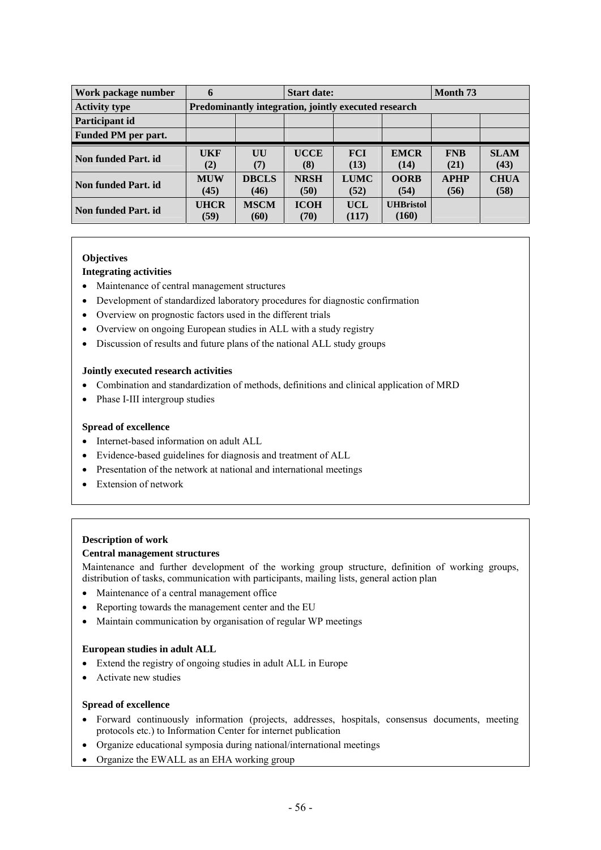| Work package number  | 6                   | <b>Start date:</b>                                   |                     |                     |                           | Month 73            |                     |  |  |
|----------------------|---------------------|------------------------------------------------------|---------------------|---------------------|---------------------------|---------------------|---------------------|--|--|
| <b>Activity type</b> |                     | Predominantly integration, jointly executed research |                     |                     |                           |                     |                     |  |  |
| Participant id       |                     |                                                      |                     |                     |                           |                     |                     |  |  |
| Funded PM per part.  |                     |                                                      |                     |                     |                           |                     |                     |  |  |
| Non funded Part. id. | UKF<br>(2)          | UU<br>(7)                                            | <b>UCCE</b><br>(8)  | <b>FCI</b><br>(13)  | <b>EMCR</b><br>(14)       | <b>FNB</b><br>(21)  | <b>SLAM</b><br>(43) |  |  |
| Non funded Part. id  | <b>MUW</b><br>(45)  | <b>DBCLS</b><br>(46)                                 | <b>NRSH</b><br>(50) | <b>LUMC</b><br>(52) | <b>OORB</b><br>(54)       | <b>APHP</b><br>(56) | <b>CHUA</b><br>(58) |  |  |
| Non funded Part. id  | <b>UHCR</b><br>(59) | <b>MSCM</b><br>(60)                                  | <b>ICOH</b><br>(70) | UCL<br>(117)        | <b>UHBristol</b><br>(160) |                     |                     |  |  |

#### **Integrating activities**

- Maintenance of central management structures
- Development of standardized laboratory procedures for diagnostic confirmation
- Overview on prognostic factors used in the different trials
- Overview on ongoing European studies in ALL with a study registry
- Discussion of results and future plans of the national ALL study groups

## **Jointly executed research activities**

- Combination and standardization of methods, definitions and clinical application of MRD
- Phase I-III intergroup studies

#### **Spread of excellence**

- Internet-based information on adult ALL
- Evidence-based guidelines for diagnosis and treatment of ALL
- Presentation of the network at national and international meetings
- Extension of network

#### **Description of work**

#### **Central management structures**

Maintenance and further development of the working group structure, definition of working groups, distribution of tasks, communication with participants, mailing lists, general action plan

- Maintenance of a central management office
- Reporting towards the management center and the EU
- Maintain communication by organisation of regular WP meetings

#### **European studies in adult ALL**

- Extend the registry of ongoing studies in adult ALL in Europe
- Activate new studies

#### **Spread of excellence**

- Forward continuously information (projects, addresses, hospitals, consensus documents, meeting protocols etc.) to Information Center for internet publication
- Organize educational symposia during national/international meetings
- Organize the EWALL as an EHA working group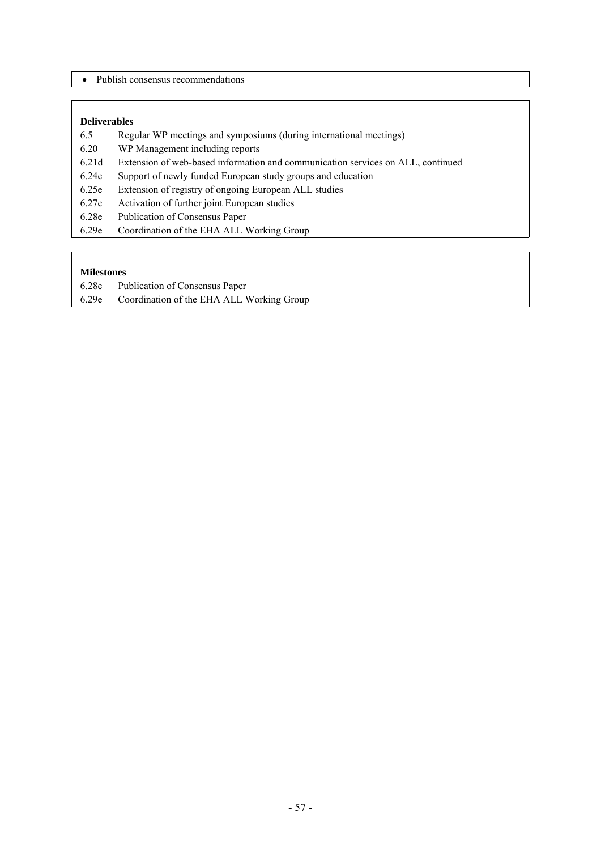• Publish consensus recommendations

## **Deliverables**

- 6.5 Regular WP meetings and symposiums (during international meetings)
- 6.20 WP Management including reports
- 6.21d Extension of web-based information and communication services on ALL, continued
- 6.24e Support of newly funded European study groups and education
- 6.25e Extension of registry of ongoing European ALL studies
- 6.27e Activation of further joint European studies
- 6.28e Publication of Consensus Paper
- 6.29e Coordination of the EHA ALL Working Group

- 6.28e Publication of Consensus Paper
- 6.29e Coordination of the EHA ALL Working Group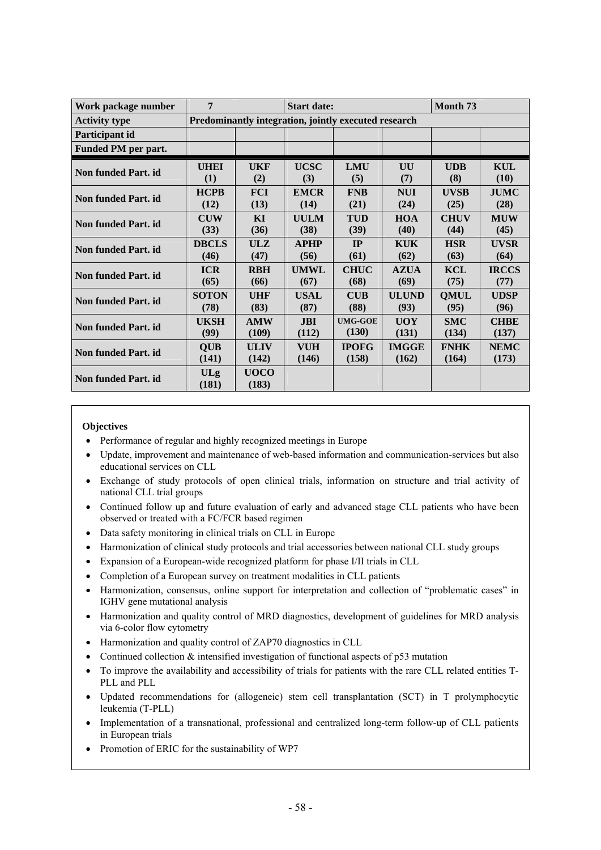| Work package number  | 7            | <b>Start date:</b> |             |                                                      |              | Month <sub>73</sub> |              |
|----------------------|--------------|--------------------|-------------|------------------------------------------------------|--------------|---------------------|--------------|
| <b>Activity type</b> |              |                    |             | Predominantly integration, jointly executed research |              |                     |              |
| Participant id       |              |                    |             |                                                      |              |                     |              |
| Funded PM per part.  |              |                    |             |                                                      |              |                     |              |
| Non funded Part. id  | <b>UHEI</b>  | <b>UKF</b>         | <b>UCSC</b> | <b>LMU</b>                                           | UU           | <b>UDB</b>          | KUL          |
|                      | (1)          | (2)                | (3)         | (5)                                                  | (7)          | (8)                 | (10)         |
| Non funded Part. id  | <b>HCPB</b>  | <b>FCI</b>         | <b>EMCR</b> | <b>FNB</b>                                           | <b>NUI</b>   | <b>UVSB</b>         | <b>JUMC</b>  |
|                      | (12)         | (13)               | (14)        | (21)                                                 | (24)         | (25)                | (28)         |
| Non funded Part. id  | <b>CUW</b>   | KI                 | <b>UULM</b> | <b>TUD</b>                                           | <b>HOA</b>   | <b>CHUV</b>         | <b>MUW</b>   |
|                      | (33)         | (36)               | (38)        | (39)                                                 | (40)         | (44)                | (45)         |
| Non funded Part. id  | <b>DBCLS</b> | ULZ                | <b>APHP</b> | IP                                                   | <b>KUK</b>   | <b>HSR</b>          | <b>UVSR</b>  |
|                      | (46)         | (47)               | (56)        | (61)                                                 | (62)         | (63)                | (64)         |
| Non funded Part. id  | <b>ICR</b>   | <b>RBH</b>         | <b>UMWL</b> | <b>CHUC</b>                                          | <b>AZUA</b>  | <b>KCL</b>          | <b>IRCCS</b> |
|                      | (65)         | (66)               | (67)        | (68)                                                 | (69)         | (75)                | (77)         |
| Non funded Part. id  | <b>SOTON</b> | <b>UHF</b>         | <b>USAL</b> | $\mathbf{C} \mathbf{U} \mathbf{B}$                   | <b>ULUND</b> | <b>OMUL</b>         | <b>UDSP</b>  |
|                      | (78)         | (83)               | (87)        | (88)                                                 | (93)         | (95)                | (96)         |
| Non funded Part. id  | <b>UKSH</b>  | <b>AMW</b>         | <b>JBI</b>  | <b>UMG-GOE</b>                                       | <b>UOY</b>   | <b>SMC</b>          | <b>CHBE</b>  |
|                      | (99)         | (109)              | (112)       | (130)                                                | (131)        | (134)               | (137)        |
| Non funded Part. id  | <b>OUB</b>   | <b>ULIV</b>        | <b>VUH</b>  | <b>IPOFG</b>                                         | <b>IMGGE</b> | <b>FNHK</b>         | <b>NEMC</b>  |
|                      | (141)        | (142)              | (146)       | (158)                                                | (162)        | (164)               | (173)        |
| Non funded Part. id  | <b>ULg</b>   | <b>UOCO</b>        |             |                                                      |              |                     |              |
|                      | (181)        | (183)              |             |                                                      |              |                     |              |

- Performance of regular and highly recognized meetings in Europe
- Update, improvement and maintenance of web-based information and communication-services but also educational services on CLL
- Exchange of study protocols of open clinical trials, information on structure and trial activity of national CLL trial groups
- Continued follow up and future evaluation of early and advanced stage CLL patients who have been observed or treated with a FC/FCR based regimen
- Data safety monitoring in clinical trials on CLL in Europe
- Harmonization of clinical study protocols and trial accessories between national CLL study groups
- Expansion of a European-wide recognized platform for phase I/II trials in CLL
- Completion of a European survey on treatment modalities in CLL patients
- Harmonization, consensus, online support for interpretation and collection of "problematic cases" in IGHV gene mutational analysis
- Harmonization and quality control of MRD diagnostics, development of guidelines for MRD analysis via 6-color flow cytometry
- Harmonization and quality control of ZAP70 diagnostics in CLL
- Continued collection & intensified investigation of functional aspects of p53 mutation
- To improve the availability and accessibility of trials for patients with the rare CLL related entities T-PLL and PLL
- Updated recommendations for (allogeneic) stem cell transplantation (SCT) in T prolymphocytic leukemia (T-PLL)
- Implementation of a transnational, professional and centralized long-term follow-up of CLL patients in European trials
- Promotion of ERIC for the sustainability of WP7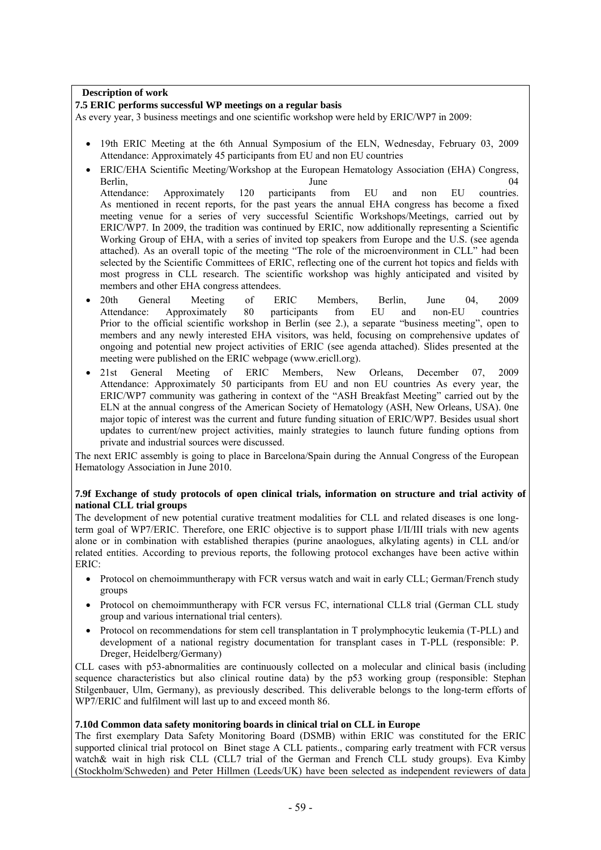## **Description of work**

#### **7.5 ERIC performs successful WP meetings on a regular basis**

As every year, 3 business meetings and one scientific workshop were held by ERIC/WP7 in 2009:

- 19th ERIC Meeting at the 6th Annual Symposium of the ELN, Wednesday, February 03, 2009 Attendance: Approximately 45 participants from EU and non EU countries
- ERIC/EHA Scientific Meeting/Workshop at the European Hematology Association (EHA) Congress, Berlin, 2004 and 2004 and 2004 and 2004 and 2004 and 2004 and 2004 and 2004 and 2004 and 2004 and 2004 and 200 Attendance: Approximately 120 participants from EU and non EU countries. As mentioned in recent reports, for the past years the annual EHA congress has become a fixed meeting venue for a series of very successful Scientific Workshops/Meetings, carried out by ERIC/WP7. In 2009, the tradition was continued by ERIC, now additionally representing a Scientific Working Group of EHA, with a series of invited top speakers from Europe and the U.S. (see agenda attached). As an overall topic of the meeting "The role of the microenvironment in CLL" had been selected by the Scientific Committees of ERIC, reflecting one of the current hot topics and fields with most progress in CLL research. The scientific workshop was highly anticipated and visited by members and other EHA congress attendees.
- 20th General Meeting of ERIC Members, Berlin, June 04, 2009 Attendance: Approximately 80 participants from EU and non-EU countries Prior to the official scientific workshop in Berlin (see 2.), a separate "business meeting", open to members and any newly interested EHA visitors, was held, focusing on comprehensive updates of ongoing and potential new project activities of ERIC (see agenda attached). Slides presented at the meeting were published on the ERIC webpage (www.ericll.org).
- 21st General Meeting of ERIC Members, New Orleans, December 07, 2009 Attendance: Approximately 50 participants from EU and non EU countries As every year, the ERIC/WP7 community was gathering in context of the "ASH Breakfast Meeting" carried out by the ELN at the annual congress of the American Society of Hematology (ASH, New Orleans, USA). 0ne major topic of interest was the current and future funding situation of ERIC/WP7. Besides usual short updates to current/new project activities, mainly strategies to launch future funding options from private and industrial sources were discussed.

The next ERIC assembly is going to place in Barcelona/Spain during the Annual Congress of the European Hematology Association in June 2010.

#### **7.9f Exchange of study protocols of open clinical trials, information on structure and trial activity of national CLL trial groups**

The development of new potential curative treatment modalities for CLL and related diseases is one longterm goal of WP7/ERIC. Therefore, one ERIC objective is to support phase I/II/III trials with new agents alone or in combination with established therapies (purine anaologues, alkylating agents) in CLL and/or related entities. According to previous reports, the following protocol exchanges have been active within ERIC:

- Protocol on chemoimmuntherapy with FCR versus watch and wait in early CLL; German/French study groups
- Protocol on chemoimmuntherapy with FCR versus FC, international CLL8 trial (German CLL study group and various international trial centers).
- Protocol on recommendations for stem cell transplantation in T prolymphocytic leukemia (T-PLL) and development of a national registry documentation for transplant cases in T-PLL (responsible: P. Dreger, Heidelberg/Germany)

CLL cases with p53-abnormalities are continuously collected on a molecular and clinical basis (including sequence characteristics but also clinical routine data) by the p53 working group (responsible: Stephan Stilgenbauer, Ulm, Germany), as previously described. This deliverable belongs to the long-term efforts of WP7/ERIC and fulfilment will last up to and exceed month 86.

#### **7.10d Common data safety monitoring boards in clinical trial on CLL in Europe**

The first exemplary Data Safety Monitoring Board (DSMB) within ERIC was constituted for the ERIC supported clinical trial protocol on Binet stage A CLL patients., comparing early treatment with FCR versus watch & wait in high risk CLL (CLL7 trial of the German and French CLL study groups). Eva Kimby (Stockholm/Schweden) and Peter Hillmen (Leeds/UK) have been selected as independent reviewers of data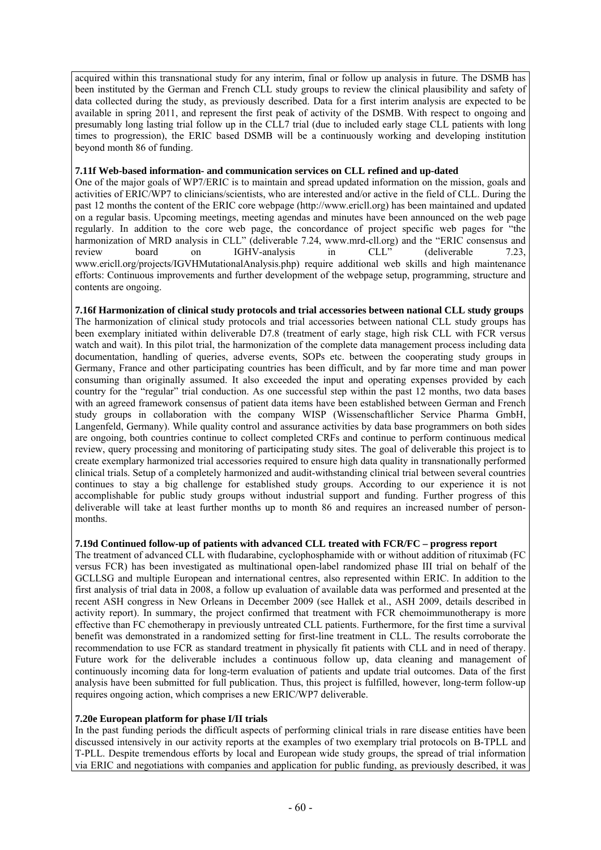acquired within this transnational study for any interim, final or follow up analysis in future. The DSMB has been instituted by the German and French CLL study groups to review the clinical plausibility and safety of data collected during the study, as previously described. Data for a first interim analysis are expected to be available in spring 2011, and represent the first peak of activity of the DSMB. With respect to ongoing and presumably long lasting trial follow up in the CLL7 trial (due to included early stage CLL patients with long times to progression), the ERIC based DSMB will be a continuously working and developing institution beyond month 86 of funding.

## **7.11f Web-based information- and communication services on CLL refined and up-dated**

One of the major goals of WP7/ERIC is to maintain and spread updated information on the mission, goals and activities of ERIC/WP7 to clinicians/scientists, who are interested and/or active in the field of CLL. During the past 12 months the content of the ERIC core webpage (http://www.ericll.org) has been maintained and updated on a regular basis. Upcoming meetings, meeting agendas and minutes have been announced on the web page regularly. In addition to the core web page, the concordance of project specific web pages for "the harmonization of MRD analysis in CLL" (deliverable 7.24, www.mrd-cll.org) and the "ERIC consensus and review board on IGHV-analysis in CLL" (deliverable 7.23, www.ericll.org/projects/IGVHMutationalAnalysis.php) require additional web skills and high maintenance efforts: Continuous improvements and further development of the webpage setup, programming, structure and contents are ongoing.

## **7.16f Harmonization of clinical study protocols and trial accessories between national CLL study groups**

The harmonization of clinical study protocols and trial accessories between national CLL study groups has been exemplary initiated within deliverable D7.8 (treatment of early stage, high risk CLL with FCR versus watch and wait). In this pilot trial, the harmonization of the complete data management process including data documentation, handling of queries, adverse events, SOPs etc. between the cooperating study groups in Germany, France and other participating countries has been difficult, and by far more time and man power consuming than originally assumed. It also exceeded the input and operating expenses provided by each country for the "regular" trial conduction. As one successful step within the past 12 months, two data bases with an agreed framework consensus of patient data items have been established between German and French study groups in collaboration with the company WISP (Wissenschaftlicher Service Pharma GmbH, Langenfeld, Germany). While quality control and assurance activities by data base programmers on both sides are ongoing, both countries continue to collect completed CRFs and continue to perform continuous medical review, query processing and monitoring of participating study sites. The goal of deliverable this project is to create exemplary harmonized trial accessories required to ensure high data quality in transnationally performed clinical trials. Setup of a completely harmonized and audit-withstanding clinical trial between several countries continues to stay a big challenge for established study groups. According to our experience it is not accomplishable for public study groups without industrial support and funding. Further progress of this deliverable will take at least further months up to month 86 and requires an increased number of personmonths.

## **7.19d Continued follow-up of patients with advanced CLL treated with FCR/FC – progress report**

The treatment of advanced CLL with fludarabine, cyclophosphamide with or without addition of rituximab (FC versus FCR) has been investigated as multinational open-label randomized phase III trial on behalf of the GCLLSG and multiple European and international centres, also represented within ERIC. In addition to the first analysis of trial data in 2008, a follow up evaluation of available data was performed and presented at the recent ASH congress in New Orleans in December 2009 (see Hallek et al., ASH 2009, details described in activity report). In summary, the project confirmed that treatment with FCR chemoimmunotherapy is more effective than FC chemotherapy in previously untreated CLL patients. Furthermore, for the first time a survival benefit was demonstrated in a randomized setting for first-line treatment in CLL. The results corroborate the recommendation to use FCR as standard treatment in physically fit patients with CLL and in need of therapy. Future work for the deliverable includes a continuous follow up, data cleaning and management of continuously incoming data for long-term evaluation of patients and update trial outcomes. Data of the first analysis have been submitted for full publication. Thus, this project is fulfilled, however, long-term follow-up requires ongoing action, which comprises a new ERIC/WP7 deliverable.

## **7.20e European platform for phase I/II trials**

In the past funding periods the difficult aspects of performing clinical trials in rare disease entities have been discussed intensively in our activity reports at the examples of two exemplary trial protocols on B-TPLL and T-PLL. Despite tremendous efforts by local and European wide study groups, the spread of trial information via ERIC and negotiations with companies and application for public funding, as previously described, it was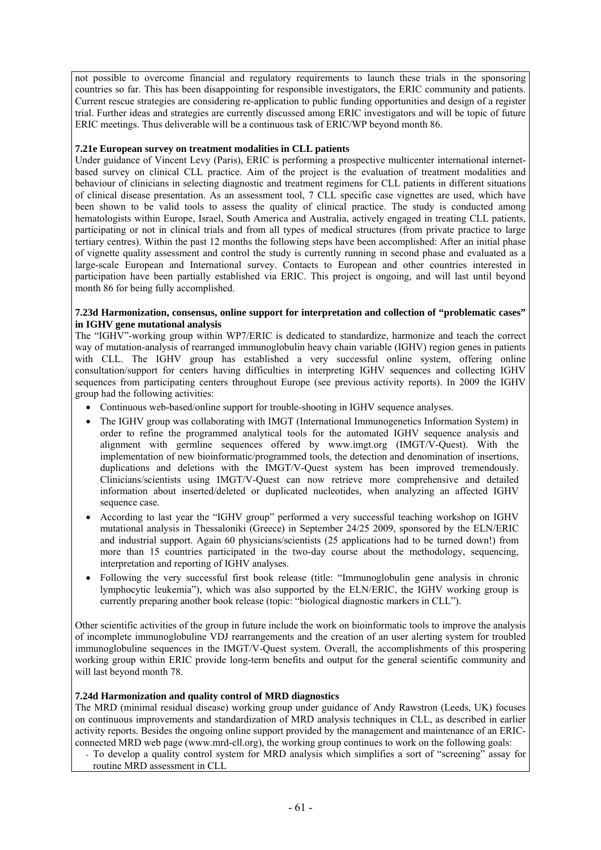not possible to overcome financial and regulatory requirements to launch these trials in the sponsoring countries so far. This has been disappointing for responsible investigators, the ERIC community and patients. Current rescue strategies are considering re-application to public funding opportunities and design of a register trial. Further ideas and strategies are currently discussed among ERIC investigators and will be topic of future ERIC meetings. Thus deliverable will be a continuous task of ERIC/WP beyond month 86.

## **7.21e European survey on treatment modalities in CLL patients**

Under guidance of Vincent Levy (Paris), ERIC is performing a prospective multicenter international internetbased survey on clinical CLL practice. Aim of the project is the evaluation of treatment modalities and behaviour of clinicians in selecting diagnostic and treatment regimens for CLL patients in different situations of clinical disease presentation. As an assessment tool, 7 CLL specific case vignettes are used, which have been shown to be valid tools to assess the quality of clinical practice. The study is conducted among hematologists within Europe, Israel, South America and Australia, actively engaged in treating CLL patients, participating or not in clinical trials and from all types of medical structures (from private practice to large tertiary centres). Within the past 12 months the following steps have been accomplished: After an initial phase of vignette quality assessment and control the study is currently running in second phase and evaluated as a large-scale European and International survey. Contacts to European and other countries interested in participation have been partially established via ERIC. This project is ongoing, and will last until beyond month 86 for being fully accomplished.

#### **7.23d Harmonization, consensus, online support for interpretation and collection of "problematic cases" in IGHV gene mutational analysis**

The "IGHV"-working group within WP7/ERIC is dedicated to standardize, harmonize and teach the correct way of mutation-analysis of rearranged immunoglobulin heavy chain variable (IGHV) region genes in patients with CLL. The IGHV group has established a very successful online system, offering online consultation/support for centers having difficulties in interpreting IGHV sequences and collecting IGHV sequences from participating centers throughout Europe (see previous activity reports). In 2009 the IGHV group had the following activities:

- Continuous web-based/online support for trouble-shooting in IGHV sequence analyses.
- The IGHV group was collaborating with IMGT (International Immunogenetics Information System) in order to refine the programmed analytical tools for the automated IGHV sequence analysis and alignment with germline sequences offered by www.imgt.org (IMGT/V-Quest). With the implementation of new bioinformatic/programmed tools, the detection and denomination of insertions, duplications and deletions with the IMGT/V-Quest system has been improved tremendously. Clinicians/scientists using IMGT/V-Quest can now retrieve more comprehensive and detailed information about inserted/deleted or duplicated nucleotides, when analyzing an affected IGHV sequence case.
- According to last year the "IGHV group" performed a very successful teaching workshop on IGHV mutational analysis in Thessaloniki (Greece) in September 24/25 2009, sponsored by the ELN/ERIC and industrial support. Again 60 physicians/scientists (25 applications had to be turned down!) from more than 15 countries participated in the two-day course about the methodology, sequencing, interpretation and reporting of IGHV analyses.
- Following the very successful first book release (title: "Immunoglobulin gene analysis in chronic lymphocytic leukemia"), which was also supported by the ELN/ERIC, the IGHV working group is currently preparing another book release (topic: "biological diagnostic markers in CLL").

Other scientific activities of the group in future include the work on bioinformatic tools to improve the analysis of incomplete immunoglobuline VDJ rearrangements and the creation of an user alerting system for troubled immunoglobuline sequences in the IMGT/V-Quest system. Overall, the accomplishments of this prospering working group within ERIC provide long-term benefits and output for the general scientific community and will last beyond month 78.

#### **7.24d Harmonization and quality control of MRD diagnostics**

The MRD (minimal residual disease) working group under guidance of Andy Rawstron (Leeds, UK) focuses on continuous improvements and standardization of MRD analysis techniques in CLL, as described in earlier activity reports. Besides the ongoing online support provided by the management and maintenance of an ERICconnected MRD web page (www.mrd-cll.org), the working group continues to work on the following goals:

- To develop a quality control system for MRD analysis which simplifies a sort of "screening" assay for routine MRD assessment in CLL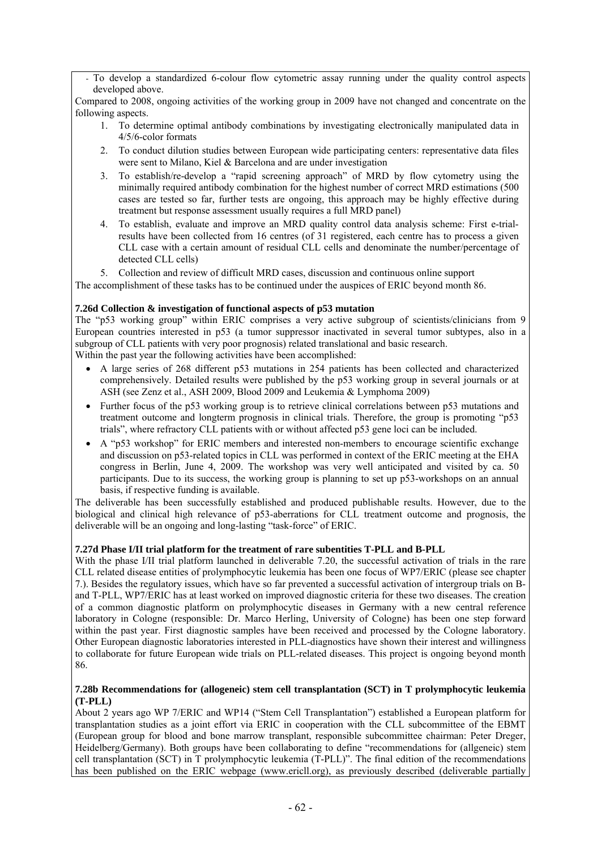To develop a standardized 6-colour flow cytometric assay running under the quality control aspects developed above.

Compared to 2008, ongoing activities of the working group in 2009 have not changed and concentrate on the following aspects.

- 1. To determine optimal antibody combinations by investigating electronically manipulated data in 4/5/6-color formats
- 2. To conduct dilution studies between European wide participating centers: representative data files were sent to Milano, Kiel & Barcelona and are under investigation
- 3. To establish/re-develop a "rapid screening approach" of MRD by flow cytometry using the minimally required antibody combination for the highest number of correct MRD estimations (500 cases are tested so far, further tests are ongoing, this approach may be highly effective during treatment but response assessment usually requires a full MRD panel)
- 4. To establish, evaluate and improve an MRD quality control data analysis scheme: First e-trialresults have been collected from 16 centres (of 31 registered, each centre has to process a given CLL case with a certain amount of residual CLL cells and denominate the number/percentage of detected CLL cells)
- 5. Collection and review of difficult MRD cases, discussion and continuous online support

The accomplishment of these tasks has to be continued under the auspices of ERIC beyond month 86.

## **7.26d Collection & investigation of functional aspects of p53 mutation**

The "p53 working group" within ERIC comprises a very active subgroup of scientists/clinicians from 9 European countries interested in p53 (a tumor suppressor inactivated in several tumor subtypes, also in a subgroup of CLL patients with very poor prognosis) related translational and basic research. Within the past year the following activities have been accomplished:

- A large series of 268 different p53 mutations in 254 patients has been collected and characterized comprehensively. Detailed results were published by the p53 working group in several journals or at ASH (see Zenz et al., ASH 2009, Blood 2009 and Leukemia & Lymphoma 2009)
- Further focus of the p53 working group is to retrieve clinical correlations between p53 mutations and treatment outcome and longterm prognosis in clinical trials. Therefore, the group is promoting "p53 trials", where refractory CLL patients with or without affected p53 gene loci can be included.
- A "p53 workshop" for ERIC members and interested non-members to encourage scientific exchange and discussion on p53-related topics in CLL was performed in context of the ERIC meeting at the EHA congress in Berlin, June 4, 2009. The workshop was very well anticipated and visited by ca. 50 participants. Due to its success, the working group is planning to set up p53-workshops on an annual basis, if respective funding is available.

The deliverable has been successfully established and produced publishable results. However, due to the biological and clinical high relevance of p53-aberrations for CLL treatment outcome and prognosis, the deliverable will be an ongoing and long-lasting "task-force" of ERIC.

## **7.27d Phase I/II trial platform for the treatment of rare subentities T-PLL and B-PLL**

With the phase I/II trial platform launched in deliverable 7.20, the successful activation of trials in the rare CLL related disease entities of prolymphocytic leukemia has been one focus of WP7/ERIC (please see chapter 7.). Besides the regulatory issues, which have so far prevented a successful activation of intergroup trials on Band T-PLL, WP7/ERIC has at least worked on improved diagnostic criteria for these two diseases. The creation of a common diagnostic platform on prolymphocytic diseases in Germany with a new central reference laboratory in Cologne (responsible: Dr. Marco Herling, University of Cologne) has been one step forward within the past year. First diagnostic samples have been received and processed by the Cologne laboratory. Other European diagnostic laboratories interested in PLL-diagnostics have shown their interest and willingness to collaborate for future European wide trials on PLL-related diseases. This project is ongoing beyond month 86.

## **7.28b Recommendations for (allogeneic) stem cell transplantation (SCT) in T prolymphocytic leukemia (T-PLL)**

About 2 years ago WP 7/ERIC and WP14 ("Stem Cell Transplantation") established a European platform for transplantation studies as a joint effort via ERIC in cooperation with the CLL subcommittee of the EBMT (European group for blood and bone marrow transplant, responsible subcommittee chairman: Peter Dreger, Heidelberg/Germany). Both groups have been collaborating to define "recommendations for (allgeneic) stem cell transplantation (SCT) in T prolymphocytic leukemia (T-PLL)". The final edition of the recommendations has been published on the ERIC webpage (www.ericll.org), as previously described (deliverable partially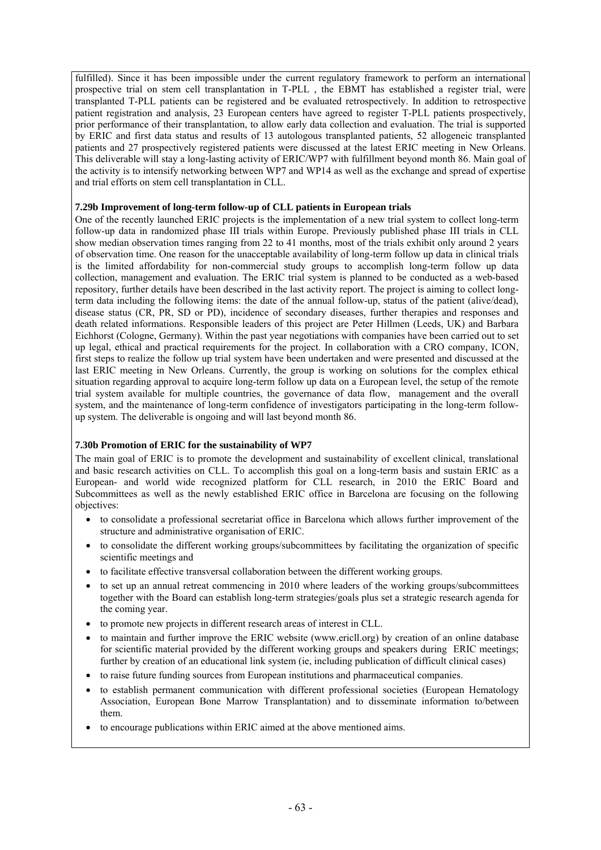fulfilled). Since it has been impossible under the current regulatory framework to perform an international prospective trial on stem cell transplantation in T-PLL , the EBMT has established a register trial, were transplanted T-PLL patients can be registered and be evaluated retrospectively. In addition to retrospective patient registration and analysis, 23 European centers have agreed to register T-PLL patients prospectively, prior performance of their transplantation, to allow early data collection and evaluation. The trial is supported by ERIC and first data status and results of 13 autologous transplanted patients, 52 allogeneic transplanted patients and 27 prospectively registered patients were discussed at the latest ERIC meeting in New Orleans. This deliverable will stay a long-lasting activity of ERIC/WP7 with fulfillment beyond month 86. Main goal of the activity is to intensify networking between WP7 and WP14 as well as the exchange and spread of expertise and trial efforts on stem cell transplantation in CLL.

## **7.29b Improvement of long-term follow-up of CLL patients in European trials**

One of the recently launched ERIC projects is the implementation of a new trial system to collect long-term follow-up data in randomized phase III trials within Europe. Previously published phase III trials in CLL show median observation times ranging from 22 to 41 months, most of the trials exhibit only around 2 years of observation time. One reason for the unacceptable availability of long-term follow up data in clinical trials is the limited affordability for non-commercial study groups to accomplish long-term follow up data collection, management and evaluation. The ERIC trial system is planned to be conducted as a web-based repository, further details have been described in the last activity report. The project is aiming to collect longterm data including the following items: the date of the annual follow-up, status of the patient (alive/dead), disease status (CR, PR, SD or PD), incidence of secondary diseases, further therapies and responses and death related informations. Responsible leaders of this project are Peter Hillmen (Leeds, UK) and Barbara Eichhorst (Cologne, Germany). Within the past year negotiations with companies have been carried out to set up legal, ethical and practical requirements for the project. In collaboration with a CRO company, ICON, first steps to realize the follow up trial system have been undertaken and were presented and discussed at the last ERIC meeting in New Orleans. Currently, the group is working on solutions for the complex ethical situation regarding approval to acquire long-term follow up data on a European level, the setup of the remote trial system available for multiple countries, the governance of data flow, management and the overall system, and the maintenance of long-term confidence of investigators participating in the long-term followup system. The deliverable is ongoing and will last beyond month 86.

## **7.30b Promotion of ERIC for the sustainability of WP7**

The main goal of ERIC is to promote the development and sustainability of excellent clinical, translational and basic research activities on CLL. To accomplish this goal on a long-term basis and sustain ERIC as a European- and world wide recognized platform for CLL research, in 2010 the ERIC Board and Subcommittees as well as the newly established ERIC office in Barcelona are focusing on the following objectives:

- to consolidate a professional secretariat office in Barcelona which allows further improvement of the structure and administrative organisation of ERIC.
- to consolidate the different working groups/subcommittees by facilitating the organization of specific scientific meetings and
- to facilitate effective transversal collaboration between the different working groups.
- to set up an annual retreat commencing in 2010 where leaders of the working groups/subcommittees together with the Board can establish long-term strategies/goals plus set a strategic research agenda for the coming year.
- to promote new projects in different research areas of interest in CLL.
- to maintain and further improve the ERIC website (www.ericll.org) by creation of an online database for scientific material provided by the different working groups and speakers during ERIC meetings; further by creation of an educational link system (ie, including publication of difficult clinical cases)
- to raise future funding sources from European institutions and pharmaceutical companies.
- to establish permanent communication with different professional societies (European Hematology Association, European Bone Marrow Transplantation) and to disseminate information to/between them.
- to encourage publications within ERIC aimed at the above mentioned aims.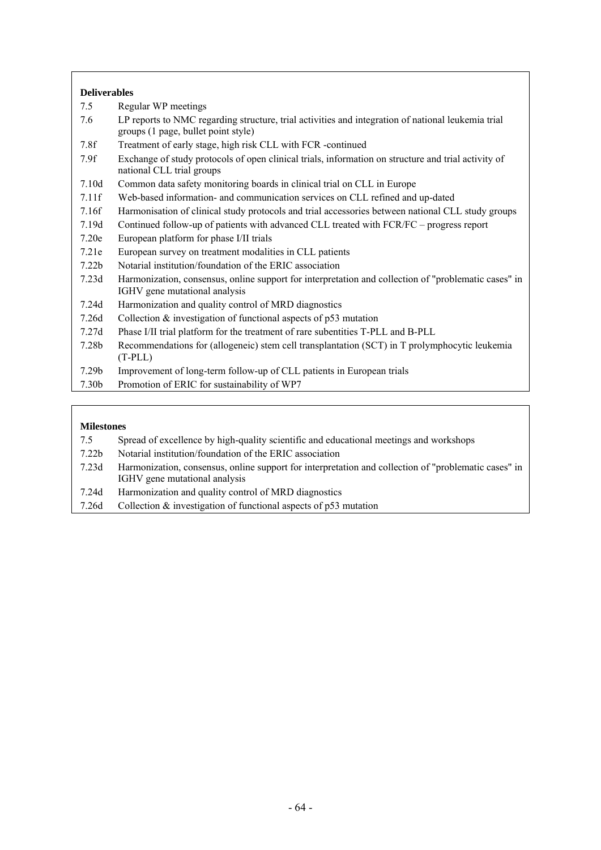## **Deliverables**

- 7.5 Regular WP meetings
- 7.6 LP reports to NMC regarding structure, trial activities and integration of national leukemia trial groups (1 page, bullet point style)
- 7.8f Treatment of early stage, high risk CLL with FCR -continued
- 7.9f Exchange of study protocols of open clinical trials, information on structure and trial activity of national CLL trial groups
- 7.10d Common data safety monitoring boards in clinical trial on CLL in Europe
- 7.11f Web-based information- and communication services on CLL refined and up-dated
- 7.16f Harmonisation of clinical study protocols and trial accessories between national CLL study groups
- 7.19d Continued follow-up of patients with advanced CLL treated with FCR/FC progress report
- 7.20e European platform for phase I/II trials
- 7.21e European survey on treatment modalities in CLL patients
- 7.22b Notarial institution/foundation of the ERIC association
- 7.23d Harmonization, consensus, online support for interpretation and collection of "problematic cases" in IGHV gene mutational analysis
- 7.24d Harmonization and quality control of MRD diagnostics
- 7.26d Collection & investigation of functional aspects of p53 mutation
- 7.27d Phase I/II trial platform for the treatment of rare subentities T-PLL and B-PLL
- 7.28b Recommendations for (allogeneic) stem cell transplantation (SCT) in T prolymphocytic leukemia (T-PLL)
- 7.29b Improvement of long-term follow-up of CLL patients in European trials
- 7.30b Promotion of ERIC for sustainability of WP7

- 7.5 Spread of excellence by high-quality scientific and educational meetings and workshops
- 7.22b Notarial institution/foundation of the ERIC association
- 7.23d Harmonization, consensus, online support for interpretation and collection of "problematic cases" in IGHV gene mutational analysis
- 7.24d Harmonization and quality control of MRD diagnostics
- 7.26d Collection & investigation of functional aspects of p53 mutation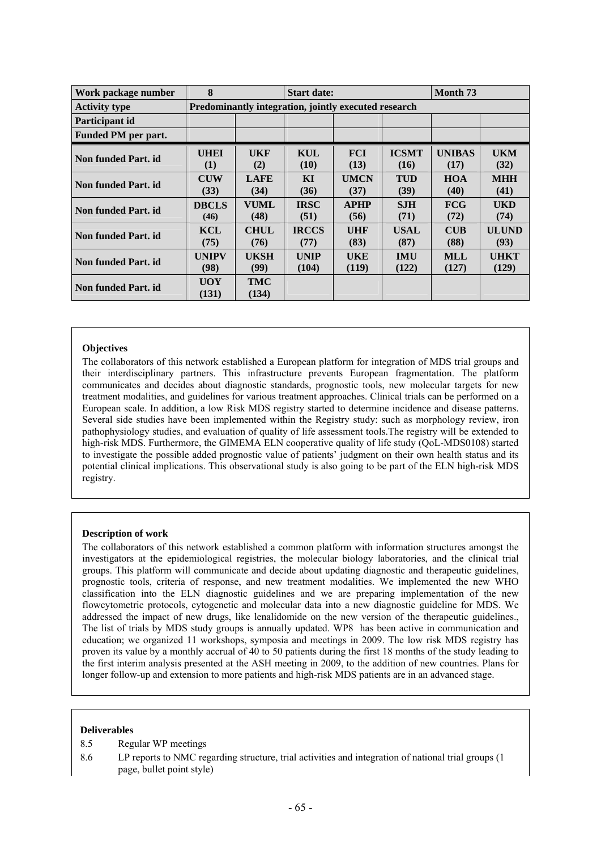| Work package number  | 8            | <b>Start date:</b>                                   |              |             |              |                                    | Month <sub>73</sub> |  |  |  |
|----------------------|--------------|------------------------------------------------------|--------------|-------------|--------------|------------------------------------|---------------------|--|--|--|
| <b>Activity type</b> |              | Predominantly integration, jointly executed research |              |             |              |                                    |                     |  |  |  |
| Participant id       |              |                                                      |              |             |              |                                    |                     |  |  |  |
| Funded PM per part.  |              |                                                      |              |             |              |                                    |                     |  |  |  |
| Non funded Part. id  | <b>UHEI</b>  | UKF                                                  | KUL          | <b>FCI</b>  | <b>ICSMT</b> | <b>UNIBAS</b>                      | <b>UKM</b>          |  |  |  |
|                      | (1)          | (2)                                                  | (10)         | (13)        | (16)         | (17)                               | (32)                |  |  |  |
| Non funded Part. id  | <b>CUW</b>   | <b>LAFE</b>                                          | KI           | <b>UMCN</b> | <b>TUD</b>   | <b>HOA</b>                         | <b>MHH</b>          |  |  |  |
|                      | (33)         | (34)                                                 | (36)         | (37)        | (39)         | (40)                               | (41)                |  |  |  |
| Non funded Part. id  | <b>DBCLS</b> | <b>VUML</b>                                          | <b>IRSC</b>  | <b>APHP</b> | <b>SJH</b>   | FCG                                | <b>UKD</b>          |  |  |  |
|                      | (46)         | (48)                                                 | (51)         | (56)        | (71)         | (72)                               | (74)                |  |  |  |
| Non funded Part. id  | <b>KCL</b>   | <b>CHUL</b>                                          | <b>IRCCS</b> | UHF         | <b>USAL</b>  | $\mathbf{C} \mathbf{U} \mathbf{B}$ | ULUND               |  |  |  |
|                      | (75)         | (76)                                                 | (77)         | (83)        | (87)         | (88)                               | (93)                |  |  |  |
| Non funded Part. id  | <b>UNIPV</b> | <b>UKSH</b>                                          | <b>UNIP</b>  | UKE         | <b>IMU</b>   | <b>MLL</b>                         | <b>UHKT</b>         |  |  |  |
|                      | (98)         | (99)                                                 | (104)        | (119)       | (122)        | (127)                              | (129)               |  |  |  |
| Non funded Part. id  | <b>UOY</b>   | <b>TMC</b>                                           |              |             |              |                                    |                     |  |  |  |
|                      | (131)        | (134)                                                |              |             |              |                                    |                     |  |  |  |

The collaborators of this network established a European platform for integration of MDS trial groups and their interdisciplinary partners. This infrastructure prevents European fragmentation. The platform communicates and decides about diagnostic standards, prognostic tools, new molecular targets for new treatment modalities, and guidelines for various treatment approaches. Clinical trials can be performed on a European scale. In addition, a low Risk MDS registry started to determine incidence and disease patterns. Several side studies have been implemented within the Registry study: such as morphology review, iron pathophysiology studies, and evaluation of quality of life assessment tools.The registry will be extended to high-risk MDS. Furthermore, the GIMEMA ELN cooperative quality of life study (QoL-MDS0108) started to investigate the possible added prognostic value of patients' judgment on their own health status and its potential clinical implications. This observational study is also going to be part of the ELN high-risk MDS registry.

#### **Description of work**

The collaborators of this network established a common platform with information structures amongst the investigators at the epidemiological registries, the molecular biology laboratories, and the clinical trial groups. This platform will communicate and decide about updating diagnostic and therapeutic guidelines, prognostic tools, criteria of response, and new treatment modalities. We implemented the new WHO classification into the ELN diagnostic guidelines and we are preparing implementation of the new flowcytometric protocols, cytogenetic and molecular data into a new diagnostic guideline for MDS. We addressed the impact of new drugs, like lenalidomide on the new version of the therapeutic guidelines., The list of trials by MDS study groups is annually updated. WP8 has been active in communication and education; we organized 11 workshops, symposia and meetings in 2009. The low risk MDS registry has proven its value by a monthly accrual of 40 to 50 patients during the first 18 months of the study leading to the first interim analysis presented at the ASH meeting in 2009, to the addition of new countries. Plans for longer follow-up and extension to more patients and high-risk MDS patients are in an advanced stage.

#### **Deliverables**

- 8.5 Regular WP meetings
- 8.6 LP reports to NMC regarding structure, trial activities and integration of national trial groups (1 page, bullet point style)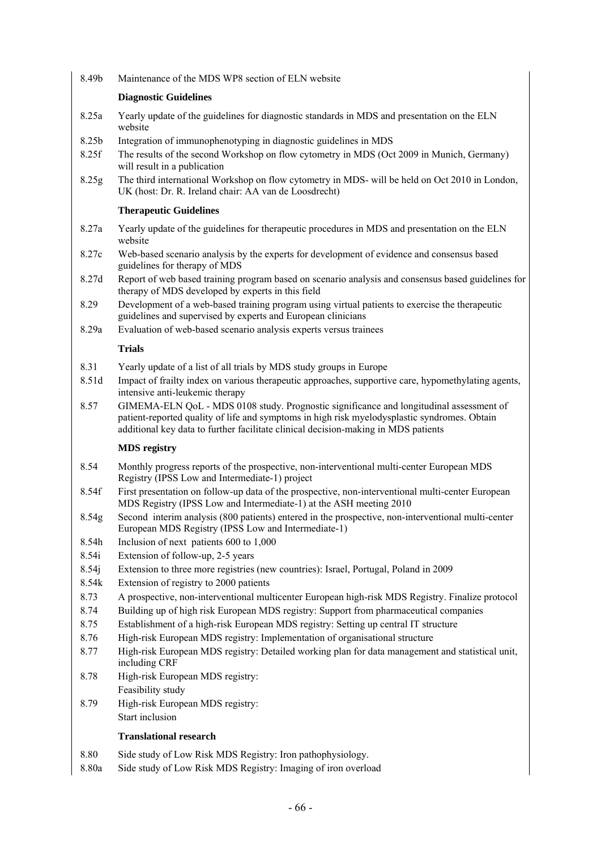8.49b Maintenance of the MDS WP8 section of ELN website

## **Diagnostic Guidelines**

- 8.25a Yearly update of the guidelines for diagnostic standards in MDS and presentation on the ELN website
- 8.25b Integration of immunophenotyping in diagnostic guidelines in MDS
- 8.25f The results of the second Workshop on flow cytometry in MDS (Oct 2009 in Munich, Germany) will result in a publication
- 8.25g The third international Workshop on flow cytometry in MDS- will be held on Oct 2010 in London, UK (host: Dr. R. Ireland chair: AA van de Loosdrecht)

## **Therapeutic Guidelines**

- 8.27a Yearly update of the guidelines for therapeutic procedures in MDS and presentation on the ELN website
- 8.27c Web-based scenario analysis by the experts for development of evidence and consensus based guidelines for therapy of MDS
- 8.27d Report of web based training program based on scenario analysis and consensus based guidelines for therapy of MDS developed by experts in this field
- 8.29 Development of a web-based training program using virtual patients to exercise the therapeutic guidelines and supervised by experts and European clinicians
- 8.29a Evaluation of web-based scenario analysis experts versus trainees

## **Trials**

- 8.31 Yearly update of a list of all trials by MDS study groups in Europe
- 8.51d Impact of frailty index on various therapeutic approaches, supportive care, hypomethylating agents, intensive anti-leukemic therapy
- 8.57 GIMEMA-ELN QoL MDS 0108 study. Prognostic significance and longitudinal assessment of patient-reported quality of life and symptoms in high risk myelodysplastic syndromes. Obtain additional key data to further facilitate clinical decision-making in MDS patients

## **MDS registry**

- 8.54 Monthly progress reports of the prospective, non-interventional multi-center European MDS Registry (IPSS Low and Intermediate-1) project
- 8.54f First presentation on follow-up data of the prospective, non-interventional multi-center European MDS Registry (IPSS Low and Intermediate-1) at the ASH meeting 2010
- 8.54g Second interim analysis (800 patients) entered in the prospective, non-interventional multi-center European MDS Registry (IPSS Low and Intermediate-1)
- 8.54h Inclusion of next patients 600 to 1,000
- 8.54i Extension of follow-up, 2-5 years
- 8.54j Extension to three more registries (new countries): Israel, Portugal, Poland in 2009
- 8.54k Extension of registry to 2000 patients
- 8.73 A prospective, non-interventional multicenter European high-risk MDS Registry. Finalize protocol
- 8.74 Building up of high risk European MDS registry: Support from pharmaceutical companies
- 8.75 Establishment of a high-risk European MDS registry: Setting up central IT structure
- 8.76 High-risk European MDS registry: Implementation of organisational structure
- 8.77 High-risk European MDS registry: Detailed working plan for data management and statistical unit, including CRF
- 8.78 High-risk European MDS registry: Feasibility study
- 8.79 High-risk European MDS registry: Start inclusion

# **Translational research**

- 8.80 Side study of Low Risk MDS Registry: Iron pathophysiology.
- 8.80a Side study of Low Risk MDS Registry: Imaging of iron overload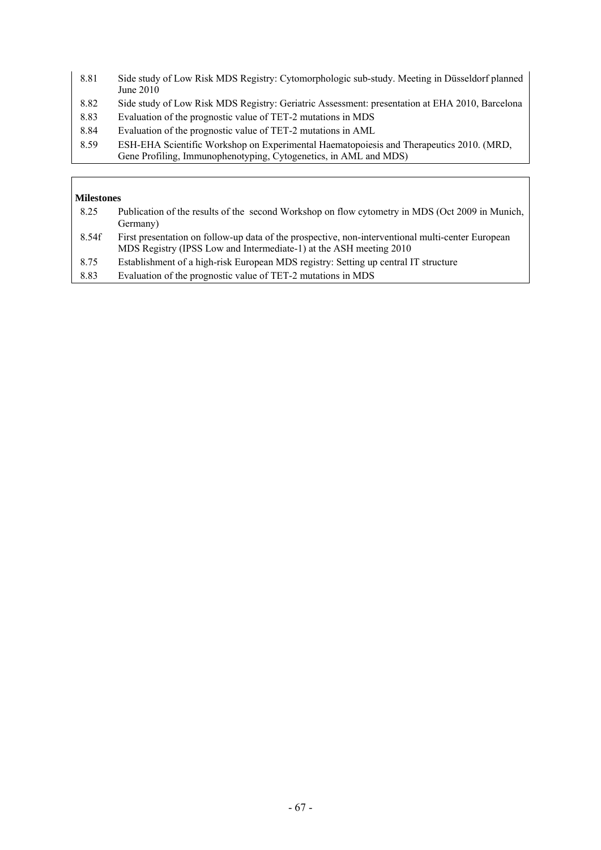- 8.81 Side study of Low Risk MDS Registry: Cytomorphologic sub-study. Meeting in Düsseldorf planned June 2010
- 8.82 Side study of Low Risk MDS Registry: Geriatric Assessment: presentation at EHA 2010, Barcelona
- 8.83 Evaluation of the prognostic value of TET-2 mutations in MDS
- 8.84 Evaluation of the prognostic value of TET-2 mutations in AML
- 8.59 ESH-EHA Scientific Workshop on Experimental Haematopoiesis and Therapeutics 2010. (MRD, Gene Profiling, Immunophenotyping, Cytogenetics, in AML and MDS)

## **Milestones**

| 8.25  | Publication of the results of the second Workshop on flow cytometry in MDS (Oct 2009 in Munich,<br>Germany)                                                             |
|-------|-------------------------------------------------------------------------------------------------------------------------------------------------------------------------|
| 8.54f | First presentation on follow-up data of the prospective, non-interventional multi-center European<br>MDS Registry (IPSS Low and Intermediate-1) at the ASH meeting 2010 |
| 8.75  | Establishment of a high-risk European MDS registry: Setting up central IT structure                                                                                     |

8.83 Evaluation of the prognostic value of TET-2 mutations in MDS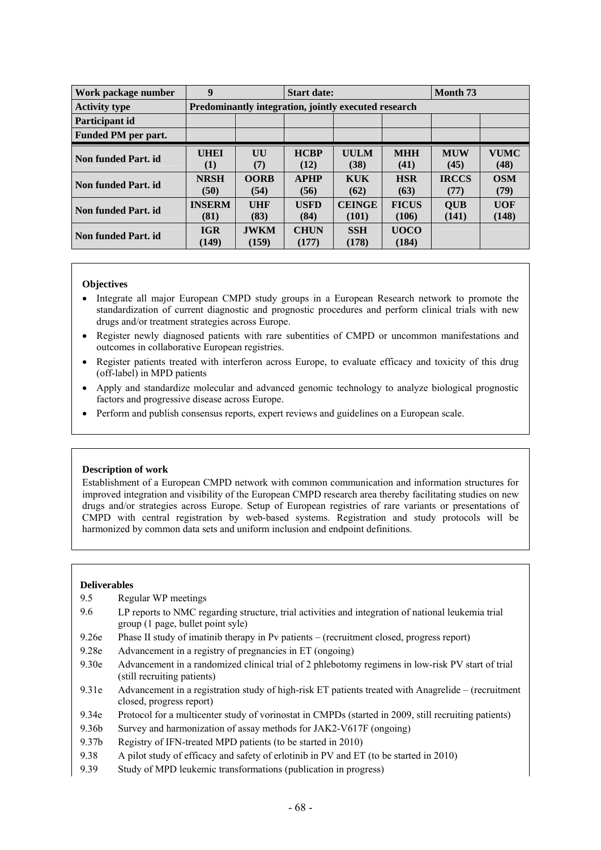| Work package number  | 9                     |                                                      | <b>Start date:</b>   |                        | Month <sub>73</sub>   |                      |                     |  |  |
|----------------------|-----------------------|------------------------------------------------------|----------------------|------------------------|-----------------------|----------------------|---------------------|--|--|
| <b>Activity type</b> |                       | Predominantly integration, jointly executed research |                      |                        |                       |                      |                     |  |  |
| Participant id       |                       |                                                      |                      |                        |                       |                      |                     |  |  |
| Funded PM per part.  |                       |                                                      |                      |                        |                       |                      |                     |  |  |
| Non funded Part, id. | <b>UHEI</b><br>(1)    | UU<br>(7)                                            | <b>HCBP</b><br>(12)  | <b>UULM</b><br>(38)    | <b>MHH</b><br>(41)    | <b>MUW</b><br>(45)   | <b>VUMC</b><br>(48) |  |  |
| Non funded Part. id  | <b>NRSH</b><br>(50)   | <b>OORB</b><br>(54)                                  | <b>APHP</b><br>(56)  | <b>KUK</b><br>(62)     | <b>HSR</b><br>(63)    | <b>IRCCS</b><br>(77) | <b>OSM</b><br>(79)  |  |  |
| Non funded Part. id  | <b>INSERM</b><br>(81) | <b>UHF</b><br>(83)                                   | <b>USFD</b><br>(84)  | <b>CEINGE</b><br>(101) | <b>FICUS</b><br>(106) | <b>OUB</b><br>(141)  | <b>UOF</b><br>(148) |  |  |
| Non funded Part. id  | <b>IGR</b><br>(149)   | <b>JWKM</b><br>(159)                                 | <b>CHUN</b><br>(177) | <b>SSH</b><br>(178)    | <b>UOCO</b><br>(184)  |                      |                     |  |  |

- Integrate all major European CMPD study groups in a European Research network to promote the standardization of current diagnostic and prognostic procedures and perform clinical trials with new drugs and/or treatment strategies across Europe.
- Register newly diagnosed patients with rare subentities of CMPD or uncommon manifestations and outcomes in collaborative European registries.
- Register patients treated with interferon across Europe, to evaluate efficacy and toxicity of this drug (off-label) in MPD patients
- Apply and standardize molecular and advanced genomic technology to analyze biological prognostic factors and progressive disease across Europe.
- Perform and publish consensus reports, expert reviews and guidelines on a European scale.

#### **Description of work**

Establishment of a European CMPD network with common communication and information structures for improved integration and visibility of the European CMPD research area thereby facilitating studies on new drugs and/or strategies across Europe. Setup of European registries of rare variants or presentations of CMPD with central registration by web-based systems. Registration and study protocols will be harmonized by common data sets and uniform inclusion and endpoint definitions.

#### **Deliverables**

- 9.5 Regular WP meetings
- 9.6 LP reports to NMC regarding structure, trial activities and integration of national leukemia trial group (1 page, bullet point syle)
- 9.26e Phase II study of imatinib therapy in Pv patients (recruitment closed, progress report)
- 9.28e Advancement in a registry of pregnancies in ET (ongoing)
- 9.30e Advancement in a randomized clinical trial of 2 phlebotomy regimens in low-risk PV start of trial (still recruiting patients)
- 9.31e Advancement in a registration study of high-risk ET patients treated with Anagrelide (recruitment closed, progress report)
- 9.34e Protocol for a multicenter study of vorinostat in CMPDs (started in 2009, still recruiting patients)
- 9.36b Survey and harmonization of assay methods for JAK2-V617F (ongoing)
- 9.37b Registry of IFN-treated MPD patients (to be started in 2010)
- 9.38 A pilot study of efficacy and safety of erlotinib in PV and ET (to be started in 2010)
- 9.39 Study of MPD leukemic transformations (publication in progress)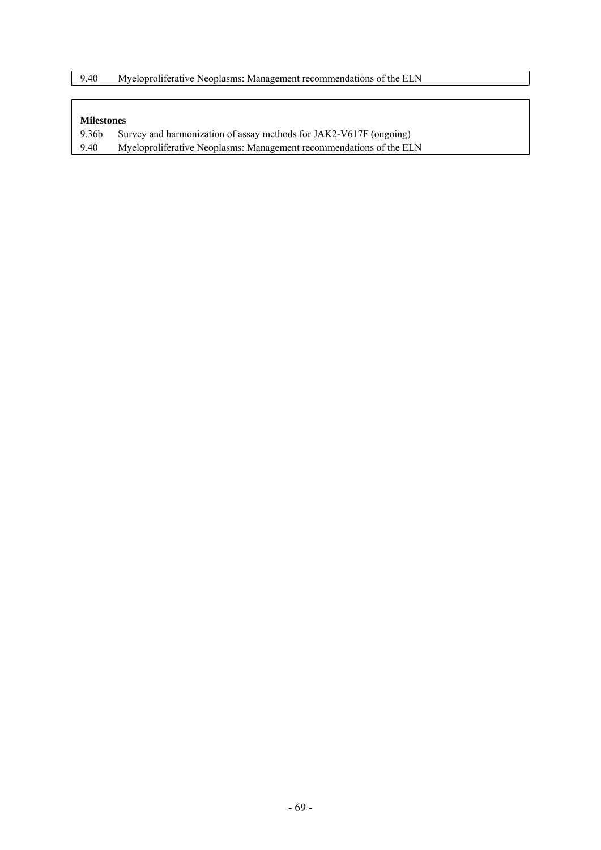- 9.36b Survey and harmonization of assay methods for JAK2-V617F (ongoing)
- 9.40 Myeloproliferative Neoplasms: Management recommendations of the ELN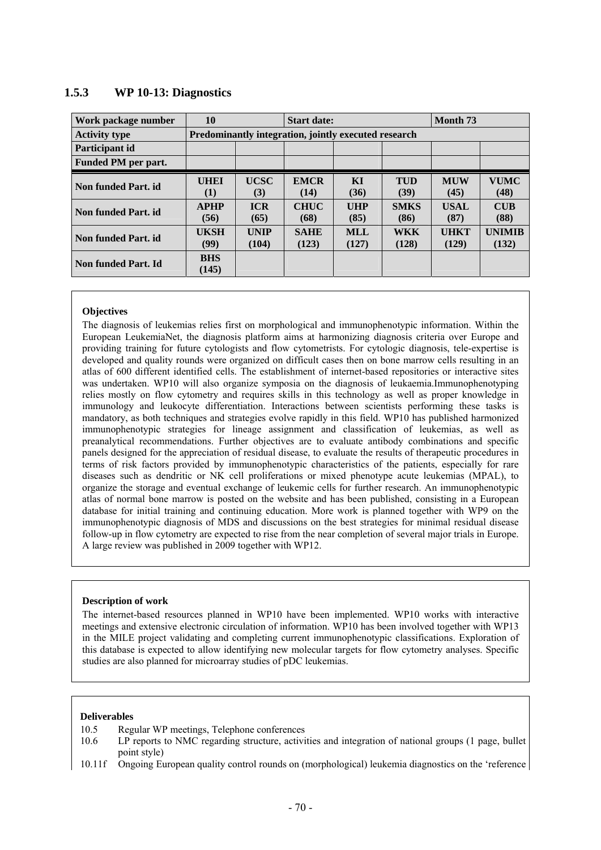| Work package number        | 10<br><b>Start date:</b>                             |                      |                      |                    |                     | Month <sub>73</sub>  |                        |  |  |  |
|----------------------------|------------------------------------------------------|----------------------|----------------------|--------------------|---------------------|----------------------|------------------------|--|--|--|
| <b>Activity type</b>       | Predominantly integration, jointly executed research |                      |                      |                    |                     |                      |                        |  |  |  |
| Participant id             |                                                      |                      |                      |                    |                     |                      |                        |  |  |  |
| <b>Funded PM per part.</b> |                                                      |                      |                      |                    |                     |                      |                        |  |  |  |
| Non funded Part, id.       | <b>UHEI</b><br>(1)                                   | <b>UCSC</b><br>(3)   | <b>EMCR</b><br>(14)  | KI<br>(36)         | <b>TUD</b><br>(39)  | <b>MUW</b><br>(45)   | <b>VUMC</b><br>(48)    |  |  |  |
| Non funded Part, id.       | <b>APHP</b><br>(56)                                  | <b>ICR</b><br>(65)   | <b>CHUC</b><br>(68)  | <b>UHP</b><br>(85) | <b>SMKS</b><br>(86) | USAL<br>(87)         | <b>CUB</b><br>(88)     |  |  |  |
| Non funded Part. id        | <b>UKSH</b><br>(99)                                  | <b>UNIP</b><br>(104) | <b>SAHE</b><br>(123) | MLL<br>(127)       | <b>WKK</b><br>(128) | <b>UHKT</b><br>(129) | <b>UNIMIR</b><br>(132) |  |  |  |
| Non funded Part, Id        | <b>BHS</b><br>(145)                                  |                      |                      |                    |                     |                      |                        |  |  |  |

## **1.5.3 WP 10-13: Diagnostics**

#### **Objectives**

The diagnosis of leukemias relies first on morphological and immunophenotypic information. Within the European LeukemiaNet, the diagnosis platform aims at harmonizing diagnosis criteria over Europe and providing training for future cytologists and flow cytometrists. For cytologic diagnosis, tele-expertise is developed and quality rounds were organized on difficult cases then on bone marrow cells resulting in an atlas of 600 different identified cells. The establishment of internet-based repositories or interactive sites was undertaken. WP10 will also organize symposia on the diagnosis of leukaemia.Immunophenotyping relies mostly on flow cytometry and requires skills in this technology as well as proper knowledge in immunology and leukocyte differentiation. Interactions between scientists performing these tasks is mandatory, as both techniques and strategies evolve rapidly in this field. WP10 has published harmonized immunophenotypic strategies for lineage assignment and classification of leukemias, as well as preanalytical recommendations. Further objectives are to evaluate antibody combinations and specific panels designed for the appreciation of residual disease, to evaluate the results of therapeutic procedures in terms of risk factors provided by immunophenotypic characteristics of the patients, especially for rare diseases such as dendritic or NK cell proliferations or mixed phenotype acute leukemias (MPAL), to organize the storage and eventual exchange of leukemic cells for further research. An immunophenotypic atlas of normal bone marrow is posted on the website and has been published, consisting in a European database for initial training and continuing education. More work is planned together with WP9 on the immunophenotypic diagnosis of MDS and discussions on the best strategies for minimal residual disease follow-up in flow cytometry are expected to rise from the near completion of several major trials in Europe. A large review was published in 2009 together with WP12.

#### **Description of work**

The internet-based resources planned in WP10 have been implemented. WP10 works with interactive meetings and extensive electronic circulation of information. WP10 has been involved together with WP13 in the MILE project validating and completing current immunophenotypic classifications. Exploration of this database is expected to allow identifying new molecular targets for flow cytometry analyses. Specific studies are also planned for microarray studies of pDC leukemias.

#### **Deliverables**

- 10.5 Regular WP meetings, Telephone conferences
- 10.6 LP reports to NMC regarding structure, activities and integration of national groups (1 page, bullet point style)
- 10.11f Ongoing European quality control rounds on (morphological) leukemia diagnostics on the 'reference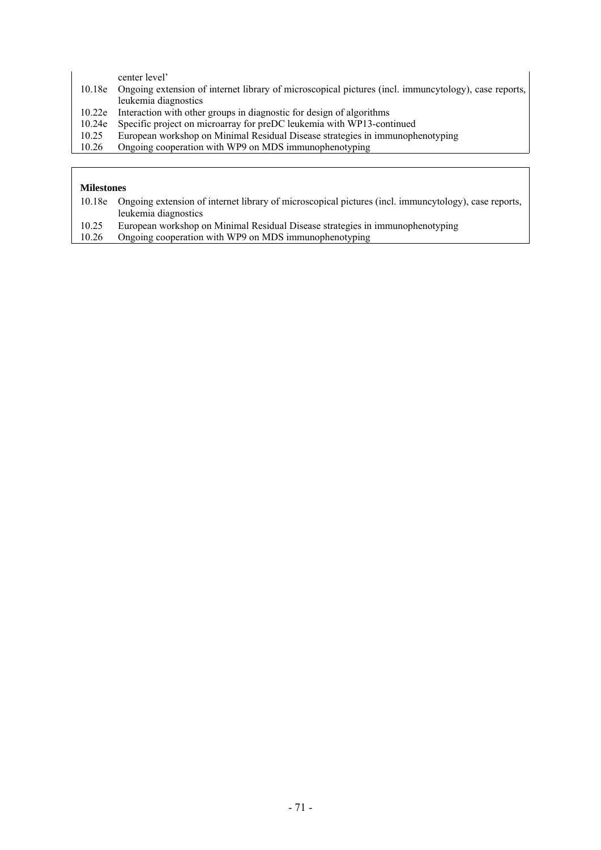center level'

- 10.18e Ongoing extension of internet library of microscopical pictures (incl. immuncytology), case reports, leukemia diagnostics
- 10.22e Interaction with other groups in diagnostic for design of algorithms
- 10.24e Specific project on microarray for preDC leukemia with WP13-continued<br>10.25 European workshop on Minimal Residual Disease strategies in immunophenology
- 10.25 European workshop on Minimal Residual Disease strategies in immunophenotyping
- 10.26 Ongoing cooperation with WP9 on MDS immunophenotyping

- 10.18e Ongoing extension of internet library of microscopical pictures (incl. immuncytology), case reports, leukemia diagnostics
- 10.25 European workshop on Minimal Residual Disease strategies in immunophenotyping
- 10.26 Ongoing cooperation with WP9 on MDS immunophenotyping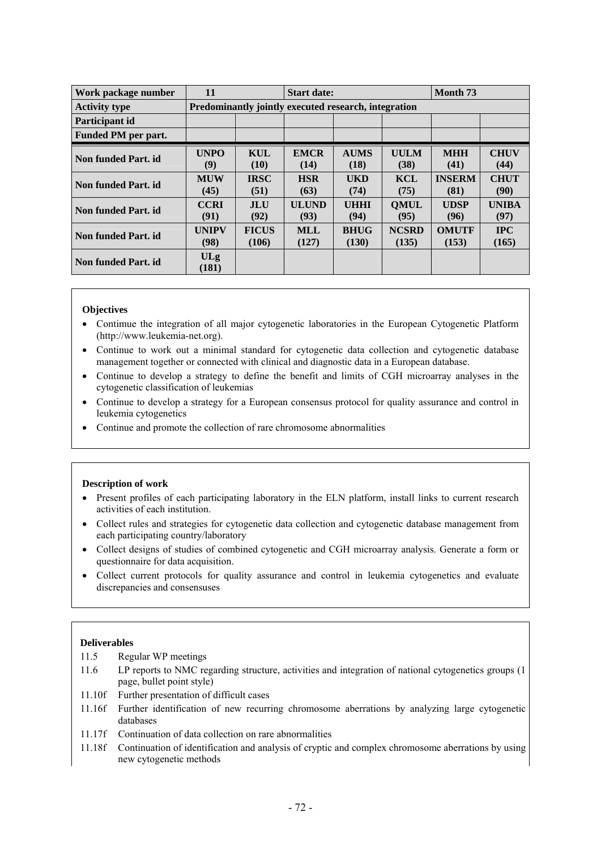| Work package number  | 11                                                   |                       | <b>Start date:</b>   |                      |                       | Month <sub>73</sub>   |                      |  |  |  |  |
|----------------------|------------------------------------------------------|-----------------------|----------------------|----------------------|-----------------------|-----------------------|----------------------|--|--|--|--|
| <b>Activity type</b> | Predominantly jointly executed research, integration |                       |                      |                      |                       |                       |                      |  |  |  |  |
| Participant id       |                                                      |                       |                      |                      |                       |                       |                      |  |  |  |  |
| Funded PM per part.  |                                                      |                       |                      |                      |                       |                       |                      |  |  |  |  |
| Non funded Part. id  | <b>UNPO</b><br>(9)                                   | <b>KUL</b><br>(10)    | <b>EMCR</b><br>(14)  | <b>AUMS</b><br>(18)  | <b>UULM</b><br>(38)   | <b>MHH</b><br>(41)    | <b>CHUV</b><br>(44)  |  |  |  |  |
| Non funded Part. id  | <b>MUW</b><br>(45)                                   | <b>IRSC</b><br>(51)   | <b>HSR</b><br>(63)   | <b>UKD</b><br>(74)   | <b>KCL</b><br>(75)    | <b>INSERM</b><br>(81) | <b>CHUT</b><br>(90)  |  |  |  |  |
| Non funded Part. id  | <b>CCRI</b><br>(91)                                  | <b>JLU</b><br>(92)    | <b>ULUND</b><br>(93) | <b>UHHI</b><br>(94)  | <b>OMUL</b><br>(95)   | <b>UDSP</b><br>(96)   | <b>UNIBA</b><br>(97) |  |  |  |  |
| Non funded Part. id. | <b>UNIPV</b><br>(98)                                 | <b>FICUS</b><br>(106) | <b>MLL</b><br>(127)  | <b>BHUG</b><br>(130) | <b>NCSRD</b><br>(135) | <b>OMUTF</b><br>(153) | <b>IPC</b><br>(165)  |  |  |  |  |
| Non funded Part. id  | ULg<br>(181)                                         |                       |                      |                      |                       |                       |                      |  |  |  |  |

- Contimue the integration of all major cytogenetic laboratories in the European Cytogenetic Platform (http://www.leukemia-net.org).
- Continue to work out a minimal standard for cytogenetic data collection and cytogenetic database management together or connected with clinical and diagnostic data in a European database.
- Continue to develop a strategy to define the benefit and limits of CGH microarray analyses in the cytogenetic classification of leukemias
- Continue to develop a strategy for a European consensus protocol for quality assurance and control in leukemia cytogenetics
- Continue and promote the collection of rare chromosome abnormalities

#### **Description of work**

- Present profiles of each participating laboratory in the ELN platform, install links to current research activities of each institution.
- Collect rules and strategies for cytogenetic data collection and cytogenetic database management from each participating country/laboratory
- Collect designs of studies of combined cytogenetic and CGH microarray analysis. Generate a form or questionnaire for data acquisition.
- Collect current protocols for quality assurance and control in leukemia cytogenetics and evaluate discrepancies and consensuses

## **Deliverables**

- 11.5 Regular WP meetings
- 11.6 LP reports to NMC regarding structure, activities and integration of national cytogenetics groups (1 page, bullet point style)
- 11.10f Further presentation of difficult cases
- 11.16f Further identification of new recurring chromosome aberrations by analyzing large cytogenetic databases
- 11.17f Continuation of data collection on rare abnormalities
- 11.18f Continuation of identification and analysis of cryptic and complex chromosome aberrations by using new cytogenetic methods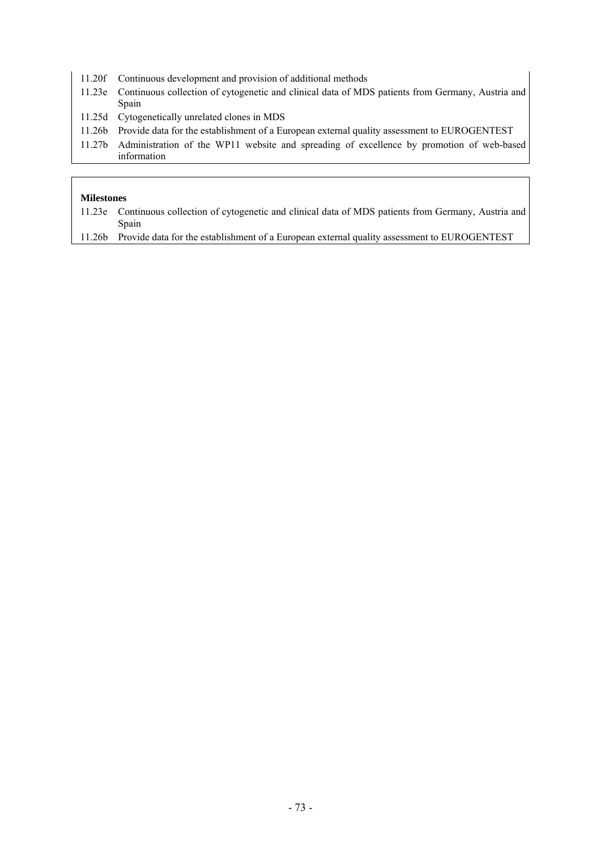- 11.20f Continuous development and provision of additional methods
- 11.23e Continuous collection of cytogenetic and clinical data of MDS patients from Germany, Austria and Spain
- 11.25d Cytogenetically unrelated clones in MDS
- 11.26b Provide data for the establishment of a European external quality assessment to EUROGENTEST
- 11.27b Administration of the WP11 website and spreading of excellence by promotion of web-based information

- 11.23e Continuous collection of cytogenetic and clinical data of MDS patients from Germany, Austria and Spain
- 11.26b Provide data for the establishment of a European external quality assessment to EUROGENTEST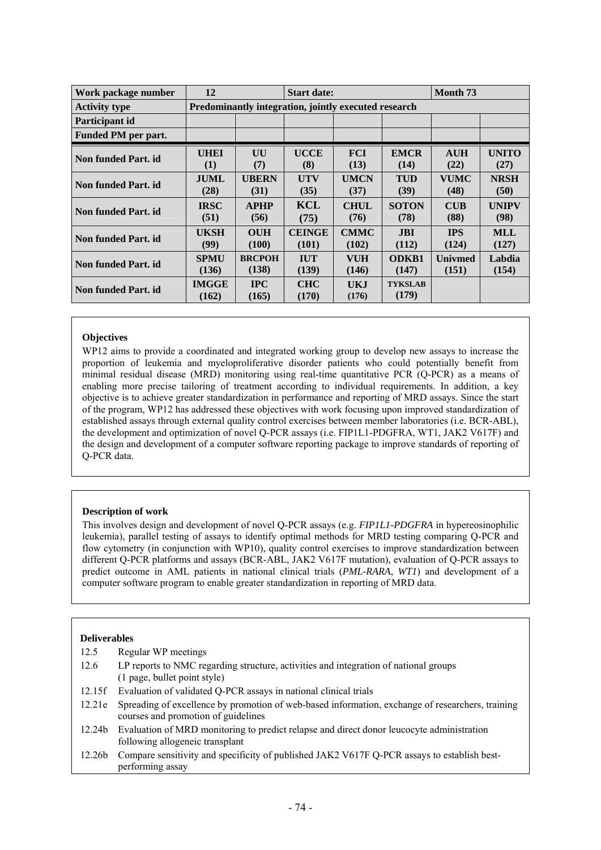| Work package number         | 12<br><b>Start date:</b>                             |                     |                     |              | Month <sub>73</sub>     |                |              |  |
|-----------------------------|------------------------------------------------------|---------------------|---------------------|--------------|-------------------------|----------------|--------------|--|
| <b>Activity type</b>        | Predominantly integration, jointly executed research |                     |                     |              |                         |                |              |  |
| Participant id              |                                                      |                     |                     |              |                         |                |              |  |
| Funded PM per part.         |                                                      |                     |                     |              |                         |                |              |  |
| <b>Non funded Part. id.</b> | <b>UHEI</b>                                          | UU                  | <b>UCCE</b>         | <b>FCI</b>   | <b>EMCR</b>             | <b>AUH</b>     | <b>UNITO</b> |  |
|                             | (1)                                                  | (7)                 | (8)                 | (13)         | (14)                    | (22)           | (27)         |  |
| Non funded Part. id         | <b>JUML</b>                                          | <b>UBERN</b>        | UTV                 | <b>UMCN</b>  | <b>TUD</b>              | <b>VUMC</b>    | <b>NRSH</b>  |  |
|                             | (28)                                                 | (31)                | (35)                | (37)         | (39)                    | (48)           | (50)         |  |
| Non funded Part. id.        | <b>IRSC</b>                                          | <b>APHP</b>         | <b>KCL</b>          | <b>CHUL</b>  | <b>SOTON</b>            | <b>CUB</b>     | <b>UNIPV</b> |  |
|                             | (51)                                                 | (56)                | (75)                | (76)         | (78)                    | (88)           | (98)         |  |
| Non funded Part. id         | <b>UKSH</b>                                          | <b>OUH</b>          | <b>CEINGE</b>       | <b>CMMC</b>  | <b>JBI</b>              | <b>IPS</b>     | <b>MLL</b>   |  |
|                             | (99)                                                 | (100)               | (101)               | (102)        | (112)                   | (124)          | (127)        |  |
| <b>Non funded Part. id.</b> | <b>SPMU</b>                                          | <b>BRCPOH</b>       | <b>IUT</b>          | <b>VUH</b>   | <b>ODKB1</b>            | <b>Univmed</b> | Labdia       |  |
|                             | (136)                                                | (138)               | (139)               | (146)        | (147)                   | (151)          | (154)        |  |
| Non funded Part. id.        | <b>IMGGE</b><br>(162)                                | <b>IPC</b><br>(165) | <b>CHC</b><br>(170) | UKJ<br>(176) | <b>TYKSLAB</b><br>(179) |                |              |  |

# **Objectives**

WP12 aims to provide a coordinated and integrated working group to develop new assays to increase the proportion of leukemia and myeloproliferative disorder patients who could potentially benefit from minimal residual disease (MRD) monitoring using real-time quantitative PCR (Q-PCR) as a means of enabling more precise tailoring of treatment according to individual requirements. In addition, a key objective is to achieve greater standardization in performance and reporting of MRD assays. Since the start of the program, WP12 has addressed these objectives with work focusing upon improved standardization of established assays through external quality control exercises between member laboratories (i.e. BCR-ABL), the development and optimization of novel Q-PCR assays (i.e. FIP1L1-PDGFRA, WT1, JAK2 V617F) and the design and development of a computer software reporting package to improve standards of reporting of Q-PCR data.

### **Description of work**

This involves design and development of novel Q-PCR assays (e.g. *FIP1L1-PDGFRA* in hypereosinophilic leukemia), parallel testing of assays to identify optimal methods for MRD testing comparing Q-PCR and flow cytometry (in conjunction with WP10), quality control exercises to improve standardization between different Q-PCR platforms and assays (BCR-ABL, JAK2 V617F mutation), evaluation of Q-PCR assays to predict outcome in AML patients in national clinical trials (*PML-RARA*, *WT1*) and development of a computer software program to enable greater standardization in reporting of MRD data.

- 12.5 Regular WP meetings
- 12.6 LP reports to NMC regarding structure, activities and integration of national groups (1 page, bullet point style)
- 12.15f Evaluation of validated Q-PCR assays in national clinical trials
- 12.21e Spreading of excellence by promotion of web-based information, exchange of researchers, training courses and promotion of guidelines
- 12.24b Evaluation of MRD monitoring to predict relapse and direct donor leucocyte administration following allogeneic transplant
- 12.26b Compare sensitivity and specificity of published JAK2 V617F Q-PCR assays to establish bestperforming assay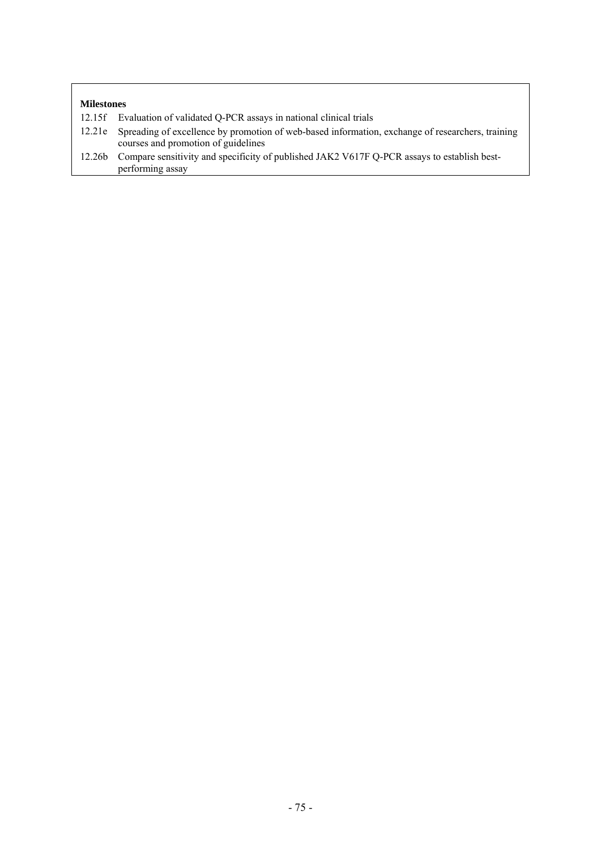- 12.15f Evaluation of validated Q-PCR assays in national clinical trials
- 12.21e Spreading of excellence by promotion of web-based information, exchange of researchers, training courses and promotion of guidelines
- 12.26b Compare sensitivity and specificity of published JAK2 V617F Q-PCR assays to establish bestperforming assay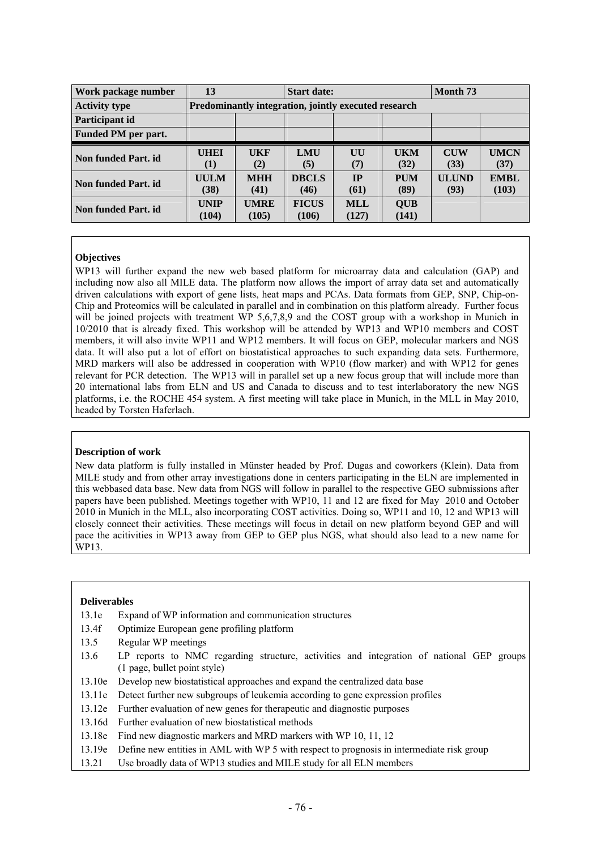| Work package number  | 13                                                   |                      | <b>Start date:</b>    |                     | Month <sub>73</sub> |                      |                      |
|----------------------|------------------------------------------------------|----------------------|-----------------------|---------------------|---------------------|----------------------|----------------------|
| <b>Activity type</b> | Predominantly integration, jointly executed research |                      |                       |                     |                     |                      |                      |
| Participant id       |                                                      |                      |                       |                     |                     |                      |                      |
| Funded PM per part.  |                                                      |                      |                       |                     |                     |                      |                      |
| Non funded Part. id  | <b>UHEI</b><br>$\left(1\right)$                      | <b>UKF</b><br>(2)    | <b>LMU</b><br>(5)     | UU<br>(7)           | <b>UKM</b><br>(32)  | <b>CUW</b><br>(33)   | <b>UMCN</b><br>(37)  |
| Non funded Part. id  | <b>UULM</b><br>(38)                                  | <b>MHH</b><br>(41)   | <b>DBCLS</b><br>(46)  | IP<br>(61)          | <b>PUM</b><br>(89)  | <b>ULUND</b><br>(93) | <b>EMBL</b><br>(103) |
| Non funded Part. id  | <b>UNIP</b><br>(104)                                 | <b>UMRE</b><br>(105) | <b>FICUS</b><br>(106) | <b>MLL</b><br>(127) | <b>QUB</b><br>(141) |                      |                      |

# **Objectives**

WP13 will further expand the new web based platform for microarray data and calculation (GAP) and including now also all MILE data. The platform now allows the import of array data set and automatically driven calculations with export of gene lists, heat maps and PCAs. Data formats from GEP, SNP, Chip-on-Chip and Proteomics will be calculated in parallel and in combination on this platform already. Further focus will be joined projects with treatment WP 5,6,7,8,9 and the COST group with a workshop in Munich in 10/2010 that is already fixed. This workshop will be attended by WP13 and WP10 members and COST members, it will also invite WP11 and WP12 members. It will focus on GEP, molecular markers and NGS data. It will also put a lot of effort on biostatistical approaches to such expanding data sets. Furthermore, MRD markers will also be addressed in cooperation with WP10 (flow marker) and with WP12 for genes relevant for PCR detection. The WP13 will in parallel set up a new focus group that will include more than 20 international labs from ELN and US and Canada to discuss and to test interlaboratory the new NGS platforms, i.e. the ROCHE 454 system. A first meeting will take place in Munich, in the MLL in May 2010, headed by Torsten Haferlach.

### **Description of work**

New data platform is fully installed in Münster headed by Prof. Dugas and coworkers (Klein). Data from MILE study and from other array investigations done in centers participating in the ELN are implemented in this webbased data base. New data from NGS will follow in parallel to the respective GEO submissions after papers have been published. Meetings together with WP10, 11 and 12 are fixed for May 2010 and October 2010 in Munich in the MLL, also incorporating COST activities. Doing so, WP11 and 10, 12 and WP13 will closely connect their activities. These meetings will focus in detail on new platform beyond GEP and will pace the acitivities in WP13 away from GEP to GEP plus NGS, what should also lead to a new name for WP13.

- 13.1e Expand of WP information and communication structures
- 13.4f Optimize European gene profiling platform
- 13.5 Regular WP meetings
- 13.6 LP reports to NMC regarding structure, activities and integration of national GEP groups (1 page, bullet point style)
- 13.10e Develop new biostatistical approaches and expand the centralized data base
- 13.11e Detect further new subgroups of leukemia according to gene expression profiles
- 13.12e Further evaluation of new genes for therapeutic and diagnostic purposes
- 13.16d Further evaluation of new biostatistical methods
- 13.18e Find new diagnostic markers and MRD markers with WP 10, 11, 12
- 13.19e Define new entities in AML with WP 5 with respect to prognosis in intermediate risk group
- 13.21 Use broadly data of WP13 studies and MILE study for all ELN members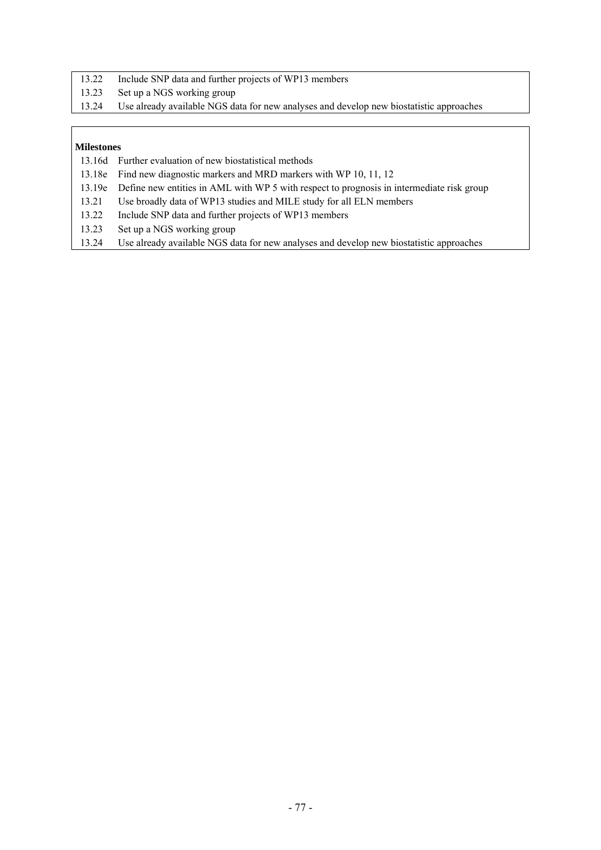- 13.22 Include SNP data and further projects of WP13 members
- 13.23 Set up a NGS working group
- 13.24 Use already available NGS data for new analyses and develop new biostatistic approaches

- 13.16d Further evaluation of new biostatistical methods
- 13.18e Find new diagnostic markers and MRD markers with WP 10, 11, 12
- 13.19e Define new entities in AML with WP 5 with respect to prognosis in intermediate risk group
- 13.21 Use broadly data of WP13 studies and MILE study for all ELN members
- 13.22 Include SNP data and further projects of WP13 members
- 13.23 Set up a NGS working group
- 13.24 Use already available NGS data for new analyses and develop new biostatistic approaches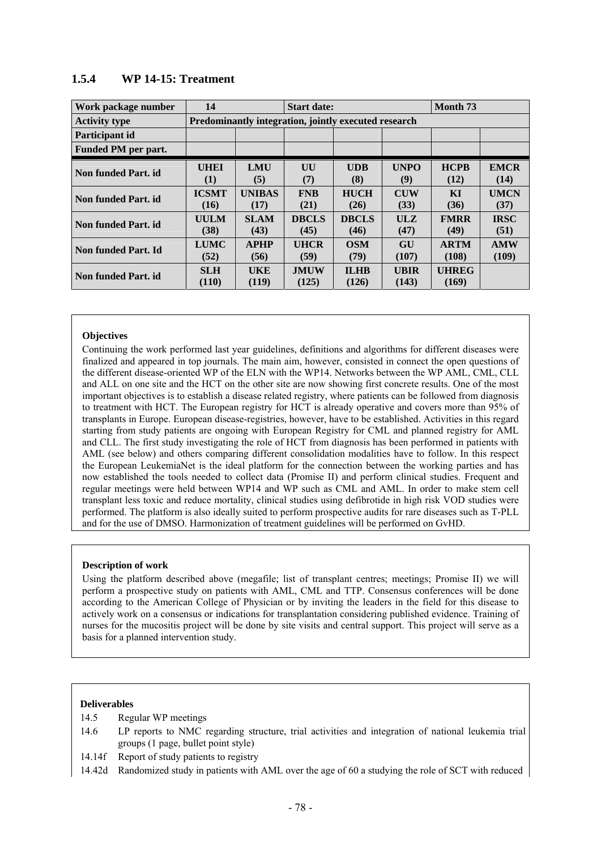| Work package number  | 14                   |                                                      | <b>Start date:</b>   |                      | Month <sub>73</sub>  |                       |                     |  |  |
|----------------------|----------------------|------------------------------------------------------|----------------------|----------------------|----------------------|-----------------------|---------------------|--|--|
| <b>Activity type</b> |                      | Predominantly integration, jointly executed research |                      |                      |                      |                       |                     |  |  |
| Participant id       |                      |                                                      |                      |                      |                      |                       |                     |  |  |
| Funded PM per part.  |                      |                                                      |                      |                      |                      |                       |                     |  |  |
| Non funded Part. id  | <b>UHEI</b><br>(1)   | <b>LMU</b><br>(5)                                    | UU<br>(7)            | <b>UDB</b><br>(8)    | <b>UNPO</b><br>(9)   | <b>HCPB</b><br>(12)   | <b>EMCR</b><br>(14) |  |  |
| Non funded Part. id  | <b>ICSMT</b><br>(16) | <b>UNIBAS</b><br>(17)                                | <b>FNB</b><br>(21)   | <b>HUCH</b><br>(26)  | <b>CUW</b><br>(33)   | <b>KI</b><br>(36)     | <b>UMCN</b><br>(37) |  |  |
| Non funded Part. id  | <b>UULM</b><br>(38)  | <b>SLAM</b><br>(43)                                  | <b>DBCLS</b><br>(45) | <b>DBCLS</b><br>(46) | ULZ<br>(47)          | <b>FMRR</b><br>(49)   | <b>IRSC</b><br>(51) |  |  |
| Non funded Part. Id  | <b>LUMC</b><br>(52)  | <b>APHP</b><br>(56)                                  | <b>UHCR</b><br>(59)  | <b>OSM</b><br>(79)   | GU<br>(107)          | <b>ARTM</b><br>(108)  | <b>AMW</b><br>(109) |  |  |
| Non funded Part. id  | <b>SLH</b><br>(110)  | <b>UKE</b><br>(119)                                  | <b>JMUW</b><br>(125) | <b>ILHB</b><br>(126) | <b>UBIR</b><br>(143) | <b>UHREG</b><br>(169) |                     |  |  |

# **1.5.4 WP 14-15: Treatment**

# **Objectives**

Continuing the work performed last year guidelines, definitions and algorithms for different diseases were finalized and appeared in top journals. The main aim, however, consisted in connect the open questions of the different disease-oriented WP of the ELN with the WP14. Networks between the WP AML, CML, CLL and ALL on one site and the HCT on the other site are now showing first concrete results. One of the most important objectives is to establish a disease related registry, where patients can be followed from diagnosis to treatment with HCT. The European registry for HCT is already operative and covers more than 95% of transplants in Europe. European disease-registries, however, have to be established. Activities in this regard starting from study patients are ongoing with European Registry for CML and planned registry for AML and CLL. The first study investigating the role of HCT from diagnosis has been performed in patients with AML (see below) and others comparing different consolidation modalities have to follow. In this respect the European LeukemiaNet is the ideal platform for the connection between the working parties and has now established the tools needed to collect data (Promise II) and perform clinical studies. Frequent and regular meetings were held between WP14 and WP such as CML and AML. In order to make stem cell transplant less toxic and reduce mortality, clinical studies using defibrotide in high risk VOD studies were performed. The platform is also ideally suited to perform prospective audits for rare diseases such as T-PLL and for the use of DMSO. Harmonization of treatment guidelines will be performed on GvHD.

### **Description of work**

Using the platform described above (megafile; list of transplant centres; meetings; Promise II) we will perform a prospective study on patients with AML, CML and TTP. Consensus conferences will be done according to the American College of Physician or by inviting the leaders in the field for this disease to actively work on a consensus or indications for transplantation considering published evidence. Training of nurses for the mucositis project will be done by site visits and central support. This project will serve as a basis for a planned intervention study.

- 14.5 Regular WP meetings
- 14.6 LP reports to NMC regarding structure, trial activities and integration of national leukemia trial groups (1 page, bullet point style)
- 14.14f Report of study patients to registry
- 14.42d Randomized study in patients with AML over the age of 60 a studying the role of SCT with reduced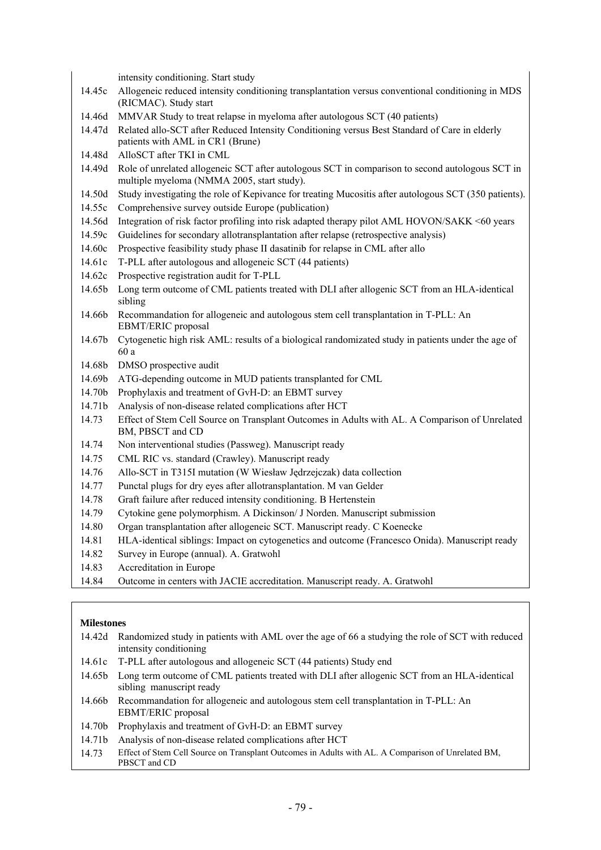intensity conditioning. Start study

- 14.45c Allogeneic reduced intensity conditioning transplantation versus conventional conditioning in MDS (RICMAC). Study start
- 14.46d MMVAR Study to treat relapse in myeloma after autologous SCT (40 patients)
- 14.47d Related allo-SCT after Reduced Intensity Conditioning versus Best Standard of Care in elderly patients with AML in CR1 (Brune)
- 14.48d AlloSCT after TKI in CML
- 14.49d Role of unrelated allogeneic SCT after autologous SCT in comparison to second autologous SCT in multiple myeloma (NMMA 2005, start study).
- 14.50d Study investigating the role of Kepivance for treating Mucositis after autologous SCT (350 patients).
- 14.55c Comprehensive survey outside Europe (publication)
- 14.56d Integration of risk factor profiling into risk adapted therapy pilot AML HOVON/SAKK <60 years
- 14.59c Guidelines for secondary allotransplantation after relapse (retrospective analysis)
- 14.60c Prospective feasibility study phase II dasatinib for relapse in CML after allo
- 14.61c T-PLL after autologous and allogeneic SCT (44 patients)
- 14.62c Prospective registration audit for T-PLL
- 14.65b Long term outcome of CML patients treated with DLI after allogenic SCT from an HLA-identical sibling
- 14.66b Recommandation for allogeneic and autologous stem cell transplantation in T-PLL: An EBMT/ERIC proposal
- 14.67b Cytogenetic high risk AML: results of a biological randomizated study in patients under the age of 60 a
- 14.68b DMSO prospective audit
- 14.69b ATG-depending outcome in MUD patients transplanted for CML
- 14.70b Prophylaxis and treatment of GvH-D: an EBMT survey
- 14.71b Analysis of non-disease related complications after HCT
- 14.73 Effect of Stem Cell Source on Transplant Outcomes in Adults with AL. A Comparison of Unrelated BM, PBSCT and CD
- 14.74 Non interventional studies (Passweg). Manuscript ready
- 14.75 CML RIC vs. standard (Crawley). Manuscript ready
- 14.76 Allo-SCT in T315I mutation (W Wiesław Jędrzejczak) data collection
- 14.77 Punctal plugs for dry eyes after allotransplantation. M van Gelder
- 14.78 Graft failure after reduced intensity conditioning. B Hertenstein
- 14.79 Cytokine gene polymorphism. A Dickinson/ J Norden. Manuscript submission
- 14.80 Organ transplantation after allogeneic SCT. Manuscript ready. C Koenecke
- 14.81 HLA-identical siblings: Impact on cytogenetics and outcome (Francesco Onida). Manuscript ready
- 14.82 Survey in Europe (annual). A. Gratwohl
- 14.83 Accreditation in Europe
- 14.84 Outcome in centers with JACIE accreditation. Manuscript ready. A. Gratwohl

- 14.42d Randomized study in patients with AML over the age of 66 a studying the role of SCT with reduced intensity conditioning
- 14.61c T-PLL after autologous and allogeneic SCT (44 patients) Study end
- 14.65b Long term outcome of CML patients treated with DLI after allogenic SCT from an HLA-identical sibling manuscript ready
- 14.66b Recommandation for allogeneic and autologous stem cell transplantation in T-PLL: An EBMT/ERIC proposal
- 14.70b Prophylaxis and treatment of GvH-D: an EBMT survey
- 14.71b Analysis of non-disease related complications after HCT
- 14.73 Effect of Stem Cell Source on Transplant Outcomes in Adults with AL. A Comparison of Unrelated BM, PBSCT and CD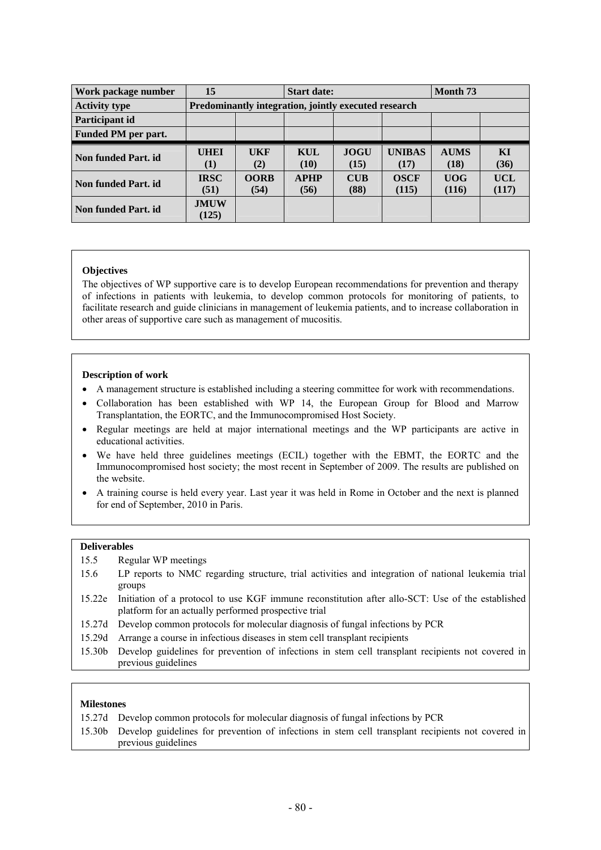| Work package number        | 15                   |                                                      | <b>Start date:</b>  |                     | Month 73              |                     |                     |  |
|----------------------------|----------------------|------------------------------------------------------|---------------------|---------------------|-----------------------|---------------------|---------------------|--|
| <b>Activity type</b>       |                      | Predominantly integration, jointly executed research |                     |                     |                       |                     |                     |  |
| Participant id             |                      |                                                      |                     |                     |                       |                     |                     |  |
| <b>Funded PM</b> per part. |                      |                                                      |                     |                     |                       |                     |                     |  |
| Non funded Part. id        | <b>UHEI</b><br>(1)   | <b>UKF</b><br>(2)                                    | KUL<br>(10)         | <b>JOGU</b><br>(15) | <b>UNIBAS</b><br>(17) | <b>AUMS</b><br>(18) | KI<br>(36)          |  |
| Non funded Part. id        | <b>IRSC</b><br>(51)  | <b>OORB</b><br>(54)                                  | <b>APHP</b><br>(56) | <b>CUB</b><br>(88)  | <b>OSCF</b><br>(115)  | <b>UOG</b><br>(116) | <b>UCL</b><br>(117) |  |
| Non funded Part. id        | <b>JMUW</b><br>(125) |                                                      |                     |                     |                       |                     |                     |  |

### **Objectives**

The objectives of WP supportive care is to develop European recommendations for prevention and therapy of infections in patients with leukemia, to develop common protocols for monitoring of patients, to facilitate research and guide clinicians in management of leukemia patients, and to increase collaboration in other areas of supportive care such as management of mucositis.

# **Description of work**

- A management structure is established including a steering committee for work with recommendations.
- Collaboration has been established with WP 14, the European Group for Blood and Marrow Transplantation, the EORTC, and the Immunocompromised Host Society.
- Regular meetings are held at major international meetings and the WP participants are active in educational activities.
- We have held three guidelines meetings (ECIL) together with the EBMT, the EORTC and the Immunocompromised host society; the most recent in September of 2009. The results are published on the website.
- A training course is held every year. Last year it was held in Rome in October and the next is planned for end of September, 2010 in Paris.

#### **Deliverables**

- 15.5 Regular WP meetings
- 15.6 LP reports to NMC regarding structure, trial activities and integration of national leukemia trial groups
- 15.22e Initiation of a protocol to use KGF immune reconstitution after allo-SCT: Use of the established platform for an actually performed prospective trial
- 15.27d Develop common protocols for molecular diagnosis of fungal infections by PCR
- 15.29d Arrange a course in infectious diseases in stem cell transplant recipients
- 15.30b Develop guidelines for prevention of infections in stem cell transplant recipients not covered in previous guidelines

| 15.27d Develop common protocols for molecular diagnosis of fungal infections by PCR                      |  |  |  |  |  |  |  |  |  |
|----------------------------------------------------------------------------------------------------------|--|--|--|--|--|--|--|--|--|
| 15.30b Develop guidelines for prevention of infections in stem cell transplant recipients not covered in |  |  |  |  |  |  |  |  |  |
| previous guidelines                                                                                      |  |  |  |  |  |  |  |  |  |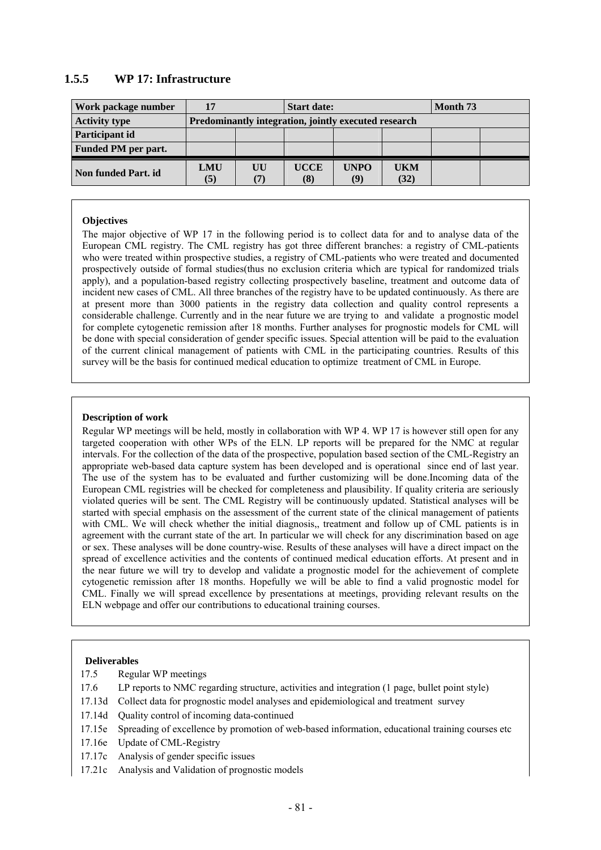# **1.5.5 WP 17: Infrastructure**

| Work package number        | 17                                                   |           | <b>Start date:</b> |                               | Month 73    |  |  |
|----------------------------|------------------------------------------------------|-----------|--------------------|-------------------------------|-------------|--|--|
| <b>Activity type</b>       | Predominantly integration, jointly executed research |           |                    |                               |             |  |  |
| Participant id             |                                                      |           |                    |                               |             |  |  |
| <b>Funded PM per part.</b> |                                                      |           |                    |                               |             |  |  |
| Non funded Part. id        | <b>LMU</b><br>(5)                                    | UU<br>(7) | <b>UCCE</b><br>(8) | <b>UNPO</b><br>$\mathbf{(9)}$ | UKM<br>(32) |  |  |

### **Objectives**

The major objective of WP 17 in the following period is to collect data for and to analyse data of the European CML registry. The CML registry has got three different branches: a registry of CML-patients who were treated within prospective studies, a registry of CML-patients who were treated and documented prospectively outside of formal studies(thus no exclusion criteria which are typical for randomized trials apply), and a population-based registry collecting prospectively baseline, treatment and outcome data of incident new cases of CML. All three branches of the registry have to be updated continuously. As there are at present more than 3000 patients in the registry data collection and quality control represents a considerable challenge. Currently and in the near future we are trying to and validate a prognostic model for complete cytogenetic remission after 18 months. Further analyses for prognostic models for CML will be done with special consideration of gender specific issues. Special attention will be paid to the evaluation of the current clinical management of patients with CML in the participating countries. Results of this survey will be the basis for continued medical education to optimize treatment of CML in Europe.

### **Description of work**

Regular WP meetings will be held, mostly in collaboration with WP 4. WP 17 is however still open for any targeted cooperation with other WPs of the ELN. LP reports will be prepared for the NMC at regular intervals. For the collection of the data of the prospective, population based section of the CML-Registry an appropriate web-based data capture system has been developed and is operational since end of last year. The use of the system has to be evaluated and further customizing will be done.Incoming data of the European CML registries will be checked for completeness and plausibility. If quality criteria are seriously violated queries will be sent. The CML Registry will be continuously updated. Statistical analyses will be started with special emphasis on the assessment of the current state of the clinical management of patients with CML. We will check whether the initial diagnosis,, treatment and follow up of CML patients is in agreement with the currant state of the art. In particular we will check for any discrimination based on age or sex. These analyses will be done country-wise. Results of these analyses will have a direct impact on the spread of excellence activities and the contents of continued medical education efforts. At present and in the near future we will try to develop and validate a prognostic model for the achievement of complete cytogenetic remission after 18 months. Hopefully we will be able to find a valid prognostic model for CML. Finally we will spread excellence by presentations at meetings, providing relevant results on the ELN webpage and offer our contributions to educational training courses.

- 17.5 Regular WP meetings
- 17.6 LP reports to NMC regarding structure, activities and integration (1 page, bullet point style)
- 17.13d Collect data for prognostic model analyses and epidemiological and treatment survey
- 17.14d Quality control of incoming data-continued
- 17.15e Spreading of excellence by promotion of web-based information, educational training courses etc
- 17.16e Update of CML-Registry
- 17.17c Analysis of gender specific issues
- 17.21c Analysis and Validation of prognostic models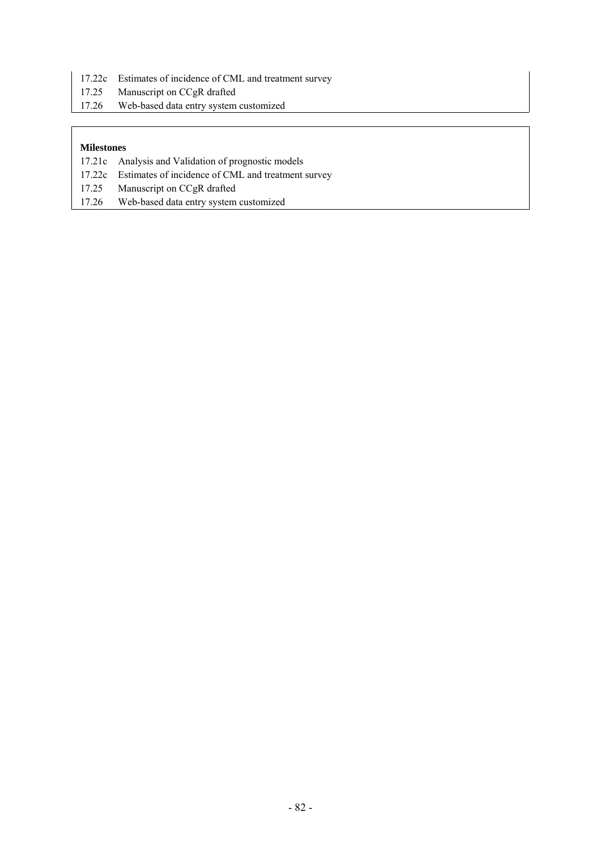- 17.22c Estimates of incidence of CML and treatment survey
- 17.25 Manuscript on CCgR drafted
- 17.26 Web-based data entry system customized

- 17.21c Analysis and Validation of prognostic models
- 17.22c Estimates of incidence of CML and treatment survey
- 17.25 Manuscript on CCgR drafted
- 17.26 Web-based data entry system customized